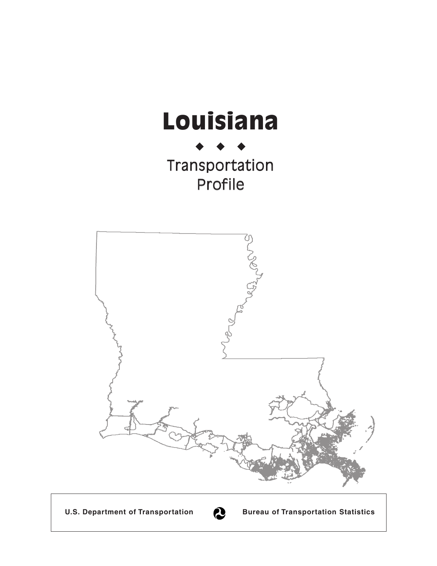

U.S. Department of Transportation **Bureau of Transportation Statistics**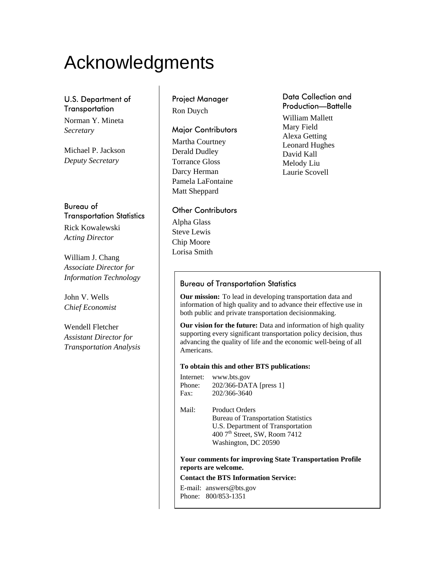# Acknowledgments

#### U.S. Department of **Transportation**

Norman Y. Mineta *Secretary* 

Michael P. Jackson *Deputy Secretary* 

#### Bureau of Transportation Statistics

Rick Kowalewski *Acting Director* 

William J. Chang *Associate Director for Information Technology* 

John V. Wells *Chief Economist* 

Wendell Fletcher *Assistant Director for Transportation Analysis* 

## Project Manager

Ron Duych

#### Major Contributors

Martha Courtney Derald Dudley Torrance Gloss Darcy Herman Pamela LaFontaine Matt Sheppard

#### Other Contributors

Alpha Glass Steve Lewis Chip Moore Lorisa Smith

#### Data Collection and Production—Battelle

William Mallett Mary Field Alexa Getting Leonard Hughes David Kall Melody Liu Laurie Scovell

#### Bureau of Transportation Statistics

**Our mission:** To lead in developing transportation data and information of high quality and to advance their effective use in both public and private transportation decisionmaking.

**Our vision for the future:** Data and information of high quality supporting every significant transportation policy decision, thus advancing the quality of life and the economic well-being of all Americans.

#### **To obtain this and other BTS publications:**

Internet: www.bts.gov Phone: 202/366-DATA [press 1] Fax: 202/366-3640

Mail: Product Orders Bureau of Transportation Statistics U.S. Department of Transportation 400 7th Street, SW, Room 7412

Washington, DC 20590

**Your comments for improving State Transportation Profile reports are welcome.** 

#### **Contact the BTS Information Service:**

E-mail: answers@bts.gov Phone: 800/853-1351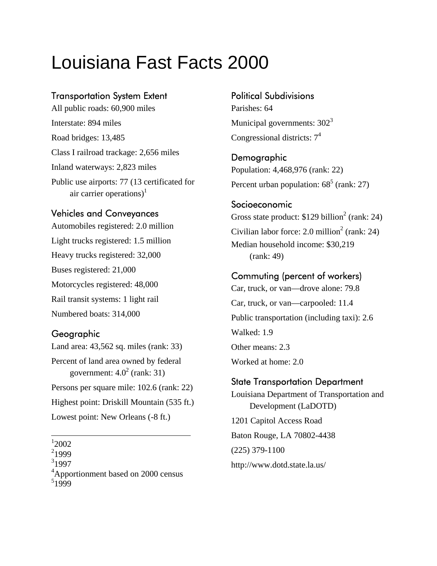## Louisiana Fast Facts 2000

#### Transportation System Extent

All public roads: 60,900 miles Interstate: 894 miles Road bridges: 13,485 Class I railroad trackage: 2,656 miles Inland waterways: 2,823 miles Public use airports: 77 (13 certificated for air carrier operations)<sup>1</sup>

#### Vehicles and Conveyances

Automobiles registered: 2.0 million Light trucks registered: 1.5 million Heavy trucks registered: 32,000 Buses registered: 21,000 Motorcycles registered: 48,000 Rail transit systems: 1 light rail Numbered boats: 314,000

#### Geographic

Land area: 43,562 sq. miles (rank: 33)

Percent of land area owned by federal government:  $4.0^2$  (rank: 31)

Persons per square mile: 102.6 (rank: 22) Highest point: Driskill Mountain (535 ft.)

Lowest point: New Orleans (-8 ft.)

1 2002

2 1999

 $3$ <sub>1997</sub>

<sup>4</sup>Apportionment based on 2000 census

 $51999$ 

Political Subdivisions

Parishes: 64 Municipal governments:  $302<sup>3</sup>$ Congressional districts:  $7<sup>4</sup>$ 

**Demographic** Population: 4,468,976 (rank: 22) Percent urban population:  $68^5$  (rank: 27)

#### Socioeconomic

Gross state product:  $$129$  billion<sup>2</sup> (rank: 24) Civilian labor force: 2.0 million<sup>2</sup> (rank: 24) Median household income: \$30,219 (rank: 49)

#### Commuting (percent of workers)

Car, truck, or van—drove alone: 79.8 Car, truck, or van—carpooled: 11.4 Public transportation (including taxi): 2.6 Walked: 1.9 Other means: 2.3 Worked at home: 2.0

#### State Transportation Department

Louisiana Department of Transportation and Development (LaDOTD) 1201 Capitol Access Road Baton Rouge, LA 70802-4438 (225) 379-1100 http://www.dotd.state.la.us/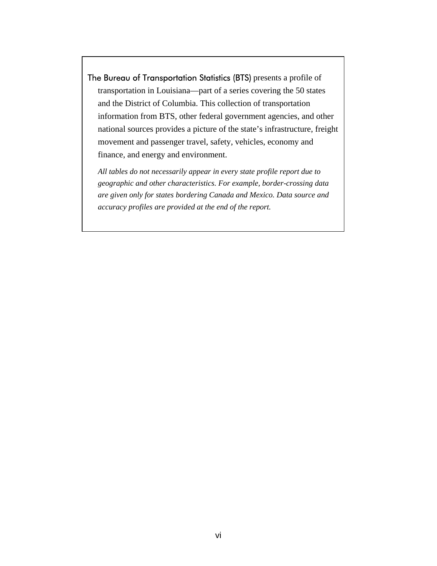The Bureau of Transportation Statistics (BTS) presents a profile of transportation in Louisiana—part of a series covering the 50 states and the District of Columbia. This collection of transportation information from BTS, other federal government agencies, and other national sources provides a picture of the state's infrastructure, freight movement and passenger travel, safety, vehicles, economy and finance, and energy and environment.

*All tables do not necessarily appear in every state profile report due to geographic and other characteristics. For example, border-crossing data are given only for states bordering Canada and Mexico. Data source and accuracy profiles are provided at the end of the report.*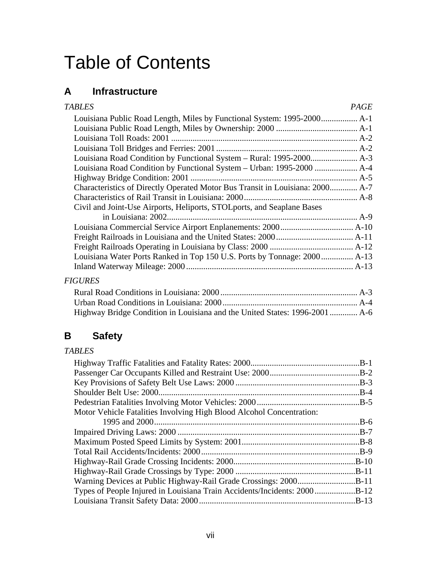## Table of Contents

## **A Infrastructure**

| <b>TABLES</b>                                                                 | PAGE |
|-------------------------------------------------------------------------------|------|
|                                                                               |      |
|                                                                               |      |
|                                                                               |      |
|                                                                               |      |
|                                                                               |      |
|                                                                               |      |
|                                                                               |      |
| Characteristics of Directly Operated Motor Bus Transit in Louisiana: 2000 A-7 |      |
|                                                                               |      |
| Civil and Joint-Use Airports, Heliports, STOL ports, and Seaplane Bases       |      |
|                                                                               |      |
|                                                                               |      |
|                                                                               |      |
|                                                                               |      |
| Louisiana Water Ports Ranked in Top 150 U.S. Ports by Tonnage: 2000 A-13      |      |
|                                                                               |      |
| <b>FIGURES</b>                                                                |      |
|                                                                               |      |
|                                                                               |      |

### **B Safety**

#### *TABLES*

|                                                                      | $.B-1$  |
|----------------------------------------------------------------------|---------|
|                                                                      | $.B-2$  |
|                                                                      | $.B-3$  |
|                                                                      | $.B-4$  |
|                                                                      | $.B-5$  |
| Motor Vehicle Fatalities Involving High Blood Alcohol Concentration: |         |
|                                                                      | .B-6    |
|                                                                      | $.B-7$  |
|                                                                      |         |
|                                                                      |         |
|                                                                      | $.B-10$ |
|                                                                      | $.B-11$ |
|                                                                      | $.B-11$ |
|                                                                      |         |
|                                                                      | $.B-13$ |
|                                                                      |         |

Highway Bridge Condition in Louisiana and the United States: 1996-2001............. A-6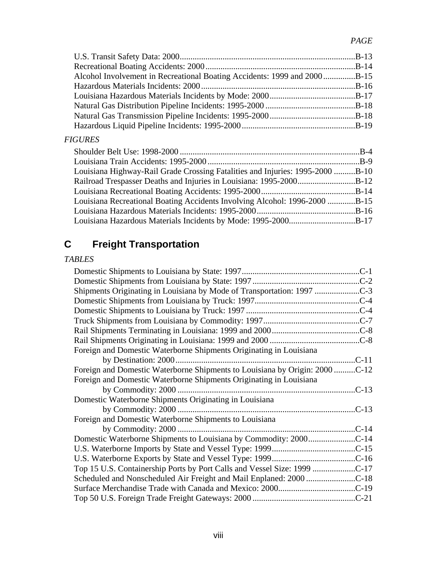| Alcohol Involvement in Recreational Boating Accidents: 1999 and 2000B-15 |  |
|--------------------------------------------------------------------------|--|
|                                                                          |  |
|                                                                          |  |
|                                                                          |  |
|                                                                          |  |
|                                                                          |  |
|                                                                          |  |

#### *FIGURES*

| Louisiana Highway-Rail Grade Crossing Fatalities and Injuries: 1995-2000 B-10 |  |
|-------------------------------------------------------------------------------|--|
| Railroad Trespasser Deaths and Injuries in Louisiana: 1995-2000B-12           |  |
|                                                                               |  |
| Louisiana Recreational Boating Accidents Involving Alcohol: 1996-2000 B-15    |  |
|                                                                               |  |
|                                                                               |  |

## **C Freight Transportation**

#### *TABLES*

| Shipments Originating in Louisiana by Mode of Transportation: 1997          |
|-----------------------------------------------------------------------------|
|                                                                             |
|                                                                             |
|                                                                             |
|                                                                             |
|                                                                             |
| Foreign and Domestic Waterborne Shipments Originating in Louisiana          |
| $C-11$                                                                      |
| Foreign and Domestic Waterborne Shipments to Louisiana by Origin: 2000 C-12 |
| Foreign and Domestic Waterborne Shipments Originating in Louisiana          |
|                                                                             |
| Domestic Waterborne Shipments Originating in Louisiana                      |
| $C-13$                                                                      |
| Foreign and Domestic Waterborne Shipments to Louisiana                      |
| $C-14$                                                                      |
|                                                                             |
|                                                                             |
|                                                                             |
| Top 15 U.S. Containership Ports by Port Calls and Vessel Size: 1999 C-17    |
|                                                                             |
|                                                                             |
|                                                                             |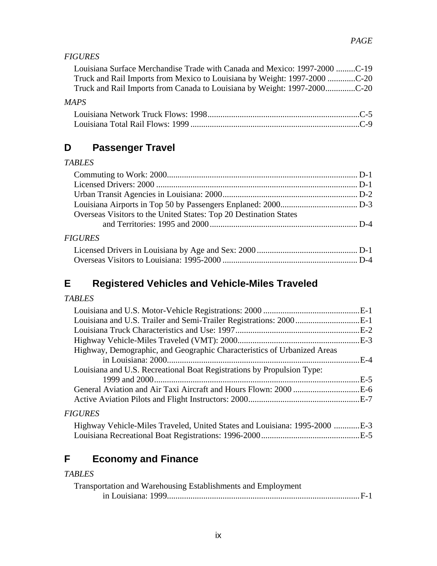#### *FIGURES*

| Louisiana Surface Merchandise Trade with Canada and Mexico: 1997-2000 C-19 |  |
|----------------------------------------------------------------------------|--|
| Truck and Rail Imports from Mexico to Louisiana by Weight: 1997-2000 C-20  |  |
| Truck and Rail Imports from Canada to Louisiana by Weight: 1997-2000C-20   |  |

#### *MAPS*

## **D Passenger Travel**

#### *TABLES*

| Overseas Visitors to the United States: Top 20 Destination States |  |
|-------------------------------------------------------------------|--|
|                                                                   |  |
|                                                                   |  |

#### *FIGURES*

### **E Registered Vehicles and Vehicle-Miles Traveled**

#### *TABLES*

| Highway, Demographic, and Geographic Characteristics of Urbanized Areas    |  |
|----------------------------------------------------------------------------|--|
|                                                                            |  |
| Louisiana and U.S. Recreational Boat Registrations by Propulsion Type:     |  |
|                                                                            |  |
|                                                                            |  |
|                                                                            |  |
| <b>FIGURES</b>                                                             |  |
| Highway Vehicle-Miles Traveled, United States and Louisiana: 1995-2000 E-3 |  |
|                                                                            |  |

## **F Economy and Finance**

#### *TABLES*

| Transportation and Warehousing Establishments and Employment |  |
|--------------------------------------------------------------|--|
|                                                              |  |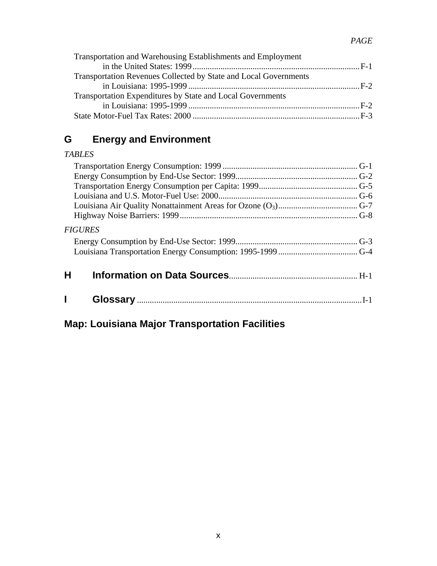| Transportation and Warehousing Establishments and Employment     |  |
|------------------------------------------------------------------|--|
|                                                                  |  |
| Transportation Revenues Collected by State and Local Governments |  |
|                                                                  |  |
| Transportation Expenditures by State and Local Governments       |  |
|                                                                  |  |
|                                                                  |  |

## **G Energy and Environment**

#### *TABLES*

| <i><b>FIGURES</b></i> |  |
|-----------------------|--|
|                       |  |
|                       |  |
|                       |  |
| н                     |  |
|                       |  |
|                       |  |
|                       |  |

## **Map: Louisiana Major Transportation Facilities**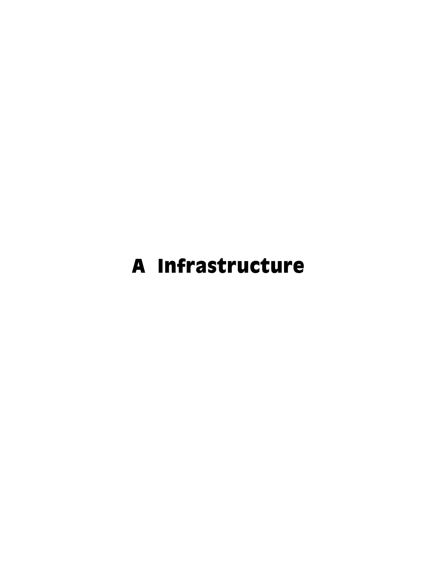# A Infrastructure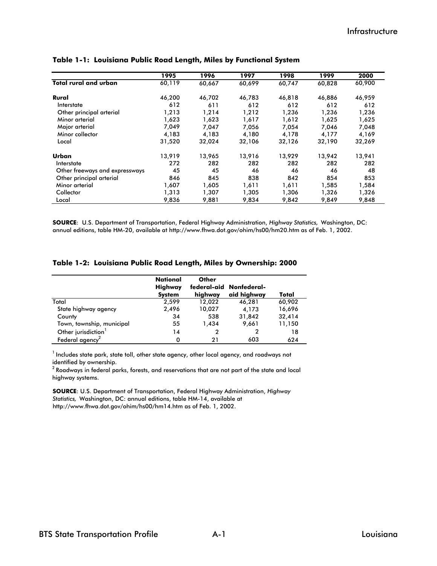|                                | 1995   | 1996   | 1997   | 1998   | 1999   | 2000   |
|--------------------------------|--------|--------|--------|--------|--------|--------|
| <b>Total rural and urban</b>   | 60,119 | 60,667 | 60,699 | 60,747 | 60,828 | 60,900 |
| Rural                          | 46,200 | 46,702 | 46,783 | 46,818 | 46,886 | 46,959 |
| Interstate                     | 612    | 611    | 612    | 612    | 612    | 612    |
| Other principal arterial       | 1,213  | 1,214  | 1,212  | 1,236  | 1,236  | 1,236  |
| Minor arterial                 | 1,623  | 1,623  | 1,617  | 1,612  | 1,625  | 1,625  |
| Major arterial                 | 7,049  | 7.047  | 7,056  | 7,054  | 7.046  | 7,048  |
| Minor collector                | 4,183  | 4,183  | 4,180  | 4,178  | 4,177  | 4,169  |
| Local                          | 31,520 | 32,024 | 32,106 | 32,126 | 32,190 | 32,269 |
| Urban                          | 13,919 | 13,965 | 13,916 | 13,929 | 13,942 | 13,941 |
| Interstate                     | 272    | 282    | 282    | 282    | 282    | 282    |
| Other freeways and expressways | 45     | 45     | 46     | 46     | 46     | 48     |
| Other principal arterial       | 846    | 845    | 838    | 842    | 854    | 853    |
| Minor arterial                 | 1,607  | 1.605  | 1,611  | 1,611  | 1.585  | 1,584  |
| Collector                      | 1,313  | 1,307  | 1,305  | 1,306  | 1,326  | 1,326  |
| Local                          | 9,836  | 9.881  | 9,834  | 9,842  | 9,849  | 9,848  |

#### **Table 1-1: Louisiana Public Road Length, Miles by Functional System**

**SOURCE**: U.S. Department of Transportation, Federal Highway Administration, *Highway Statistics,* Washington, DC: annual editions, table HM-20, available at http://www.fhwa.dot.gov/ohim/hs00/hm20.htm as of Feb. 1, 2002.

|  |  |  |  |  | Table 1-2: Louisiana Public Road Length, Miles by Ownership: 2000 |
|--|--|--|--|--|-------------------------------------------------------------------|
|--|--|--|--|--|-------------------------------------------------------------------|

|                                 | <b>National</b><br>Highway<br><b>System</b> | Other<br>highway | federal-aid Nonfederal-<br>aid highway | Total  |
|---------------------------------|---------------------------------------------|------------------|----------------------------------------|--------|
| Total                           | 2.599                                       | 12.022           | 46,281                                 | 60,902 |
| State highway agency            | 2.496                                       | 10,027           | 4.173                                  | 16,696 |
| County                          | 34                                          | 538              | 31,842                                 | 32,414 |
| Town, township, municipal       | 55                                          | 1.434            | 9.661                                  | 11,150 |
| Other jurisdiction <sup>1</sup> | 14                                          | $\mathbf{2}$     | 2                                      | 18     |
| Federal agency <sup>2</sup>     | Ω                                           | 21               | 603                                    | 624    |

 $^{\text{1}}$  Includes state park, state toll, other state agency, other local agency, and roadways not identified by ownership.

 $^{\rm 2}$  Roadways in federal parks, forests, and reservations that are not part of the state and local highway systems.

**SOURCE**: U.S. Department of Transportation, Federal Highway Administration, *Highway Statistics,* Washington, DC: annual editions, table HM-14, available at http://www.fhwa.dot.gov/ohim/hs00/hm14.htm as of Feb. 1, 2002.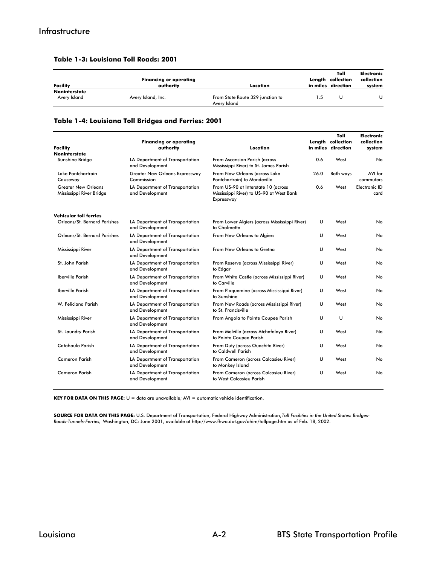| Facility                             | <b>Financing or operating</b><br>authority | Location                                         | Toll<br>Length collection<br>in miles direction | Electronic<br>collection<br>system |
|--------------------------------------|--------------------------------------------|--------------------------------------------------|-------------------------------------------------|------------------------------------|
| <b>Noninterstate</b><br>Avery Island | Avery Island, Inc.                         | From State Route 329 junction to<br>Avery Island |                                                 |                                    |

#### **Table 1-3: Louisiana Toll Roads: 2001**

#### **Table 1-4: Louisiana Toll Bridges and Ferries: 2001**

|                                                        | <b>Financing or operating</b>                       | Location                                                                                      |      | Toll<br>Length collection<br>in miles direction | <b>Electronic</b><br>collection |
|--------------------------------------------------------|-----------------------------------------------------|-----------------------------------------------------------------------------------------------|------|-------------------------------------------------|---------------------------------|
| <b>Facility</b><br><b>Noninterstate</b>                | authority                                           |                                                                                               |      |                                                 | system                          |
| Sunshine Bridge                                        | LA Department of Transportation<br>and Development  | From Ascension Parish (across<br>Mississippi River) to St. James Parish                       | 0.6  | West                                            | No                              |
| Lake Pontchartrain<br>Causeway                         | <b>Greater New Orleans Expressway</b><br>Commission | From New Orleans (across Lake<br>Pontchartrain) to Mandeville                                 | 26.0 | <b>Both ways</b>                                | AVI for<br>commuters            |
| <b>Greater New Orleans</b><br>Mississippi River Bridge | LA Department of Transportation<br>and Development  | From US-90 at Interstate 10 (across<br>Mississippi River) to US-90 at West Bank<br>Expressway | 0.6  | West                                            | <b>Electronic ID</b><br>card    |
| <b>Vehicular toll ferries</b>                          |                                                     |                                                                                               |      |                                                 |                                 |
| Orleans/St. Bernard Parishes                           | LA Department of Transportation<br>and Development  | From Lower Algiers (across Mississippi River)<br>to Chalmette                                 | υ    | West                                            | No                              |
| Orleans/St. Bernard Parishes                           | LA Department of Transportation<br>and Development  | From New Orleans to Algiers                                                                   | U    | West                                            | No                              |
| Mississippi River                                      | LA Department of Transportation<br>and Development  | From New Orleans to Gretna                                                                    | U    | West                                            | No                              |
| St. John Parish                                        | LA Department of Transportation<br>and Development  | From Reserve (across Mississippi River)<br>to Edgar                                           | U    | West                                            | No                              |
| <b>Iberville Parish</b>                                | LA Department of Transportation<br>and Development  | From White Castle (across Mississippi River)<br>to Carville                                   | U    | West                                            | No                              |
| <b>Iberville Parish</b>                                | LA Department of Transportation<br>and Development  | From Plaquemine (across Mississippi River)<br>to Sunshine                                     | U    | West                                            | No                              |
| W. Feliciana Parish                                    | LA Department of Transportation<br>and Development  | From New Roads (across Mississippi River)<br>to St. Francisville                              | U    | West                                            | No                              |
| Mississippi River                                      | LA Department of Transportation<br>and Development  | From Angola to Pointe Coupee Parish                                                           | υ    | U                                               | No                              |
| St. Laundry Parish                                     | LA Department of Transportation<br>and Development  | From Melville (across Atchafalaya River)<br>to Pointe Coupee Parish                           | υ    | West                                            | No                              |
| Catahoula Parish                                       | LA Department of Transportation<br>and Development  | From Duty (across Ouachita River)<br>to Caldwell Parish                                       | υ    | West                                            | No                              |
| <b>Cameron Parish</b>                                  | LA Department of Transportation<br>and Development  | From Cameron (across Calcasieu River)<br>to Monkey Island                                     | U    | West                                            | No                              |
| <b>Cameron Parish</b>                                  | LA Department of Transportation<br>and Development  | From Cameron (across Calcasieu River)<br>to West Calcasieu Parish                             | U    | West                                            | No                              |

**KEY FOR DATA ON THIS PAGE:** U = data are unavailable; AVI = automatic vehicle identification.

**SOURCE FOR DATA ON THIS PAGE:** U.S. Department of Transportation, Federal Highway Administration, *Toll Facilities in the United States: Bridges-Roads-Tunnels-Ferries,* Washington, DC: June 2001, available at http://www.fhwa.dot.gov/ohim/tollpage.htm as of Feb. 18, 2002.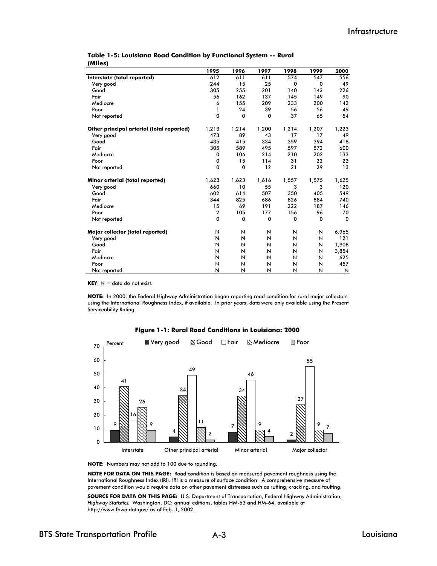|                                           | 1995           | 1996        | 1997  | 1998                    | 1999        | 2000        |
|-------------------------------------------|----------------|-------------|-------|-------------------------|-------------|-------------|
| Interstate (total reported)               | 612            | 611         | 611   | 574                     | 547         | 556         |
| Very good                                 | 244            | 15          | 25    | 0                       | $\mathbf 0$ | 49          |
| Good                                      | 305            | 255         | 201   | 140                     | 142         | 226         |
| Fair                                      | 56             | 162         | 137   | 145                     | 149         | 90          |
| Mediocre                                  | 6              | 155         | 209   | 233                     | 200         | 142         |
| Poor                                      | 1              | 24          | 39    | 56                      | 56          | 49          |
| Not reported                              | 0              | $\mathbf 0$ | 0     | 37                      | 65          | 54          |
| Other principal arterial (total reported) | 1,213          | 1,214       | 1,200 | 1,214                   | 1,207       | 1,223       |
| Very good                                 | 473            | 89          | 43    | 17                      | 17          | 49          |
| Good                                      | 435            | 415         | 334   | 359                     | 394         | 418         |
| Fair                                      | 305            | 589         | 495   | 597                     | 572         | 600         |
| Mediocre                                  | 0              | 106         | 214   | 210                     | 202         | 133         |
| Poor                                      | 0              | 15          | 114   | 31                      | 22          | 23          |
| Not reported                              | 0              | 0           | 12    | 21                      | 29          | 13          |
| Minor arterial (total reported)           | 1,623          | 1,623       | 1,616 | 1,557                   | 1,575       | 1,625       |
| Very good                                 | 660            | 10          | 55    | 3                       | 3           | 120         |
| Good                                      | 602            | 614         | 507   | 350                     | 405         | 549         |
| Fair                                      | 344            | 825         | 686   | 826                     | 884         | 740         |
| Mediocre                                  | 15             | 69          | 191   | 222                     | 187         | 146         |
| Poor                                      | $\overline{2}$ | 105         | 177   | 156                     | 96          | 70          |
| Not reported                              | 0              | $\mathbf 0$ | 0     | 0                       | 0           | $\mathbf 0$ |
| Major collector (total reported)          | N              | N           | N     | N                       | N           | 6,965       |
| Very good                                 | N              | N           | N     | N                       | N           | 121         |
| Good                                      | N              | N           | N     | N                       | N           | 1,908       |
| Fair                                      | N              | N           | N     | N                       | N           | 3,854       |
| Mediocre                                  | N              | N           | N     | N                       | N           | 625         |
| Poor                                      | N              | N           | N     | N                       | N           | 457         |
| Not reported                              | N              | N           | N     | $\overline{\mathsf{N}}$ | N           | N           |

#### **(Miles) Table 1-5: Louisiana Road Condition by Functional System -- Rural**

 $KEY: N = data do not exist.$ 

**NOTE:** In 2000, the Federal Highway Administration began reporting road condition for rural major collectors using the International Roughness Index, if available. In prior years, data were only available using the Present Serviceability Rating.



#### **Figure 1-1: Rural Road Conditions in Louisiana: 2000**

**NOTE**: Numbers may not add to 100 due to rounding.

**NOTE FOR DATA ON THIS PAGE:** Road condition is based on measured pavement roughness using the International Roughness Index (IRI). IRI is a measure of surface condition. A comprehensive measure of pavement condition would require data on other pavement distresses such as rutting, cracking, and faulting.

**SOURCE FOR DATA ON THIS PAGE:** U.S. Department of Transportation, Federal Highway Administration, *Highway Statistics,* Washington, DC: annual editions, tables HM-63 and HM-64, available at http://www.fhwa.dot.gov/ as of Feb. 1, 2002.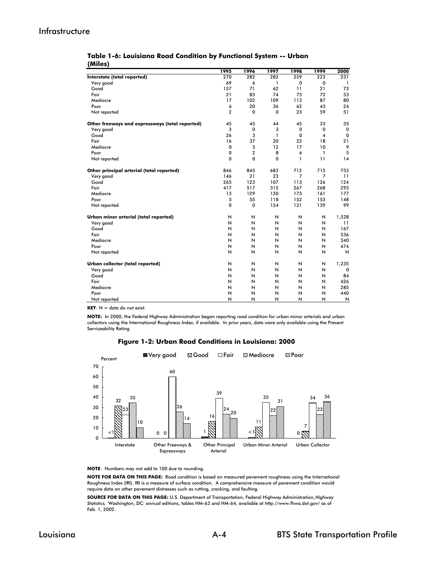#### Infrastructure

| Table 1-6: Louisiana Road Condition by Functional System -- Urban |  |  |  |
|-------------------------------------------------------------------|--|--|--|
| (Miles)                                                           |  |  |  |

|                                                 | 1995           | 1996                    | 1997         | 1998                    | 1999                    | 2000         |
|-------------------------------------------------|----------------|-------------------------|--------------|-------------------------|-------------------------|--------------|
| Interstate (total reported)                     | 270            | 282                     | 282          | 259                     | 223                     | 231          |
| Very good                                       | 69             | 6                       | 1            | 0                       | $\mathbf 0$             | $\mathbf{1}$ |
| Good                                            | 157            | 71                      | 62           | 11                      | 21                      | 73           |
| Fair                                            | 21             | 83                      | 74           | 73                      | 72                      | 53           |
| Mediocre                                        | 17             | 102                     | 109          | 113                     | 87                      | 80           |
| Poor                                            | 6              | 20                      | 36           | 62                      | 43                      | 24           |
| Not reported                                    | $\overline{2}$ | 0                       | $\mathbf 0$  | 23                      | 59                      | 51           |
| Other freeways and expressways (total reported) | 45             | 45                      | 44           | 45                      | 33                      | 35           |
| Very good                                       | 3              | $\mathbf 0$             | 3            | 0                       | $\mathbf 0$             | 0            |
| Good                                            | 26             | 3                       | $\mathbf{1}$ | $\mathbf 0$             | $\overline{\mathbf{4}}$ | 0            |
| Fair                                            | 16             | 37                      | 20           | 22                      | 18                      | 21           |
| Mediocre                                        | 0              | 3                       | 12           | 17                      | 10                      | 9            |
| Poor                                            | 0              | $\overline{2}$          | 8            | 6                       | 1                       | 5            |
| Not reported                                    | 0              | 0                       | 0            | 1                       | 11                      | 14           |
| Other principal arterial (total reported)       | 846            | 845                     | 683          | 712                     | 715                     | 753          |
| Very good                                       | 146            | 21                      | 23           | 7                       | $\overline{7}$          | 11           |
| Good                                            | 265            | 123                     | 107          | 113                     | 126                     | 124          |
| Fair                                            | 417            | 517                     | 315          | 267                     | 268                     | 293          |
| Mediocre                                        | 13             | 129                     | 120          | 173                     | 161                     | 177          |
| Poor                                            | 5              | 55                      | 118          | 152                     | 153                     | 148          |
| Not reported                                    | 0              | 0                       | 154          | 131                     | 139                     | 99           |
| Urban minor arterial (total reported)           | И              | И                       | N            | И                       | И                       | 1,528        |
| Very good                                       | N              | $\overline{\mathsf{N}}$ | N            | N                       | N                       | 11           |
| Good                                            | N              | $\overline{\mathsf{N}}$ | N            | N                       | N                       | 167          |
| Fair                                            | N              | N                       | N            | N                       | N                       | 536          |
| Mediocre                                        | N              | N                       | N            | N                       | N                       | 340          |
| Poor                                            | N              | N                       | N            | N                       | $\overline{\mathsf{N}}$ | 474          |
| Not reported                                    | N              | $\overline{\mathsf{N}}$ | N            | $\overline{\mathsf{N}}$ | $\overline{\mathsf{N}}$ | N            |
| Urban collector (total reported)                | N              | N                       | N            | N                       | И                       | 1,235        |
| Very good                                       | N              | И                       | N            | N                       | $\overline{\mathsf{N}}$ | 0            |
| Good                                            | N              | N                       | N            | N                       | N                       | 84           |
| Fair                                            | N              | N                       | N            | N                       | N                       | 426          |
| Mediocre                                        | N              | И                       | N            | N                       | N                       | 285          |
| Poor                                            | И              | N                       | N            | N                       | N                       | 440          |
| Not reported                                    | N              | N                       | N            | N                       | N                       | N            |

 $KEY: N = data do not exist.$ 

**NOTE:** In 2000, the Federal Highway Administration began reporting road condition for urban minor arterials and urban collectors using the International Roughness Index, if available. In prior years, data were only available using the Present Serviceability Rating.

**Figure 1-2: Urban Road Conditions in Louisiana: 2000**



**NOTE**: Numbers may not add to 100 due to rounding.

**NOTE FOR DATA ON THIS PAGE:** Road condition is based on measured pavement roughness using the International Roughness Index (IRI). IRI is a measure of surface condition. A comprehensive measure of pavement condition would require data on other pavement distresses such as rutting, cracking, and faulting.

**SOURCE FOR DATA ON THIS PAGE:** U.S. Department of Transportation, Federal Highway Administration, *Highway Statistics,* Washington, DC: annual editions, tables HM-63 and HM-64, available at http://www.fhwa.dot.gov/ as of Feb. 1, 2002.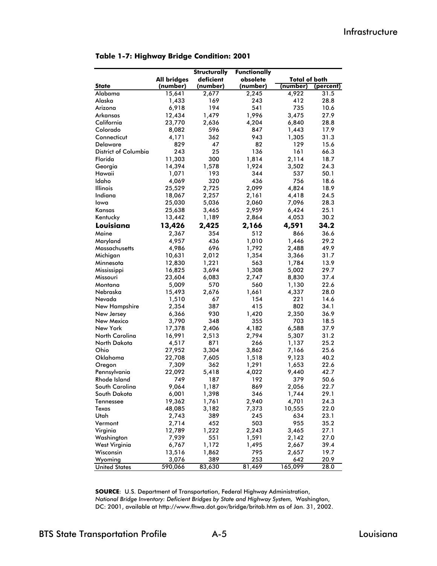|                             |                    | Structurally | <b>Functionally</b> |                      |           |
|-----------------------------|--------------------|--------------|---------------------|----------------------|-----------|
|                             | <b>All bridges</b> | deficient    | obsolete            | <b>Total of both</b> |           |
| <b>State</b>                | (number)           | (number)     | (number)            | (number)             | (percent) |
| Alabama                     | 15,641             | 2,677        | 2,245               | 4,922                | 31.5      |
| Alaska                      | 1,433              | 169          | 243                 | 412                  | 28.8      |
| Arizona                     | 6,918              | 194          | 541                 | 735                  | 10.6      |
| Arkansas                    | 12,434             | 1,479        | 1,996               | 3,475                | 27.9      |
| California                  | 23,770             | 2,636        | 4,204               | 6,840                | 28.8      |
| Colorado                    | 8,082              | 596          | 847                 | 1,443                | 17.9      |
| Connecticut                 | 4,171              | 362          | 943                 | 1,305                | 31.3      |
| Delaware                    | 829                | 47           | 82                  | 129                  | 15.6      |
| <b>District of Columbia</b> | 243                | 25           | 136                 | 161                  | 66.3      |
| Florida                     | 11,303             | 300          | 1,814               | 2,114                | 18.7      |
| Georgia                     | 14,394             | 1,578        | 1,924               | 3,502                | 24.3      |
| Hawaii                      | 1,071              | 193          | 344                 | 537                  | 50.1      |
| Idaho                       | 4,069              | 320          | 436                 | 756                  | 18.6      |
| Illinois                    | 25,529             | 2,725        | 2,099               | 4,824                | 18.9      |
| Indiana                     | 18,067             | 2,257        | 2,161               | 4,418                | 24.5      |
| lowa                        | 25,030             | 5,036        | 2,060               | 7,096                | 28.3      |
| Kansas                      | 25,638             | 3,465        | 2,959               | 6,424                | 25.1      |
| Kentucky                    | 13,442             | 1,189        | 2,864               | 4,053                | 30.2      |
| Louisiana                   | 13,426             | 2,425        | 2,166               | 4,591                | 34.2      |
| Maine                       | 2,367              | 354          | 512                 | 866                  | 36.6      |
| Maryland                    | 4,957              | 436          | 1,010               | 1,446                | 29.2      |
| Massachusetts               | 4,986              | 696          | 1,792               | 2,488                | 49.9      |
| Michigan                    | 10,631             | 2,012        | 1,354               | 3,366                | 31.7      |
| Minnesota                   | 12,830             | 1,221        | 563                 | 1,784                | 13.9      |
| Mississippi                 | 16,825             | 3,694        | 1,308               | 5,002                | 29.7      |
| Missouri                    | 23,604             | 6,083        | 2,747               | 8,830                | 37.4      |
| Montana                     | 5,009              | 570          | 560                 | 1,130                | 22.6      |
| Nebraska                    | 15,493             | 2,676        | 1,661               | 4,337                | 28.0      |
| Nevada                      | 1,510              | 67           | 154                 | 221                  | 14.6      |
| New Hampshire               | 2,354              | 387          | 415                 | 802                  | 34.1      |
| New Jersey                  | 6,366              | 930          | 1,420               | 2,350                | 36.9      |
| New Mexico                  | 3,790              | 348          | 355                 | 703                  | 18.5      |
| New York                    | 17,378             | 2,406        | 4,182               | 6,588                | 37.9      |
| North Carolina              | 16,991             | 2,513        | 2,794               | 5,307                | 31.2      |
| North Dakota                | 4,517              | 871          | 266                 | 1,137                | 25.2      |
| Ohio                        | 27,952             | 3,304        | 3,862               | 7,166                | 25.6      |
| Oklahoma                    | 22,708             | 7,605        | 1,518               | 9,123                | 40.2      |
| Oregon                      | 7,309              | 362          | 1,291               | 1,653                | 22.6      |
| Pennsylvania                | 22,092             | 5,418        | 4,022               | 9,440                | 42.7      |
| Rhode Island                | 749                | 187          | 192                 | 379                  | 50.6      |
| South Carolina              | 9,064              | 1,187        | 869                 | 2,056                | 22.7      |
| South Dakota                | 6,001              | 1,398        | 346                 | 1,744                | 29.1      |
| Tennessee                   | 19,362             | 1,761        | 2,940               | 4,701                | 24.3      |
| Texas                       | 48,085             | 3,182        | 7,373               | 10,555               | 22.0      |
| Utah                        | 2,743              | 389          | 245                 | 634                  | 23.1      |
| Vermont                     | 2,714              | 452          | 503                 | 955                  | 35.2      |
| Virginia                    | 12,789             | 1,222        | 2,243               | 3,465                | 27.1      |
| Washington                  | 7,939              | 551          | 1,591               | 2,142                | 27.0      |
| West Virginia               | 6,767              | 1,172        | 1,495               | 2,667                | 39.4      |
| Wisconsin                   | 13,516             | 1,862        | 795                 | 2,657                | 19.7      |
| Wyoming                     | 3,076              | 389          | 253                 | 642                  | 20.9      |
| <b>United States</b>        | 590,066            | 83,630       | 81,469              | 165,099              | 28.0      |

**SOURCE**: U.S. Department of Transportation, Federal Highway Administration, *National Bridge Inventory: Deficient Bridges by State and Highway System,* Washington, DC: 2001, available at http://www.fhwa.dot.gov/bridge/britab.htm as of Jan. 31, 2002.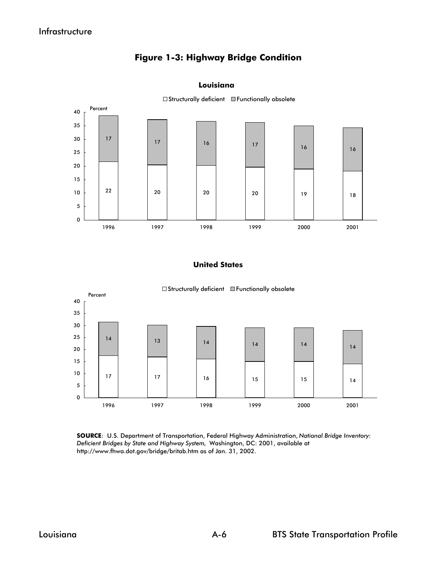#### **Figure 1-3: Highway Bridge Condition**

#### **Louisiana**



 $\square$  Structurally deficient  $\square$  Functionally obsolete

#### **United States**



**SOURCE**: U.S. Department of Transportation, Federal Highway Administration, *National Bridge Inventory: Deficient Bridges by State and Highway System,* Washington, DC: 2001, available at http://www.fhwa.dot.gov/bridge/britab.htm as of Jan. 31, 2002.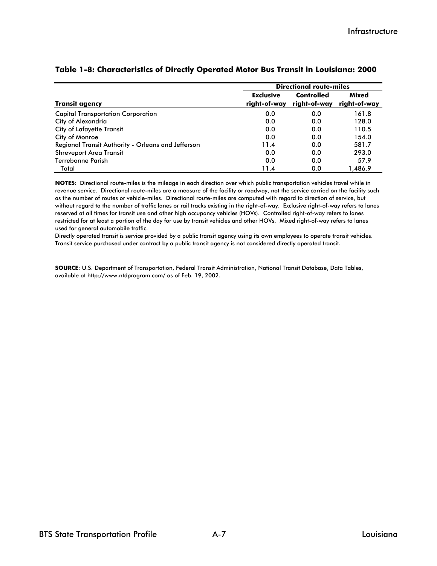|                                                    | <b>Directional route-miles</b> |              |              |  |  |  |
|----------------------------------------------------|--------------------------------|--------------|--------------|--|--|--|
|                                                    | <b>Exclusive</b>               | Controlled   | <b>Mixed</b> |  |  |  |
| <b>Transit agency</b>                              | right-of-way                   | right-of-way | right-of-way |  |  |  |
| <b>Capital Transportation Corporation</b>          | 0.0                            | 0.0          | 161.8        |  |  |  |
| City of Alexandria                                 | 0.0                            | 0.0          | 128.0        |  |  |  |
| <b>City of Lafayette Transit</b>                   | 0.0                            | 0.0          | 110.5        |  |  |  |
| City of Monroe                                     | 0.0                            | 0.0          | 154.0        |  |  |  |
| Regional Transit Authority - Orleans and Jefferson | 11.4                           | 0.0          | 581.7        |  |  |  |
| <b>Shreveport Area Transit</b>                     | 0.0                            | 0.0          | 293.0        |  |  |  |
| Terrebonne Parish                                  | 0.0                            | 0.0          | 57.9         |  |  |  |
| Total                                              | 11.4                           | 0.0          | 1.486.9      |  |  |  |

#### **Table 1-8: Characteristics of Directly Operated Motor Bus Transit in Louisiana: 2000**

**NOTES**: Directional route-miles is the mileage in each direction over which public transportation vehicles travel while in revenue service. Directional route-miles are a measure of the facility or roadway, not the service carried on the facility such as the number of routes or vehicle-miles. Directional route-miles are computed with regard to direction of service, but without regard to the number of traffic lanes or rail tracks existing in the right-of-way. Exclusive right-of-way refers to lanes reserved at all times for transit use and other high occupancy vehicles (HOVs). Controlled right-of-way refers to lanes restricted for at least a portion of the day for use by transit vehicles and other HOVs. Mixed right-of-way refers to lanes used for general automobile traffic.

Directly operated transit is service provided by a public transit agency using its own employees to operate transit vehicles. Transit service purchased under contract by a public transit agency is not considered directly operated transit.

**SOURCE**: U.S. Department of Transportation, Federal Transit Administration, National Transit Database, Data Tables, available at http://www.ntdprogram.com/ as of Feb. 19, 2002.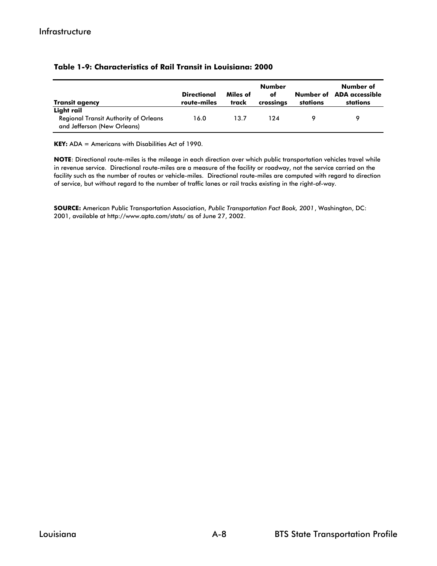| <b>Transit agency</b>                                                                     | <b>Directional</b><br>route-miles | Miles of<br>track | Number<br>оf<br>crossings | Number of<br>stations | Number of<br><b>ADA</b> accessible<br>stations |
|-------------------------------------------------------------------------------------------|-----------------------------------|-------------------|---------------------------|-----------------------|------------------------------------------------|
| Light rail<br><b>Regional Transit Authority of Orleans</b><br>and Jefferson (New Orleans) | 16.0                              | 13.7              | 124                       |                       |                                                |

#### **Table 1-9: Characteristics of Rail Transit in Louisiana: 2000**

**KEY:** ADA = Americans with Disabilities Act of 1990.

**NOTE**: Directional route-miles is the mileage in each direction over which public transportation vehicles travel while in revenue service. Directional route-miles are a measure of the facility or roadway, not the service carried on the facility such as the number of routes or vehicle-miles. Directional route-miles are computed with regard to direction of service, but without regard to the number of traffic lanes or rail tracks existing in the right-of-way.

**SOURCE:** American Public Transportation Association, *Public Transportation Fact Book, 2001*, Washington, DC: 2001, available at http://www.apta.com/stats/ as of June 27, 2002.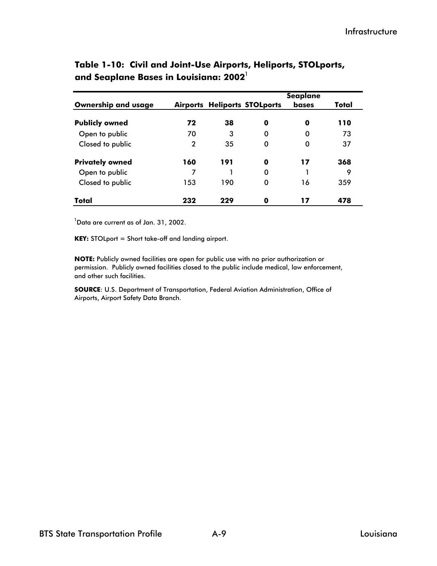|                            |     |     |                                     | <b>Seaplane</b> |       |
|----------------------------|-----|-----|-------------------------------------|-----------------|-------|
| <b>Ownership and usage</b> |     |     | <b>Airports Heliports STOLports</b> | bases           | Total |
| <b>Publicly owned</b>      | 72  | 38  | 0                                   | 0               | 110   |
| Open to public             | 70  | 3   | 0                                   | 0               | 73    |
| Closed to public           | 2   | 35  | 0                                   | 0               | 37    |
| <b>Privately owned</b>     | 160 | 191 | 0                                   | 17              | 368   |
| Open to public             | 7   |     | 0                                   |                 | 9     |
| Closed to public           | 153 | 190 | 0                                   | 16              | 359   |
| Total                      | 232 | 229 | 0                                   | 17              | 478   |

#### **Table 1-10: Civil and Joint-Use Airports, Heliports, STOLports, and Seaplane Bases in Louisiana: 2002**<sup>1</sup>

 $^1$ Data are current as of Jan. 31, 2002.

**KEY:** STOLport = Short take-off and landing airport.

**NOTE:** Publicly owned facilities are open for public use with no prior authorization or permission. Publicly owned facilities closed to the public include medical, law enforcement, and other such facilities.

**SOURCE**: U.S. Department of Transportation, Federal Aviation Administration, Office of Airports, Airport Safety Data Branch.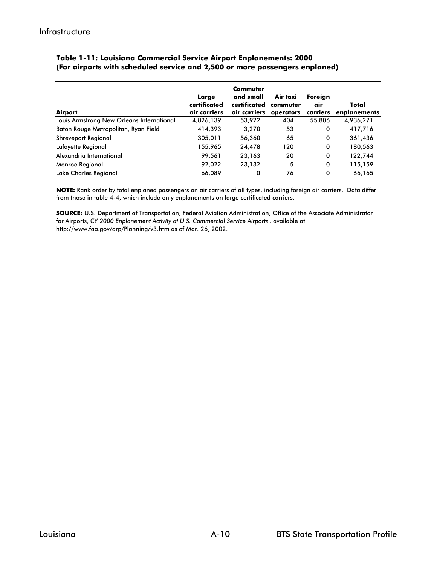| Airport                                   | Large<br>certificated<br>air carriers | Commuter<br>and small<br>certificated<br>air carriers | Air taxi<br>commuter<br>operators | Foreign<br>air<br>carriers | Total<br>enplanements |
|-------------------------------------------|---------------------------------------|-------------------------------------------------------|-----------------------------------|----------------------------|-----------------------|
| Louis Armstrong New Orleans International | 4,826,139                             | 53,922                                                | 404                               | 55,806                     | 4,936,271             |
| Baton Rouge Metropolitan, Ryan Field      | 414,393                               | 3,270                                                 | 53                                | 0                          | 417,716               |
| <b>Shreveport Regional</b>                | 305,011                               | 56,360                                                | 65                                | 0                          | 361,436               |
| Lafayette Regional                        | 155,965                               | 24,478                                                | 120                               | 0                          | 180,563               |
| Alexandria International                  | 99,561                                | 23,163                                                | 20                                | 0                          | 122,744               |
| Monroe Regional                           | 92,022                                | 23,132                                                | 5                                 | 0                          | 115,159               |
| Lake Charles Regional                     | 66,089                                | 0                                                     | 76                                | 0                          | 66,165                |

#### **(For airports with scheduled service and 2,500 or more passengers enplaned) Table 1-11: Louisiana Commercial Service Airport Enplanements: 2000**

**NOTE:** Rank order by total enplaned passengers on air carriers of all types, including foreign air carriers. Data differ from those in table 4-4, which include only enplanements on large certificated carriers.

**SOURCE:** U.S. Department of Transportation, Federal Aviation Administration, Office of the Associate Administrator for Airports, *CY 2000 Enplanement Activity at U.S. Commercial Service Airports* , available at http://www.faa.gov/arp/Planning/v3.htm as of Mar. 26, 2002.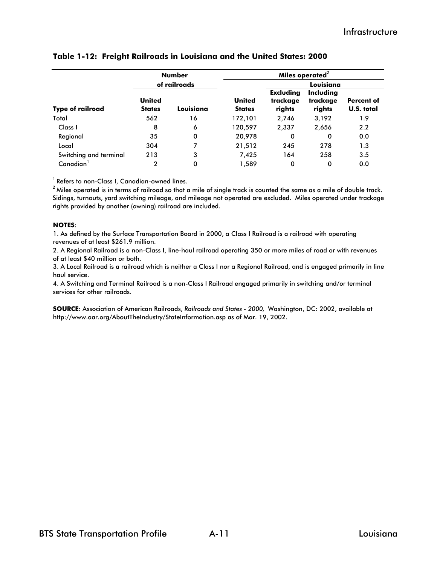|                         | <b>Number</b>                  |              | Miles operated $2$             |                                        |                                 |                          |  |
|-------------------------|--------------------------------|--------------|--------------------------------|----------------------------------------|---------------------------------|--------------------------|--|
|                         |                                | of railroads |                                | Louisiana                              |                                 |                          |  |
| <b>Type of railroad</b> | <b>United</b><br><b>States</b> | Louisiana    | <b>United</b><br><b>States</b> | <b>Excluding</b><br>trackage<br>rights | Including<br>trackage<br>rights | Percent of<br>U.S. total |  |
| Total                   | 562                            | 16           | 172,101                        | 2,746                                  | 3,192                           | 1.9                      |  |
| Class I                 | 8                              | 6            | 120,597                        | 2,337                                  | 2,656                           | 2.2                      |  |
| Regional                | 35                             | 0            | 20,978                         | 0                                      | 0                               | 0.0                      |  |
| Local                   | 304                            | 7            | 21,512                         | 245                                    | 278                             | 1.3                      |  |
| Switching and terminal  | 213                            | 3            | 7,425                          | 164                                    | 258                             | 3.5                      |  |
| Canadian                | $\overline{2}$                 | 0            | 1,589                          | 0                                      | 0                               | 0.0                      |  |

#### **Table 1-12: Freight Railroads in Louisiana and the United States: 2000**

<sup>1</sup> Refers to non-Class I, Canadian-owned lines.

 $2$  Miles operated is in terms of railroad so that a mile of single track is counted the same as a mile of double track. Sidings, turnouts, yard switching mileage, and mileage not operated are excluded. Miles operated under trackage rights provided by another (owning) railroad are included.

#### **NOTES**:

1. As defined by the Surface Transportation Board in 2000, a Class I Railroad is a railroad with operating revenues of at least \$261.9 million.

2. A Regional Railroad is a non-Class I, line-haul railroad operating 350 or more miles of road or with revenues of at least \$40 million or both.

3. A Local Railroad is a railroad which is neither a Class I nor a Regional Railroad, and is engaged primarily in line haul service.

4. A Switching and Terminal Railroad is a non-Class I Railroad engaged primarily in switching and/or terminal services for other railroads.

**SOURCE**: Association of American Railroads, *Railroads and States - 2000,* Washington, DC: 2002, available at http://www.aar.org/AboutTheIndustry/StateInformation.asp as of Mar. 19, 2002.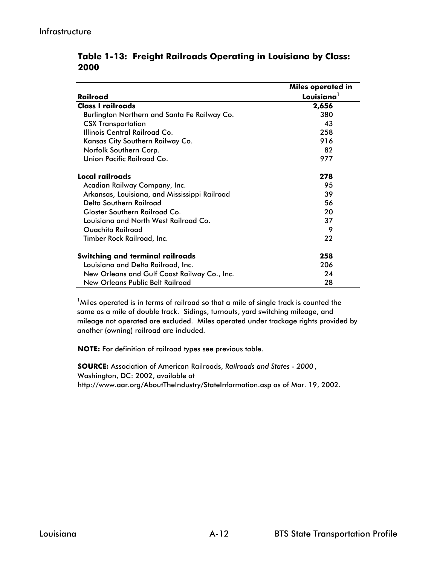|                                               | Miles operated in |
|-----------------------------------------------|-------------------|
| Railroad                                      | $L$ ovisiana $^1$ |
| <b>Class I railroads</b>                      | 2,656             |
| Burlington Northern and Santa Fe Railway Co.  | 380               |
| <b>CSX Transportation</b>                     | 43                |
| Illinois Central Railroad Co.                 | 258               |
| Kansas City Southern Railway Co.              | 916               |
| Norfolk Southern Corp.                        | 82                |
| Union Pacific Railroad Co.                    | 977               |
| Local railroads                               | 278               |
| Acadian Railway Company, Inc.                 | 95                |
| Arkansas, Louisiana, and Mississippi Railroad | 39                |
| Delta Southern Railroad                       | 56                |
| Gloster Southern Railroad Co.                 | 20                |
| Louisiana and North West Railroad Co.         | 37                |
| Ouachita Railroad                             | 9                 |
| Timber Rock Railroad, Inc.                    | 22                |
| <b>Switching and terminal railroads</b>       | 258               |
| Louisiana and Delta Railroad, Inc.            | 206               |
| New Orleans and Gulf Coast Railway Co., Inc.  | 24                |
| <b>New Orleans Public Belt Railroad</b>       | 28                |

**Table 1-13: Freight Railroads Operating in Louisiana by Class: 2000**

 $^1$ Miles operated is in terms of railroad so that a mile of single track is counted the same as a mile of double track. Sidings, turnouts, yard switching mileage, and mileage not operated are excluded. Miles operated under trackage rights provided by another (owning) railroad are included.

**NOTE:** For definition of railroad types see previous table.

**SOURCE:** Association of American Railroads, *Railroads and States - 2000* , Washington, DC: 2002, available at http://www.aar.org/AboutTheIndustry/StateInformation.asp as of Mar. 19, 2002.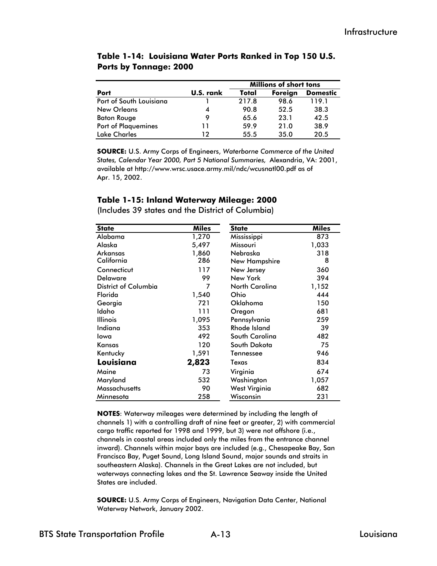|                            |           | <b>Millions of short tons</b> |         |                 |  |  |
|----------------------------|-----------|-------------------------------|---------|-----------------|--|--|
| Port                       | U.S. rank | Total                         | Foreign | <b>Domestic</b> |  |  |
| Port of South Louisiana    |           | 217.8                         | 98.6    | 119.1           |  |  |
| <b>New Orleans</b>         | 4         | 90.8                          | 52.5    | 38.3            |  |  |
| <b>Baton Rouge</b>         | 9         | 65.6                          | 23.1    | 42.5            |  |  |
| <b>Port of Plaquemines</b> | 11        | 59.9                          | 21.0    | 38.9            |  |  |
| <b>Lake Charles</b>        | 12        | 55.5                          | 35.0    | 20.5            |  |  |

#### **Table 1-14: Louisiana Water Ports Ranked in Top 150 U.S. Ports by Tonnage: 2000**

**SOURCE:** U.S. Army Corps of Engineers, *Waterborne Commerce of the United States, Calendar Year 2000, Part 5 National Summaries,* Alexandria, VA: 2001, available at http://www.wrsc.usace.army.mil/ndc/wcusnatl00.pdf as of Apr. 15, 2002.

#### **Table 1-15: Inland Waterway Mileage: 2000**

| <b>State</b>         | <b>Miles</b> | <b>State</b>         | <b>Miles</b> |
|----------------------|--------------|----------------------|--------------|
| Alabama              | 1,270        | Mississippi          | 873          |
| Alaska               | 5,497        | Missouri             | 1,033        |
| Arkansas             | 1,860        | Nebraska             | 318          |
| California           | 286          | <b>New Hampshire</b> | 8            |
| Connecticut          | 117          | New Jersey           | 360          |
| <b>Delaware</b>      | 99           | New York             | 394          |
| District of Columbia | 7            | North Carolina       | 1,152        |
| Florida              | 1,540        | Ohio                 | 444          |
| Georgia              | 721          | Oklahoma             | 150          |
| Idaho                | 111          | Oregon               | 681          |
| Illinois             | 1,095        | Pennsylvania         | 259          |
| Indiana              | 353          | <b>Rhode Island</b>  | 39           |
| Iowa                 | 492          | South Carolina       | 482          |
| Kansas               | 120          | South Dakota         | 75           |
| Kentucky             | 1,591        | Tennessee            | 946          |
| Louisiana            | 2,823        | Texas                | 834          |
| Maine                | 73           | Virginia             | 674          |
| Maryland             | 532          | Washington           | 1,057        |
| Massachusetts        | 90           | West Virginia        | 682          |
| Minnesota            | 258          | Wisconsin            | 231          |

(Includes 39 states and the District of Columbia)

**NOTES**: Waterway mileages were determined by including the length of channels 1) with a controlling draft of nine feet or greater, 2) with commercial cargo traffic reported for 1998 and 1999, but 3) were not offshore (i.e., channels in coastal areas included only the miles from the entrance channel inward). Channels within major bays are included (e.g., Chesapeake Bay, San Francisco Bay, Puget Sound, Long Island Sound, major sounds and straits in southeastern Alaska). Channels in the Great Lakes are not included, but waterways connecting lakes and the St. Lawrence Seaway inside the United States are included.

**SOURCE:** U.S. Army Corps of Engineers, Navigation Data Center, National Waterway Network, January 2002.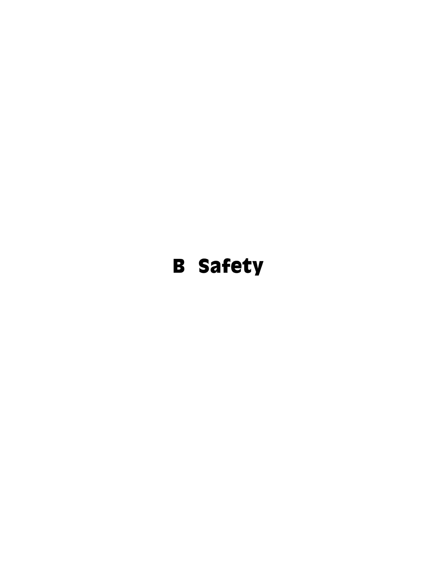# B Safety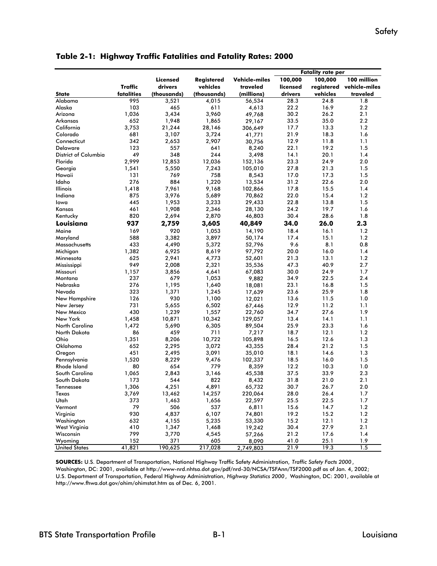|                      |            |                 |             |               |          | <b>Fatality rate per</b> |               |
|----------------------|------------|-----------------|-------------|---------------|----------|--------------------------|---------------|
|                      |            | Licensed        | Registered  | Vehicle-miles | 100,000  | 100,000                  | 100 million   |
|                      | Traffic    | drivers         | vehicles    | traveled      | licensed | registered               | vehicle-miles |
| <b>State</b>         | fatalities | (thousands)     | (thousands) | (millions)    | drivers  | vehicles                 | traveled      |
| Alabama              | 995        | 3,521           | 4,015       | 56,534        | 28.3     | 24.8                     | 1.8           |
| Alaska               | 103        | 465             | 611         | 4,613         | 22.2     | 16.9                     | 2.2           |
| Arizona              | 1,036      | 3,434           | 3,960       | 49,768        | 30.2     | 26.2                     | 2.1           |
| Arkansas             | 652        | 1,948           | 1,865       | 29,167        | 33.5     | 35.0                     | 2.2           |
| California           | 3,753      | 21,244          | 28,146      | 306,649       | 17.7     | 13.3                     | 1.2           |
| Colorado             | 681        | 3,107           | 3,724       | 41,771        | 21.9     | 18.3                     | 1.6           |
| Connecticut          | 342        | 2,653           | 2,907       | 30,756        | 12.9     | 11.8                     | 1.1           |
| <b>Delaware</b>      | 123        | 557             | 641         | 8,240         | 22.1     | 19.2                     | 1.5           |
| District of Columbia | 49         | 348             | 244         | 3,498         | 14.1     | 20.1                     | 1.4           |
| Florida              | 2,999      | 12,853          | 12,036      | 152,136       | 23.3     | 24.9                     | 2.0           |
| Georgia              | 1,541      | 5,550           | 7,243       | 105,010       | 27.8     | 21.3                     | 1.5           |
| Hawaii               | 131        | 769             | 758         | 8,543         | 17.0     | 17.3                     | 1.5           |
| Idaho                | 276        | 884             | 1,220       | 13,534        | 31.2     | 22.6                     | 2.0           |
| Illinois             | 1,418      | 7,961           | 9,168       | 102,866       | 17.8     | 15.5                     | 1.4           |
| Indiana              | 875        | 3,976           | 5,689       | 70,862        | 22.0     | 15.4                     | 1.2           |
| Iowa                 | 445        | 1,953           | 3,233       | 29,433        | 22.8     | 13.8                     | 1.5           |
| Kansas               | 461        | 1,908           | 2,346       | 28,130        | 24.2     | 19.7                     | 1.6           |
| Kentucky             | 820        | 2,694           | 2,870       | 46,803        | 30.4     | 28.6                     | 1.8           |
| Louisiana            | 937        | 2,759           | 3,605       | 40,849        | 34.0     | 26.0                     | 2.3           |
| Maine                | 169        | 920             | 1,053       | 14,190        | 18.4     | 16.1                     | 1.2           |
| Maryland             | 588        | 3,382           | 3,897       | 50,174        | 17.4     | 15.1                     | 1.2           |
| Massachusetts        | 433        | 4,490           | 5,372       | 52,796        | 9.6      | 8.1                      | 0.8           |
| Michigan             | 1,382      | 6,925           | 8,619       | 97,792        | 20.0     | 16.0                     | 1.4           |
| Minnesota            | 625        | 2,941           | 4,773       | 52,601        | 21.3     | 13.1                     | 1.2           |
| Mississippi          | 949        | 2,008           | 2,321       | 35,536        | 47.3     | 40.9                     | 2.7           |
| Missouri             | 1,157      | 3,856           | 4,641       | 67,083        | 30.0     | 24.9                     | 1.7           |
| Montana              | 237        | 679             | 1,053       | 9,882         | 34.9     | 22.5                     | 2.4           |
| Nebraska             | 276        | 1,195           | 1,640       | 18,081        | 23.1     | 16.8                     | 1.5           |
| Nevada               | 323        | 1,371           | 1,245       | 17,639        | 23.6     | 25.9                     | 1.8           |
| New Hampshire        | 126        | 930             | 1,100       | 12,021        | 13.6     | 11.5                     | 1.0           |
| New Jersey           | 731        | 5,655           | 6,502       | 67,446        | 12.9     | 11.2                     | 1.1           |
| New Mexico           | 430        | 1,239           | 1,557       | 22,760        | 34.7     | 27.6                     | 1.9           |
| New York             | 1,458      | 10,871          | 10,342      | 129,057       | 13.4     | 14.1                     | 1.1           |
| North Carolina       | 1,472      | 5,690           | 6,305       | 89,504        | 25.9     | 23.3                     | 1.6           |
| North Dakota         | 86         | 459             | 711         | 7,217         | 18.7     | 12.1                     | 1.2           |
| Ohio                 | 1,351      | 8,206           | 10,722      | 105,898       | 16.5     | 12.6                     | 1.3           |
| Oklahoma             | 652        | 2,295           | 3,072       | 43,355        | 28.4     | 21.2                     | 1.5           |
| Oregon               | 451        | 2,495           | 3,091       | 35,010        | 18.1     | 14.6                     | 1.3           |
| Pennsylvania         | 1,520      | 8,229           | 9,476       | 102,337       | 18.5     | 16.0                     | 1.5           |
| Rhode Island         | 80         | 654             | 779         | 8,359         | 12.2     | 10.3                     | 1.0           |
| South Carolina       | 1,065      | 2,843           | 3,146       | 45,538        | 37.5     | 33.9                     | 2.3           |
| South Dakota         | 173        | 544             | 822         | 8,432         | 31.8     | 21.0                     | 2.1           |
| Tennessee            |            |                 |             |               |          | 26.7                     | 2.0           |
|                      | 1,306      | 4,251<br>13,462 | 4,891       | 65,732        | 30.7     | 26.4                     |               |
| Texas<br>Utah        | 3,769      |                 | 14,257      | 220,064       | 28.0     |                          | 1.7           |
| Vermont              | 373<br>79  | 1,463           | 1,656       | 22,597        | 25.5     | 22.5                     | 1.7           |
|                      |            | 506             | 537         | 6,811         | 15.6     | 14.7                     | 1.2           |
| Virginia             | 930        | 4,837           | 6,107       | 74,801        | 19.2     | 15.2                     | 1.2           |
| Washington           | 632        | 4,155           | 5,235       | 53,330        | 15.2     | 12.1                     | 1.2           |
| West Virginia        | 410        | 1,347           | 1,468       | 19,242        | 30.4     | 27.9                     | 2.1           |
| Wisconsin            | 799        | 3,770           | 4,545       | 57,266        | 21.2     | 17.6                     | 1.4           |
| Wyoming              | 152        | 371<br>190,625  | 605         | 8,090         | 41.0     | 25.1                     | 1.9           |
| <b>United States</b> | 41,821     |                 | 217,028     | 2,749,803     | 21.9     | 19.3                     | 1.5           |

**Table 2-1: Highway Traffic Fatalities and Fatality Rates: 2000**

**SOURCES:** U.S. Department of Transportation, National Highway Traffic Safety Administration, *Traffic Safety Facts 2000* , Washington, DC: 2001, available at http://www-nrd.nhtsa.dot.gov/pdf/nrd-30/NCSA/TSFAnn/TSF2000.pdf as of Jan. 4, 2002; U.S. Department of Transportation, Federal Highway Administration, *Highway Statistics 2000*, Washington, DC: 2001, available at http://www.fhwa.dot.gov/ohim/ohimstat.htm as of Dec. 6, 2001.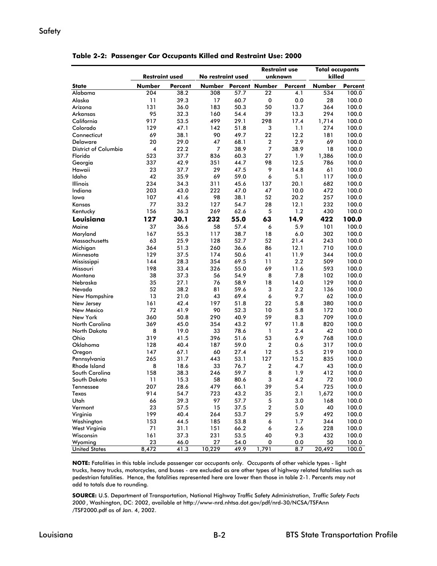#### Safety

|                              |                       |         |                   |      | <b>Restraint use</b>  |         | <b>Total occupants</b> |                |
|------------------------------|-----------------------|---------|-------------------|------|-----------------------|---------|------------------------|----------------|
|                              | <b>Restraint used</b> |         | No restraint used |      | unknown               |         | killed                 |                |
| <b>State</b>                 | Number                | Percent |                   |      | Number Percent Number | Percent | <b>Number</b>          | <b>Percent</b> |
| Alabama                      | 204                   | 38.2    | 308               | 57.7 | 22                    | 4.1     | 534                    | 100.0          |
| Alaska                       | 11                    | 39.3    | 17                | 60.7 | 0                     | 0.0     | 28                     | 100.0          |
| Arizona                      | 131                   | 36.0    | 183               | 50.3 | 50                    | 13.7    | 364                    | 100.0          |
| Arkansas                     | 95                    | 32.3    | 160               | 54.4 | 39                    | 13.3    | 294                    | 100.0          |
| California                   | 917                   | 53.5    | 499               | 29.1 | 298                   | 17.4    | 1,714                  | 100.0          |
| Colorado                     | 129                   | 47.1    | 142               | 51.8 | 3                     | 1.1     | 274                    | 100.0          |
| Connecticut                  | 69                    | 38.1    | 90                | 49.7 | 22                    | 12.2    | 181                    | 100.0          |
| <b>Delaware</b>              | 20                    | 29.0    | 47                | 68.1 | 2                     | 2.9     | 69                     | 100.0          |
| <b>District of Columbia</b>  | 4                     | 22.2    | $\overline{7}$    | 38.9 | 7                     | 38.9    | 18                     | 100.0          |
| Florida                      | 523                   | 37.7    | 836               | 60.3 | 27                    | 1.9     | 1,386                  | 100.0          |
| Georgia                      | 337                   | 42.9    | 351               | 44.7 | 98                    | 12.5    | 786                    | 100.0          |
| Hawaii                       | 23                    | 37.7    | 29                | 47.5 | 9                     | 14.8    | 61                     | 100.0          |
| Idaho                        | 42                    | 35.9    | 69                | 59.0 | 6                     | 5.1     | 117                    | 100.0          |
| <b>Illinois</b>              | 234                   | 34.3    | 311               | 45.6 | 137                   | 20.1    | 682                    | 100.0          |
| Indiana                      | 203                   | 43.0    | 222               | 47.0 | 47                    | 10.0    | 472                    | 100.0          |
| lowa                         | 107                   | 41.6    | 98                | 38.1 | 52                    | 20.2    | 257                    | 100.0          |
| Kansas                       | 77                    | 33.2    | 127               | 54.7 | 28                    | 12.1    | 232                    | 100.0          |
| Kentucky                     | 156                   | 36.3    | 269               | 62.6 | 5                     | 1.2     | 430                    | 100.0          |
| Louisiana                    | 127                   | 30.1    | 232               | 55.0 | 63                    | 14.9    | 422                    | 100.0          |
| Maine                        | 37                    | 36.6    | 58                | 57.4 | 6                     | 5.9     | 101                    | 100.0          |
| Maryland                     | 167                   | 55.3    | 117               | 38.7 | 18                    | 6.0     | 302                    | 100.0          |
| Massachusetts                | 63                    | 25.9    | 128               | 52.7 | 52                    | 21.4    | 243                    | 100.0          |
| Michigan                     | 364                   | 51.3    | 260               | 36.6 | 86                    | 12.1    | 710                    | 100.0          |
| Minnesota                    | 129                   | 37.5    | 174               | 50.6 | 41                    | 11.9    | 344                    | 100.0          |
| Mississippi                  | 144                   | 28.3    | 354               | 69.5 | 11                    | 2.2     | 509                    | 100.0          |
| Missouri                     | 198                   | 33.4    | 326               | 55.0 | 69                    | 11.6    | 593                    | 100.0          |
| Montana                      | 38                    | 37.3    | 56                | 54.9 | 8                     | 7.8     | 102                    | 100.0          |
| Nebraska                     | 35                    | 27.1    | 76                | 58.9 | 18                    | 14.0    | 129                    | 100.0          |
| Nevada                       | 52                    | 38.2    | 81                | 59.6 | 3                     | 2.2     | 136                    | 100.0          |
| New Hampshire                | 13                    | 21.0    | 43                | 69.4 | 6                     | 9.7     | 62                     | 100.0          |
| New Jersey                   | 161                   | 42.4    | 197               | 51.8 | 22                    | 5.8     | 380                    | 100.0          |
| New Mexico                   | 72                    | 41.9    | 90                | 52.3 | 10                    | 5.8     | 172                    | 100.0          |
| New York                     | 360                   | 50.8    | 290               | 40.9 | 59                    | 8.3     | 709                    | 100.0          |
| North Carolina               | 369                   | 45.0    | 354               | 43.2 | 97                    | 11.8    | 820                    | 100.0          |
| North Dakota                 | 8                     | 19.0    | 33                | 78.6 | 1                     | 2.4     | 42                     | 100.0          |
| Ohio                         | 319                   | 41.5    | 396               | 51.6 | 53                    | 6.9     | 768                    | 100.0          |
|                              |                       |         |                   |      | 2                     | 0.6     |                        | 100.0          |
| Oklahoma                     | 128                   | 40.4    | 187<br>60         | 59.0 |                       |         | 317                    |                |
| Oregon                       | 147                   | 67.1    |                   | 27.4 | 12                    | 5.5     | 219                    | 100.0          |
| Pennsylvania<br>Rhode Island | 265                   | 31.7    | 443               | 53.1 | 127                   | 15.2    | 835                    | 100.0          |
|                              | 8                     | 18.6    | 33                | 76.7 | 2                     | 4.7     | 43                     | 100.0          |
| South Carolina               | 158                   | 38.3    | 246               | 59.7 | 8                     | 1.9     | 412                    | 100.0          |
| South Dakota                 | 11                    | 15.3    | 58                | 80.6 | 3                     | 4.2     | 72                     | 100.0          |
| Tennessee                    | 207                   | 28.6    | 479               | 66.1 | 39                    | 5.4     | 725                    | 100.0          |
| Texas                        | 914                   | 54.7    | 723               | 43.2 | 35                    | 2.1     | 1,672                  | 100.0          |
| Utah                         | 66                    | 39.3    | 97                | 57.7 | 5                     | 3.0     | 168                    | 100.0          |
| Vermont                      | 23                    | 57.5    | 15                | 37.5 | 2                     | 5.0     | 40                     | 100.0          |
| Virginia                     | 199                   | 40.4    | 264               | 53.7 | 29                    | 5.9     | 492                    | 100.0          |
| Washington                   | 153                   | 44.5    | 185               | 53.8 | 6                     | 1.7     | 344                    | 100.0          |
| West Virginia                | 71                    | 31.1    | 151               | 66.2 | 6                     | 2.6     | 228                    | 100.0          |
| Wisconsin                    | 161                   | 37.3    | 231               | 53.5 | 40                    | 9.3     | 432                    | 100.0          |
| Wyoming                      | 23                    | 46.0    | 27                | 54.0 | 0                     | 0.0     | 50                     | 100.0          |
| <b>United States</b>         | 8,472                 | 41.3    | 10,229            | 49.9 | 1,791                 | 8.7     | 20,492                 | 100.0          |

**Table 2-2: Passenger Car Occupants Killed and Restraint Use: 2000**

**NOTE:** Fatalities in this table include passenger car occupants only. Occupants of other vehicle types - light trucks, heavy trucks, motorcycles, and buses - are excluded as are other types of highway related fatalities such as pedestrian fatalities. Hence, the fatalities represented here are lower then those in table 2-1. Percents may not add to totals due to rounding.

**SOURCE:** U.S. Department of Transportation, National Highway Traffic Safety Administration, *Traffic Safety Facts 2000* , Washington, DC: 2002, available at http://www-nrd.nhtsa.dot.gov/pdf/nrd-30/NCSA/TSFAnn /TSF2000.pdf as of Jan. 4, 2002.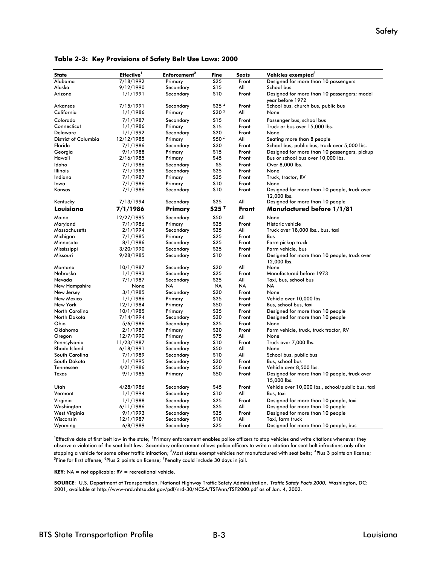| State                          | <b>Effective</b>      | Enforcement <sup>2</sup> | Fine              | <b>Seats</b>   | Vehicles exempted <sup>3</sup>                                       |
|--------------------------------|-----------------------|--------------------------|-------------------|----------------|----------------------------------------------------------------------|
| Alabama                        | 7/18/1992             | Primary                  | \$25              | Front          | Designed for more than 10 passengers                                 |
| Alaska                         | 9/12/1990             | Secondary                | \$15              | All            | School bus                                                           |
| Arizona                        | 1/1/1991              | Secondary                | \$10              | Front          | Designed for more than 10 passengers; model<br>vear before 1972      |
| Arkansas                       | 7/15/1991             | Secondary                | \$25 <sup>4</sup> | Front          | School bus, church bus, public bus                                   |
| California                     | 1/1/1986              | Primary                  | \$20 5            | All            | None                                                                 |
| Colorado                       | 7/1/1987              | Secondary                | \$15              | Front          | Passenger bus, school bus                                            |
| Connecticut                    | 1/1/1986              | Primary                  | \$15              | Front          | Truck or bus over 15,000 lbs.                                        |
| Delaware                       | 1/1/1992              | Secondary                | \$20              | Front          | None                                                                 |
| District of Columbia           | 12/12/1985            | Primary                  | \$50 6            | All            | Seating more than 8 people                                           |
| Florida                        | 7/1/1986              | Secondary                | \$30              | Front          | School bus, public bus, truck over 5,000 lbs.                        |
| Georgia                        | 9/1/1988              | Primary                  | \$15              | Front          | Designed for more than 10 passengers, pickup                         |
| Hawaii                         | 2/16/1985             | Primary                  | \$45              | Front          | Bus or school bus over 10,000 lbs.                                   |
| Idaho                          | 7/1/1986              | Secondary                | \$5               | Front          | Over 8,000 lbs.                                                      |
| Illinois                       | 7/1/1985              | Secondary                | \$25              | Front          | None                                                                 |
| Indiana                        | 7/1/1987              | Primary                  | \$25              | Front          | Truck, tractor, RV                                                   |
| lowa                           | 7/1/1986              | Primary                  | \$10              | Front          | None                                                                 |
| Kansas                         | 7/1/1986              | Secondary                | \$10              | Front          | Designed for more than 10 people, truck over<br>12,000 lbs.          |
| Kentucky                       | 7/13/1994             | Secondary                | \$25              | All            | Designed for more than 10 people                                     |
| Louisiana                      | 7/1/1986              | Primary                  | \$25 <sup>7</sup> | <b>Front</b>   | <b>Manufactured before 1/1/81</b>                                    |
| Maine                          | 12/27/1995            | Secondary                | \$50              | All            | None                                                                 |
| Maryland                       | 7/1/1986              | Primary                  | \$25              | Front          | Historic vehicle                                                     |
| Massachusetts                  | 2/1/1994              | Secondary                | \$25              | All            | Truck over 18,000 lbs., bus, taxi                                    |
| Michiaan                       | 7/1/1985              | Primary                  | \$25              | Front          | Bus                                                                  |
| Minnesota                      | 8/1/1986              | Secondary                | \$25              | Front          | Farm pickup truck                                                    |
| Mississippi                    | 3/20/1990             | Secondary                | \$25              | Front          | Farm vehicle, bus                                                    |
| Missouri                       | 9/28/1985             | Secondary                | \$10              | Front          | Designed for more than 10 people, truck over<br>12,000 lbs.          |
| Montana                        | 10/1/1987             | Secondary                | \$20              | All            | None                                                                 |
| Nebraska                       | 1/1/1993              | Secondary                | \$25              | Front          | Manufactured before 1973                                             |
| Nevada                         | 7/1/1987              | Secondary                | \$25              | All            | Taxi, bus, school bus                                                |
| New Hampshire                  | None                  | <b>NA</b>                | <b>NA</b>         | <b>NA</b>      | <b>NA</b>                                                            |
| New Jersey                     | 3/1/1985              | Secondary                | \$20              | Front          | None                                                                 |
| New Mexico                     | 1/1/1986              | Primary                  | \$25              | Front          | Vehicle over 10,000 lbs.                                             |
| New York                       | 12/1/1984             | Primary                  | \$50              | Front          | Bus, school bus, taxi                                                |
| North Carolina<br>North Dakota | 10/1/1985             | Primary                  | \$25<br>\$20      | Front<br>Front | Designed for more than 10 people<br>Designed for more than 10 people |
| Ohio                           | 7/14/1994<br>5/6/1986 | Secondary<br>Secondary   | \$25              | Front          | None                                                                 |
| Oklahoma                       | 2/1/1987              | Primary                  | \$20              | Front          | Farm vehicle, truck, truck tractor, RV                               |
| Oregon                         | 12/7/1990             | Primary                  | \$75              | All            | None                                                                 |
| Pennsylvania                   | 11/23/1987            | Secondary                | \$10              | Front          | Truck over 7,000 lbs.                                                |
| <b>Rhode Island</b>            | 6/18/1991             | Secondary                | \$50              | All            | None                                                                 |
| South Carolina                 | 7/1/1989              | Secondary                | \$10              | All            | School bus, public bus                                               |
| South Dakota                   | 1/1/1995              | Secondary                | \$20              | Front          | Bus, school bus                                                      |
| Tennessee                      | 4/21/1986             | Secondary                | \$50              | Front          | Vehicle over 8,500 lbs.                                              |
| Texas                          | 9/1/1985              | Primary                  | \$50              | Front          | Designed for more than 10 people, truck over<br>15,000 lbs.          |
| Utah                           | 4/28/1986             | Secondary                | \$45              | Front          | Vehicle over 10,000 lbs., school/public bus, taxi                    |
| Vermont                        | 1/1/1994              | Secondary                | \$10              | All            | Bus, taxi                                                            |
| Virginia                       | 1/1/1988              | Secondary                | \$25              | Front          | Designed for more than 10 people, taxi                               |
| Washington                     | 6/11/1986             | Secondary                | \$35              | All            | Designed for more than 10 people                                     |
| West Virginia                  | 9/1/1993              | Secondary                | \$25              | Front          | Designed for more than 10 people                                     |
| Wisconsin                      | 12/1/1987             | Secondary                | \$10              | All            | Taxi, farm truck                                                     |
| Wyoming                        | 6/8/1989              | Secondary                | \$25              | Front          | Designed for more than 10 people, bus                                |

**Table 2-3: Key Provisions of Safety Belt Use Laws: 2000**

 $^1$ Effective date of first belt law in the state;  $^2$ Primary enforcement enables police officers to stop vehicles and write citations whenever they observe a violation of the seat belt law. Secondary enforcement allows police officers to write a citation for seat belt infractions only after stopping a vehicle for some other traffic infraction; <sup>3</sup>Most states exempt vehicles not manufactured with seat belts; <sup>4</sup>Plus 3 points on license;<br><sup>5</sup>Eine for first offense: <sup>6</sup>Plus 3 points on license: <sup>7</sup>Pearlty sould i Fine for first offense;  $^6$ Plus 2 points on license;  $^7$ Penalty could include 30 days in jail.

**KEY**: NA = not applicable; RV = recreational vehicle.

**SOURCE**: U.S. Department of Transportation, National Highway Traffic Safety Administration, *Traffic Safety Facts 2000,* Washington, DC: 2001, available at http://www-nrd.nhtsa.dot.gov/pdf/nrd-30/NCSA/TSFAnn/TSF2000.pdf as of Jan. 4, 2002.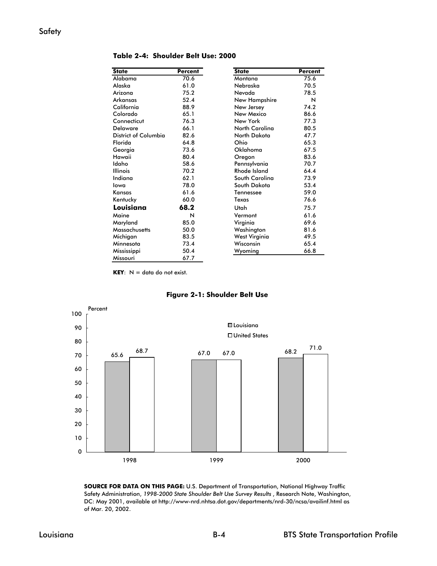| <b>State</b>         | Percent | <b>State</b>          | <b>Percent</b> |
|----------------------|---------|-----------------------|----------------|
| Alabama              | 70.6    | Montana               | 75.6           |
| Alaska               | 61.0    | Nebraska              | 70.5           |
| Arizona              | 75.2    | Nevada                | 78.5           |
| Arkansas             | 52.4    | New Hampshire         | N              |
| California           | 88.9    | New Jersey            | 74.2           |
| Colorado             | 65.1    | New Mexico            | 86.6           |
| Connecticut          | 76.3    | New York              | 77.3           |
| <b>Delaware</b>      | 66.1    | <b>North Carolina</b> | 80.5           |
| District of Columbia | 82.6    | North Dakota          | 47.7           |
| Florida              | 64.8    | Ohio                  | 65.3           |
| Georgia              | 73.6    | Oklahoma              | 67.5           |
| Hawaii               | 80.4    | Oregon                | 83.6           |
| Idaho                | 58.6    | Pennsylvania          | 70.7           |
| <b>Illinois</b>      | 70.2    | Rhode Island          | 64.4           |
| Indiana              | 62.1    | South Carolina        | 73.9           |
| lowa                 | 78.0    | South Dakota          | 53.4           |
| Kansas               | 61.6    | Tennessee             | 59.0           |
| Kentucky             | 60.0    | Texas                 | 76.6           |
| Louisiana            | 68.2    | Utah                  | 75.7           |
| Maine                | N       | Vermont               | 61.6           |
| Maryland             | 85.0    | Virginia              | 69.6           |
| Massachusetts        | 50.0    | Washington            | 81.6           |
| Michigan             | 83.5    | West Virginia         | 49.5           |
| Minnesota            | 73.4    | Wisconsin             | 65.4           |
| Mississippi          | 50.4    | Wyoming               | 66.8           |
| Missouri             | 67.7    |                       |                |

**Table 2-4: Shoulder Belt Use: 2000** 

**KEY**:  $N =$  data do not exist.



**Figure 2-1: Shoulder Belt Use**

**SOURCE FOR DATA ON THIS PAGE:** U.S. Department of Transportation, National Highway Traffic Safety Administration, *1998-2000 State Shoulder Belt Use Survey Results* , Research Note, Washington, DC: May 2001, available at http://www-nrd.nhtsa.dot.gov/departments/nrd-30/ncsa/availinf.html as of Mar. 20, 2002.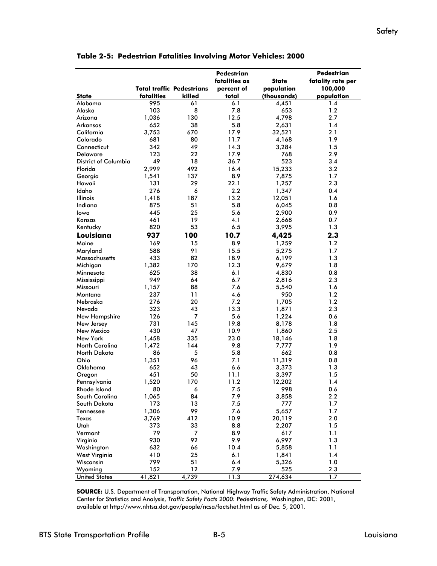|                      |            |                                  | <b>Pedestrian</b> |              | Pedestrian        |
|----------------------|------------|----------------------------------|-------------------|--------------|-------------------|
|                      |            |                                  | fatalities as     | <b>State</b> | fatality rate per |
|                      |            | <b>Total traffic Pedestrians</b> | percent of        | population   | 100,000           |
| <b>State</b>         | fatalities | killed                           | total             | (thousands)  | population        |
| Alabama              | 995        | 61                               | 6.1               | 4,451        | 1.4               |
| Alaska               | 103        | 8                                | 7.8               | 653          | 1.2               |
| Arizona              | 1,036      | 130                              | 12.5              | 4,798        | 2.7               |
| Arkansas             | 652        | 38                               | 5.8               | 2,631        | 1.4               |
| California           | 3,753      | 670                              | 17.9              | 32,521       | 2.1               |
| Colorado             | 681        | 80                               | 11.7              | 4,168        | 1.9               |
| Connecticut          | 342        | 49                               | 14.3              | 3,284        | 1.5               |
| <b>Delaware</b>      | 123        | 22                               | 17.9              | 768          | 2.9               |
| District of Columbia | 49         | 18                               | 36.7              | 523          | 3.4               |
| Florida              | 2,999      | 492                              | 16.4              | 15,233       | 3.2               |
| Georgia              | 1,541      | 137                              | 8.9               | 7,875        | 1.7               |
| Hawaii               | 131        | 29                               | 22.1              | 1,257        | 2.3               |
| Idaho                | 276        | 6                                | $2.2\,$           | 1,347        | 0.4               |
| <b>Illinois</b>      | 1,418      | 187                              | 13.2              | 12,051       | 1.6               |
| Indiana              | 875        | 51                               | 5.8               | 6,045        | 0.8               |
| Iowa                 | 445        | 25                               | 5.6               | 2,900        | 0.9               |
| Kansas               | 461        | 19                               | 4.1               | 2,668        | 0.7               |
| Kentucky             | 820        | 53                               | 6.5               | 3,995        | 1.3               |
| Louisiana            | 937        | 100                              | 10.7              | 4,425        | 2.3               |
| Maine                | 169        | 15                               | 8.9               | 1,259        | 1.2               |
| Maryland             | 588        | 91                               | 15.5              | 5,275        | 1.7               |
| <b>Massachusetts</b> | 433        | 82                               | 18.9              | 6,199        | 1.3               |
| Michigan             | 1,382      | 170                              | 12.3              | 9,679        | 1.8               |
| Minnesota            | 625        | 38                               | 6.1               | 4,830        | 0.8               |
| Mississippi          | 949        | 64                               | 6.7               | 2,816        | 2.3               |
| Missouri             | 1,157      | 88                               | 7.6               | 5,540        | 1.6               |
| Montana              | 237        | 11                               | 4.6               | 950          | 1.2               |
| Nebraska             | 276        | 20                               | 7.2               | 1,705        | 1.2               |
| Nevada               | 323        | 43                               | 13.3              | 1,871        | 2.3               |
| New Hampshire        | 126        | $\overline{7}$                   | 5.6               | 1,224        | 0.6               |
| New Jersey           | 731        | 145                              | 19.8              | 8,178        | 1.8               |
| New Mexico           | 430        | 47                               | 10.9              | 1,860        | 2.5               |
| New York             | 1,458      | 335                              | 23.0              | 18,146       | 1.8               |
| North Carolina       | 1,472      | 144                              | 9.8               | 7,777        | 1.9               |
| North Dakota         | 86         | 5                                | 5.8               | 662          | 0.8               |
| Ohio                 | 1,351      | 96                               | 7.1               | 11,319       | 0.8               |
| Oklahoma             | 652        | 43                               | 6.6               | 3,373        | 1.3               |
| Oregon               | 451        | 50                               | 11.1              | 3,397        | 1.5               |
| Pennsylvania         | 1,520      | 170                              | 11.2              | 12,202       | 1.4               |
| Rhode Island         | 80         | 6                                | 7.5               | 998          | 0.6               |
| South Carolina       | 1,065      | 84                               | 7.9               | 3,858        | 2.2               |
| South Dakota         | 173        | 13                               | 7.5               | 777          | 1.7               |
| Tennessee            | 1,306      | 99                               | 7.6               | 5,657        | 1.7               |
| Texas                | 3,769      | 412                              | 10.9              | 20,119       | 2.0               |
| Utah                 | 373        | 33                               | 8.8               | 2,207        | 1.5               |
| Vermont              | 79         | $\overline{7}$                   | 8.9               | 617          | 1.1               |
|                      |            |                                  |                   |              |                   |
| Virginia             | 930        | 92                               | 9.9               | 6,997        | 1.3               |
| Washington           | 632        | 66                               | 10.4              | 5,858        | 1.1               |
| West Virginia        | 410        | 25                               | 6.1               | 1,841        | 1.4               |
| Wisconsin            | 799        | 51                               | 6.4               | 5,326        | 1.0               |
| Wyoming              | 152        | $12 \,$                          | 7.9               | 525          | 2.3               |
| <b>United States</b> | 41,821     | 4,739                            | 11.3              | 274,634      | 1.7               |

**Table 2-5: Pedestrian Fatalities Involving Motor Vehicles: 2000**

**SOURCE:** U.S. Department of Transportation, National Highway Traffic Safety Administration, National Center for Statistics and Analysis, *Traffic Safety Facts 2000: Pedestrians,* Washington, DC: 2001, available at http://www.nhtsa.dot.gov/people/ncsa/factshet.html as of Dec. 5, 2001.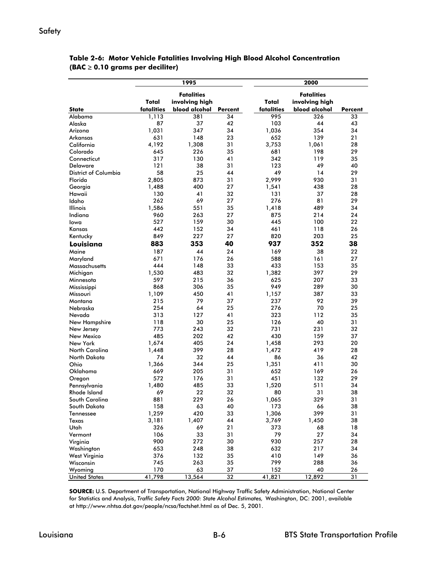#### **Safety**

|                             | 1995              |                      |               | 2000              |                      |                 |  |
|-----------------------------|-------------------|----------------------|---------------|-------------------|----------------------|-----------------|--|
|                             |                   |                      |               | <b>Fatalities</b> |                      |                 |  |
|                             | <b>Fatalities</b> |                      | Total         |                   |                      |                 |  |
| <b>State</b>                | Total             | involving high       |               |                   | involving high       |                 |  |
|                             | fatalities        | blood alcohol<br>381 | Percent<br>34 | fatalities<br>995 | blood alcohol<br>326 | Percent<br>33   |  |
| Alabama<br>Alaska           | 1,113<br>87       | 37                   | 42            | 103               | 44                   | 43              |  |
| Arizona                     | 1,031             | 347                  | 34            | 1,036             | 354                  | 34              |  |
|                             | 631               |                      |               |                   |                      |                 |  |
| Arkansas                    | 4,192             | 148                  | 23            | 652<br>3,753      | 139                  | 21              |  |
| California                  |                   | 1,308<br>226         | 31            |                   | 1,061                | 28<br>29        |  |
| Colorado                    | 645               | 130                  | 35<br>41      | 681<br>342        | 198                  | 35              |  |
| Connecticut                 | 317               |                      |               |                   | 119                  |                 |  |
| <b>Delaware</b>             | 121<br>58         | 38                   | 31            | 123<br>49         | 49                   | 40<br>29        |  |
| <b>District of Columbia</b> |                   | 25                   | 44            |                   | 14                   |                 |  |
| Florida                     | 2,805             | 873                  | 31            | 2,999             | 930                  | 31              |  |
| Georgia                     | 1,488             | 400                  | 27            | 1,541             | 438                  | 28              |  |
| Hawaii                      | 130               | 41                   | 32            | 131               | 37                   | 28              |  |
| Idaho                       | 262               | 69                   | 27            | 276               | 81                   | 29              |  |
| <b>Illinois</b>             | 1,586             | 551                  | 35            | 1,418             | 489                  | 34              |  |
| Indiana                     | 960               | 263                  | 27            | 875               | 214                  | 24              |  |
| lowa                        | 527               | 159                  | 30            | 445               | 100                  | 22              |  |
| Kansas                      | 442               | 152                  | 34            | 461               | 118                  | 26              |  |
| Kentucky                    | 849               | 227                  | 27            | 820               | 203                  | 25              |  |
| Louisiana                   | 883               | 353                  | 40            | 937               | 352                  | 38              |  |
| Maine                       | 187               | 44                   | 24            | 169               | 38                   | 22              |  |
| Maryland                    | 671               | 176                  | 26            | 588               | 161                  | 27              |  |
| Massachusetts               | 444               | 148                  | 33            | 433               | 153                  | 35              |  |
| Michigan                    | 1,530             | 483                  | 32            | 1,382             | 397                  | 29              |  |
| Minnesota                   | 597               | 215                  | 36            | 625               | 207                  | 33              |  |
| Mississippi                 | 868               | 306                  | 35            | 949               | 289                  | 30              |  |
| Missouri                    | 1,109             | 450                  | 41            | 1,157             | 387                  | 33              |  |
| Montana                     | 215               | 79                   | 37            | 237               | 92                   | 39              |  |
| Nebraska                    | 254               | 64                   | 25            | 276               | 70                   | 25              |  |
| Nevada                      | 313               | 127                  | 41            | 323               | 112                  | 35              |  |
| New Hampshire               | 118               | 30                   | 25            | 126               | 40                   | 31              |  |
| New Jersey                  | 773               | 243                  | 32            | 731               | 231                  | 32              |  |
| New Mexico                  | 485               | 202                  | 42            | 430               | 159                  | 37              |  |
| New York                    | 1,674             | 405                  | 24            | 1,458             | 293                  | 20              |  |
| <b>North Carolina</b>       | 1,448             | 399                  | 28            | 1,472             | 419                  | 28              |  |
| North Dakota                | 74                | 32                   | 44            | 86                | 36                   | 42              |  |
| Ohio                        | 1,366             | 344                  | 25            | 1,351             | 411                  | 30              |  |
| Oklahoma                    | 669               | 205                  | 31            | 652               | 169                  | 26              |  |
| Oregon                      | 572               | 176                  | 31            | 451               | 132                  | 29              |  |
| Pennsylvania                | 1,480             | 485                  | 33            | 1,520             | 511                  | 34              |  |
| <b>Rhode Island</b>         | 69                | 22                   | 32            | 80                | 31                   | 38              |  |
| South Carolina              | 881               | 229                  | 26            | 1,065             | 329                  | 31              |  |
| South Dakota                | 158               | 63                   | 40            | 173               | 66                   | 38              |  |
| Tennessee                   | 1,259             | 420                  | 33            | 1,306             | 399                  | 31              |  |
| Texas                       | 3,181             | 1,407                | 44            | 3,769             | 1,450                | 38              |  |
| Utah                        | 326               | 69                   | 21            | 373               | 68                   | 18              |  |
| Vermont                     | 106               | 33                   | 31            | 79                | 27                   | 34              |  |
| Virginia                    | 900               | 272                  | 30            | 930               | 257                  | 28              |  |
| Washington                  | 653               | 248                  | 38            | 632               | 217                  | 34              |  |
| West Virginia               | 376               | 132                  | 35            | 410               | 149                  | 36              |  |
| Wisconsin                   | 745               | 263                  | 35            | 799               | 288                  | 36              |  |
| Wyoming                     | 170               | 63                   | 37            | 152               | 40                   | 26              |  |
| <b>United States</b>        | 41,798            | 13,564               | 32            | 41,821            | 12,892               | $\overline{31}$ |  |

#### **Table 2-6: Motor Vehicle Fatalities Involving High Blood Alcohol Concentration (BAC** ≥ **0.10 grams per deciliter)**

**SOURCE:** U.S. Department of Transportation, National Highway Traffic Safety Administration, National Center for Statistics and Analysis, *Traffic Safety Facts 2000: State Alcohol Estimates,* Washington, DC: 2001, available at http://www.nhtsa.dot.gov/people/ncsa/factshet.html as of Dec. 5, 2001.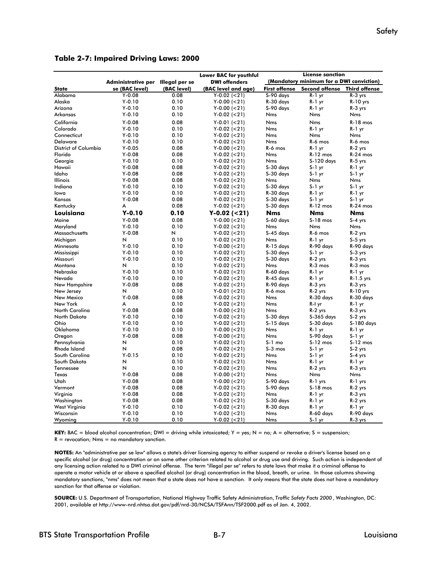|                      |                                   |             | Lower BAC for youthful | <b>License sanction</b>                  |                       |                      |
|----------------------|-----------------------------------|-------------|------------------------|------------------------------------------|-----------------------|----------------------|
|                      | Administrative per Illegal per se |             | <b>DWI offenders</b>   | (Mandatory minimum for a DWI conviction) |                       |                      |
| <b>State</b>         | se (BAC level)                    | (BAC level) | (BAC level and age)    | <b>First offense</b>                     | <b>Second offense</b> | <b>Third offense</b> |
| Alabama              | $Y - 0.08$                        | 0.08        | $Y-0.02$ (<21)         | S-90 days                                | $R-1$ yr              | R-3 yrs              |
| Alaska               | $Y-0.10$                          | 0.10        | $Y-0.00 (=21)$         | R-30 days                                | $R-1$ yr              | $R-10$ yrs           |
| Arizona              | $Y - 0.10$                        | 0.10        | $Y-0.00 (=21)$         | S-90 days                                | R-1 yr                | R-3 yrs              |
| Arkansas             | $Y - 0.10$                        | 0.10        | $Y-0.02$ (<21)         | Nms                                      | <b>Nms</b>            | Nms                  |
| California           | $Y-0.08$                          | 0.08        | $Y-0.01 (=21)$         | <b>Nms</b>                               | <b>Nms</b>            | $R-18$ mos           |
| Colorado             | $Y - 0.10$                        | 0.10        | $Y-0.02$ (<21)         | Nms                                      | $R-1$ yr              | $R-1$ yr             |
| Connecticut          | $Y - 0.10$                        | 0.10        | $Y-0.02$ (<21)         | Nms                                      | Nms                   | Nms                  |
| Delaware             | $Y - 0.10$                        | 0.10        | $Y-0.02$ (<21)         | Nms                                      | R-6 mos               | R-6 mos              |
| District of Columbia | $Y-0.05$                          | 0.08        | $Y-0.00 (=21)$         | R-6 mos                                  | $R-1$ yr              | R-2 yrs              |
| Florida              | $Y - 0.08$                        | 0.08        | $Y-0.02$ (<21)         | <b>Nms</b>                               | R-12 mos              | $R-24$ mos           |
| Georgia              | $Y - 0.10$                        | 0.10        | $Y-0.02$ (<21)         | Nms                                      | S-120 days            | R-5 yrs              |
| Hawaii               | $Y-0.08$                          | 0.08        | $Y-0.02$ (<21)         | S-30 days                                | $S-1$ yr              | $R-1$ yr             |
| Idaho                | $Y - 0.08$                        | 0.08        | $Y-0.02$ (<21)         | S-30 days                                | S-1 yr                | $S-1$ yr             |
| Illinois             | $Y-0.08$                          | 0.08        | $Y-0.02$ (<21)         | Nms                                      | Nms                   | <b>Nms</b>           |
| Indiana              | $Y - 0.10$                        | 0.10        | $Y-0.02$ (<21)         | S-30 days                                | $S-1$ yr              | $S-1$ yr             |
| lowa                 | $Y-0.10$                          | 0.10        | $Y-0.02$ (<21)         | R-30 days                                | $R-1$ yr              | $R-1$ yr             |
| Kansas               | $Y - 0.08$                        | 0.08        | $Y-0.02$ (<21)         | S-30 days                                | $S-1$ yr              | $S-1$ yr             |
| Kentucky             | А                                 | 0.08        | $Y-0.02$ (<21)         | S-30 days                                | R-12 mos              | $R-24$ mos           |
| Louisiana            | Y-0.10                            | 0.10        | $Y-0.02$ (<21)         | <b>Nms</b>                               | <b>Nms</b>            | <b>Nms</b>           |
| Maine                | $Y - 0.08$                        | 0.08        | $Y-0.00 (=21)$         | S-60 days                                | $S-18$ mos            | $S-4$ yrs            |
| Maryland             | $Y - 0.10$                        | 0.10        | $Y-0.02$ (<21)         | Nms                                      | Nms                   | Nms                  |
| Massachusetts        | $Y - 0.08$                        | N           | $Y-0.02$ (<21)         | $S-45$ days                              | R-6 mos               | $R-2$ yrs            |
| Michigan             | И                                 | 0.10        | $Y-0.02$ (<21)         | Nms                                      | $R-1$ yr              | S-5 yrs              |
| Minnesota            | $Y - 0.10$                        | 0.10        | $Y-0.00 (=21)$         | R-15 days                                | R-90 days             | R-90 days            |
| Mississippi          | $Y-0.10$                          | 0.10        | $Y-0.02$ (<21)         | S-30 days                                | $S-1$ yr              | S-3 yrs              |
| Missouri             | $Y-0.10$                          | 0.10        | $Y-0.02$ (<21)         | S-30 days                                | R-2 yrs               | R-3 yrs              |
| Montana              | N                                 | 0.10        | $Y-0.02$ (<21)         | Nms                                      | R-3 mos               | R-3 mos              |
| Nebraska             | $Y-0.10$                          | 0.10        | $Y-0.02$ (<21)         | R-60 days                                | $R-1$ yr              | $R-1$ yr             |
| Nevada               | $Y-0.10$                          | 0.10        | $Y-0.02$ (<21)         | R-45 days                                | $R-1$ yr              | $R-1.5$ yrs          |
| New Hampshire        | $Y-0.08$                          | 0.08        | $Y-0.02$ (<21)         | R-90 days                                | R-3 yrs               | R-3 yrs              |
| New Jersey           | N                                 | 0.10        | $Y-0.01$ (<21)         | R-6 mos                                  | R-2 yrs               | $R-10$ yrs           |
| New Mexico           | $Y - 0.08$                        | 0.08        | $Y-0.02$ (<21)         | Nms                                      | R-30 days             | R-30 days            |
| New York             | A                                 | 0.10        | $Y-0.02$ (<21)         | <b>Nms</b>                               | R-I yr                | R-1 yr               |
| North Carolina       | $Y-0.08$                          | 0.08        | $Y-0.00 (=21)$         | Nms                                      | R-2 yrs               | R-3 yrs              |
| North Dakota         | $Y - 0.10$                        | 0.10        | $Y-0.02$ (<21)         | S-30 days                                | $S-365$ days          | $S-2$ yrs            |
| Ohio                 | $Y - 0.10$                        | 0.10        | $Y-0.02$ (<21)         | $S-15$ days                              | S-30 days             | S-180 days           |
| Oklahoma             | $Y - 0.10$                        | 0.10        | $Y-0.00 (=21)$         | Nms                                      | $R-1$ yr              | $R-1$ yr             |
| Oregon               | $Y - 0.08$                        | 0.08        | $Y-0.00 (=21)$         | Nms                                      | S-90 days             | $S-1$ yr             |
| Pennsylvania         | И                                 | 0.10        | $Y-0.02$ (<21)         | $S-1$ mo                                 | $S-12$ mos            | $S-12$ mos           |
| <b>Rhode Island</b>  | N                                 | 0.08        | $Y-0.02$ (<21)         | $S-3$ mos                                | $S-1$ yr              | S-2 yrs              |
| South Carolina       | $Y - 0.15$                        | 0.10        | $Y-0.02$ (<21)         | Nms                                      | $S-1$ yr              | S-4 yrs              |
| South Dakota         | N                                 | 0.10        | $Y-0.02$ (<21)         | <b>Nms</b>                               | R-1 yr                | R-1 yr               |
| Tennessee            | И                                 | 0.10        | $Y-0.02$ (<21)         | Nms                                      | R-2 yrs               | R-3 yrs              |
| Texas                | $Y - 0.08$                        | 0.08        | $Y-0.00 (=21)$         | <b>Nms</b>                               | Nms                   | Nms                  |
| Utah                 | $Y-0.08$                          | 0.08        | $Y-0.00 (=21)$         | S-90 days                                | R-1 yrs               | R-1 yrs              |
| Vermont              | $Y - 0.08$                        | 0.08        | $Y-0.02$ (<21)         | S-90 days                                | $S-18$ mos            | R-2 yrs              |
| Virginia             | $Y-0.08$                          | 0.08        | $Y-0.02$ (<21)         | Nms                                      | R-1 yr                | R-3 yrs              |
| Washington           | $Y-0.08$                          | 0.08        | $Y-0.02$ (<21)         | S-30 days                                | R-1 yr                | R-2 yrs              |
| West Virginia        | $Y - 0.10$                        | 0.10        | $Y-0.02$ (<21)         | R-30 days                                | R-1 yr                | R-1 yr               |
| Wisconsin            | $Y - 0.10$                        | 0.10        | $Y-0.02$ (<21)         | Nms                                      | R-60 days             | R-90 days            |
| Wyoming              | $Y - 0.10$                        | 0.10        | $Y-0.02$ (<21)         | <b>Nms</b>                               | $S-1$ yr              | R-3 yrs              |

**Table 2-7: Impaired Driving Laws: 2000**

**KEY:** BAC = blood alcohol concentration; DWI = driving while intoxicated; Y = yes; N = no; A = alternative; S = suspension;  $R =$  revocation; Nms = no mandatory sanction.

**NOTES:** An "administrative per se law" allows a state's driver licensing agency to either suspend or revoke a driver's license based on a specific alcohol (or drug) concentration or on some other criterion related to alcohol or drug use and driving. Such action is independent of any licensing action related to a DWI criminal offense. The term "illegal per se" refers to state laws that make it a criminal offense to operate a motor vehicle at or above a specified alcohol (or drug) concentration in the blood, breath, or urine. In those columns showing mandatory sanctions, "nms" does not mean that a state does not have a sanction. It only means that the state does not have a mandatory sanction for that offense or violation.

**SOURCE:** U.S. Department of Transportation, National Highway Traffic Safety Administration, *Traffic Safety Facts 2000* , Washington, DC: 2001, available at http://www-nrd.nhtsa.dot.gov/pdf/nrd-30/NCSA/TSFAnn/TSF2000.pdf as of Jan. 4, 2002.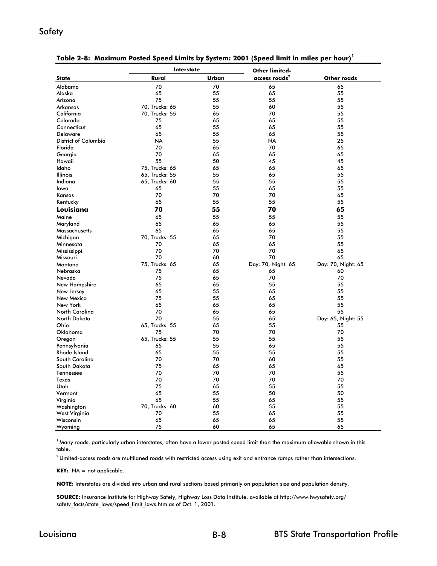#### Safety

| access roads <sup>2</sup><br>Other roads<br><b>State</b><br>Rural<br>Urban<br>70<br>Alabama<br>70<br>65<br>65<br>65<br>65<br>55<br>Alaska<br>55<br>75<br>Arizona<br>55<br>55<br>55<br>70, Trucks: 65<br>60<br>55<br>Arkansas<br>55<br>California<br>70, Trucks: 55<br>65<br>70<br>55<br>Colorado<br>75<br>65<br>65<br>55<br>65<br>Connecticut<br>55<br>65<br>55<br>65<br>55<br>55<br><b>Delaware</b><br>65<br>District of Columbia<br><b>NA</b><br>55<br><b>NA</b><br>25<br>Florida<br>70<br>65<br>70<br>65<br>70<br>Georgia<br>65<br>65<br>65<br>55<br>Hawaii<br>50<br>45<br>45<br>75, Trucks: 65<br>65<br>65<br>Idaho<br>65<br>65, Trucks: 55<br>55<br>65<br>55<br><b>Illinois</b><br>Indiana<br>65, Trucks: 60<br>55<br>55<br>55<br>55<br>65<br>55<br>lowa<br>65<br>70<br>70<br>70<br>65<br>Kansas<br>Kentucky<br>65<br>55<br>55<br>55<br>Louisiana<br>70<br>70<br>55<br>65<br>Maine<br>65<br>55<br>55<br>55<br>65<br>Maryland<br>65<br>65<br>55<br>65<br>Massachusetts<br>65<br>65<br>55<br>70, Trucks: 55<br>70<br>55<br>Michigan<br>65<br>70<br>65<br>65<br>55<br>Minnesota<br>70<br>70<br>70<br>65<br>Mississippi<br>70<br>70<br>Missouri<br>60<br>65<br>75, Trucks: 65<br>65<br>Day: 70, Night: 65<br>Day: 70, Night: 65<br>Montana<br>65<br>60<br>Nebraska<br>75<br>65<br>75<br>65<br>70<br>70<br>Nevada<br>New Hampshire<br>65<br>65<br>55<br>55<br>65<br>55<br>55<br>65<br>New Jersey<br>75<br>New Mexico<br>55<br>65<br>55<br>New York<br>65<br>55<br>65<br>65<br><b>North Carolina</b><br>70<br>65<br>65<br>55<br>70<br>North Dakota<br>55<br>Day: 65, Night: 55<br>65<br>65, Trucks: 55<br>65<br>55<br>55<br>Ohio<br>Oklahoma<br>75<br>70<br>70<br>70<br>65, Trucks: 55<br>55<br>55<br>55<br>Oregon<br>55<br>Pennsylvania<br>65<br>55<br>65<br>65<br>55<br>55<br>55<br><b>Rhode Island</b><br>70<br>70<br>South Carolina<br>60<br>55<br>South Dakota<br>75<br>65<br>65<br>65<br>70<br>70<br>70<br>Tennessee<br>55<br>70<br>70<br>70<br>70<br>Texas<br>Utah<br>75<br>65<br>55<br>55<br>65<br>55<br>50<br>50<br>Vermont<br>Virginia<br>65<br>55<br>65<br>55<br>Washington<br>70, Trucks: 60<br>60<br>55<br>55<br><b>West Virginia</b><br>70<br>55<br>65<br>55<br>65<br>65<br>65<br>55<br>Wisconsin<br>60<br>65<br>65<br>Wyoming<br>75 | <b>Interstate</b> | <b>Other limited-</b> |  |
|---------------------------------------------------------------------------------------------------------------------------------------------------------------------------------------------------------------------------------------------------------------------------------------------------------------------------------------------------------------------------------------------------------------------------------------------------------------------------------------------------------------------------------------------------------------------------------------------------------------------------------------------------------------------------------------------------------------------------------------------------------------------------------------------------------------------------------------------------------------------------------------------------------------------------------------------------------------------------------------------------------------------------------------------------------------------------------------------------------------------------------------------------------------------------------------------------------------------------------------------------------------------------------------------------------------------------------------------------------------------------------------------------------------------------------------------------------------------------------------------------------------------------------------------------------------------------------------------------------------------------------------------------------------------------------------------------------------------------------------------------------------------------------------------------------------------------------------------------------------------------------------------------------------------------------------------------------------------------------------------------------------------------------------------------------------------------------------------------------------------------------------------------------------------------------------------------------------------------------------------------|-------------------|-----------------------|--|
|                                                                                                                                                                                                                                                                                                                                                                                                                                                                                                                                                                                                                                                                                                                                                                                                                                                                                                                                                                                                                                                                                                                                                                                                                                                                                                                                                                                                                                                                                                                                                                                                                                                                                                                                                                                                                                                                                                                                                                                                                                                                                                                                                                                                                                                   |                   |                       |  |
|                                                                                                                                                                                                                                                                                                                                                                                                                                                                                                                                                                                                                                                                                                                                                                                                                                                                                                                                                                                                                                                                                                                                                                                                                                                                                                                                                                                                                                                                                                                                                                                                                                                                                                                                                                                                                                                                                                                                                                                                                                                                                                                                                                                                                                                   |                   |                       |  |
|                                                                                                                                                                                                                                                                                                                                                                                                                                                                                                                                                                                                                                                                                                                                                                                                                                                                                                                                                                                                                                                                                                                                                                                                                                                                                                                                                                                                                                                                                                                                                                                                                                                                                                                                                                                                                                                                                                                                                                                                                                                                                                                                                                                                                                                   |                   |                       |  |
|                                                                                                                                                                                                                                                                                                                                                                                                                                                                                                                                                                                                                                                                                                                                                                                                                                                                                                                                                                                                                                                                                                                                                                                                                                                                                                                                                                                                                                                                                                                                                                                                                                                                                                                                                                                                                                                                                                                                                                                                                                                                                                                                                                                                                                                   |                   |                       |  |
|                                                                                                                                                                                                                                                                                                                                                                                                                                                                                                                                                                                                                                                                                                                                                                                                                                                                                                                                                                                                                                                                                                                                                                                                                                                                                                                                                                                                                                                                                                                                                                                                                                                                                                                                                                                                                                                                                                                                                                                                                                                                                                                                                                                                                                                   |                   |                       |  |
|                                                                                                                                                                                                                                                                                                                                                                                                                                                                                                                                                                                                                                                                                                                                                                                                                                                                                                                                                                                                                                                                                                                                                                                                                                                                                                                                                                                                                                                                                                                                                                                                                                                                                                                                                                                                                                                                                                                                                                                                                                                                                                                                                                                                                                                   |                   |                       |  |
|                                                                                                                                                                                                                                                                                                                                                                                                                                                                                                                                                                                                                                                                                                                                                                                                                                                                                                                                                                                                                                                                                                                                                                                                                                                                                                                                                                                                                                                                                                                                                                                                                                                                                                                                                                                                                                                                                                                                                                                                                                                                                                                                                                                                                                                   |                   |                       |  |
|                                                                                                                                                                                                                                                                                                                                                                                                                                                                                                                                                                                                                                                                                                                                                                                                                                                                                                                                                                                                                                                                                                                                                                                                                                                                                                                                                                                                                                                                                                                                                                                                                                                                                                                                                                                                                                                                                                                                                                                                                                                                                                                                                                                                                                                   |                   |                       |  |
|                                                                                                                                                                                                                                                                                                                                                                                                                                                                                                                                                                                                                                                                                                                                                                                                                                                                                                                                                                                                                                                                                                                                                                                                                                                                                                                                                                                                                                                                                                                                                                                                                                                                                                                                                                                                                                                                                                                                                                                                                                                                                                                                                                                                                                                   |                   |                       |  |
|                                                                                                                                                                                                                                                                                                                                                                                                                                                                                                                                                                                                                                                                                                                                                                                                                                                                                                                                                                                                                                                                                                                                                                                                                                                                                                                                                                                                                                                                                                                                                                                                                                                                                                                                                                                                                                                                                                                                                                                                                                                                                                                                                                                                                                                   |                   |                       |  |
|                                                                                                                                                                                                                                                                                                                                                                                                                                                                                                                                                                                                                                                                                                                                                                                                                                                                                                                                                                                                                                                                                                                                                                                                                                                                                                                                                                                                                                                                                                                                                                                                                                                                                                                                                                                                                                                                                                                                                                                                                                                                                                                                                                                                                                                   |                   |                       |  |
|                                                                                                                                                                                                                                                                                                                                                                                                                                                                                                                                                                                                                                                                                                                                                                                                                                                                                                                                                                                                                                                                                                                                                                                                                                                                                                                                                                                                                                                                                                                                                                                                                                                                                                                                                                                                                                                                                                                                                                                                                                                                                                                                                                                                                                                   |                   |                       |  |
|                                                                                                                                                                                                                                                                                                                                                                                                                                                                                                                                                                                                                                                                                                                                                                                                                                                                                                                                                                                                                                                                                                                                                                                                                                                                                                                                                                                                                                                                                                                                                                                                                                                                                                                                                                                                                                                                                                                                                                                                                                                                                                                                                                                                                                                   |                   |                       |  |
|                                                                                                                                                                                                                                                                                                                                                                                                                                                                                                                                                                                                                                                                                                                                                                                                                                                                                                                                                                                                                                                                                                                                                                                                                                                                                                                                                                                                                                                                                                                                                                                                                                                                                                                                                                                                                                                                                                                                                                                                                                                                                                                                                                                                                                                   |                   |                       |  |
|                                                                                                                                                                                                                                                                                                                                                                                                                                                                                                                                                                                                                                                                                                                                                                                                                                                                                                                                                                                                                                                                                                                                                                                                                                                                                                                                                                                                                                                                                                                                                                                                                                                                                                                                                                                                                                                                                                                                                                                                                                                                                                                                                                                                                                                   |                   |                       |  |
|                                                                                                                                                                                                                                                                                                                                                                                                                                                                                                                                                                                                                                                                                                                                                                                                                                                                                                                                                                                                                                                                                                                                                                                                                                                                                                                                                                                                                                                                                                                                                                                                                                                                                                                                                                                                                                                                                                                                                                                                                                                                                                                                                                                                                                                   |                   |                       |  |
|                                                                                                                                                                                                                                                                                                                                                                                                                                                                                                                                                                                                                                                                                                                                                                                                                                                                                                                                                                                                                                                                                                                                                                                                                                                                                                                                                                                                                                                                                                                                                                                                                                                                                                                                                                                                                                                                                                                                                                                                                                                                                                                                                                                                                                                   |                   |                       |  |
|                                                                                                                                                                                                                                                                                                                                                                                                                                                                                                                                                                                                                                                                                                                                                                                                                                                                                                                                                                                                                                                                                                                                                                                                                                                                                                                                                                                                                                                                                                                                                                                                                                                                                                                                                                                                                                                                                                                                                                                                                                                                                                                                                                                                                                                   |                   |                       |  |
|                                                                                                                                                                                                                                                                                                                                                                                                                                                                                                                                                                                                                                                                                                                                                                                                                                                                                                                                                                                                                                                                                                                                                                                                                                                                                                                                                                                                                                                                                                                                                                                                                                                                                                                                                                                                                                                                                                                                                                                                                                                                                                                                                                                                                                                   |                   |                       |  |
|                                                                                                                                                                                                                                                                                                                                                                                                                                                                                                                                                                                                                                                                                                                                                                                                                                                                                                                                                                                                                                                                                                                                                                                                                                                                                                                                                                                                                                                                                                                                                                                                                                                                                                                                                                                                                                                                                                                                                                                                                                                                                                                                                                                                                                                   |                   |                       |  |
|                                                                                                                                                                                                                                                                                                                                                                                                                                                                                                                                                                                                                                                                                                                                                                                                                                                                                                                                                                                                                                                                                                                                                                                                                                                                                                                                                                                                                                                                                                                                                                                                                                                                                                                                                                                                                                                                                                                                                                                                                                                                                                                                                                                                                                                   |                   |                       |  |
|                                                                                                                                                                                                                                                                                                                                                                                                                                                                                                                                                                                                                                                                                                                                                                                                                                                                                                                                                                                                                                                                                                                                                                                                                                                                                                                                                                                                                                                                                                                                                                                                                                                                                                                                                                                                                                                                                                                                                                                                                                                                                                                                                                                                                                                   |                   |                       |  |
|                                                                                                                                                                                                                                                                                                                                                                                                                                                                                                                                                                                                                                                                                                                                                                                                                                                                                                                                                                                                                                                                                                                                                                                                                                                                                                                                                                                                                                                                                                                                                                                                                                                                                                                                                                                                                                                                                                                                                                                                                                                                                                                                                                                                                                                   |                   |                       |  |
|                                                                                                                                                                                                                                                                                                                                                                                                                                                                                                                                                                                                                                                                                                                                                                                                                                                                                                                                                                                                                                                                                                                                                                                                                                                                                                                                                                                                                                                                                                                                                                                                                                                                                                                                                                                                                                                                                                                                                                                                                                                                                                                                                                                                                                                   |                   |                       |  |
|                                                                                                                                                                                                                                                                                                                                                                                                                                                                                                                                                                                                                                                                                                                                                                                                                                                                                                                                                                                                                                                                                                                                                                                                                                                                                                                                                                                                                                                                                                                                                                                                                                                                                                                                                                                                                                                                                                                                                                                                                                                                                                                                                                                                                                                   |                   |                       |  |
|                                                                                                                                                                                                                                                                                                                                                                                                                                                                                                                                                                                                                                                                                                                                                                                                                                                                                                                                                                                                                                                                                                                                                                                                                                                                                                                                                                                                                                                                                                                                                                                                                                                                                                                                                                                                                                                                                                                                                                                                                                                                                                                                                                                                                                                   |                   |                       |  |
|                                                                                                                                                                                                                                                                                                                                                                                                                                                                                                                                                                                                                                                                                                                                                                                                                                                                                                                                                                                                                                                                                                                                                                                                                                                                                                                                                                                                                                                                                                                                                                                                                                                                                                                                                                                                                                                                                                                                                                                                                                                                                                                                                                                                                                                   |                   |                       |  |
|                                                                                                                                                                                                                                                                                                                                                                                                                                                                                                                                                                                                                                                                                                                                                                                                                                                                                                                                                                                                                                                                                                                                                                                                                                                                                                                                                                                                                                                                                                                                                                                                                                                                                                                                                                                                                                                                                                                                                                                                                                                                                                                                                                                                                                                   |                   |                       |  |
|                                                                                                                                                                                                                                                                                                                                                                                                                                                                                                                                                                                                                                                                                                                                                                                                                                                                                                                                                                                                                                                                                                                                                                                                                                                                                                                                                                                                                                                                                                                                                                                                                                                                                                                                                                                                                                                                                                                                                                                                                                                                                                                                                                                                                                                   |                   |                       |  |
|                                                                                                                                                                                                                                                                                                                                                                                                                                                                                                                                                                                                                                                                                                                                                                                                                                                                                                                                                                                                                                                                                                                                                                                                                                                                                                                                                                                                                                                                                                                                                                                                                                                                                                                                                                                                                                                                                                                                                                                                                                                                                                                                                                                                                                                   |                   |                       |  |
|                                                                                                                                                                                                                                                                                                                                                                                                                                                                                                                                                                                                                                                                                                                                                                                                                                                                                                                                                                                                                                                                                                                                                                                                                                                                                                                                                                                                                                                                                                                                                                                                                                                                                                                                                                                                                                                                                                                                                                                                                                                                                                                                                                                                                                                   |                   |                       |  |
|                                                                                                                                                                                                                                                                                                                                                                                                                                                                                                                                                                                                                                                                                                                                                                                                                                                                                                                                                                                                                                                                                                                                                                                                                                                                                                                                                                                                                                                                                                                                                                                                                                                                                                                                                                                                                                                                                                                                                                                                                                                                                                                                                                                                                                                   |                   |                       |  |
|                                                                                                                                                                                                                                                                                                                                                                                                                                                                                                                                                                                                                                                                                                                                                                                                                                                                                                                                                                                                                                                                                                                                                                                                                                                                                                                                                                                                                                                                                                                                                                                                                                                                                                                                                                                                                                                                                                                                                                                                                                                                                                                                                                                                                                                   |                   |                       |  |
|                                                                                                                                                                                                                                                                                                                                                                                                                                                                                                                                                                                                                                                                                                                                                                                                                                                                                                                                                                                                                                                                                                                                                                                                                                                                                                                                                                                                                                                                                                                                                                                                                                                                                                                                                                                                                                                                                                                                                                                                                                                                                                                                                                                                                                                   |                   |                       |  |
|                                                                                                                                                                                                                                                                                                                                                                                                                                                                                                                                                                                                                                                                                                                                                                                                                                                                                                                                                                                                                                                                                                                                                                                                                                                                                                                                                                                                                                                                                                                                                                                                                                                                                                                                                                                                                                                                                                                                                                                                                                                                                                                                                                                                                                                   |                   |                       |  |
|                                                                                                                                                                                                                                                                                                                                                                                                                                                                                                                                                                                                                                                                                                                                                                                                                                                                                                                                                                                                                                                                                                                                                                                                                                                                                                                                                                                                                                                                                                                                                                                                                                                                                                                                                                                                                                                                                                                                                                                                                                                                                                                                                                                                                                                   |                   |                       |  |
|                                                                                                                                                                                                                                                                                                                                                                                                                                                                                                                                                                                                                                                                                                                                                                                                                                                                                                                                                                                                                                                                                                                                                                                                                                                                                                                                                                                                                                                                                                                                                                                                                                                                                                                                                                                                                                                                                                                                                                                                                                                                                                                                                                                                                                                   |                   |                       |  |
|                                                                                                                                                                                                                                                                                                                                                                                                                                                                                                                                                                                                                                                                                                                                                                                                                                                                                                                                                                                                                                                                                                                                                                                                                                                                                                                                                                                                                                                                                                                                                                                                                                                                                                                                                                                                                                                                                                                                                                                                                                                                                                                                                                                                                                                   |                   |                       |  |
|                                                                                                                                                                                                                                                                                                                                                                                                                                                                                                                                                                                                                                                                                                                                                                                                                                                                                                                                                                                                                                                                                                                                                                                                                                                                                                                                                                                                                                                                                                                                                                                                                                                                                                                                                                                                                                                                                                                                                                                                                                                                                                                                                                                                                                                   |                   |                       |  |
|                                                                                                                                                                                                                                                                                                                                                                                                                                                                                                                                                                                                                                                                                                                                                                                                                                                                                                                                                                                                                                                                                                                                                                                                                                                                                                                                                                                                                                                                                                                                                                                                                                                                                                                                                                                                                                                                                                                                                                                                                                                                                                                                                                                                                                                   |                   |                       |  |
|                                                                                                                                                                                                                                                                                                                                                                                                                                                                                                                                                                                                                                                                                                                                                                                                                                                                                                                                                                                                                                                                                                                                                                                                                                                                                                                                                                                                                                                                                                                                                                                                                                                                                                                                                                                                                                                                                                                                                                                                                                                                                                                                                                                                                                                   |                   |                       |  |
|                                                                                                                                                                                                                                                                                                                                                                                                                                                                                                                                                                                                                                                                                                                                                                                                                                                                                                                                                                                                                                                                                                                                                                                                                                                                                                                                                                                                                                                                                                                                                                                                                                                                                                                                                                                                                                                                                                                                                                                                                                                                                                                                                                                                                                                   |                   |                       |  |
|                                                                                                                                                                                                                                                                                                                                                                                                                                                                                                                                                                                                                                                                                                                                                                                                                                                                                                                                                                                                                                                                                                                                                                                                                                                                                                                                                                                                                                                                                                                                                                                                                                                                                                                                                                                                                                                                                                                                                                                                                                                                                                                                                                                                                                                   |                   |                       |  |
|                                                                                                                                                                                                                                                                                                                                                                                                                                                                                                                                                                                                                                                                                                                                                                                                                                                                                                                                                                                                                                                                                                                                                                                                                                                                                                                                                                                                                                                                                                                                                                                                                                                                                                                                                                                                                                                                                                                                                                                                                                                                                                                                                                                                                                                   |                   |                       |  |
|                                                                                                                                                                                                                                                                                                                                                                                                                                                                                                                                                                                                                                                                                                                                                                                                                                                                                                                                                                                                                                                                                                                                                                                                                                                                                                                                                                                                                                                                                                                                                                                                                                                                                                                                                                                                                                                                                                                                                                                                                                                                                                                                                                                                                                                   |                   |                       |  |
|                                                                                                                                                                                                                                                                                                                                                                                                                                                                                                                                                                                                                                                                                                                                                                                                                                                                                                                                                                                                                                                                                                                                                                                                                                                                                                                                                                                                                                                                                                                                                                                                                                                                                                                                                                                                                                                                                                                                                                                                                                                                                                                                                                                                                                                   |                   |                       |  |
|                                                                                                                                                                                                                                                                                                                                                                                                                                                                                                                                                                                                                                                                                                                                                                                                                                                                                                                                                                                                                                                                                                                                                                                                                                                                                                                                                                                                                                                                                                                                                                                                                                                                                                                                                                                                                                                                                                                                                                                                                                                                                                                                                                                                                                                   |                   |                       |  |
|                                                                                                                                                                                                                                                                                                                                                                                                                                                                                                                                                                                                                                                                                                                                                                                                                                                                                                                                                                                                                                                                                                                                                                                                                                                                                                                                                                                                                                                                                                                                                                                                                                                                                                                                                                                                                                                                                                                                                                                                                                                                                                                                                                                                                                                   |                   |                       |  |
|                                                                                                                                                                                                                                                                                                                                                                                                                                                                                                                                                                                                                                                                                                                                                                                                                                                                                                                                                                                                                                                                                                                                                                                                                                                                                                                                                                                                                                                                                                                                                                                                                                                                                                                                                                                                                                                                                                                                                                                                                                                                                                                                                                                                                                                   |                   |                       |  |
|                                                                                                                                                                                                                                                                                                                                                                                                                                                                                                                                                                                                                                                                                                                                                                                                                                                                                                                                                                                                                                                                                                                                                                                                                                                                                                                                                                                                                                                                                                                                                                                                                                                                                                                                                                                                                                                                                                                                                                                                                                                                                                                                                                                                                                                   |                   |                       |  |
|                                                                                                                                                                                                                                                                                                                                                                                                                                                                                                                                                                                                                                                                                                                                                                                                                                                                                                                                                                                                                                                                                                                                                                                                                                                                                                                                                                                                                                                                                                                                                                                                                                                                                                                                                                                                                                                                                                                                                                                                                                                                                                                                                                                                                                                   |                   |                       |  |
|                                                                                                                                                                                                                                                                                                                                                                                                                                                                                                                                                                                                                                                                                                                                                                                                                                                                                                                                                                                                                                                                                                                                                                                                                                                                                                                                                                                                                                                                                                                                                                                                                                                                                                                                                                                                                                                                                                                                                                                                                                                                                                                                                                                                                                                   |                   |                       |  |

**Table 2-8: Maximum Posted Speed Limits by System: 2001 (Speed limit in miles per hour)<sup>1</sup>**

 $^1$ Many roads, particularly urban interstates, often have a lower posted speed limit than the maximum allowable shown in this table.

 $^{\text{2}}$  Limited-access roads are multilaned roads with restricted access using exit and entrance ramps rather than intersections.

**KEY:** NA = not applicable.

**NOTE:** Interstates are divided into urban and rural sections based primarily on population size and population density.

**SOURCE:** Insurance Institute for Highway Safety, Highway Loss Data Institute, available at http://www.hwysafety.org/ safety\_facts/state\_laws/speed\_limit\_laws.htm as of Oct. 1, 2001.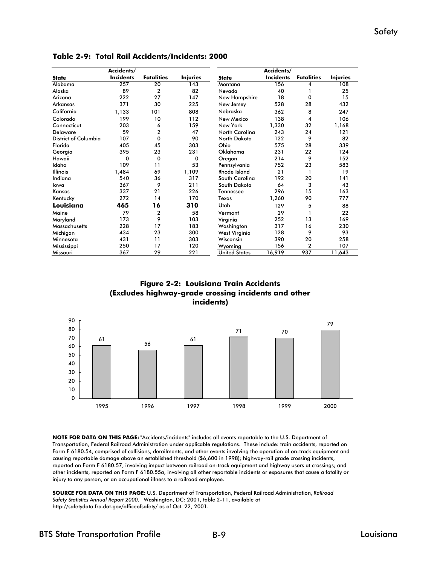|                      | Accidents/       |                   |                 |                      | Accidents/       |                   |                 |
|----------------------|------------------|-------------------|-----------------|----------------------|------------------|-------------------|-----------------|
| <b>State</b>         | <b>Incidents</b> | <b>Fatalities</b> | <b>Injuries</b> | <b>State</b>         | <b>Incidents</b> | <b>Fatalities</b> | <b>Injuries</b> |
| Alabama              | 257              | 20                | 143             | Montana              | 156              | 4                 | 108             |
| Alaska               | 89               | 2                 | 82              | Nevada               | 40               |                   | 25              |
| Arizona              | 222              | 27                | 147             | New Hampshire        | 18               | 0                 | 15              |
| Arkansas             | 371              | 30                | 225             | New Jersey           | 528              | 28                | 432             |
| California           | 1,133            | 101               | 808             | Nebraska             | 362              | 8                 | 247             |
| Colorado             | 199              | 10                | 112             | <b>New Mexico</b>    | 138              | 4                 | 106             |
| Connecticut          | 203              | 6                 | 159             | New York             | 1,330            | 32                | 1,168           |
| <b>Delaware</b>      | 59               | $\overline{2}$    | 47              | North Carolina       | 243              | 24                | 121             |
| District of Columbia | 107              | $\mathbf 0$       | 90              | North Dakota         | 122              | 9                 | 82              |
| Florida              | 405              | 45                | 303             | Ohio                 | 575              | 28                | 339             |
| Georgia              | 395              | 23                | 231             | Oklahoma             | 231              | 22                | 124             |
| Hawaii               | 0                | 0                 | 0               | Oregon               | 214              | 9                 | 152             |
| Idaho                | 109              | 11                | 53              | Pennsylvania         | 752              | 23                | 583             |
| <b>Illinois</b>      | 1,484            | 69                | 1,109           | <b>Rhode Island</b>  | 21               | 1                 | 19              |
| Indiana              | 540              | 36                | 317             | South Carolina       | 192              | 20                | 141             |
| lowa                 | 367              | 9                 | 211             | South Dakota         | 64               | 3                 | 43              |
| Kansas               | 337              | 21                | 226             | Tennessee            | 296              | 15                | 163             |
| Kentucky             | 272              | 14                | 170             | Texas                | 1,260            | 90                | 777             |
| Louisiana            | 465              | 16                | 310             | Utah                 | 129              | 5                 | 88              |
| Maine                | 79               | 2                 | 58              | Vermont              | 29               | 1                 | 22              |
| Maryland             | 173              | 9                 | 103             | Virginia             | 252              | 13                | 169             |
| <b>Massachusetts</b> | 228              | 17                | 183             | Washington           | 317              | 16                | 230             |
| Michigan             | 434              | 23                | 300             | West Virginia        | 128              | 9                 | 93              |
| Minnesota            | 431              | 11                | 303             | Wisconsin            | 390              | 20                | 258             |
| Mississippi          | 250              | 17                | 120             | Wyoming              | 156              | $\overline{2}$    | 107             |
| Missouri             | 367              | 29                | 221             | <b>United States</b> | 16,919           | 937               | 11,643          |

**Table 2-9: Total Rail Accidents/Incidents: 2000**





**NOTE FOR DATA ON THIS PAGE:** "Accidents/incidents" includes all events reportable to the U.S. Department of Transportation, Federal Railroad Administration under applicable regulations. These include: train accidents, reported on Form F 6180.54, comprised of collisions, derailments, and other events involving the operation of on-track equipment and causing reportable damage above an established threshold (\$6,600 in 1998); highway-rail grade crossing incidents, reported on Form F 6180.57, involving impact between railroad on-track equipment and highway users at crossings; and other incidents, reported on Form F 6180.55a, involving all other reportable incidents or exposures that cause a fatality or injury to any person, or an occupational illness to a railroad employee.

**SOURCE FOR DATA ON THIS PAGE:** U.S. Department of Transportation, Federal Railroad Administration, *Railroad Safety Statistics Annual Report 2000,* Washington, DC: 2001, table 2-11, available at http://safetydata.fra.dot.gov/officeofsafety/ as of Oct. 22, 2001.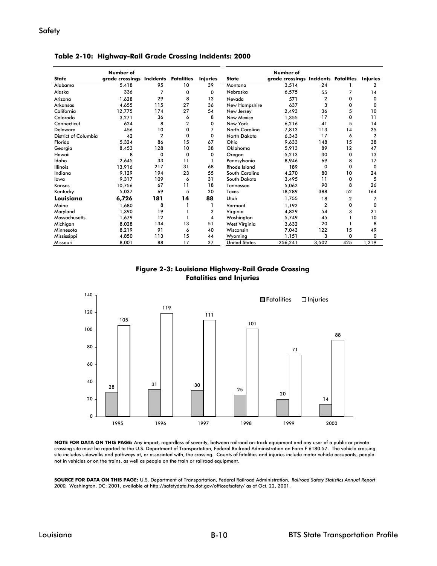|                      | Number of                 |                |                   |                 |                      | Number of                            |              |          |                 |
|----------------------|---------------------------|----------------|-------------------|-----------------|----------------------|--------------------------------------|--------------|----------|-----------------|
| <b>State</b>         | grade crossings Incidents |                | <b>Fatalities</b> | <b>Injuries</b> | <b>State</b>         | grade crossings Incidents Fatalities |              |          | <b>Injuries</b> |
| Alabama              | 5,418                     | 95             | 10                | 39              | Montana              | 3,514                                | 24           |          | $\mathbf{2}$    |
| Alaska               | 336                       | $\overline{7}$ | 0                 | 0               | Nebraska             | 6,575                                | 55           | 7        | 14              |
| Arizona              | 1.628                     | 29             | 8                 | 13              | Nevada               | 571                                  | 2            | o        | 0               |
| Arkansas             | 4.655                     | 115            | 27                | 36              | New Hampshire        | 637                                  | 3            | o        | <sup>0</sup>    |
| California           | 12.775                    | 174            | 27                | 54              | New Jersey           | 2,493                                | 36           | 5        | 10              |
| Colorado             | 3,271                     | 36             | 6                 | 8               | New Mexico           | 1,355                                | 17           | o        | 11              |
| Connecticut          | 624                       | 8              | 2                 | $\Omega$        | New York             | 6,216                                | 41           | 5        | 14              |
| Delaware             | 456                       | 10             | $\Omega$          |                 | North Carolina       | 7.813                                | 113          | 14       | 25              |
| District of Columbia | 42                        | $\overline{2}$ | $\Omega$          | 0               | North Dakota         | 6,343                                | 17           | 6        | $\overline{2}$  |
| Florida              | 5.324                     | 86             | 15                | 67              | Ohio                 | 9,633                                | 148          | 15       | 38              |
| Georgia              | 8,453                     | 128            | 10                | 38              | Oklahoma             | 5,913                                | 89           | 12       | 47              |
| Hawaii               | 8                         | $\mathbf 0$    | $\mathbf 0$       | 0               | Oregon               | 5,213                                | 30           | 0        | 13              |
| Idaho                | 2,645                     | 33             | 11                |                 | Pennsylvania         | 8.946                                | 69           | 8        | 17              |
| <b>Illinois</b>      | 13.916                    | 217            | 31                | 68              | Rhode Island         | 189                                  | $\Omega$     | $\Omega$ | $\Omega$        |
| Indiana              | 9.129                     | 194            | 23                | 55              | South Carolina       | 4.270                                | 80           | 10       | 24              |
| lowa                 | 9,317                     | 109            | 6                 | 31              | South Dakota         | 3,495                                | 11           | 0        | 5               |
| Kansas               | 10.756                    | 67             | 11                | 18              | <b>Tennessee</b>     | 5,062                                | 90           | 8        | 26              |
| Kentucky             | 5,037                     | 69             | 5                 | 20              | Texas                | 18,289                               | 388          | 52       | 164             |
| Louisiana            | 6,726                     | 181            | 14                | 88              | Utah                 | 1.755                                | 18           | 2        | 7               |
| Maine                | 1.680                     | 8              |                   |                 | Vermont              | 1,192                                | $\mathbf{2}$ | 0        | 0               |
| Maryland             | 1.390                     | 19             |                   | $\overline{2}$  | Virginia             | 4.829                                | 54           | 3        | 21              |
| Massachusetts        | 1,679                     | 12             |                   | 4               | Washington           | 5,749                                | 45           |          | 10              |
| Michigan             | 8,028                     | 134            | 13                | 51              | West Virginia        | 3,632                                | 20           |          | 8               |
| Minnesota            | 8,219                     | 91             | 6                 | 40              | Wisconsin            | 7,043                                | 122          | 15       | 49              |
| Mississippi          | 4,850                     | 113            | 15                | 44              | Wyomina              | 1.151                                | 3            | 0        | 0               |
| Missouri             | 8,001                     | 88             | 17                | 27              | <b>United States</b> | 256,241                              | 3,502        | 425      | 1,219           |

**Table 2-10: Highway-Rail Grade Crossing Incidents: 2000**





**NOTE FOR DATA ON THIS PAGE:** Any impact, regardless of severity, between railroad on-track equipment and any user of a public or private crossing site must be reported to the U.S. Department of Transportation, Federal Railroad Administration on Form F 6180.57. The vehicle crossing site includes sidewalks and pathways at, or associated with, the crossing. Counts of fatalities and injuries include motor vehicle occupants, people not in vehicles or on the trains, as well as people on the train or railroad equipment.

**SOURCE FOR DATA ON THIS PAGE:** U.S. Department of Transportation, Federal Railroad Administration, *Railroad Safety Statistics Annual Report 2000,* Washington, DC: 2001, available at http://safetydata.fra.dot.gov/officeofsafety/ as of Oct. 22, 2001.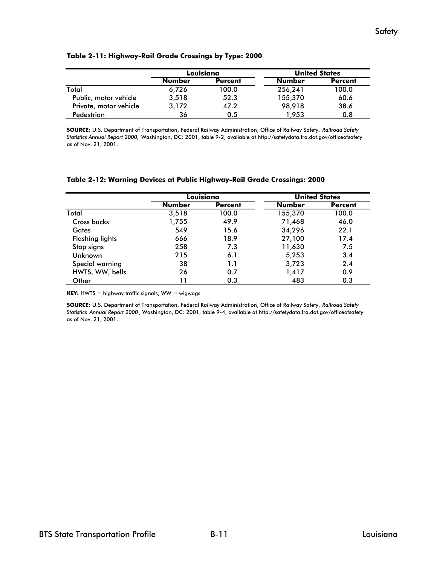|                        |               | Louisiana      | <b>United States</b> |                |  |
|------------------------|---------------|----------------|----------------------|----------------|--|
|                        | <b>Number</b> | <b>Percent</b> | <b>Number</b>        | <b>Percent</b> |  |
| Total                  | 6,726         | 100.0          | 256,241              | 100.0          |  |
| Public, motor vehicle  | 3.518         | 52.3           | 155,370              | 60.6           |  |
| Private, motor vehicle | 3,172         | 47.2           | 98.918               | 38.6           |  |
| Pedestrian             | 36            | 0.5            | 1.953                | 0.8            |  |

**SOURCE:** U.S. Department of Transportation, Federal Railway Administration, Office of Railway Safety, *Railroad Safety Statistics Annual Report 2000,* Washington, DC: 2001, table 9-2, available at http://safetydata.fra.dot.gov/officeofsafety as of Nov. 21, 2001.

#### **Table 2-12: Warning Devices at Public Highway-Rail Grade Crossings: 2000**

|                        |               | Louisiana      |               | <b>United States</b> |
|------------------------|---------------|----------------|---------------|----------------------|
|                        | <b>Number</b> | <b>Percent</b> | <b>Number</b> | <b>Percent</b>       |
| Total                  | 3.518         | 100.0          | 155,370       | 100.0                |
| Cross bucks            | 1,755         | 49.9           | 71,468        | 46.0                 |
| Gates                  | 549           | 15.6           | 34,296        | 22.1                 |
| <b>Flashing lights</b> | 666           | 18.9           | 27,100        | 17.4                 |
| Stop signs             | 258           | 7.3            | 11,630        | 7.5                  |
| Unknown                | 215           | 6.1            | 5,253         | 3.4                  |
| Special warning        | 38            | 1.1            | 3,723         | 2.4                  |
| HWTS, WW, bells        | 26            | 0.7            | 1,417         | 0.9                  |
| Other                  | 11            | 0.3            | 483           | 0.3                  |

**KEY:** HWTS = highway traffic signals; WW = wigwags.

**SOURCE:** U.S. Department of Transportation, Federal Railway Administration, Office of Railway Safety, *Railroad Safety Statistics Annual Report 2000* , Washington, DC: 2001, table 9-4, available at http://safetydata.fra.dot.gov/officeofsafety as of Nov. 21, 2001.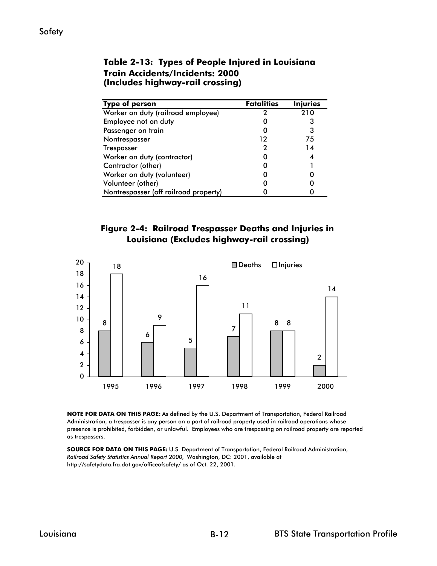| <b>Type of person</b>                 | <b>Fatalities</b> | <b>Injuries</b> |
|---------------------------------------|-------------------|-----------------|
| Worker on duty (railroad employee)    | 2                 | 210             |
| Employee not on duty                  |                   | З               |
| Passenger on train                    |                   | 3               |
| Nontrespasser                         | 12                | 75              |
| <b>Trespasser</b>                     | 7                 | 14              |
| Worker on duty (contractor)           |                   |                 |
| Contractor (other)                    |                   |                 |
| Worker on duty (volunteer)            |                   |                 |
| Volunteer (other)                     |                   |                 |
| Nontrespasser (off railroad property) |                   |                 |

#### **Table 2-13: Types of People Injured in Louisiana Train Accidents/Incidents: 2000 (Includes highway-rail crossing)**

## **Figure 2-4: Railroad Trespasser Deaths and Injuries in Louisiana (Excludes highway-rail crossing)**



**NOTE FOR DATA ON THIS PAGE:** As defined by the U.S. Department of Transportation, Federal Railroad Administration, a trespasser is any person on a part of railroad property used in railroad operations whose presence is prohibited, forbidden, or unlawful. Employees who are trespassing on railroad property are reported as trespassers.

**SOURCE FOR DATA ON THIS PAGE:** U.S. Department of Transportation, Federal Railroad Administration, *Railroad Safety Statistics Annual Report 2000,* Washington, DC: 2001, available at http://safetydata.fra.dot.gov/officeofsafety/ as of Oct. 22, 2001.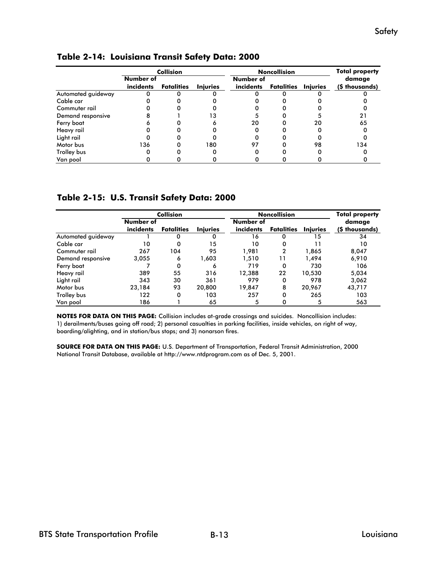|                    | <b>Collision</b> |                   |                 |           | <b>Noncollision</b> |                 |                |  |
|--------------------|------------------|-------------------|-----------------|-----------|---------------------|-----------------|----------------|--|
|                    | Number of        |                   |                 | Number of |                     |                 | damage         |  |
|                    | incidents        | <b>Fatalities</b> | <b>Injuries</b> | incidents | Fatalities          | <b>Injuries</b> | (\$ thousands) |  |
| Automated guideway |                  |                   |                 |           |                     |                 |                |  |
| Cable car          |                  |                   |                 |           |                     |                 |                |  |
| Commuter rail      |                  |                   |                 |           |                     |                 |                |  |
| Demand responsive  |                  |                   | 13              |           |                     |                 | 21             |  |
| Ferry boat         |                  |                   |                 | 20        |                     | 20              | 65             |  |
| Heavy rail         |                  |                   |                 | 0         |                     |                 |                |  |
| Light rail         |                  |                   |                 |           |                     |                 |                |  |
| Motor bus          | 136              |                   | 180             | 97        |                     | 98              | 134            |  |
| Trolley bus        |                  |                   |                 |           |                     |                 |                |  |
| Van pool           |                  |                   |                 |           |                     |                 |                |  |

#### **Table 2-14: Louisiana Transit Safety Data: 2000**

#### **Table 2-15: U.S. Transit Safety Data: 2000**

|                    | <b>Collision</b> |                   |                 |           | <b>Noncollision</b> |                 |                |  |
|--------------------|------------------|-------------------|-----------------|-----------|---------------------|-----------------|----------------|--|
|                    | Number of        |                   |                 | Number of |                     |                 | damage         |  |
|                    | incidents        | <b>Fatalities</b> | <b>Iniuries</b> | incidents | <b>Fatalities</b>   | <b>Injuries</b> | (\$ thousands) |  |
| Automated guideway |                  | 0                 | Ω               | 16        | 0                   | 15              | 34             |  |
| Cable car          | 10               | 0                 | 15              | 10        | 0                   |                 | 10             |  |
| Commuter rail      | 267              | 104               | 95              | 1.981     | 2                   | 1.865           | 8,047          |  |
| Demand responsive  | 3,055            | 6                 | 1,603           | 1.510     | 11                  | 1,494           | 6,910          |  |
| Ferry boat         |                  | 0                 | 6               | 719       | 0                   | 730             | 106            |  |
| Heavy rail         | 389              | 55                | 316             | 12,388    | 22                  | 10.530          | 5,034          |  |
| Light rail         | 343              | 30                | 361             | 979       | 0                   | 978             | 3,062          |  |
| Motor bus          | 23.184           | 93                | 20,800          | 19.847    | 8                   | 20,967          | 43,717         |  |
| Trolley bus        | 122              | 0                 | 103             | 257       | 0                   | 265             | 103            |  |
| Van pool           | 186              |                   | 65              | 5         |                     | 5               | 563            |  |

**NOTES FOR DATA ON THIS PAGE:** Collision includes at-grade crossings and suicides. Noncollision includes: 1) derailments/buses going off road; 2) personal casualties in parking facilities, inside vehicles, on right of way, boarding/alighting, and in station/bus stops; and 3) nonarson fires.

**SOURCE FOR DATA ON THIS PAGE:** U.S. Department of Transportation, Federal Transit Administration, 2000 National Transit Database, available at http://www.ntdprogram.com as of Dec. 5, 2001.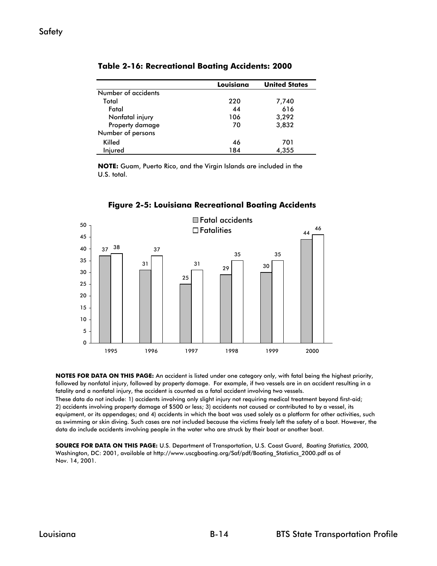|                     | Louisiana | <b>United States</b> |
|---------------------|-----------|----------------------|
| Number of accidents |           |                      |
| Total               | 220       | 7,740                |
| Fatal               | 44        | 616                  |
| Nonfatal injury     | 106       | 3,292                |
| Property damage     | 70        | 3.832                |
| Number of persons   |           |                      |
| Killed              | 46        | 701                  |
| Injured             | 184       | 4.355                |

**Table 2-16: Recreational Boating Accidents: 2000**

**NOTE:** Guam, Puerto Rico, and the Virgin Islands are included in the U.S. total.



**Figure 2-5: Louisiana Recreational Boating Accidents**

**NOTES FOR DATA ON THIS PAGE:** An accident is listed under one category only, with fatal being the highest priority, followed by nonfatal injury, followed by property damage. For example, if two vessels are in an accident resulting in a fatality and a nonfatal injury, the accident is counted as a fatal accident involving two vessels.

These data do not include: 1) accidents involving only slight injury not requiring medical treatment beyond first-aid; 2) accidents involving property damage of \$500 or less; 3) accidents not caused or contributed to by a vessel, its equipment, or its appendages; and 4) accidents in which the boat was used solely as a platform for other activities, such as swimming or skin diving. Such cases are not included because the victims freely left the safety of a boat. However, the data do include accidents involving people in the water who are struck by their boat or another boat.

**SOURCE FOR DATA ON THIS PAGE:** U.S. Department of Transportation, U.S. Coast Guard, *Boating Statistics, 2000,*  Washington, DC: 2001, available at http://www.uscgboating.org/Saf/pdf/Boating\_Statistics\_2000.pdf as of Nov. 14, 2001.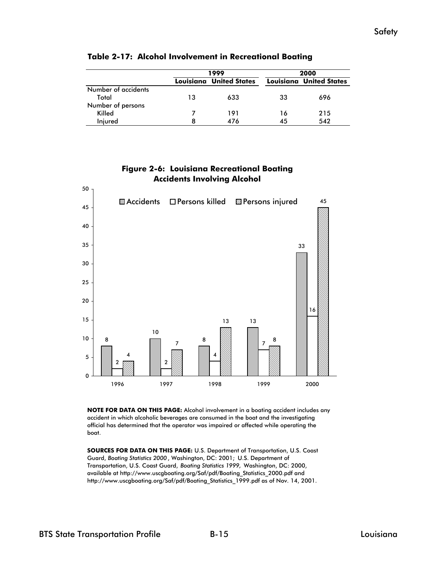|                     |    | 1999                           | 2000 |                                |  |
|---------------------|----|--------------------------------|------|--------------------------------|--|
|                     |    | <b>Louisiana United States</b> |      | <b>Louisiana United States</b> |  |
| Number of accidents |    |                                |      |                                |  |
| Total               | 13 | 633                            | 33   | 696                            |  |
| Number of persons   |    |                                |      |                                |  |
| Killed              |    | 191                            | 16   | 215                            |  |
| Iniured             | 8  | 476                            | 45   | 542                            |  |

#### **Table 2-17: Alcohol Involvement in Recreational Boating**

## **Figure 2-6: Louisiana Recreational Boating Accidents Involving Alcohol**



**NOTE FOR DATA ON THIS PAGE:** Alcohol involvement in a boating accident includes any accident in which alcoholic beverages are consumed in the boat and the investigating official has determined that the operator was impaired or affected while operating the boat.

**SOURCES FOR DATA ON THIS PAGE:** U.S. Department of Transportation, U.S. Coast Guard, *Boating Statistics 2000* , Washington, DC: 2001; U.S. Department of Transportation, U.S. Coast Guard, *Boating Statistics 1999,* Washington, DC: 2000, available at http://www.uscgboating.org/Saf/pdf/Boating\_Statistics\_2000.pdf and http://www.uscgboating.org/Saf/pdf/Boating\_Statistics\_1999.pdf as of Nov. 14, 2001.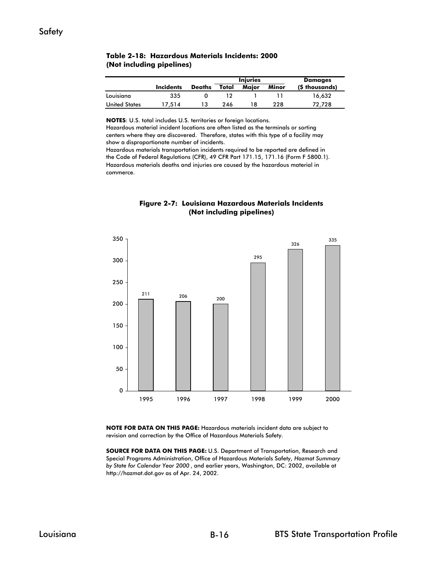|                      |           |               |       | <b>Injuries</b> | <b>Damages</b> |                |
|----------------------|-----------|---------------|-------|-----------------|----------------|----------------|
|                      | Incidents | <b>Deaths</b> | Total | Maior           | Minor          | (\$ thousands) |
| Louisiana            | 335       |               |       |                 |                | 16.632         |
| <b>United States</b> | 17.514    |               | 246   |                 | 228            | 72.728         |

#### **(Not including pipelines) Table 2-18: Hazardous Materials Incidents: 2000**

**NOTES**: U.S. total includes U.S. territories or foreign locations.

Hazardous material incident locations are often listed as the terminals or sorting centers where they are discovered. Therefore, states with this type of a facility may show a disproportionate number of incidents.

Hazardous materials deaths and injuries are caused by the hazardous material in commerce. Hazardous materials transportation incidents required to be reported are defined in the Code of Federal Regulations (CFR), 49 CFR Part 171.15, 171.16 (Form F 5800.1).





**NOTE FOR DATA ON THIS PAGE:** Hazardous materials incident data are subject to revision and correction by the Office of Hazardous Materials Safety.

**SOURCE FOR DATA ON THIS PAGE:** U.S. Department of Transportation, Research and Special Programs Administration, Office of Hazardous Materials Safety, *Hazmat Summary by State for Calendar Year 2000* , and earlier years, Washington, DC: 2002, available at http://hazmat.dot.gov as of Apr. 24, 2002.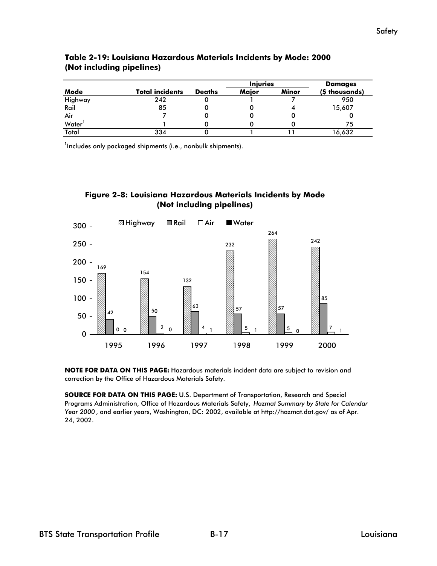|         |                        |               | <b>Injuries</b> |       | Damages        |
|---------|------------------------|---------------|-----------------|-------|----------------|
| Mode    | <b>Total incidents</b> | <b>Deaths</b> | Maior           | Minor | (\$ thousands) |
| Highway | 242                    |               |                 |       | 950            |
| Rail    | 85                     |               |                 |       | 15,607         |
| Air     |                        |               |                 |       |                |
| Water   |                        |               |                 |       | 75             |
| Total   | 334                    |               |                 |       | 16.632         |

#### **Table 2-19: Louisiana Hazardous Materials Incidents by Mode: 2000 (Not including pipelines)**

 $1$ Includes only packaged shipments (i.e., nonbulk shipments).





**NOTE FOR DATA ON THIS PAGE:** Hazardous materials incident data are subject to revision and correction by the Office of Hazardous Materials Safety.

**SOURCE FOR DATA ON THIS PAGE:** U.S. Department of Transportation, Research and Special Programs Administration, Office of Hazardous Materials Safety, *Hazmat Summary by State for Calendar Year 2000* , and earlier years, Washington, DC: 2002, available at http://hazmat.dot.gov/ as of Apr. 24, 2002.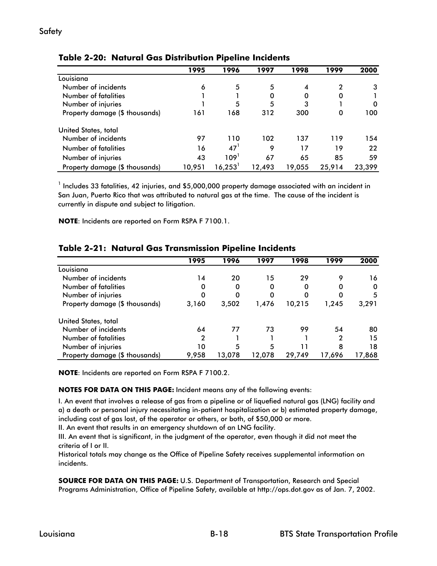#### **Table 2-20: Natural Gas Distribution Pipeline Incidents**

|                                | 1995   | 1996   | 1997   | 1998   | 1999     | 2000   |
|--------------------------------|--------|--------|--------|--------|----------|--------|
| Louisiana                      |        |        |        |        |          |        |
| Number of incidents            | 6      | 5      | 5      | 4      | 2        | 3      |
| Number of fatalities           |        |        | 0      | 0      | 0        |        |
| Number of injuries             |        | 5      | 5      | 3      |          | 0      |
| Property damage (\$ thousands) | 161    | 168    | 312    | 300    | $\Omega$ | 100    |
| United States, total           |        |        |        |        |          |        |
| Number of incidents            | 97     | 110    | 102    | 137    | 119      | 154    |
| Number of fatalities           | 16     | 47'    | 9      | 17     | 19       | 22     |
| Number of injuries             | 43     | 109'   | 67     | 65     | 85       | 59     |
| Property damage (\$ thousands) | 10.951 | 16,253 | 12.493 | 19,055 | 25,914   | 23.399 |

 $^{\rm 1}$  Includes 33 fatalities, 42 injuries, and \$5,000,000 property damage associated with an incident in San Juan, Puerto Rico that was attributed to natural gas at the time. The cause of the incident is currently in dispute and subject to litigation.

**NOTE**: Incidents are reported on Form RSPA F 7100.1.

|                                | 1995  | 1996   | 1997   | 1998   | 1999   | 2000   |
|--------------------------------|-------|--------|--------|--------|--------|--------|
| Louisiana                      |       |        |        |        |        |        |
| Number of incidents            | 14    | 20     | 15     | 29     | 9      | 16     |
| Number of fatalities           |       | 0      | 0      | 0      |        | 0      |
| Number of injuries             |       |        |        |        |        | 5      |
| Property damage (\$ thousands) | 3,160 | 3,502  | 1,476  | 10,215 | 1,245  | 3,291  |
| United States, total           |       |        |        |        |        |        |
| Number of incidents            | 64    | 77     | 73     | 99     | 54     | 80     |
| Number of fatalities           | 2     |        |        |        | 2      | 15     |
| Number of injuries             | 10    | 5      | 5      |        | 8      | 18     |
| Property damage (\$ thousands) | 9,958 | 13.078 | 12,078 | 29,749 | 17,696 | 17,868 |

#### **Table 2-21: Natural Gas Transmission Pipeline Incidents**

**NOTE**: Incidents are reported on Form RSPA F 7100.2.

#### **NOTES FOR DATA ON THIS PAGE:** Incident means any of the following events:

I. An event that involves a release of gas from a pipeline or of liquefied natural gas (LNG) facility and a) a death or personal injury necessitating in-patient hospitalization or b) estimated property damage, including cost of gas lost, of the operator or others, or both, of \$50,000 or more.

II. An event that results in an emergency shutdown of an LNG facility.

III. An event that is significant, in the judgment of the operator, even though it did not meet the criteria of I or II.

Historical totals may change as the Office of Pipeline Safety receives supplemental information on incidents.

**SOURCE FOR DATA ON THIS PAGE:** U.S. Department of Transportation, Research and Special Programs Administration, Office of Pipeline Safety, available at http://ops.dot.gov as of Jan. 7, 2002.

#### Safety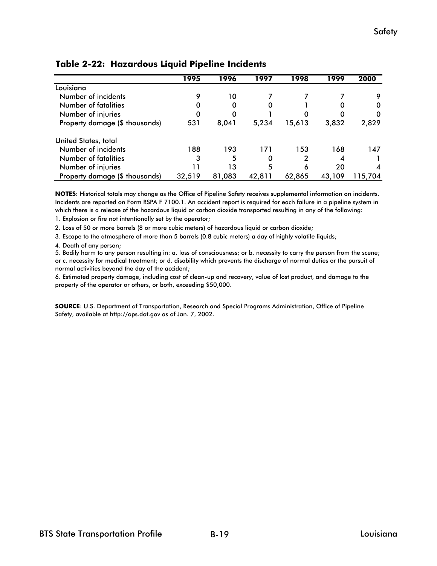|                                | 1995   | 1996   | 1997   | 1998   | 1999   | 2000    |
|--------------------------------|--------|--------|--------|--------|--------|---------|
| Louisiana                      |        |        |        |        |        |         |
| Number of incidents            | 9      | 10     |        |        |        | 9       |
| Number of fatalities           | 0      | 0      | 0      |        | 0      | 0       |
| Number of injuries             | 0      | 0      |        | O      | O      | 0       |
| Property damage (\$ thousands) | 531    | 8,041  | 5,234  | 15,613 | 3,832  | 2,829   |
| United States, total           |        |        |        |        |        |         |
| Number of incidents            | 188    | 193    | 171    | 153    | 168    | 147     |
| Number of fatalities           | 3      | 5      | 0      | 2      |        |         |
| Number of injuries             | 11     | 13     | 5      | 6      | 20     | 4       |
| Property damage (\$ thousands) | 32,519 | 81,083 | 42,811 | 62,865 | 43,109 | 115,704 |

## **Table 2-22: Hazardous Liquid Pipeline Incidents**

**NOTES**: Historical totals may change as the Office of Pipeline Safety receives supplemental information on incidents. Incidents are reported on Form RSPA F 7100.1. An accident report is required for each failure in a pipeline system in which there is a release of the hazardous liquid or carbon dioxide transported resulting in any of the following:

1. Explosion or fire not intentionally set by the operator;

2. Loss of 50 or more barrels (8 or more cubic meters) of hazardous liquid or carbon dioxide;

3. Escape to the atmosphere of more than 5 barrels (0.8 cubic meters) a day of highly volatile liquids;

4. Death of any person;

5. Bodily harm to any person resulting in: a. loss of consciousness; or b. necessity to carry the person from the scene; or c. necessity for medical treatment; or d. disability which prevents the discharge of normal duties or the pursuit of normal activities beyond the day of the accident;

6. Estimated property damage, including cost of clean-up and recovery, value of lost product, and damage to the property of the operator or others, or both, exceeding \$50,000.

**SOURCE**: U.S. Department of Transportation, Research and Special Programs Administration, Office of Pipeline Safety, available at http://ops.dot.gov as of Jan. 7, 2002.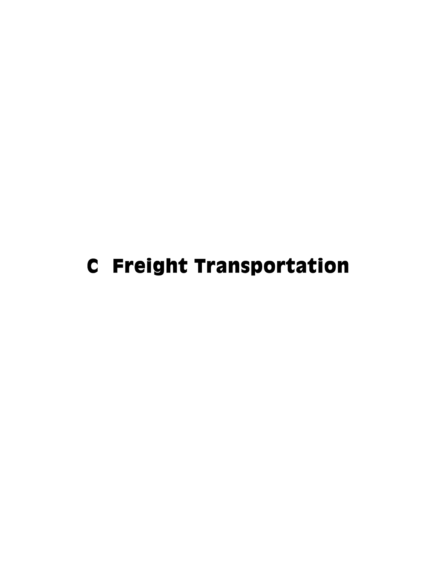# C Freight Transportation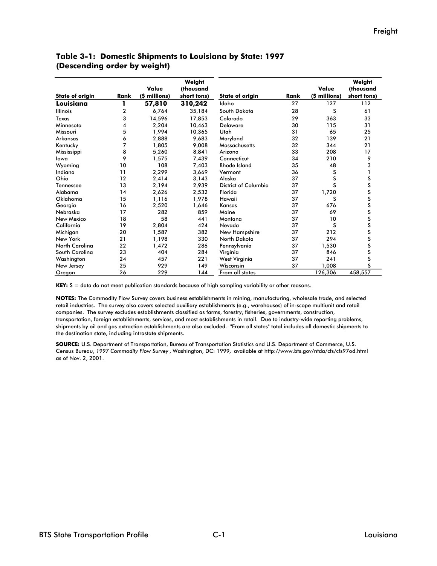|                        |      | Value         | Weight<br>(thousand |                        |      | Value         | Weight<br>(thousand                                                                    |
|------------------------|------|---------------|---------------------|------------------------|------|---------------|----------------------------------------------------------------------------------------|
| <b>State of origin</b> | Rank | (\$ millions) | short tons)         | <b>State of origin</b> | Rank | (\$ millions) | short tons)                                                                            |
| Louisiana              |      | 57,810        | 310,242             | Idaho                  | 27   | 127           | 112                                                                                    |
| <b>Illinois</b>        | 2    | 6,764         | 35,184              | South Dakota           | 28   | S             | 61                                                                                     |
| Texas                  | 3    | 14,596        | 17,853              | Colorado               | 29   | 363           | 33                                                                                     |
| Minnesota              | 4    | 2,204         | 10,463              | <b>Delaware</b>        | 30   | 115           | 31                                                                                     |
| Missouri               | 5    | 1,994         | 10,365              | Utah                   | 31   | 65            | 25                                                                                     |
| Arkansas               | 6    | 2,888         | 9,683               | Maryland               | 32   | 139           | 21                                                                                     |
| Kentucky               | 7    | 1,805         | 9,008               | Massachusetts          | 32   | 344           | 21                                                                                     |
| Mississippi            | 8    | 5,260         | 8,841               | Arizona                | 33   | 208           | 17                                                                                     |
| lowa                   | 9    | 1,575         | 7,439               | Connecticut            | 34   | 210           | 9                                                                                      |
| Wyoming                | 10   | 108           | 7,403               | <b>Rhode Island</b>    | 35   | 48            | 3                                                                                      |
| Indiana                | 11   | 2,299         | 3,669               | Vermont                | 36   | S             |                                                                                        |
| Ohio                   | 12   | 2,414         | 3,143               | Alaska                 | 37   | S             |                                                                                        |
| Tennessee              | 13   | 2,194         | 2,939               | District of Columbia   | 37   | S             |                                                                                        |
| Alabama                | 14   | 2,626         | 2,532               | Florida                | 37   | 1,720         |                                                                                        |
| Oklahoma               | 15   | 1,116         | 1,978               | Hawaii                 | 37   | S             |                                                                                        |
| Georgia                | 16   | 2,520         | 1,646               | Kansas                 | 37   | 676           |                                                                                        |
| Nebraska               | 17   | 282           | 859                 | Maine                  | 37   | 69            | S<br>S<br>S<br>S<br>S<br>S<br>S<br>S<br>S<br>S<br>S<br>S<br>S<br><br><br>S<br><br><br> |
| New Mexico             | 18   | 58            | 441                 | Montana                | 37   | 10            |                                                                                        |
| California             | 19   | 2,804         | 424                 | Nevada                 | 37   | S             |                                                                                        |
| Michigan               | 20   | 1,587         | 382                 | New Hampshire          | 37   | 212           |                                                                                        |
| New York               | 21   | 1,198         | 330                 | North Dakota           | 37   | 294           |                                                                                        |
| <b>North Carolina</b>  | 22   | 1,472         | 286                 | Pennsylvania           | 37   | 1,530         |                                                                                        |
| South Carolina         | 23   | 404           | 284                 | Virginia               | 37   | 846           | S                                                                                      |
| Washington             | 24   | 457           | 221                 | West Virginia          | 37   | 241           | S                                                                                      |
| New Jersey             | 25   | 929           | 149                 | Wisconsin              | 37   | 1,008         | S                                                                                      |
| Oregon                 | 26   | 229           | 144                 | From all states        |      | 126,306       | 458,557                                                                                |

#### **Table 3-1: Domestic Shipments to Louisiana by State: 1997 (Descending order by weight)**

**KEY:** S = data do not meet publication standards because of high sampling variability or other reasons.

**NOTES:** The Commodity Flow Survey covers business establishments in mining, manufacturing, wholesale trade, and selected retail industries. The survey also covers selected auxiliary establishments (e.g., warehouses) of in-scope multiunit and retail companies. The survey excludes establishments classified as farms, forestry, fisheries, governments, construction, transportation, foreign establishments, services, and most establishments in retail. Due to industry-wide reporting problems, shipments by oil and gas extraction establishments are also excluded. "From all states" total includes all domestic shipments to the destination state, including intrastate shipments.

**SOURCE:** U.S. Department of Transportation, Bureau of Transportation Statistics and U.S. Department of Commerce, U.S. Census Bureau, *1997 Commodity Flow Survey* , Washington, DC: 1999*,* available at http://www.bts.gov/ntda/cfs/cfs97od.html as of Nov. 2, 2001.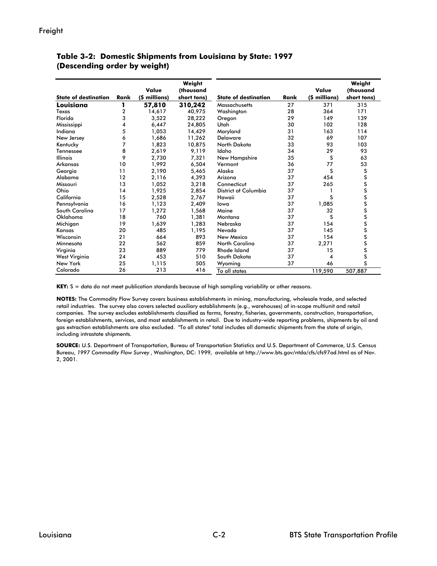|                             |      |               | Weight      |                             |      |               | Weight      |
|-----------------------------|------|---------------|-------------|-----------------------------|------|---------------|-------------|
|                             |      | Value         | (thousand   |                             |      | Value         | (thousand   |
| <b>State of destination</b> | Rank | (\$ millions) | short tons) | <b>State of destination</b> | Rank | (\$ millions) | short tons) |
| Louisiana                   |      | 57,810        | 310,242     | Massachusetts               | 27   | 371           | 315         |
| Texas                       | 2    | 14,617        | 40,975      | Washington                  | 28   | 364           | 171         |
| Florida                     | 3    | 3,522         | 28,222      | Oregon                      | 29   | 149           | 139         |
| Mississippi                 | 4    | 6,447         | 24,805      | Utah                        | 30   | 102           | 128         |
| Indiana                     | 5    | 1,053         | 14,429      | Maryland                    | 31   | 163           | 114         |
| New Jersey                  | 6    | 1,686         | 11,262      | <b>Delaware</b>             | 32   | 69            | 107         |
| Kentucky                    | 7    | 1.823         | 10.875      | North Dakota                | 33   | 93            | 103         |
| Tennessee                   | 8    | 2,619         | 9,119       | Idaho                       | 34   | 29            | 93          |
| <b>Illinois</b>             | 9    | 2.730         | 7,321       | New Hampshire               | 35   | S             | 63          |
| Arkansas                    | 10   | 1,992         | 6,504       | Vermont                     | 36   | 77            | 53          |
| Georgia                     | 11   | 2,190         | 5,465       | Alaska                      | 37   | S             | S           |
| Alabama                     | 12   | 2.116         | 4,393       | Arizona                     | 37   | 454           | S           |
| Missouri                    | 13   | 1,052         | 3,218       | Connecticut                 | 37   | 265           | S           |
| Ohio                        | 14   | 1,925         | 2,854       | District of Columbia        | 37   |               | S           |
| California                  | 15   | 2,528         | 2,767       | Hawaii                      | 37   | s             | S           |
| Pennsylvania                | 16   | 1,123         | 2,409       | lowa                        | 37   | 1,085         | S           |
| South Carolina              | 17   | 1,272         | 1,568       | Maine                       | 37   | 32            | S           |
| Oklahoma                    | 18   | 760           | 1,381       | Montana                     | 37   | S             | S           |
| Michigan                    | 19   | 1,639         | 1,283       | Nebraska                    | 37   | 154           | S           |
| Kansas                      | 20   | 485           | 1,195       | Nevada                      | 37   | 145           | S           |
| Wisconsin                   | 21   | 664           | 893         | New Mexico                  | 37   | 154           | S           |
| Minnesota                   | 22   | 562           | 859         | North Carolina              | 37   | 2,271         | S           |
| Virginia                    | 23   | 889           | 779         | <b>Rhode Island</b>         | 37   | 15            | S           |
| West Virginia               | 24   | 453           | 510         | South Dakota                | 37   | 4             | S           |
| New York                    | 25   | 1,115         | 505         | Wyoming                     | 37   | 46            | S           |
| Colorado                    | 26   | 213           | 416         | To all states               |      | 119,590       | 507,887     |

**Table 3-2: Domestic Shipments from Louisiana by State: 1997 (Descending order by weight)**

**KEY:** S = data do not meet publication standards because of high sampling variability or other reasons.

**NOTES:** The Commodity Flow Survey covers business establishments in mining, manufacturing, wholesale trade, and selected retail industries. The survey also covers selected auxiliary establishments (e.g., warehouses) of in-scope multiunit and retail companies. The survey excludes establishments classified as farms, forestry, fisheries, governments, construction, transportation, foreign establishments, services, and most establishments in retail. Due to industry-wide reporting problems, shipments by oil and gas extraction establishments are also excluded. "To all states" total includes all domestic shipments from the state of origin, including intrastate shipments.

**SOURCE:** U.S. Department of Transportation, Bureau of Transportation Statistics and U.S. Department of Commerce, U.S. Census Bureau, *1997 Commodity Flow Survey* , Washington, DC: 1999*,* available at http://www.bts.gov/ntda/cfs/cfs97od.html as of Nov. 2, 2001.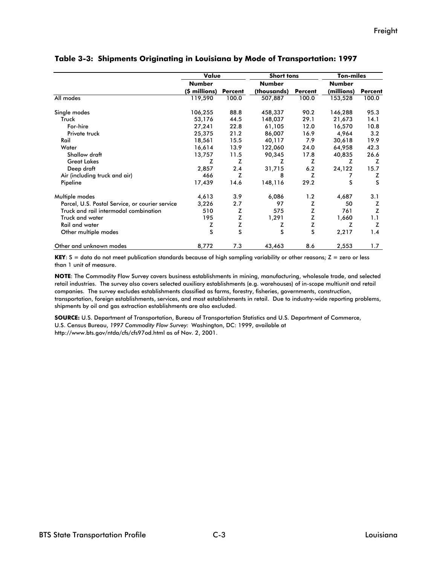|                                                 | Value         |                | <b>Short tons</b> |                | <b>Ton-miles</b> |                |
|-------------------------------------------------|---------------|----------------|-------------------|----------------|------------------|----------------|
|                                                 | Number        |                | <b>Number</b>     |                | <b>Number</b>    |                |
|                                                 | (\$ millions) | <b>Percent</b> | (thousands)       | <b>Percent</b> | (millions)       | <b>Percent</b> |
| All modes                                       | 119,590       | 100.0          | 507,887           | 100.0          | 153,528          | 100.0          |
| Single modes                                    | 106,255       | 88.8           | 458,337           | 90.2           | 146,288          | 95.3           |
| Truck                                           | 53,176        | 44.5           | 148,037           | 29.1           | 21,673           | 14.1           |
| For-hire                                        | 27,241        | 22.8           | 61,105            | 12.0           | 16,570           | 10.8           |
| Private truck                                   | 25,375        | 21.2           | 86,007            | 16.9           | 4,964            | 3.2            |
| Rail                                            | 18,561        | 15.5           | 40,117            | 7.9            | 30,618           | 19.9           |
| Water                                           | 16,614        | 13.9           | 122,060           | 24.0           | 64,958           | 42.3           |
| Shallow draft                                   | 13,757        | 11.5           | 90,345            | 17.8           | 40,835           | 26.6           |
| <b>Great Lakes</b>                              | z             | z              | z                 | Z              | z                | z              |
| Deep draft                                      | 2,857         | 2.4            | 31,715            | 6.2            | 24,122           | 15.7           |
| Air (including truck and air)                   | 466           | z              | 8                 | z              |                  | z              |
| Pipeline                                        | 17,439        | 14.6           | 148,116           | 29.2           | S                | S              |
| Multiple modes                                  | 4,613         | 3.9            | 6,086             | 1.2            | 4,687            | 3.1            |
| Parcel, U.S. Postal Service, or courier service | 3,226         | 2.7            | 97                | Z              | 50               | z              |
| Truck and rail intermodal combination           | 510           | z              | 575               | z              | 761              | Z              |
| Truck and water                                 | 195           | Z              | 1,291             | Z              | 1,660            | 1.1            |
| <b>Rail and water</b>                           | z             | Z              | z                 | Z              | Z                | z              |
| Other multiple modes                            | S             | S              | S                 | S              | 2,217            | 1.4            |
| Other and unknown modes                         | 8,772         | 7.3            | 43,463            | 8.6            | 2,553            | 1.7            |

#### **Table 3-3: Shipments Originating in Louisiana by Mode of Transportation: 1997**

**KEY**: S = data do not meet publication standards because of high sampling variability or other reasons; Z = zero or less than 1 unit of measure.

**NOTE**: The Commodity Flow Survey covers business establishments in mining, manufacturing, wholesale trade, and selected retail industries. The survey also covers selected auxiliary establishments (e.g. warehouses) of in-scope multiunit and retail companies. The survey excludes establishments classified as farms, forestry, fisheries, governments, construction, transportation, foreign establishments, services, and most establishments in retail. Due to industry-wide reporting problems, shipments by oil and gas extraction establishments are also excluded.

**SOURCE:** U.S. Department of Transportation, Bureau of Transportation Statistics and U.S. Department of Commerce, U.S. Census Bureau, *1997 Commodity Flow Survey:* Washington, DC: 1999, available at http://www.bts.gov/ntda/cfs/cfs97od.html as of Nov. 2, 2001.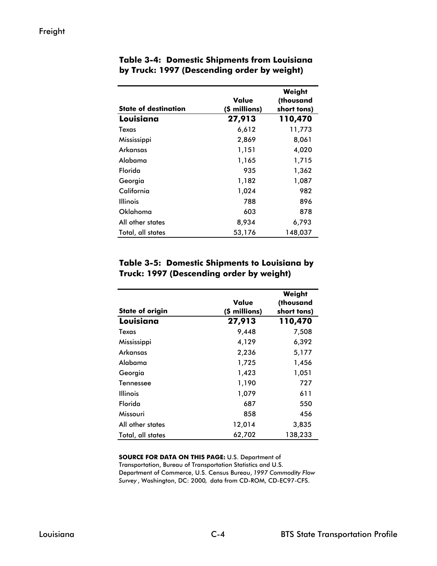| <b>State of destination</b> | Value<br>(\$ millions) | Weight<br>(thousand<br>short tons) |
|-----------------------------|------------------------|------------------------------------|
| Louisiana                   | 27,913                 | 110,470                            |
| Texas                       | 6,612                  | 11,773                             |
| Mississippi                 | 2,869                  | 8,061                              |
| Arkansas                    | 1,151                  | 4,020                              |
| Alabama                     | 1,165                  | 1,715                              |
| Florida                     | 935                    | 1,362                              |
| Georgia                     | 1,182                  | 1,087                              |
| California                  | 1,024                  | 982                                |
| <b>Illinois</b>             | 788                    | 896                                |
| Oklahoma                    | 603                    | 878                                |
| All other states            | 8,934                  | 6,793                              |
| Total, all states           | 53,176                 | 148,037                            |

## **Table 3-4: Domestic Shipments from Louisiana by Truck: 1997 (Descending order by weight)**

#### **Table 3-5: Domestic Shipments to Louisiana by Truck: 1997 (Descending order by weight)**

|                        | Value         | Weight<br>(thousand |
|------------------------|---------------|---------------------|
| <b>State of origin</b> | (\$ millions) | short tons)         |
| Louisiana              | 27,913        | 110,470             |
| Texas                  | 9,448         | 7,508               |
| Mississippi            | 4,129         | 6,392               |
| Arkansas               | 2,236         | 5,177               |
| Alabama                | 1,725         | 1,456               |
| Georgia                | 1,423         | 1,051               |
| Tennessee              | 1,190         | 727                 |
| <b>Illinois</b>        | 1,079         | 611                 |
| Florida                | 687           | 550                 |
| Missouri               | 858           | 456                 |
| All other states       | 12,014        | 3,835               |
| Total, all states      | 62,702        | 138.233             |

**SOURCE FOR DATA ON THIS PAGE:** U.S. Department of Transportation, Bureau of Transportation Statistics and U.S. Department of Commerce, U.S. Census Bureau, *1997 Commodity Flow Survey* , Washington, DC: 2000*,* data from CD-ROM, CD-EC97-CFS.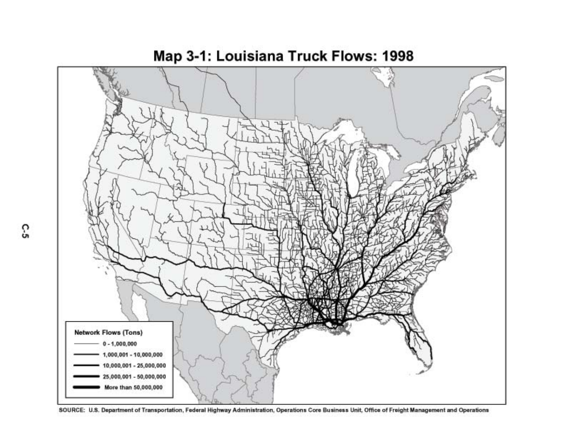

Map 3-1: Louisiana Truck Flows: 1998

SOURCE: U.S. Department of Transportation, Federal Highway Administration, Operations Core Business Unit, Office of Freight Management and Operations

C.S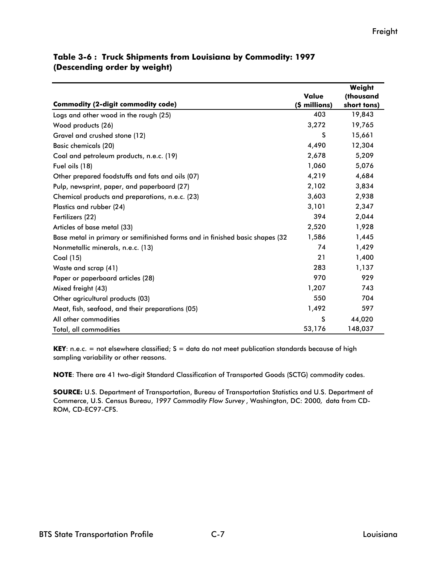|                                                                               |               | Weight      |
|-------------------------------------------------------------------------------|---------------|-------------|
|                                                                               | Value         | (thousand   |
| <b>Commodity (2-digit commodity code)</b>                                     | (\$ millions) | short tons) |
| Logs and other wood in the rough (25)                                         | 403           | 19,843      |
| Wood products (26)                                                            | 3,272         | 19,765      |
| Gravel and crushed stone (12)                                                 | S             | 15,661      |
| <b>Basic chemicals (20)</b>                                                   | 4,490         | 12,304      |
| Coal and petroleum products, n.e.c. (19)                                      | 2,678         | 5,209       |
| Fuel oils (18)                                                                | 1,060         | 5,076       |
| Other prepared foodstuffs and fats and oils (07)                              | 4,219         | 4,684       |
| Pulp, newsprint, paper, and paperboard (27)                                   | 2,102         | 3,834       |
| Chemical products and preparations, n.e.c. (23)                               | 3,603         | 2,938       |
| Plastics and rubber (24)                                                      | 3,101         | 2,347       |
| Fertilizers (22)                                                              | 394           | 2,044       |
| Articles of base metal (33)                                                   | 2,520         | 1,928       |
| Base metal in primary or semifinished forms and in finished basic shapes (32) | 1,586         | 1,445       |
| Nonmetallic minerals, n.e.c. (13)                                             | 74            | 1,429       |
| Coal (15)                                                                     | 21            | 1,400       |
| Waste and scrap (41)                                                          | 283           | 1,137       |
| Paper or paperboard articles (28)                                             | 970           | 929         |
| Mixed freight (43)                                                            | 1,207         | 743         |
| Other agricultural products (03)                                              | 550           | 704         |
| Meat, fish, seafood, and their preparations (05)                              | 1,492         | 597         |
| All other commodities                                                         | S             | 44,020      |
| Total, all commodities                                                        | 53,176        | 148,037     |

## **Table 3-6 : Truck Shipments from Louisiana by Commodity: 1997 (Descending order by weight)**

**KEY**: n.e.c. = not elsewhere classified; S = data do not meet publication standards because of high sampling variability or other reasons.

**NOTE**: There are 41 two-digit Standard Classification of Transported Goods (SCTG) commodity codes.

**SOURCE:** U.S. Department of Transportation, Bureau of Transportation Statistics and U.S. Department of Commerce, U.S. Census Bureau, *1997 Commodity Flow Survey* , Washington, DC: 2000*,* data from CD-ROM, CD-EC97-CFS.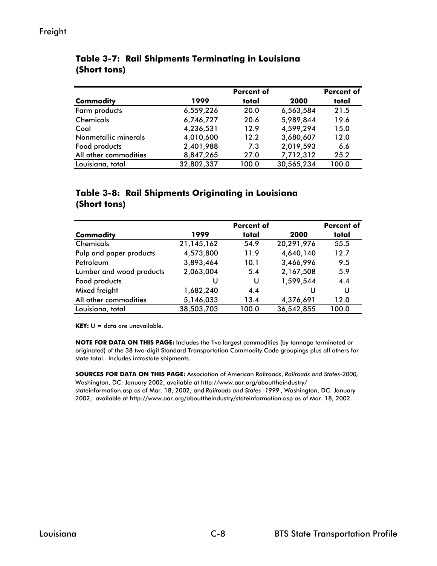|                       |            | <b>Percent of</b> |            | <b>Percent of</b> |
|-----------------------|------------|-------------------|------------|-------------------|
| <b>Commodity</b>      | 1999       | total             | 2000       | total             |
| Farm products         | 6,559,226  | 20.0              | 6,563,584  | 21.5              |
| <b>Chemicals</b>      | 6,746,727  | 20.6              | 5,989,844  | 19.6              |
| Coal                  | 4,236,531  | 12.9              | 4,599,294  | 15.0              |
| Nonmetallic minerals  | 4,010,600  | 12.2              | 3,680,607  | 12.0              |
| Food products         | 2,401,988  | 7.3               | 2,019,593  | 6.6               |
| All other commodities | 8,847,265  | 27.0              | 7,712,312  | 25.2              |
| Louisiana, total      | 32,802,337 | 100.0             | 30,565,234 | 100.0             |

# **Table 3-7: Rail Shipments Terminating in Louisiana (Short tons)**

## **Table 3-8: Rail Shipments Originating in Louisiana (Short tons)**

|                          |              | <b>Percent of</b> |            | <b>Percent of</b> |
|--------------------------|--------------|-------------------|------------|-------------------|
| <b>Commodity</b>         | 1999         | total             | 2000       | total             |
| <b>Chemicals</b>         | 21, 145, 162 | 54.9              | 20,291,976 | 55.5              |
| Pulp and paper products  | 4,573,800    | 11.9              | 4,640,140  | 12.7              |
| Petroleum                | 3,893,464    | 10.1              | 3,466,996  | 9.5               |
| Lumber and wood products | 2,063,004    | 5.4               | 2,167,508  | 5.9               |
| Food products            | U            | U                 | 1,599,544  | 4.4               |
| Mixed freight            | 1,682,240    | 4.4               | U          | U                 |
| All other commodities    | 5,146,033    | 13.4              | 4,376,691  | 12.0              |
| Louisiana, total         | 38,503,703   | 100.0             | 36,542,855 | 100.0             |

**KEY:** U = data are unavailable.

**NOTE FOR DATA ON THIS PAGE:** Includes the five largest commodities (by tonnage terminated or originated) of the 38 two-digit Standard Transportation Commodity Code groupings plus all others for state total. Includes intrastate shipments.

**SOURCES FOR DATA ON THIS PAGE:** Association of American Railroads, *Railroads and States-2000,*  Washington, DC: January 2002, available at http://www.aar.org/abouttheindustry/ stateinformation.asp as of Mar. 18, 2002; and *Railroads and States -1999* , Washington, DC: January 2002, available at http://www.aar.org/abouttheindustry/stateinformation.asp as of Mar. 18, 2002.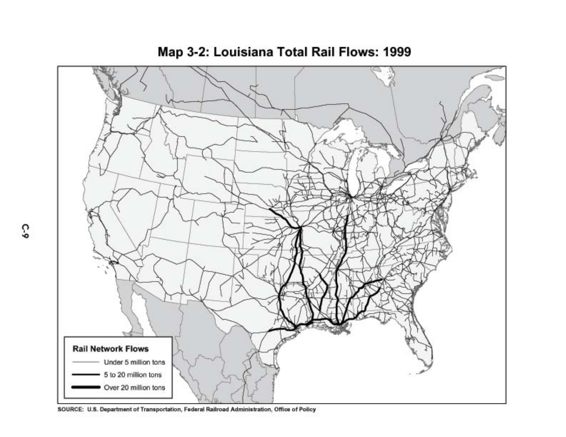

Map 3-2: Louisiana Total Rail Flows: 1999

SOURCE: U.S. Department of Transportation, Federal Railroad Administration, Office of Policy

C-9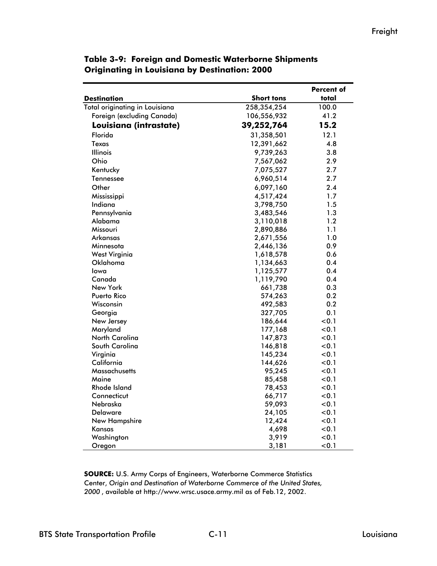|                                |                   | Percent of |  |  |
|--------------------------------|-------------------|------------|--|--|
| <b>Destination</b>             | <b>Short tons</b> | total      |  |  |
| Total originating in Louisiana | 258,354,254       | 100.0      |  |  |
| Foreign (excluding Canada)     | 106,556,932       | 41.2       |  |  |
| Louisiana (intrastate)         | 39,252,764        | 15.2       |  |  |
| Florida                        | 31,358,501        | 12.1       |  |  |
| Texas                          | 12,391,662        | 4.8        |  |  |
| <b>Illinois</b>                | 9,739,263         | 3.8        |  |  |
| Ohio                           | 7,567,062         | 2.9        |  |  |
| Kentucky                       | 7,075,527         | 2.7        |  |  |
| Tennessee                      | 6,960,514         | 2.7        |  |  |
| Other                          | 6,097,160         | 2.4        |  |  |
| Mississippi                    | 4,517,424         | 1.7        |  |  |
| Indiana                        | 3,798,750         | 1.5        |  |  |
| Pennsylvania                   | 3,483,546         | 1.3        |  |  |
| Alabama                        | 3,110,018         | 1.2        |  |  |
| Missouri                       | 2,890,886         | 1.1        |  |  |
| Arkansas                       | 2,671,556         | 1.0        |  |  |
| Minnesota                      | 2,446,136         | 0.9        |  |  |
| <b>West Virginia</b>           | 1,618,578         | 0.6        |  |  |
| Oklahoma                       | 1,134,663         | 0.4        |  |  |
| lowa                           | 1,125,577         | 0.4        |  |  |
| Canada                         | 1,119,790         | 0.4        |  |  |
| New York                       | 661,738           | 0.3        |  |  |
| Puerto Rico                    | 574,263           | 0.2        |  |  |
| Wisconsin                      | 492,583           | 0.2        |  |  |
| Georgia                        | 327,705           | 0.1        |  |  |
| New Jersey                     | 186,644           | < 0.1      |  |  |
| Maryland                       | 177,168           | 0.1        |  |  |
| North Carolina                 | 147,873           | < 0.1      |  |  |
| South Carolina                 | 146,818           | < 0.1      |  |  |
| Virginia                       | 145,234           | 0.1        |  |  |
| California                     | 144,626           | < 0.1      |  |  |
| Massachusetts                  | 95,245            | 0.1        |  |  |
| Maine                          | 85,458            | 0.1        |  |  |
| Rhode Island                   | 78,453            | < 0.1      |  |  |
| Connecticut                    | 66,717            | < 0.1      |  |  |
| Nebraska                       | 59,093            | 0.1        |  |  |
| Delaware                       | 24,105            | < 0.1      |  |  |
| New Hampshire                  | 12,424            | < 0.1      |  |  |
| Kansas                         | 4,698             | 0.1        |  |  |
| Washington                     | 3,919             | 0.1        |  |  |
| Oregon                         | 3,181             | < 0.1      |  |  |

## **Table 3-9: Foreign and Domestic Waterborne Shipments Originating in Louisiana by Destination: 2000**

**SOURCE:** U.S. Army Corps of Engineers, Waterborne Commerce Statistics Center, *Origin and Destination of Waterborne Commerce of the United States, 2000* , available at http://www.wrsc.usace.army.mil as of Feb.12, 2002.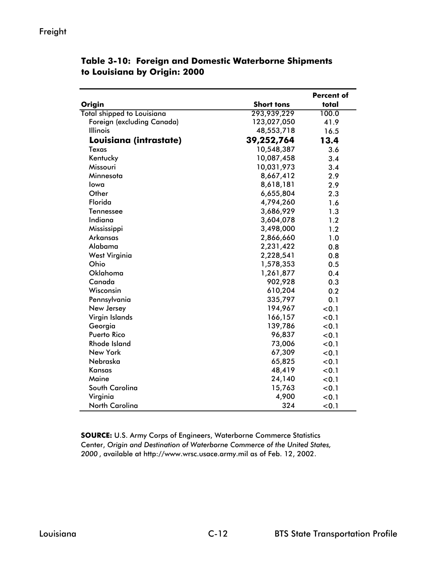|                                   |                   | <b>Percent of</b> |
|-----------------------------------|-------------------|-------------------|
| Origin                            | <b>Short tons</b> | total             |
| <b>Total shipped to Louisiana</b> | 293,939,229       | 100.0             |
| Foreign (excluding Canada)        | 123,027,050       | 41.9              |
| <b>Illinois</b>                   | 48,553,718        | 16.5              |
| Louisiana (intrastate)            | 39,252,764        | 13.4              |
| Texas                             | 10,548,387        | 3.6               |
| Kentucky                          | 10,087,458        | 3.4               |
| Missouri                          | 10,031,973        | 3.4               |
| Minnesota                         | 8,667,412         | 2.9               |
| lowa                              | 8,618,181         | 2.9               |
| Other                             | 6,655,804         | 2.3               |
| Florida                           | 4,794,260         | 1.6               |
| Tennessee                         | 3,686,929         | 1.3               |
| Indiana                           | 3,604,078         | 1.2               |
| Mississippi                       | 3,498,000         | 1.2               |
| Arkansas                          | 2,866,660         | 1.0               |
| Alabama                           | 2,231,422         | 0.8               |
| <b>West Virginia</b>              | 2,228,541         | 0.8               |
| Ohio                              | 1,578,353         | 0.5               |
| Oklahoma                          | 1,261,877         | 0.4               |
| Canada                            | 902,928           | 0.3               |
| Wisconsin                         | 610,204           | 0.2               |
| Pennsylvania                      | 335,797           | 0.1               |
| New Jersey                        | 194,967           | < 0.1             |
| Virgin Islands                    | 166,157           | < 0.1             |
| Georgia                           | 139,786           | < 0.1             |
| <b>Puerto Rico</b>                | 96,837            | < 0.1             |
| <b>Rhode Island</b>               | 73,006            | < 0.1             |
| <b>New York</b>                   | 67,309            | < 0.1             |
| Nebraska                          | 65,825            | < 0.1             |
| <b>Kansas</b>                     | 48,419            | < 0.1             |
| Maine                             | 24,140            | < 0.1             |
| South Carolina                    | 15,763            | < 0.1             |
| Virginia                          | 4,900             | < 0.1             |
| North Carolina                    | 324               | < 0.1             |

## **Table 3-10: Foreign and Domestic Waterborne Shipments to Louisiana by Origin: 2000**

**SOURCE:** U.S. Army Corps of Engineers, Waterborne Commerce Statistics Center, *Origin and Destination of Waterborne Commerce of the United States, 2000* , available at http://www.wrsc.usace.army.mil as of Feb. 12, 2002.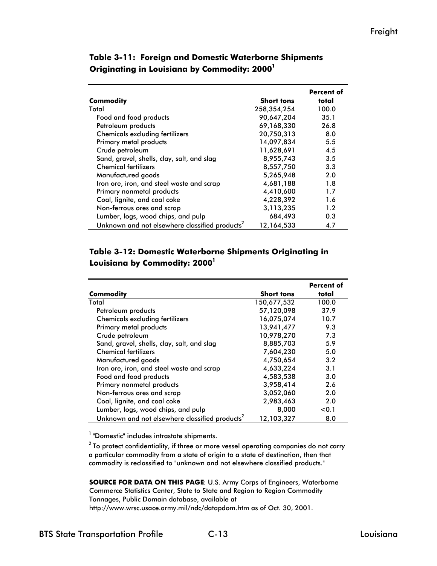|                                                            |                   | <b>Percent of</b> |
|------------------------------------------------------------|-------------------|-------------------|
| Commodity                                                  | <b>Short tons</b> | total             |
| Total                                                      | 258,354,254       | 100.0             |
| Food and food products                                     | 90,647,204        | 35.1              |
| Petroleum products                                         | 69.168.330        | 26.8              |
| <b>Chemicals excluding fertilizers</b>                     | 20,750,313        | 8.0               |
| Primary metal products                                     | 14,097,834        | 5.5               |
| Crude petroleum                                            | 11,628,691        | 4.5               |
| Sand, gravel, shells, clay, salt, and slag                 | 8,955,743         | 3.5               |
| <b>Chemical fertilizers</b>                                | 8,557,750         | 3.3               |
| Manufactured goods                                         | 5,265,948         | 2.0               |
| Iron ore, iron, and steel waste and scrap                  | 4,681,188         | 1.8               |
| Primary nonmetal products                                  | 4,410,600         | 1.7               |
| Coal, lignite, and coal coke                               | 4,228,392         | 1.6               |
| Non-ferrous ores and scrap                                 | 3,113,235         | 1.2               |
| Lumber, logs, wood chips, and pulp                         | 684,493           | 0.3               |
| Unknown and not elsewhere classified products <sup>2</sup> | 12,164,533        | 4.7               |

**Table 3-11: Foreign and Domestic Waterborne Shipments Originating in Louisiana by Commodity: 20001**

## **Table 3-12: Domestic Waterborne Shipments Originating in**  Louisiana by Commodity: 2000<sup>1</sup>

|                                                            |                   | <b>Percent of</b> |
|------------------------------------------------------------|-------------------|-------------------|
| Commodity                                                  | <b>Short tons</b> | total             |
| Total                                                      | 150,677,532       | 100.0             |
| Petroleum products                                         | 57,120,098        | 37.9              |
| <b>Chemicals excluding fertilizers</b>                     | 16,075,074        | 10.7              |
| Primary metal products                                     | 13,941,477        | 9.3               |
| Crude petroleum                                            | 10,978,270        | 7.3               |
| Sand, gravel, shells, clay, salt, and slag                 | 8,885,703         | 5.9               |
| <b>Chemical fertilizers</b>                                | 7,604,230         | 5.0               |
| Manufactured goods                                         | 4,750,654         | 3.2               |
| Iron ore, iron, and steel waste and scrap                  | 4,633,224         | 3.1               |
| Food and food products                                     | 4,583,538         | 3.0               |
| Primary nonmetal products                                  | 3,958,414         | 2.6               |
| Non-ferrous ores and scrap                                 | 3,052,060         | 2.0               |
| Coal, lignite, and coal coke                               | 2,983,463         | 2.0               |
| Lumber, logs, wood chips, and pulp                         | 8,000             | < 0.1             |
| Unknown and not elsewhere classified products <sup>2</sup> | 12,103,327        | 8.0               |

<sup>1</sup> "Domestic" includes intrastate shipments.

 $2$  To protect confidentiality, if three or more vessel operating companies do not carry a particular commodity from a state of origin to a state of destination, then that commodity is reclassified to "unknown and not elsewhere classified products."

**SOURCE FOR DATA ON THIS PAGE**: U.S. Army Corps of Engineers, Waterborne Commerce Statistics Center, State to State and Region to Region Commodity Tonnages, Public Domain database, available at http://www.wrsc.usace.army.mil/ndc/datapdom.htm as of Oct. 30, 2001.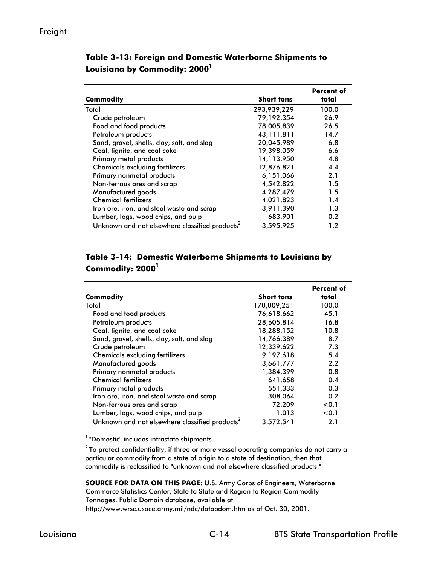|                                                            |                   | Percent of |
|------------------------------------------------------------|-------------------|------------|
| Commodity                                                  | <b>Short tons</b> | total      |
| Total                                                      | 293,939,229       | 100.0      |
| Crude petroleum                                            | 79, 192, 354      | 26.9       |
| Food and food products                                     | 78,005,839        | 26.5       |
| Petroleum products                                         | 43,111,811        | 14.7       |
| Sand, gravel, shells, clay, salt, and slag                 | 20,045,989        | 6.8        |
| Coal, lignite, and coal coke                               | 19,398,059        | 6.6        |
| Primary metal products                                     | 14,113,950        | 4.8        |
| <b>Chemicals excluding fertilizers</b>                     | 12,876,821        | 4.4        |
| Primary nonmetal products                                  | 6,151,066         | 2.1        |
| Non-ferrous ores and scrap                                 | 4,542,822         | 1.5        |
| Manufactured goods                                         | 4,287,479         | 1.5        |
| <b>Chemical fertilizers</b>                                | 4,021,823         | 1.4        |
| Iron ore, iron, and steel waste and scrap                  | 3,911,390         | 1.3        |
| Lumber, logs, wood chips, and pulp                         | 683,901           | 0.2        |
| Unknown and not elsewhere classified products <sup>2</sup> | 3,595,925         | 1.2        |

**Table 3-13: Foreign and Domestic Waterborne Shipments to**  Louisiana by Commodity: 2000<sup>1</sup>

## **Table 3-14: Domestic Waterborne Shipments to Louisiana by**  Commodity: 2000<sup>1</sup>

|                                                            |                   | <b>Percent of</b> |
|------------------------------------------------------------|-------------------|-------------------|
| Commodity                                                  | <b>Short tons</b> | total             |
| Total                                                      | 170,009,251       | 100.0             |
| Food and food products                                     | 76,618,662        | 45.1              |
| Petroleum products                                         | 28,605,814        | 16.8              |
| Coal, lignite, and coal coke                               | 18,288,152        | 10.8              |
| Sand, gravel, shells, clay, salt, and slag                 | 14,766,389        | 8.7               |
| Crude petroleum                                            | 12,339,622        | 7.3               |
| <b>Chemicals excluding fertilizers</b>                     | 9,197,618         | 5.4               |
| Manufactured goods                                         | 3,661,777         | 2.2               |
| Primary nonmetal products                                  | 1,384,399         | 0.8               |
| <b>Chemical fertilizers</b>                                | 641,658           | 0.4               |
| Primary metal products                                     | 551,333           | 0.3               |
| Iron ore, iron, and steel waste and scrap                  | 308,064           | 0.2               |
| Non-ferrous ores and scrap                                 | 72,209            | < 0.1             |
| Lumber, logs, wood chips, and pulp                         | 1,013             | < 0.1             |
| Unknown and not elsewhere classified products <sup>2</sup> | 3.572.541         | 2.1               |

<sup>1</sup> "Domestic" includes intrastate shipments.

 $2$  To protect confidentiality, if three or more vessel operating companies do not carry a particular commodity from a state of origin to a state of destination, then that commodity is reclassified to "unknown and not elsewhere classified products."

**SOURCE FOR DATA ON THIS PAGE:** U.S. Army Corps of Engineers, Waterborne Commerce Statistics Center, State to State and Region to Region Commodity Tonnages, Public Domain database, available at http://www.wrsc.usace.army.mil/ndc/datapdom.htm as of Oct. 30, 2001.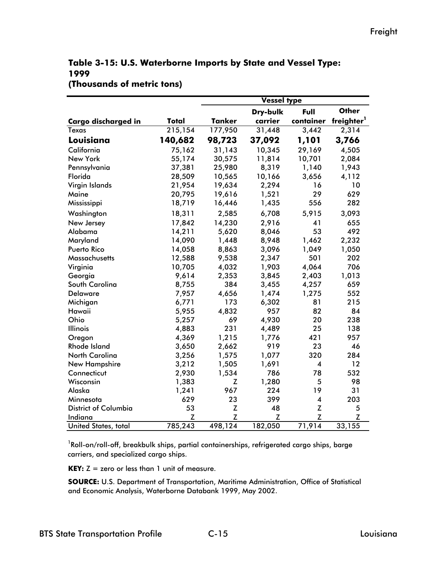## **Table 3-15: U.S. Waterborne Imports by State and Vessel Type: 1999 (Thousands of metric tons)**

|                             |         | Vessel type   |          |                         |                        |  |  |
|-----------------------------|---------|---------------|----------|-------------------------|------------------------|--|--|
|                             |         |               | Dry-bulk | Full                    | <b>Other</b>           |  |  |
| <b>Cargo discharged in</b>  | Total   | <b>Tanker</b> | carrier  | container               | freighter <sup>1</sup> |  |  |
| <b>Texas</b>                | 215,154 | 177,950       | 31,448   | 3,442                   | 2,314                  |  |  |
| Louisiana                   | 140,682 | 98,723        | 37,092   | 1,101                   | 3,766                  |  |  |
| California                  | 75,162  | 31,143        | 10,345   | 29,169                  | 4,505                  |  |  |
| New York                    | 55,174  | 30,575        | 11,814   | 10,701                  | 2,084                  |  |  |
| Pennsylvania                | 37,381  | 25,980        | 8,319    | 1,140                   | 1,943                  |  |  |
| Florida                     | 28,509  | 10,565        | 10,166   | 3,656                   | 4,112                  |  |  |
| Virgin Islands              | 21,954  | 19,634        | 2,294    | 16                      | 10                     |  |  |
| Maine                       | 20,795  | 19,616        | 1,521    | 29                      | 629                    |  |  |
| Mississippi                 | 18,719  | 16,446        | 1,435    | 556                     | 282                    |  |  |
| Washington                  | 18,311  | 2,585         | 6,708    | 5,915                   | 3,093                  |  |  |
| New Jersey                  | 17,842  | 14,230        | 2,916    | 41                      | 655                    |  |  |
| Alabama                     | 14,211  | 5,620         | 8,046    | 53                      | 492                    |  |  |
| Maryland                    | 14,090  | 1,448         | 8,948    | 1,462                   | 2,232                  |  |  |
| Puerto Rico                 | 14,058  | 8,863         | 3,096    | 1,049                   | 1,050                  |  |  |
| Massachusetts               | 12,588  | 9,538         | 2,347    | 501                     | 202                    |  |  |
| Virginia                    | 10,705  | 4,032         | 1,903    | 4,064                   | 706                    |  |  |
| Georgia                     | 9,614   | 2,353         | 3,845    | 2,403                   | 1,013                  |  |  |
| South Carolina              | 8,755   | 384           | 3,455    | 4,257                   | 659                    |  |  |
| <b>Delaware</b>             | 7,957   | 4,656         | 1,474    | 1,275                   | 552                    |  |  |
| Michigan                    | 6,771   | 173           | 6,302    | 81                      | 215                    |  |  |
| Hawaii                      | 5,955   | 4,832         | 957      | 82                      | 84                     |  |  |
| Ohio                        | 5,257   | 69            | 4,930    | 20                      | 238                    |  |  |
| <b>Illinois</b>             | 4,883   | 231           | 4,489    | 25                      | 138                    |  |  |
| Oregon                      | 4,369   | 1,215         | 1,776    | 421                     | 957                    |  |  |
| <b>Rhode Island</b>         | 3,650   | 2,662         | 919      | 23                      | 46                     |  |  |
| <b>North Carolina</b>       | 3,256   | 1,575         | 1,077    | 320                     | 284                    |  |  |
| <b>New Hampshire</b>        | 3,212   | 1,505         | 1,691    | $\overline{\mathbf{4}}$ | 12                     |  |  |
| Connecticut                 | 2,930   | 1,534         | 786      | 78                      | 532                    |  |  |
| Wisconsin                   | 1,383   | Z             | 1,280    | 5                       | 98                     |  |  |
| Alaska                      | 1,241   | 967           | 224      | 19                      | 31                     |  |  |
| Minnesota                   | 629     | 23            | 399      | $\overline{\mathbf{4}}$ | 203                    |  |  |
| <b>District of Columbia</b> | 53      | Z             | 48       | Z                       | 5                      |  |  |
| Indiana                     | Z       | Z             | Z        | Z                       | Z                      |  |  |
| United States, total        | 785,243 | 498,124       | 182,050  | 71,914                  | 33,155                 |  |  |

 $^{\text{1}}$ Roll-on/roll-off, breakbulk ships, partial containerships, refrigerated cargo ships, barge carriers, and specialized cargo ships.

**KEY:**  $Z =$  zero or less than 1 unit of measure.

**SOURCE:** U.S. Department of Transportation, Maritime Administration, Office of Statistical and Economic Analysis, Waterborne Databank 1999, May 2002.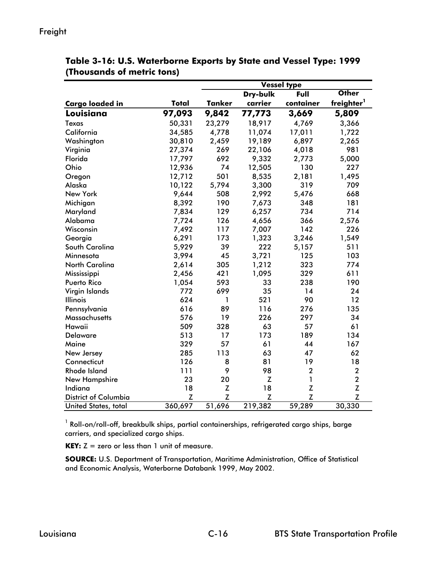|                             |         | Vessel type   |          |             |                        |  |
|-----------------------------|---------|---------------|----------|-------------|------------------------|--|
|                             |         |               | Dry-bulk | Full        | <b>Other</b>           |  |
| <b>Cargo loaded in</b>      | Total   | <b>Tanker</b> | carrier  | container   | freighter <sup>1</sup> |  |
| Louisiana                   | 97,093  | 9,842         | 77,773   | 3,669       | 5,809                  |  |
| Texas                       | 50,331  | 23,279        | 18,917   | 4,769       | 3,366                  |  |
| California                  | 34,585  | 4,778         | 11,074   | 17,011      | 1,722                  |  |
| Washington                  | 30,810  | 2,459         | 19,189   | 6,897       | 2,265                  |  |
| Virginia                    | 27,374  | 269           | 22,106   | 4,018       | 981                    |  |
| Florida                     | 17,797  | 692           | 9,332    | 2,773       | 5,000                  |  |
| Ohio                        | 12,936  | 74            | 12,505   | 130         | 227                    |  |
| Oregon                      | 12,712  | 501           | 8,535    | 2,181       | 1,495                  |  |
| Alaska                      | 10,122  | 5,794         | 3,300    | 319         | 709                    |  |
| New York                    | 9,644   | 508           | 2,992    | 5,476       | 668                    |  |
| Michigan                    | 8,392   | 190           | 7,673    | 348         | 181                    |  |
| Maryland                    | 7,834   | 129           | 6,257    | 734         | 714                    |  |
| Alabama                     | 7,724   | 126           | 4,656    | 366         | 2,576                  |  |
| Wisconsin                   | 7,492   | 117           | 7,007    | 142         | 226                    |  |
| Georgia                     | 6,291   | 173           | 1,323    | 3,246       | 1,549                  |  |
| South Carolina              | 5,929   | 39            | 222      | 5,157       | 511                    |  |
| Minnesota                   | 3,994   | 45            | 3,721    | 125         | 103                    |  |
| <b>North Carolina</b>       | 2,614   | 305           | 1,212    | 323         | 774                    |  |
| Mississippi                 | 2,456   | 421           | 1,095    | 329         | 611                    |  |
| <b>Puerto Rico</b>          | 1,054   | 593           | 33       | 238         | 190                    |  |
| Virgin Islands              | 772     | 699           | 35       | 14          | 24                     |  |
| <b>Illinois</b>             | 624     | 1             | 521      | 90          | 12                     |  |
| Pennsylvania                | 616     | 89            | 116      | 276         | 135                    |  |
| <b>Massachusetts</b>        | 576     | 19            | 226      | 297         | 34                     |  |
| Hawaii                      | 509     | 328           | 63       | 57          | 61                     |  |
| <b>Delaware</b>             | 513     | 17            | 173      | 189         | 134                    |  |
| Maine                       | 329     | 57            | 61       | 44          | 167                    |  |
| New Jersey                  | 285     | 113           | 63       | 47          | 62                     |  |
| Connecticut                 | 126     | 8             | 81       | 19          | 18                     |  |
| <b>Rhode Island</b>         | 111     | 9             | 98       | $\mathbf 2$ | $\mathbf 2$            |  |
| New Hampshire               | 23      | 20            | Z        | 1           | $\mathbf{2}$           |  |
| Indiana                     | 18      | $\mathsf Z$   | 18       | Z           | $\mathsf Z$            |  |
| <b>District of Columbia</b> | Z       | Z             | Z        | Z           | Z                      |  |
| United States, total        | 360,697 | 51,696        | 219,382  | 59,289      | 30,330                 |  |

**Table 3-16: U.S. Waterborne Exports by State and Vessel Type: 1999 (Thousands of metric tons)**

 $^{\text{1}}$  Roll-on/roll-off, breakbulk ships, partial containerships, refrigerated cargo ships, barge carriers, and specialized cargo ships.

**KEY:**  $Z =$  zero or less than 1 unit of measure.

**SOURCE:** U.S. Department of Transportation, Maritime Administration, Office of Statistical and Economic Analysis, Waterborne Databank 1999, May 2002.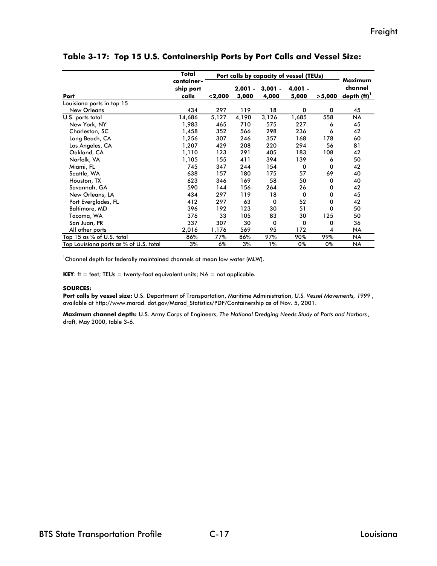|                                        | Total<br>Port calls by capacity of vessel (TEUs) |         |                    |                    |                    | Maximum     |                           |
|----------------------------------------|--------------------------------------------------|---------|--------------------|--------------------|--------------------|-------------|---------------------------|
| Port                                   | container-<br>ship port<br>calls                 | < 2,000 | $2,001 -$<br>3,000 | $3,001 -$<br>4,000 | $4,001 -$<br>5,000 | >5,000      | channel<br>depth $(ft)^T$ |
| Louisiana ports in top 15              |                                                  |         |                    |                    |                    |             |                           |
| <b>New Orleans</b>                     | 434                                              | 297     | 119                | 18                 | $\mathbf 0$        | $\mathbf 0$ | 45                        |
| U.S. ports total                       | 14,686                                           | 5,127   | 4,190              | 3,126              | 1,685              | 558         | <b>NA</b>                 |
| New York, NY                           | 1,983                                            | 465     | 710                | 575                | 227                | 6           | 45                        |
| Charleston, SC                         | 1,458                                            | 352     | 566                | 298                | 236                | 6           | 42                        |
| Long Beach, CA                         | 1,256                                            | 307     | 246                | 357                | 168                | 178         | 60                        |
| Los Angeles, CA                        | 1,207                                            | 429     | 208                | 220                | 294                | 56          | 81                        |
| Oakland, CA                            | 1,110                                            | 123     | 291                | 405                | 183                | 108         | 42                        |
| Norfolk, VA                            | 1,105                                            | 155     | 411                | 394                | 139                | 6           | 50                        |
| Miami, FL                              | 745                                              | 347     | 244                | 154                | 0                  | 0           | 42                        |
| Seattle, WA                            | 638                                              | 157     | 180                | 175                | 57                 | 69          | 40                        |
| Houston, TX                            | 623                                              | 346     | 169                | 58                 | 50                 | 0           | 40                        |
| Savannah, GA                           | 590                                              | 144     | 156                | 264                | 26                 | 0           | 42                        |
| New Orleans, LA                        | 434                                              | 297     | 119                | 18                 | $\mathbf 0$        | 0           | 45                        |
| Port Everglades, FL                    | 412                                              | 297     | 63                 | 0                  | 52                 | 0           | 42                        |
| <b>Baltimore, MD</b>                   | 396                                              | 192     | 123                | 30                 | 51                 | 0           | 50                        |
| Tacoma, WA                             | 376                                              | 33      | 105                | 83                 | 30                 | 125         | 50                        |
| San Juan, PR                           | 337                                              | 307     | 30                 | 0                  | 0                  | 0           | 36                        |
| All other ports                        | 2,016                                            | 1,176   | 569                | 95                 | 172                | 4           | <b>NA</b>                 |
| Top 15 as % of U.S. total              | 86%                                              | 77%     | 86%                | 97%                | 90%                | 99%         | <b>NA</b>                 |
| Top Louisiana ports as % of U.S. total | 3%                                               | 6%      | 3%                 | 1%                 | 0%                 | 0%          | <b>NA</b>                 |

**Table 3-17: Top 15 U.S. Containership Ports by Port Calls and Vessel Size:** 

 $\mathrm{^{1}Channel}$  depth for federally maintained channels at mean low water (MLW).

**KEY**:  $ft = feet$ ; TEUs = twenty-foot equivalent units;  $NA = not$  applicable.

#### **SOURCES:**

**Port calls by vessel size:** U.S. Department of Transportation, Maritime Administration, *U.S. Vessel Movements, 1999* , available at http://www.marad. dot.gov/Marad\_Statistics/PDF/Containership as of Nov. 5, 2001.

**Maximum channel depth:** U.S. Army Corps of Engineers, *The National Dredging Needs Study of Ports and Harbors* , draft, May 2000, table 3-6.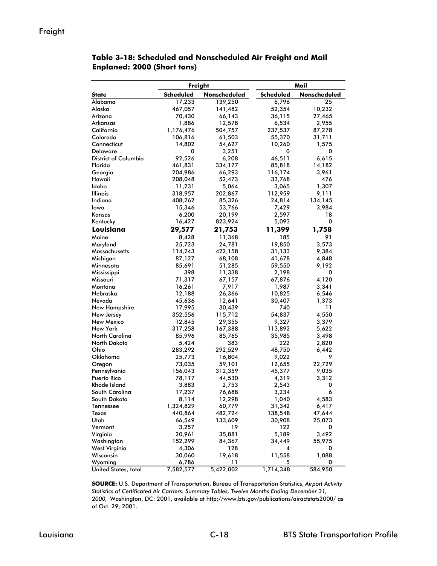## Freight

|                      | <b>Freight</b> |              |                  | Mail         |  |  |
|----------------------|----------------|--------------|------------------|--------------|--|--|
| <b>State</b>         | Scheduled      | Nonscheduled | <b>Scheduled</b> | Nonscheduled |  |  |
| Alabama              | 17,233         | 139,250      | 6,796            | 25           |  |  |
| Alaska               | 467,057        | 141,482      | 52,354           | 10,232       |  |  |
| Arizona              | 70,430         | 66,143       | 36,115           | 27,465       |  |  |
| Arkansas             | 1,886          | 12,578       | 6,534            | 2,955        |  |  |
| California           | 1,176,476      | 504,757      | 237,537          | 87,278       |  |  |
| Colorado             | 106,816        | 61,503       | 55,370           | 31,711       |  |  |
| Connecticut          | 14,802         | 54,627       | 10,260           | 1,575        |  |  |
| Delaware             | 0              | 3,251        | 0                | 0            |  |  |
| District of Columbia | 92,526         | 6,208        | 46,511           | 6,615        |  |  |
| Florida              | 461,831        | 334,177      | 85,818           | 14,182       |  |  |
| Georgia              | 204,986        | 66,293       | 116,174          | 3,961        |  |  |
| Hawaii               | 208,048        | 52,473       | 33,768           | 476          |  |  |
| Idaho                | 11,231         | 5,064        | 3,065            | 1,307        |  |  |
| <b>Illinois</b>      | 318,957        | 202,867      | 112,959          | 9,111        |  |  |
| Indiana              | 408,262        | 85,326       | 24,814           | 134,145      |  |  |
| lowa                 | 15,346         | 53,766       | 7,429            | 3,984        |  |  |
| Kansas               | 6,200          | 20,199       | 2,597            | 18           |  |  |
| Kentucky             | 16,427         | 823,924      | 5,093            | 0            |  |  |
| Louisiana            | 29,577         | 21,753       | 11,399           | 1,758        |  |  |
| Maine                | 8,428          | 11,368       | 185              | 91           |  |  |
| Maryland             | 25,723         | 24,781       | 19,850           | 3,573        |  |  |
| Massachusetts        | 114,243        | 422,158      | 31,133           | 9,384        |  |  |
| Michigan             | 87,127         | 68,108       | 41,678           | 4,848        |  |  |
| Minnesota            | 85,691         | 51,285       | 59,550           | 9,192        |  |  |
| Mississippi          | 398            | 11,338       | 2,198            | 0            |  |  |
| Missouri             | 71,317         | 67,157       | 67,876           | 4,120        |  |  |
| Montana              | 16,261         | 7,917        | 1,987            | 3,341        |  |  |
| Nebraska             | 12,188         | 26,366       | 10,825           | 6,546        |  |  |
| Nevada               | 45,636         | 12,641       | 30,407           | 1,373        |  |  |
| New Hampshire        | 17,995         | 30,439       | 740              | 11           |  |  |
| New Jersey           | 352,556        | 115,712      | 54,837           | 4,550        |  |  |
| New Mexico           | 12,845         | 29,355       | 9,327            | 3,379        |  |  |
| New York             | 317,258        | 167,388      | 113,892          | 5,622        |  |  |
| North Carolina       | 85,996         | 85,765       | 35,985           | 3,498        |  |  |
| North Dakota         | 5,424          | 383          | 222              | 2,820        |  |  |
| Ohio                 | 283,292        | 292,529      | 48,750           | 6,442        |  |  |
| Oklahoma             | 25,773         | 16,804       | 9,022            | 9            |  |  |
| Oregon               | 73,035         | 59,101       | 12,655           | 22,729       |  |  |
| Pennsylvania         | 156,043        | 312,359      | 45,377           | 9,035        |  |  |
| Puerto Rico          | 78,117         | 44,530       | 4,319            | 3,312        |  |  |
| <b>Rhode Island</b>  | 3,883          | 2,753        | 2,543            | 0            |  |  |
| South Carolina       | 17,237         | 76,688       | 3,234            | 6            |  |  |
| South Dakota         | 8,114          | 12,298       | 1,040            | 4,583        |  |  |
| Tennessee            | 1,324,829      | 60,779       | 31,342           | 6,417        |  |  |
| Texas                | 440,864        | 482,724      | 138,548          | 47,644       |  |  |
| Utah                 | 66,549         | 133,609      | 30,908           | 25,073       |  |  |
| Vermont              | 3,257          | 19           | 122              | 0            |  |  |
| Virginia             | 20,961         | 35,881       | 5,189            | 3,492        |  |  |
| Washington           | 152,299        | 84,367       | 34,449           | 55,975       |  |  |
| West Virginia        | 4,306          | 128          | 4                | 0            |  |  |
| Wisconsin            | 30,060         | 19,618       | 11,558           | 1,088        |  |  |
| Wyoming              | 6,786          | 11           | 5                | 0            |  |  |
| United States, total | 7,582,577      | 5,422,002    | 1,714,348        | 584,950      |  |  |

#### **Table 3-18: Scheduled and Nonscheduled Air Freight and Mail Enplaned: 2000 (Short tons)**

**SOURCE:** U.S. Department of Transportation, Bureau of Transportation Statistics, *Airport Activity Statistics of Certificated Air Carriers: Summary Tables, Twelve Months Ending December 31, 2000,* Washington, DC: 2001, available at http://www.bts.gov/publications/airactstats2000/ as of Oct. 29, 2001.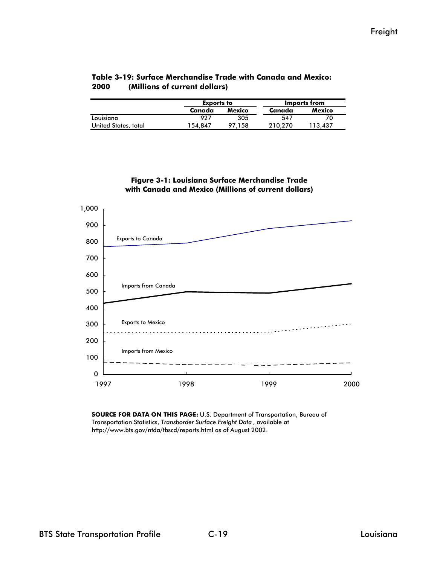|                      | <b>Exports to</b> |        | Imports from |         |  |
|----------------------|-------------------|--------|--------------|---------|--|
|                      | Canada            | Mexico | Canada       | Mexico  |  |
| Louisiana            | 927               | 305    | 547          |         |  |
| United States, total | 154.847           | 97.158 | 210.270      | 113.437 |  |

#### **Table 3-19: Surface Merchandise Trade with Canada and Mexico: 2000 (Millions of current dollars)**





**SOURCE FOR DATA ON THIS PAGE:** U.S. Department of Transportation, Bureau of Transportation Statistics, *Transborder Surface Freight Data* , available at http://www.bts.gov/ntda/tbscd/reports.html as of August 2002.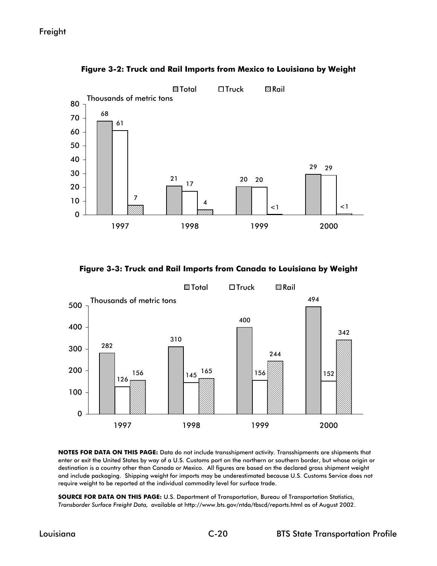

**Figure 3-2: Truck and Rail Imports from Mexico to Louisiana by Weight**

**Figure 3-3: Truck and Rail Imports from Canada to Louisiana by Weight**



**NOTES FOR DATA ON THIS PAGE:** Data do not include transshipment activity. Transshipments are shipments that enter or exit the United States by way of a U.S. Customs port on the northern or southern border, but whose origin or destination is a country other than Canada or Mexico. All figures are based on the declared gross shipment weight and include packaging. Shipping weight for imports may be underestimated because U.S. Customs Service does not require weight to be reported at the individual commodity level for surface trade.

**SOURCE FOR DATA ON THIS PAGE:** U.S. Department of Transportation, Bureau of Transportation Statistics, *Transborder Surface Freight Data,* available at http://www.bts.gov/ntda/tbscd/reports.html as of August 2002.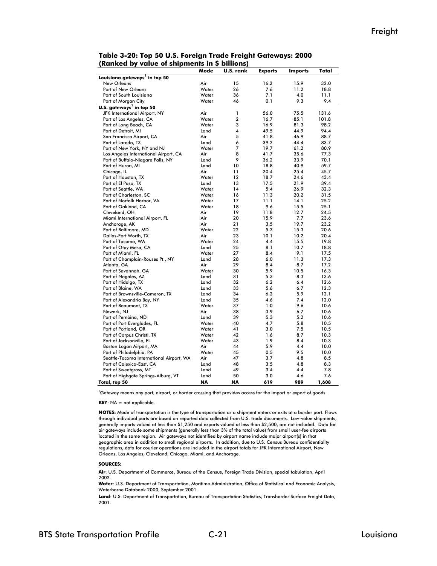| ,                                         | <br>.        | ышты           |                |                |       |
|-------------------------------------------|--------------|----------------|----------------|----------------|-------|
|                                           | Mode         | U.S. rank      | <b>Exports</b> | <b>Imports</b> | Total |
| Louisiana gateways <sup>1</sup> in top 50 |              |                |                |                |       |
| <b>New Orleans</b>                        | Air          | 15             | 16.2           | 15.9           | 32.0  |
| Port of New Orleans                       | Water        | 26             | 7.6            | 11.2           | 18.8  |
| Port of South Louisiana                   | Water        | 36             | 7.1            | 4.0            | 11.1  |
| Port of Morgan City                       | Water        | 46             | 0.1            | 9.3            | 9.4   |
| U.S. gateways <sup>1</sup> in top 50      |              |                |                |                |       |
| JFK International Airport, NY             | Air          | 1              | 56.0           | 75.5           | 131.6 |
| Port of Los Angeles, CA                   | Water        | $\overline{a}$ | 16.7           | 85.1           | 101.8 |
| Port of Long Beach, CA                    | Water        | 3              | 16.9           | 81.3           | 98.2  |
| Port of Detroit, MI                       | Land         | 4              | 49.5           | 44.9           | 94.4  |
| San Francisco Airport, CA                 | Air          | 5              | 41.8           | 46.9           | 88.7  |
| Port of Laredo, TX                        | Land         | 6              | 39.2           | 44.4           | 83.7  |
| Port of New York, NY and NJ               | Water        | 7              | 19.7           | 61.2           | 80.9  |
| Los Angeles International Airport, CA     | Air          | 8              | 41.7           | 35.6           | 77.3  |
| Port of Buffalo-Niagara Falls, NY         | Land         | 9              | 36.2           | 33.9           | 70.1  |
| Port of Huron, MI                         | Land         | 10             | 18.8           | 40.9           | 59.7  |
| Chicago, IL                               | Air          | 11             | 20.4           | 25.4           | 45.7  |
| Port of Houston, TX                       | Water        | 12             | 18.7           | 24.6           | 43.4  |
| Port of El Paso, TX                       | Land         | 13             | 17.5           | 21.9           | 39.4  |
| Port of Seattle, WA                       | Water        | 14             | 5.4            | 26.9           | 32.3  |
| Port of Charleston, SC                    | Water        | 16             | 11.3           | 20.2           | 31.5  |
| Port of Norfolk Harbor, VA                | Water        | 17             | 11.1           | 14.1           | 25.2  |
| Port of Oakland, CA                       | Water        | 18             | 9.6            | 15.5           | 25.1  |
| Cleveland, OH                             | Air          | 19             | 11.8           | 12.7           | 24.5  |
|                                           | Air          | 20             | 15.9           | 7.7            | 23.6  |
| Miami International Airport, FL           | Air          |                |                |                |       |
| Anchorage, AK                             |              | 21<br>22       | 3.5<br>5.3     | 19.7           | 23.2  |
| Port of Baltimore, MD                     | Water<br>Air |                |                | 15.3           | 20.6  |
| Dallas-Fort Worth, TX                     |              | 23             | 10.1           | 10.2           | 20.4  |
| Port of Tacoma, WA                        | Water        | 24             | 4.4            | 15.5           | 19.8  |
| Port of Otay Mesa, CA                     | Land         | 25             | 8.1            | 10.7           | 18.8  |
| Port of Miami, FL                         | Water        | 27             | 8.4            | 9.1            | 17.5  |
| Port of Champlain-Rouses Pt., NY          | Land         | 28             | 6.0            | 11.3           | 17.3  |
| Atlanta, GA                               | Air          | 29             | 8.4            | 8.7            | 17.2  |
| Port of Savannah, GA                      | Water        | 30             | 5.9            | 10.5           | 16.3  |
| Port of Nogales, AZ                       | Land         | 31             | 5.3            | 8.3            | 13.6  |
| Port of Hidalgo, TX                       | Land         | 32             | 6.2            | 6.4            | 12.6  |
| Port of Blaine, WA                        | Land         | 33             | 5.6            | 6.7            | 12.3  |
| Port of Brownsville-Cameron, TX           | Land         | 34             | 6.2            | 5.9            | 12.1  |
| Port of Alexandria Bay, NY                | Land         | 35             | 4.6            | 7.4            | 12.0  |
| Port of Beaumont, TX                      | Water        | 37             | 1.0            | 9.6            | 10.6  |
| Newark, NJ                                | Air          | 38             | 3.9            | 6.7            | 10.6  |
| Port of Pembina, ND                       | Land         | 39             | 5.3            | 5.2            | 10.6  |
| Port of Port Everglades, FL               | Water        | 40             | 4.7            | 5.8            | 10.5  |
| Port of Portland, OR                      | Water        | 41             | 3.0            | 7.5            | 10.5  |
| Port of Corpus Christi, TX                | Water        | 42             | 1.6            | 8.7            | 10.3  |
| Port of Jacksonville, FL                  | Water        | 43             | 1.9            | 8.4            | 10.3  |
| Boston Logan Airport, MA                  | Air          | 44             | 5.9            | 4.4            | 10.0  |
| Port of Philadelphia, PA                  | Water        | 45             | 0.5            | 9.5            | 10.0  |
| Seattle-Tacoma International Airport, WA  | Air          | 47             | 3.7            | 4.8            | 8.5   |
| Port of Calexico-East, CA                 | Land         | 48             | 3.5            | 4.8            | 8.3   |
| Port of Sweetgrass, MT                    | Land         | 49             | 3.4            | 4.4            | 7.8   |
| Port of Highgate Springs-Alburg, VT       | Land         | 50             | 3.0            | 4.6            | 7.6   |
| Total, top 50                             | <b>NA</b>    | <b>NA</b>      | 619            | 989            | 1,608 |
|                                           |              |                |                |                |       |

**Table 3-20: Top 50 U.S. Foreign Trade Freight Gateways: 2000 (Ranked by value of shipments in \$ billions)**

<sup>1</sup>Gateway means any port, airport, or border crossing that provides access for the import or export of goods.

**KEY**: NA = not applicable.

**NOTES:** Mode of transportation is the type of transportation as a shipment enters or exits at a border port. Flows through individual ports are based on reported data collected from U.S. trade documents. Low-value shipments, generally imports valued at less than \$1,250 and exports valued at less than \$2,500, are not included. Data for air gateways include some shipments (generally less than 3% of the total value) from small user-fee airports located in the same region. Air gateways not identified by airport name include major airport(s) in that geographic area in addition to small regional airports. In addition, due to U.S. Census Bureau confidentiality regulations, data for courier operations are included in the airport totals for JFK International Airport, New Orleans, Los Angeles, Cleveland, Chicago, Miami, and Anchorage.

#### **SOURCES:**

**Air**: U.S. Department of Commerce, Bureau of the Census, Foreign Trade Division, special tabulation, April 2002.

**Water**: U.S. Department of Transportation, Maritime Administration, Office of Statistical and Economic Analysis, Waterborne Databank 2000, September 2001.

**Land**: U.S. Department of Transportation, Bureau of Transportation Statistics, Transborder Surface Freight Data, 2001.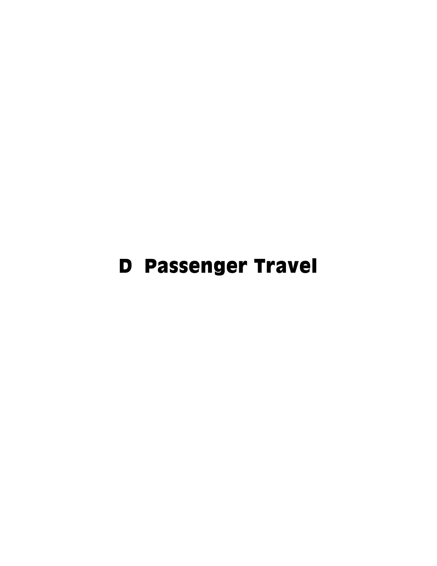# D Passenger Travel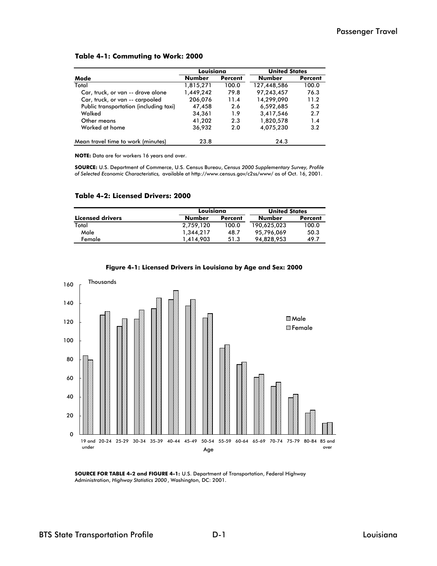#### **Table 4-1: Commuting to Work: 2000**

|                                        | <b>United States</b> |                |               |                |
|----------------------------------------|----------------------|----------------|---------------|----------------|
| Mode                                   | <b>Number</b>        | <b>Percent</b> | <b>Number</b> | <b>Percent</b> |
| Total                                  | 1,815,271            | 100.0          | 127,448,586   | 100.0          |
| Car, truck, or van -- drove alone      | 1,449,242            | 79.8           | 97,243,457    | 76.3           |
| Car, truck, or van -- carpooled        | 206,076              | 11.4           | 14,299,090    | 11.2           |
| Public transportation (including taxi) | 47,458               | 2.6            | 6,592,685     | 5.2            |
| Walked                                 | 34,361               | 1.9            | 3,417,546     | 2.7            |
| Other means                            | 41,202               | 2.3            | 1,820,578     | 1.4            |
| Worked at home                         | 36,932               | 2.0            | 4,075,230     | 3.2            |
| Mean travel time to work (minutes)     | 23.8                 |                | 24.3          |                |

**NOTE:** Data are for workers 16 years and over.

**SOURCE:** U.S. Department of Commerce, U.S. Census Bureau, *Census 2000 Supplementary Survey, Profile of Selected Economic Characteristics,* available at http://www.census.gov/c2ss/www/ as of Oct. 16, 2001.

#### **Table 4-2: Licensed Drivers: 2000**

|                  | Louisiana |         | <b>United States</b> |                |  |
|------------------|-----------|---------|----------------------|----------------|--|
| Licensed drivers | Number    | Percent | Number               | <b>Percent</b> |  |
| Total            | 2.759.120 | 100.0   | 190,625,023          | 100.0          |  |
| Male             | 1.344.217 | 48.7    | 95.796.069           | 50.3           |  |
| Female           | 1.414.903 | 51.3    | 94.828.953           | 49.7           |  |





**SOURCE FOR TABLE 4-2 and FIGURE 4-1:** U.S. Department of Transportation, Federal Highway Administration, *Highway Statistics 2000*, Washington, DC: 2001.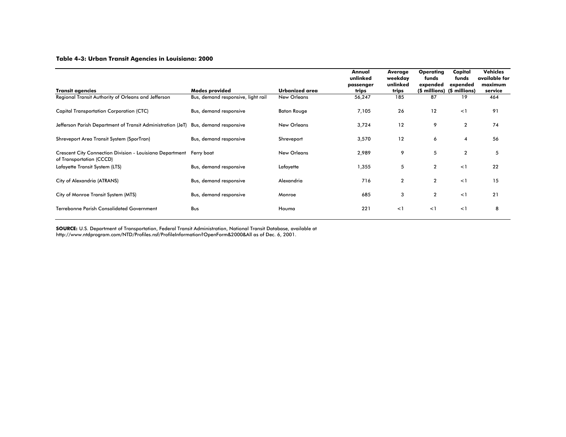#### **Table 4-3: Urban Transit Agencies in Louisiana: 2000**

| <b>Transit agencies</b>                                                                         | Modes provided                     | Urbanized area     | Annual<br>unlinked<br>passenger<br>trips | Average<br>weekday<br>unlinked<br>trips | <b>Operating</b><br>funds<br>expended<br>(\$ millions) | Capital<br>funds<br>expended<br>(\$ millions) | <b>Vehicles</b><br>available for<br>maximum<br>service |
|-------------------------------------------------------------------------------------------------|------------------------------------|--------------------|------------------------------------------|-----------------------------------------|--------------------------------------------------------|-----------------------------------------------|--------------------------------------------------------|
| Regional Transit Authority of Orleans and Jefferson                                             | Bus, demand responsive, light rail | New Orleans        | 56,247                                   | 185                                     | 87                                                     | 19                                            | 464                                                    |
| <b>Capital Transportation Corporation (CTC)</b>                                                 | Bus, demand responsive             | <b>Baton Rouge</b> | 7,105                                    | 26                                      | 12                                                     | <1                                            | 91                                                     |
| Jefferson Parish Department of Transit Administration (JeT) Bus, demand responsive              |                                    | <b>New Orleans</b> | 3,724                                    | 12                                      | 9                                                      | $\overline{2}$                                | 74                                                     |
| Shreveport Area Transit System (SporTran)                                                       | Bus, demand responsive             | Shreveport         | 3,570                                    | 12                                      | 6                                                      | $\overline{4}$                                | 56                                                     |
| Crescent City Connection Division - Louisiana Department Ferry boat<br>of Transportation (CCCD) |                                    | <b>New Orleans</b> | 2,989                                    | 9                                       | 5                                                      | $\overline{2}$                                | 5                                                      |
| Lafayette Transit System (LTS)                                                                  | Bus, demand responsive             | Lafayette          | 1,355                                    | 5                                       | $\overline{2}$                                         | <1                                            | 22                                                     |
| City of Alexandria (ATRANS)                                                                     | Bus, demand responsive             | Alexandria         | 716                                      | $\overline{2}$                          | $\overline{2}$                                         | <1                                            | 15                                                     |
| City of Monroe Transit System (MTS)                                                             | Bus, demand responsive             | Monroe             | 685                                      | 3                                       | $\overline{2}$                                         | <1                                            | 21                                                     |
| <b>Terrebonne Parish Consolidated Government</b>                                                | Bus                                | Houma              | 221                                      | $\leq$ 1                                | <1                                                     | $\leq$ 1                                      | 8                                                      |

**SOURCE:** U.S. Department of Transportation, Federal Transit Administration, National Transit Database, available at

http://www.ntdprogram.com/NTD/Profiles.nsf/ProfileInformation?OpenForm&2000&All as of Dec. 6, 2001.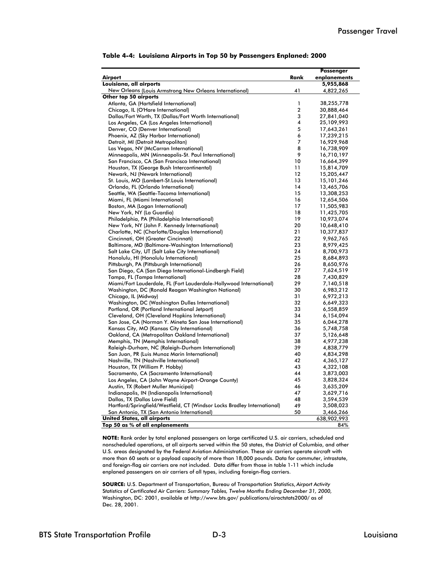|                                                                          |                | <b>Passenger</b> |
|--------------------------------------------------------------------------|----------------|------------------|
| Airport                                                                  | Rank           | enplanements     |
| Louisiana, all airports                                                  |                | 5,955,868        |
| New Orleans (Louis Armstrong New Orleans International)                  | 41             | 4,822,265        |
| Other top 50 airports                                                    |                |                  |
| Atlanta, GA (Hartsfield International)                                   | 1              | 38,255,778       |
| Chicago, IL (O'Hare International)                                       | $\overline{2}$ | 30,888,464       |
| Dallas/Fort Worth, TX (Dallas/Fort Worth International)                  | 3              | 27,841,040       |
| Los Angeles, CA (Los Angeles International)                              | 4              | 25,109,993       |
| Denver, CO (Denver International)                                        | 5              | 17,643,261       |
| Phoenix, AZ (Sky Harbor International)                                   | 6              | 17,239,215       |
| Detroit, MI (Detroit Metropolitan)                                       | $\overline{7}$ | 16,929,968       |
| Las Vegas, NV (McCarran International)                                   | 8              | 16,738,909       |
| Minneapolis, MN (Minneapolis-St. Paul International)                     | 9              | 16,710,197       |
| San Francisco, CA (San Francisco International)                          | 10             | 16,664,399       |
| Houston, TX (George Bush Intercontinental)                               | 11             | 15,814,709       |
| Newark, NJ (Newark International)                                        | 12             | 15,205,447       |
| St. Louis, MO (Lambert-St. Louis International)                          | 13             | 15,101,246       |
| Orlando, FL (Orlando International)                                      | 14             | 13,465,706       |
| Seattle, WA (Seattle-Tacoma International)                               | 15             | 13,308,253       |
| Miami, FL (Miami International)                                          | 16             | 12,654,506       |
| Boston, MA (Logan International)                                         | 17             | 11,505,983       |
| New York, NY (La Guardia)                                                | 18             | 11,425,705       |
| Philadelphia, PA (Philadelphia International)                            | 19             | 10,973,074       |
| New York, NY (John F. Kennedy International)                             | 20             | 10,648,410       |
| Charlotte, NC (Charlotte/Douglas International)                          | 21             | 10,377,837       |
| Cincinnati, OH (Greater Cincinnati)                                      | 22             | 9,962,765        |
| Baltimore, MD (Baltimore-Washington International)                       | 23             | 8,979,425        |
| Salt Lake City, UT (Salt Lake City International)                        | 24             | 8,700,973        |
| Honolulu, HI (Honolulu International)                                    | 25             | 8,684,893        |
| Pittsburgh, PA (Pittsburgh International)                                | 26             | 8,650,976        |
| San Diego, CA (San Diego International-Lindbergh Field)                  | 27             | 7,624,519        |
| Tampa, FL (Tampa International)                                          | 28             | 7,430,829        |
| Miami/Fort Lauderdale, FL (Fort Lauderdale-Hollywood International)      | 29             | 7,140,518        |
| Washington, DC (Ronald Reagan Washington National)                       | 30             | 6,983,212        |
| Chicago, IL (Midway)                                                     | 31             | 6,972,213        |
| Washington, DC (Washington Dulles International)                         | 32             | 6,649,323        |
| Portland, OR (Portland International Jetport)                            | 33             | 6,558,859        |
| Cleveland, OH (Cleveland Hopkins International)                          | 34             | 6,154,094        |
| San Jose, CA (Norman Y. Mineta San Jose International)                   | 35             | 6,044,278        |
| Kansas City, MO (Kansas City International)                              | 36             | 5,748,758        |
| Oakland, CA (Metropolitan Oakland International)                         | 37             | 5,126,648        |
| Memphis, TN (Memphis International)                                      | 38             | 4,977,238        |
| Raleigh-Durham, NC (Raleigh-Durham International)                        | 39             | 4,838,779        |
| San Juan, PR (Luis Munoz Marin International)                            | 40             | 4,834,298        |
| Nashville, TN (Nashville International)                                  | 42             | 4,365,127        |
| Houston, TX (William P. Hobby)                                           | 43             | 4,322,108        |
| Sacramento, CA (Sacramento International)                                | 44             | 3,873,003        |
| Los Angeles, CA (John Wayne Airport-Orange County)                       | 45             | 3,828,324        |
| Austin, TX (Robert Muller Municipal)                                     | 46             | 3,635,209        |
| Indianapolis, IN (Indianapolis International)                            | 47             | 3,629,716        |
| Dallas, TX (Dallas Love Field)                                           | 48             | 3,594,539        |
| Hartford/Springfield/Westfield, CT (Windsor Locks Bradley International) | 49             | 3,508,023        |
| San Antonio, TX (San Antonio International)                              | 50             | 3,466,266        |
| <b>United States, all airports</b>                                       |                | 638,902,993      |
| Top 50 as % of all enplanements                                          |                | 84%              |

**NOTE:** Rank order by total enplaned passengers on large certificated U.S. air carriers, scheduled and nonscheduled operations, at all airports served within the 50 states, the District of Columbia, and other U.S. areas designated by the Federal Aviation Administration. These air carriers operate aircraft with more than 60 seats or a payload capacity of more than 18,000 pounds. Data for commuter, intrastate, and foreign-flag air carriers are not included. Data differ from those in table 1-11 which include enplaned passengers on air carriers of all types, including foreign-flag carriers.

**SOURCE:** U.S. Department of Transportation, Bureau of Transportation Statistics, *Airport Activity*  S*tatistics of Certificated Air Carriers: Summary Tables, Twelve Months Ending December 31, 2000,*  Washington, DC: 2001, available at http://www.bts.gov/ publications/airactstats2000/ as of Dec. 28, 2001.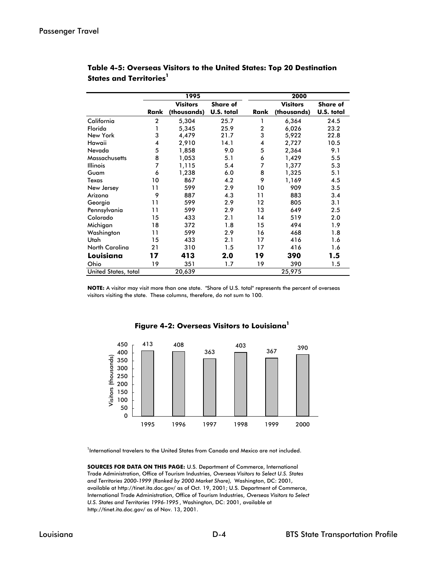|                       |              | 1995            |                 |                | 2000            |                 |  |  |
|-----------------------|--------------|-----------------|-----------------|----------------|-----------------|-----------------|--|--|
|                       |              | <b>Visitors</b> | <b>Share of</b> |                | <b>Visitors</b> | <b>Share of</b> |  |  |
|                       | Rank         | (thousands)     | U.S. total      | Rank           | (thousands)     | U.S. total      |  |  |
| California            | $\mathbf{2}$ | 5,304           | 25.7            | 1              | 6,364           | 24.5            |  |  |
| Florida               | 1            | 5,345           | 25.9            | $\overline{2}$ | 6,026           | 23.2            |  |  |
| New York              | 3            | 4,479           | 21.7            | 3              | 5,922           | 22.8            |  |  |
| Hawaii                | 4            | 2,910           | 14.1            | 4              | 2,727           | 10.5            |  |  |
| Nevada                | 5            | 1,858           | 9.0             | 5              | 2,364           | 9.1             |  |  |
| <b>Massachusetts</b>  | 8            | 1,053           | 5.1             | 6              | 1,429           | 5.5             |  |  |
| <b>Illinois</b>       | 7            | 1,115           | 5.4             | 7              | 1,377           | 5.3             |  |  |
| Guam                  | 6            | 1,238           | 6.0             | 8              | 1,325           | 5.1             |  |  |
| Texas                 | 10           | 867             | 4.2             | 9              | 1,169           | 4.5             |  |  |
| New Jersey            | 11           | 599             | 2.9             | 10             | 909             | 3.5             |  |  |
| Arizona               | 9            | 887             | 4.3             | 11             | 883             | 3.4             |  |  |
| Georgia               | 11           | 599             | 2.9             | 12             | 805             | 3.1             |  |  |
| Pennsylvania          | 11           | 599             | 2.9             | 13             | 649             | 2.5             |  |  |
| Colorado              | 15           | 433             | 2.1             | 14             | 519             | 2.0             |  |  |
| Michigan              | 18           | 372             | 1.8             | 15             | 494             | 1.9             |  |  |
| Washington            | 11           | 599             | 2.9             | 16             | 468             | 1.8             |  |  |
| Utah                  | 15           | 433             | 2.1             | 17             | 416             | 1.6             |  |  |
| <b>North Carolina</b> | 21           | 310             | 1.5             | 17             | 416             | 1.6             |  |  |
| Louisiana             | 17           | 413             | 2.0             | 19             | 390             | 1.5             |  |  |
| Ohio                  | 19           | 351             | 1.7             | 19             | 390             | 1.5             |  |  |
| United States, total  |              | 20,639          |                 |                | 25,975          |                 |  |  |

#### **Table 4-5: Overseas Visitors to the United States: Top 20 Destination States and Territories**<sup>1</sup>

**NOTE:** A visitor may visit more than one state. "Share of U.S. total" represents the percent of overseas visitors visiting the state. These columns, therefore, do not sum to 100.



#### **Figure 4-2: Overseas Visitors to Louisiana1**

<sup>1</sup>International travelers to the United States from Canada and Mexico are not included.

**SOURCES FOR DATA ON THIS PAGE:** U.S. Department of Commerce, International Trade Administration, Office of Tourism Industries, *Overseas Visitors to Select U.S. States and Territories 2000-1999 (Ranked by 2000 Market Share),* Washington, DC: 2001*,*  available at http://tinet.ita.doc.gov/ as of Oct. 19, 2001; U.S. Department of Commerce, International Trade Administration, Office of Tourism Industries, *Overseas Visitors to Select U.S. States and Territories 1996-1995* , Washington, DC: 2001, available at http://tinet.ita.doc.gov/ as of Nov. 13, 2001.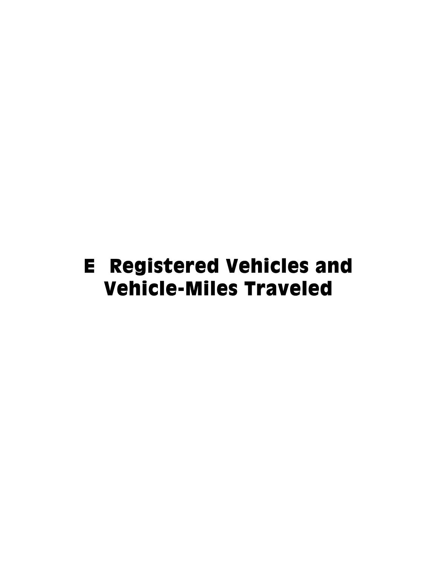## E Registered Vehicles and Vehicle-Miles Traveled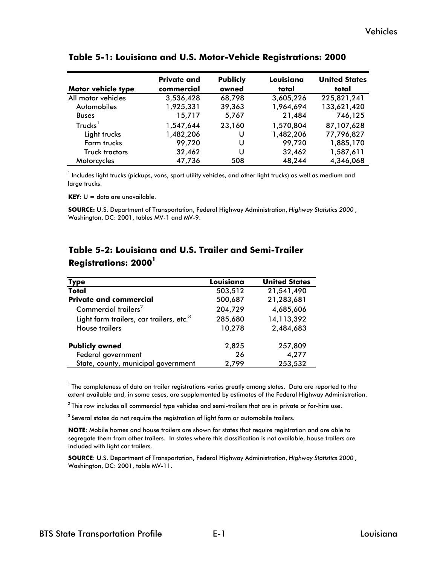| <b>Motor vehicle type</b> | <b>Private and</b><br>commercial | <b>Publicly</b><br>owned | Louisiana<br>total | <b>United States</b><br>total |
|---------------------------|----------------------------------|--------------------------|--------------------|-------------------------------|
| All motor vehicles        | 3,536,428                        | 68,798                   | 3,605,226          | 225,821,241                   |
| Automobiles               | 1,925,331                        | 39,363                   | 1,964,694          | 133,621,420                   |
| <b>Buses</b>              | 15,717                           | 5,767                    | 21,484             | 746,125                       |
| Trucks <sup>1</sup>       | 1,547,644                        | 23,160                   | 1,570,804          | 87,107,628                    |
| Light trucks              | 1,482,206                        | U                        | 1,482,206          | 77,796,827                    |
| Farm trucks               | 99,720                           | U                        | 99,720             | 1,885,170                     |
| Truck tractors            | 32,462                           | U                        | 32,462             | 1,587,611                     |
| Motorcycles               | 47,736                           | 508                      | 48,244             | 4,346,068                     |

#### **Table 5-1: Louisiana and U.S. Motor-Vehicle Registrations: 2000**

 $^1$  Includes light trucks (pickups, vans, sport utility vehicles, and other light trucks) as well as medium and large trucks.

**KEY**: U = data are unavailable.

**SOURCE:** U.S. Department of Transportation, Federal Highway Administration, *Highway Statistics 2000* , Washington, DC: 2001, tables MV-1 and MV-9.

| Type                                                 | Louisiana | <b>United States</b> |
|------------------------------------------------------|-----------|----------------------|
| Total                                                | 503,512   | 21,541,490           |
| <b>Private and commercial</b>                        | 500,687   | 21,283,681           |
| Commercial trailers <sup>2</sup>                     | 204,729   | 4,685,606            |
| Light farm trailers, car trailers, etc. <sup>3</sup> | 285,680   | 14,113,392           |
| <b>House trailers</b>                                | 10,278    | 2,484,683            |
| <b>Publicly owned</b>                                | 2,825     | 257,809              |
| Federal government                                   | 26        | 4,277                |
| State, county, municipal government                  | 2,799     | 253,532              |

## **Table 5-2: Louisiana and U.S. Trailer and Semi-Trailer Registrations: 20001**

 $1$  The completeness of data on trailer registrations varies greatly among states. Data are reported to the extent available and, in some cases, are supplemented by estimates of the Federal Highway Administration.

 $2$  This row includes all commercial type vehicles and semi-trailers that are in private or for-hire use.

 $3$  Several states do not require the registration of light farm or automobile trailers.

**NOTE**: Mobile homes and house trailers are shown for states that require registration and are able to segregate them from other trailers. In states where this classification is not available, house trailers are included with light car trailers.

**SOURCE**: U.S. Department of Transportation, Federal Highway Administration, *Highway Statistics 2000* , Washington, DC: 2001, table MV-11.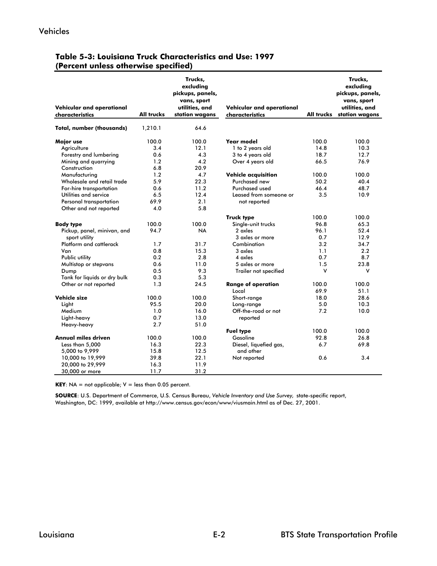| Vehicular and operational<br>characteristics | <b>All trucks</b> | Trucks,<br>excluding<br>pickups, panels,<br>vans, sport<br>utilities, and<br>station wagons | Vehicular and operational<br>characteristics | <b>All trucks</b> | Trucks,<br>excluding<br>pickups, panels,<br>vans, sport<br>utilities, and<br>station wagons |
|----------------------------------------------|-------------------|---------------------------------------------------------------------------------------------|----------------------------------------------|-------------------|---------------------------------------------------------------------------------------------|
| <b>Total, number (thousands)</b>             | 1,210.1           | 64.6                                                                                        |                                              |                   |                                                                                             |
| Major use                                    | 100.0             | 100.0                                                                                       | Year model                                   | 100.0             | 100.0                                                                                       |
| Agriculture                                  | 3.4               | 12.1                                                                                        | 1 to 2 years old                             | 14.8              | 10.3                                                                                        |
| Forestry and lumbering                       | 0.6               | 4.3                                                                                         | 3 to 4 years old                             | 18.7              | 12.7                                                                                        |
| Mining and quarrying                         | 1.2               | 4.2                                                                                         | Over 4 years old                             | 66.5              | 76.9                                                                                        |
| Construction                                 | 6.8               | 20.9                                                                                        |                                              |                   |                                                                                             |
| Manufacturing                                | 1.2               | 4.7                                                                                         | <b>Vehicle acquisition</b>                   | 100.0             | 100.0                                                                                       |
| Wholesale and retail trade                   | 5.9               | 22.3                                                                                        | Purchased new                                | 50.2              | 40.4                                                                                        |
| For-hire transportation                      | 0.6               | 11.2                                                                                        | Purchased used                               | 46.4              | 48.7                                                                                        |
| Utilities and service                        | 6.5               | 12.4                                                                                        | Leased from someone or                       | 3.5               | 10.9                                                                                        |
| Personal transportation                      | 69.9              | 2.1                                                                                         | not reported                                 |                   |                                                                                             |
| Other and not reported                       | 4.0               | 5.8                                                                                         |                                              |                   |                                                                                             |
|                                              |                   |                                                                                             | <b>Truck type</b>                            | 100.0             | 100.0                                                                                       |
| <b>Body type</b>                             | 100.0             | 100.0                                                                                       | Single-unit trucks                           | 96.8              | 65.3                                                                                        |
| Pickup, panel, minivan, and                  | 94.7              | <b>NA</b>                                                                                   | 2 axles                                      | 96.1              | 52.4                                                                                        |
| sport utility                                |                   |                                                                                             | 3 axles or more                              | 0.7               | 12.9                                                                                        |
| Platform and cattlerack                      | 1.7               | 31.7                                                                                        | Combination                                  | 3.2               | 34.7                                                                                        |
| Van                                          | 0.8               | 15.3                                                                                        | 3 axles                                      | 1.1               | 2.2                                                                                         |
| Public utility                               | 0.2               | 2.8                                                                                         | 4 axles                                      | 0.7               | 8.7                                                                                         |
| Multistop or stepvans                        | 0.6               | 11.0                                                                                        | 5 axles or more                              | 1.5               | 23.8                                                                                        |
| Dump                                         | 0.5               | 9.3                                                                                         | Trailer not specified                        | v                 | ٧                                                                                           |
| Tank for liquids or dry bulk                 | 0.3               | 5.3                                                                                         |                                              |                   |                                                                                             |
| Other or not reported                        | 1.3               | 24.5                                                                                        | <b>Range of operation</b>                    | 100.0             | 100.0                                                                                       |
|                                              |                   |                                                                                             | Local                                        | 69.9              | 51.1                                                                                        |
| Vehicle size                                 | 100.0             | 100.0                                                                                       | Short-range                                  | 18.0              | 28.6                                                                                        |
| Light                                        | 95.5              | 20.0                                                                                        | Long-range                                   | 5.0               | 10.3                                                                                        |
| Medium                                       | 1.0               | 16.0                                                                                        | Off-the-road or not                          | 7.2               | 10.0                                                                                        |
| Light-heavy                                  | 0.7               | 13.0                                                                                        | reported                                     |                   |                                                                                             |
| Heavy-heavy                                  | 2.7               | 51.0                                                                                        |                                              |                   |                                                                                             |
|                                              |                   |                                                                                             | <b>Fuel type</b>                             | 100.0             | 100.0                                                                                       |
| <b>Annual miles driven</b>                   | 100.0             | 100.0                                                                                       | Gasoline                                     | 92.8              | 26.8                                                                                        |
| Less than 5,000                              | 16.3              | 22.3                                                                                        | Diesel, liquefied gas,                       | 6.7               | 69.8                                                                                        |
| 5,000 to 9,999                               | 15.8              | 12.5                                                                                        | and other                                    |                   |                                                                                             |
| 10,000 to 19,999                             | 39.8              | 22.1                                                                                        | Not reported                                 | 0.6               | 3.4                                                                                         |
| 20,000 to 29,999                             | 16.3              | 11.9                                                                                        |                                              |                   |                                                                                             |
| 30,000 or more                               | 11.7              | 31.2                                                                                        |                                              |                   |                                                                                             |
|                                              |                   |                                                                                             |                                              |                   |                                                                                             |

#### **Table 5-3: Louisiana Truck Characteristics and Use: 1997 (Percent unless otherwise specified)**

**KEY**: NA = not applicable;  $V =$  less than 0.05 percent.

**SOURCE**: U.S. Department of Commerce, U.S. Census Bureau, *Vehicle Inventory and Use Survey,* state-specific report, Washington, DC: 1999, available at http://www.census.gov/econ/www/viusmain.html as of Dec. 27, 2001.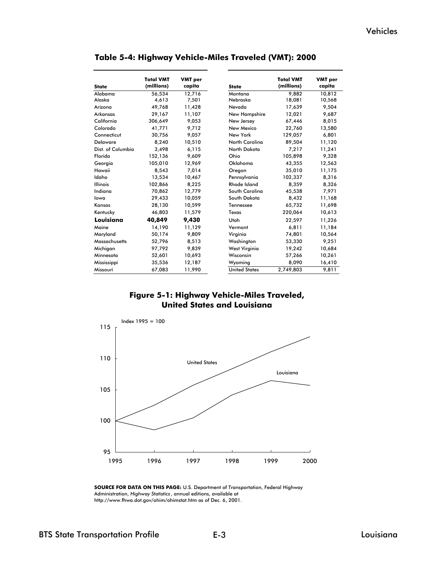| <b>State</b>         | <b>Total VMT</b><br>(millions) | <b>VMT</b> per<br>capita | <b>State</b>          | <b>Total VMT</b><br>(millions) | <b>VMT</b> per<br>capita |
|----------------------|--------------------------------|--------------------------|-----------------------|--------------------------------|--------------------------|
| Alabama              | 56,534                         | 12,716                   | Montana               | 9.882                          | 10,812                   |
| Alaska               | 4,613                          | 7,501                    | Nebraska              | 18,081                         | 10,568                   |
| Arizona              | 49,768                         | 11,428                   | Nevada                | 17,639                         | 9,504                    |
| Arkansas             | 29,167                         | 11,107                   | New Hampshire         | 12,021                         | 9,687                    |
| California           | 306,649                        | 9.053                    | New Jersey            | 67,446                         | 8,015                    |
| Colorado             | 41,771                         | 9,712                    | New Mexico            | 22,760                         | 13,580                   |
| Connecticut          | 30,756                         | 9,057                    | New York              | 129,057                        | 6,801                    |
| <b>Delaware</b>      | 8.240                          | 10,510                   | <b>North Carolina</b> | 89,504                         | 11,120                   |
| Dist. of Columbia    | 3,498                          | 6,115                    | North Dakota          | 7,217                          | 11,241                   |
| Florida              | 152,136                        | 9.609                    | Ohio                  | 105.898                        | 9.328                    |
| Georgia              | 105,010                        | 12,969                   | Oklahoma              | 43.355                         | 12,563                   |
| Hawaii               | 8,543                          | 7.014                    | Oregon                | 35,010                         | 11,175                   |
| Idaho                | 13,534                         | 10,467                   | Pennsylvania          | 102,337                        | 8,316                    |
| <b>Illinois</b>      | 102.866                        | 8.225                    | <b>Rhode Island</b>   | 8.359                          | 8,326                    |
| Indiana              | 70.862                         | 12,779                   | South Carolina        | 45,538                         | 7,971                    |
| lowa                 | 29,433                         | 10,059                   | South Dakota          | 8,432                          | 11,168                   |
| Kansas               | 28,130                         | 10,599                   | Tennessee             | 65,732                         | 11,698                   |
| Kentucky             | 46,803                         | 11,579                   | Texas                 | 220,064                        | 10,613                   |
| Louisiana            | 40,849                         | 9,430                    | Utah                  | 22,597                         | 11,226                   |
| Maine                | 14,190                         | 11,129                   | Vermont               | 6.811                          | 11,184                   |
| Maryland             | 50,174                         | 9,809                    | Virginia              | 74,801                         | 10,564                   |
| <b>Massachusetts</b> | 52,796                         | 8,513                    | Washington            | 53,330                         | 9,251                    |
| Michigan             | 97,792                         | 9.839                    | West Virginia         | 19,242                         | 10,684                   |
| Minnesota            | 52,601                         | 10,693                   | Wisconsin             | 57,266                         | 10,261                   |
| Mississippi          | 35,536                         | 12,187                   | Wyoming               | 8,090                          | 16,410                   |
| Missouri             | 67,083                         | 11,990                   | <b>United States</b>  | 2,749,803                      | 9,811                    |

**Table 5-4: Highway Vehicle-Miles Traveled (VMT): 2000**

#### **Figure 5-1: Highway Vehicle-Miles Traveled, United States and Louisiana**



**SOURCE FOR DATA ON THIS PAGE:** U.S. Department of Transportation, Federal Highway Administration, *Highway Statistics* , annual editions, available at http://www.fhwa.dot.gov/ohim/ohimstat.htm as of Dec. 6, 2001.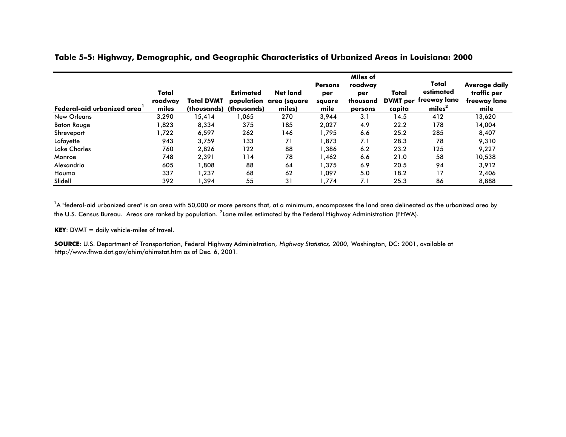| <b>Federal-aid urbanized area</b> | Total<br>roadway<br>miles | <b>Total DVMT</b><br>(thousands) | <b>Estimated</b><br>(thousands) | <b>Net land</b><br>population area (square<br>miles) | <b>Persons</b><br>per<br>square<br>mile | Miles of<br>roadway<br>per<br>thousand<br>persons | Total<br><b>DVMT</b> per<br>capita | Total<br>estimated<br>freeway lane<br>miles <sup>2</sup> | Average daily<br>traffic per<br>freeway lane<br>mile |
|-----------------------------------|---------------------------|----------------------------------|---------------------------------|------------------------------------------------------|-----------------------------------------|---------------------------------------------------|------------------------------------|----------------------------------------------------------|------------------------------------------------------|
| <b>New Orleans</b>                | 3,290                     | 15,414                           | 065, ا                          | 270                                                  | 3,944                                   | 3.1                                               | 14.5                               | 412                                                      | 13,620                                               |
| <b>Baton Rouge</b>                | 1,823                     | 8,334                            | 375                             | 185                                                  | 2,027                                   | 4.9                                               | 22.2                               | 178                                                      | 14,004                                               |
| Shreveport                        | 1,722                     | 6,597                            | 262                             | 146                                                  | 1,795                                   | 6.6                                               | 25.2                               | 285                                                      | 8,407                                                |
| Lafayette                         | 943                       | 3.759                            | 133                             | 71                                                   | 1,873                                   | 7.1                                               | 28.3                               | 78                                                       | 9,310                                                |
| <b>Lake Charles</b>               | 760                       | 2,826                            | 122                             | 88                                                   | 1,386                                   | 6.2                                               | 23.2                               | 125                                                      | 9,227                                                |
| Monroe                            | 748                       | 2,391                            | 114                             | 78                                                   | 1.462                                   | 6.6                                               | 21.0                               | 58                                                       | 10,538                                               |
| Alexandria                        | 605                       | 1,808                            | 88                              | 64                                                   | 1,375                                   | 6.9                                               | 20.5                               | 94                                                       | 3,912                                                |
| Houma                             | 337                       | 1,237                            | 68                              | 62                                                   | 1,097                                   | 5.0                                               | 18.2                               | 17                                                       | 2,406                                                |
| Slidell                           | 392                       | 394, ا                           | 55                              | 31                                                   | 1.774                                   | 7.1                                               | 25.3                               | 86                                                       | 8,888                                                |

#### **Table 5-5: Highway, Demographic, and Geographic Characteristics of Urbanized Areas in Louisiana: 2000**

 $^1$ A "federal-aid urbanized area" is an area with 50,000 or more persons that, at a minimum, encompasses the land area delineated as the urbanized area by the U.S. Census Bureau. Areas are ranked by population. <sup>2</sup> Lane miles estimated by the Federal Highway Administration (FHWA).

**KEY**: DVMT = daily vehicle-miles of travel.

**SOURCE**: U.S. Department of Transportation, Federal Highway Administration, *Highway Statistics, 2000,* Washington, DC: 2001, available at http://www.fhwa.dot.gov/ohim/ohimstat.htm as of Dec. 6, 2001.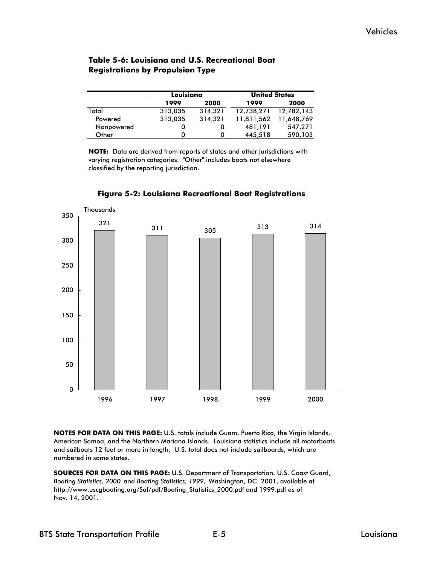### **Table 5-6: Louisiana and U.S. Recreational Boat Registrations by Propulsion Type**

|            | Louisiana |         | <b>United States</b> |            |
|------------|-----------|---------|----------------------|------------|
|            | 1999      | 2000    | 1999                 | 2000       |
| Total      | 313,035   | 314,321 | 12,738,271           | 12,782,143 |
| Powered    | 313,035   | 314,321 | 11,811,562           | 11,648,769 |
| Nonpowered |           | 0       | 481,191              | 547.271    |
| Other      | ი         | 0       | 445,518              | 590,103    |

**NOTE:** Data are derived from reports of states and other jurisdictions with varying registration categories. "Other" includes boats not elsewhere classified by the reporting jurisdiction.





**NOTES FOR DATA ON THIS PAGE:** U.S. totals include Guam, Puerto Rico, the Virgin Islands, American Samoa, and the Northern Mariana Islands. Louisiana statistics include all motorboats and sailboats 12 feet or more in length. U.S. total does not include sailboards, which are numbered in some states.

**SOURCES FOR DATA ON THIS PAGE:** U.S. Department of Transportation, U.S. Coast Guard, *Boating Statistics, 2000* and *Boating Statistics, 1999,* Washington, DC: 2001, available at http://www.uscgboating.org/Saf/pdf/Boating\_Statistics\_2000.pdf and 1999.pdf as of Nov. 14, 2001.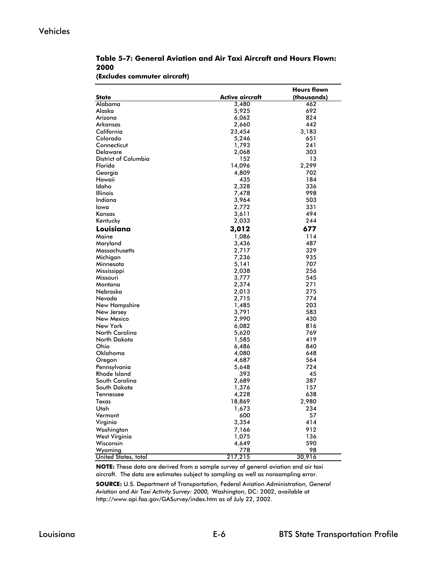### Vehicles

|      | Table 5-7: General Aviation and Air Taxi Aircraft and Hours Flown: |  |  |  |
|------|--------------------------------------------------------------------|--|--|--|
| 2000 |                                                                    |  |  |  |
|      |                                                                    |  |  |  |

#### **(Excludes commuter aircraft)**

|                             |                 | <b>Hours flown</b> |
|-----------------------------|-----------------|--------------------|
| <b>State</b>                | Active aircraft | (thousands)        |
| Alabama                     | 3,480           | 462                |
| Alaska                      | 5,925           | 692                |
| Arizona                     | 6,062           | 824                |
| Arkansas                    | 2,660           | 442                |
| California                  | 23,454          | 3,183              |
| Colorado                    | 5,246           | 651                |
| Connecticut                 | 1,793           | 241                |
| <b>Delaware</b>             | 2,068           | 303                |
| <b>District of Columbia</b> | 152             | 13                 |
| Florida                     | 14,096          | 2,299              |
| Georgia                     | 4,809           | 702                |
| Hawaii                      | 435             | 184                |
| Idaho                       | 2,328           | 336                |
| <b>Illinois</b>             | 7,478           | 998                |
| Indiana                     | 3,964           | 503                |
| lowa                        | 2,772           | 331                |
| Kansas                      | 3,611           | 494                |
| Kentucky                    | 2,033           | 244                |
| Louisiana                   |                 | 677                |
|                             | 3,012           |                    |
| Maine                       | 1,086           | 114                |
| Maryland                    | 3,436           | 487                |
| Massachusetts               | 2,717           | 329                |
| Michigan                    | 7,236           | 935                |
| Minnesota                   | 5,141           | 707                |
| Mississippi                 | 2,038           | 256                |
| Missouri                    | 3,777           | 545                |
| Montana                     | 2,374           | 271                |
| Nebraska                    | 2,013           | 275                |
| Nevada                      | 2,715           | 774                |
| New Hampshire               | 1,485           | 203                |
| New Jersey                  | 3,791           | 583                |
| New Mexico                  | 2,990           | 430                |
| New York                    | 6,082           | 816                |
| North Carolina              | 5,620           | 769                |
| North Dakota                | 1,585           | 419                |
| Ohio                        | 6,486           | 840                |
| Oklahoma                    | 4,080           | 648                |
| Oregon                      | 4,687           | 564                |
| Pennsylvania                | 5,648           | 724                |
| Rhode Island                | 393             | 45                 |
| South Carolina              | 2,689           | 387                |
| South Dakota                | 1,376           | 157                |
| Tennessee                   | 4,228           | 638                |
| Texas                       | 18,869          | 2,980              |
| Utah                        | 1,673           | 234                |
| Vermont                     | 600             | 57                 |
| Virginia                    | 3,354           | 414                |
| Washington                  | 7,166           | 912                |
| West Virginia               | 1,075           | 136                |
| Wisconsin                   | 4,649           | 590                |
| Wyoming                     | 778             | 98                 |
| United States, total        | 217,215         | 30,916             |

**NOTE:** These data are derived from a sample survey of general aviation and air taxi aircraft. The data are estimates subject to sampling as well as nonsampling error.

**SOURCE:** U.S. Department of Transportation, Federal Aviation Administration, *General Aviation and Air Taxi Activity Survey: 2000,* Washington, DC: 2002, available at http://www.api.faa.gov/GASurvey/index.htm as of July 22, 2002.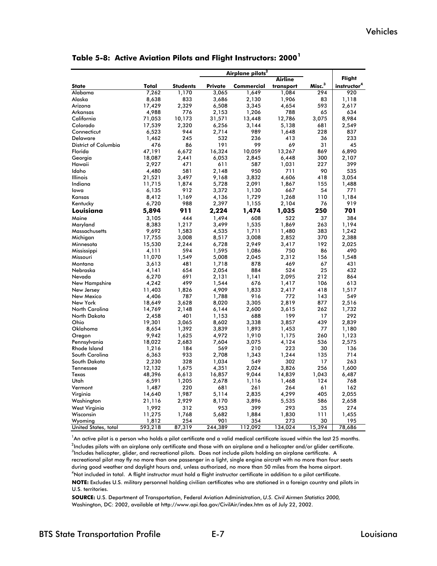|                      |         |                 |                | Airplane pilots <sup>2</sup> |           |                    |                         |
|----------------------|---------|-----------------|----------------|------------------------------|-----------|--------------------|-------------------------|
|                      |         |                 |                |                              | Airline   |                    | Flight                  |
| <b>State</b>         | Total   | <b>Students</b> | <b>Private</b> | Commercial                   | transport | Misc. <sup>3</sup> | instructor <sup>4</sup> |
| Alabama              | 7,262   | 1,170           | 3,065          | 1,649                        | 1,084     | 294                | 920                     |
| Alaska               | 8,638   | 833             | 3,686          | 2,130                        | 1,906     | 83                 | 1,118                   |
| Arizona              | 17,429  | 2,329           | 6,508          | 3,345                        | 4,654     | 593                | 2,617                   |
| Arkansas             | 4,988   | 776             | 2,153          | 1,206                        | 788       | 65                 | 634                     |
| California           | 71,053  | 10,173          | 31,571         | 13,448                       | 12,786    | 3,075              | 8,984                   |
| Colorado             | 17,539  | 2,320           | 6,256          | 3,144                        | 5,138     | 681                | 2,549                   |
| Connecticut          | 6,523   | 944             | 2,714          | 989                          | 1,648     | 228                | 837                     |
| Delaware             | 1,462   | 245             | 532            | 236                          | 413       | 36                 | 233                     |
| District of Columbia | 476     | 86              | 191            | 99                           | 69        | 31                 | 45                      |
| Florida              | 47,191  | 6,672           | 16,324         | 10,059                       | 13,267    | 869                | 6,890                   |
| Georgia              | 18,087  | 2,441           | 6,053          | 2,845                        | 6,448     | 300                | 2,107                   |
| Hawaii               | 2,927   | 471             | 611            | 587                          | 1,031     | 227                | 399                     |
| Idaho                | 4,480   | 581             | 2,148          | 950                          | 711       | 90                 | 535                     |
| Illinois             | 21,521  | 3,497           | 9,168          | 3,832                        | 4,606     | 418                | 3,054                   |
| Indiana              | 11,715  | 1,874           | 5,728          | 2,091                        | 1,867     | 155                | 1,488                   |
| lowa                 | 6,135   | 912             | 3,372          | 1.130                        | 667       | 54                 | 771                     |
| Kansas               | 8,412   | 1,169           | 4,136          | 1,729                        | 1,268     | 110                | 1,184                   |
| Kentucky             | 6,720   | 988             | 2,397          | 1,155                        | 2,104     | 76                 | 919                     |
| Louisiana            | 5,894   | 911             | 2,224          | 1,474                        | 1,035     | 250                | 701                     |
| Maine                | 3,105   | 444             | 1,494          | 608                          | 522       | 37                 | 384                     |
| Maryland             | 8,383   | 1,217           | 3,499          | 1,535                        | 1,869     | 263                | 1,194                   |
| Massachusetts        | 9,692   | 1,583           | 4,535          | 1,711                        | 1,480     | 383                | 1,242                   |
| Michigan             | 17,755  | 3,008           | 8,517          | 3,008                        | 2,852     | 370                | 2,388                   |
| Minnesota            | 15,530  | 2,244           | 6,728          | 2,949                        | 3,417     | 192                | 2,025                   |
| Mississippi          | 4,111   | 594             | 1,595          | 1,086                        | 750       | 86                 | 490                     |
| Missouri             | 11,070  | 1,549           | 5,008          | 2,045                        | 2,312     | 156                | 1,548                   |
| Montana              | 3,613   | 481             | 1,718          | 878                          | 469       | 67                 | 431                     |
| Nebraska             | 4,141   | 654             | 2,054          | 884                          | 524       | 25                 | 432                     |
| Nevada               | 6,270   | 691             | 2,131          | 1,141                        | 2,095     | 212                | 864                     |
| New Hampshire        | 4,242   | 499             | 1,544          | 676                          | 1,417     | 106                | 613                     |
| New Jersey           | 11,403  | 1,826           | 4,909          | 1,833                        | 2,417     | 418                | 1,517                   |
| New Mexico           | 4,406   | 787             | 1,788          | 916                          | 772       | 143                | 549                     |
| New York             | 18,649  | 3,628           | 8,020          | 3,305                        | 2,819     | 877                | 2,516                   |
| North Carolina       | 14,769  | 2,148           | 6,144          | 2,600                        | 3,615     | 262                | 1,732                   |
| North Dakota         | 2,458   | 401             | 1,153          | 688                          | 199       | 17                 | 292                     |
| Ohio                 | 19,301  | 3,065           | 8,602          | 3,338                        | 3,857     | 439                | 2,839                   |
| Oklahoma             | 8,654   | 1,392           | 3,839          | 1,893                        | 1,453     | 77                 | 1,180                   |
| Oregon               | 9,942   | 1,625           | 4,972          | 1,910                        | 1,175     | 260                | 1,123                   |
| Pennsylvania         | 18,022  | 2,683           | 7,604          | 3,075                        | 4,124     | 536                | 2,575                   |
| Rhode Island         | 1,216   | 184             | 569            | 210                          | 223       | 30                 | 136                     |
| South Carolina       | 6,363   | 933             | 2,708          | 1,343                        | 1,244     | 135                | 714                     |
| South Dakota         | 2,230   | 328             | 1,034          | 549                          | 302       | 17                 | 263                     |
| Tennessee            | 12,132  | 1,675           | 4,351          | 2,024                        | 3,826     | 256                | 1,600                   |
| Texas                | 48,396  | 6,613           | 16,857         | 9,044                        | 14,839    | 1,043              | 6,487                   |
| Utah                 | 6,591   | 1,205           | 2,678          | 1,116                        | 1,468     | 124                | 768                     |
| Vermont              | 1,487   | 220             | 681            | 261                          | 264       | 61                 | 162                     |
| Virginia             | 14,640  | 1,987           | 5,114          | 2,835                        | 4,299     | 405                | 2,055                   |
| Washington           | 21,116  | 2,929           | 8,170          | 3,896                        | 5,535     | 586                | 2,658                   |
| West Virginia        | 1,992   | 312             | 953            | 399                          | 293       | 35                 | 274                     |
| Wisconsin            | 11,275  | 1,768           | 5,682          | 1,884                        | 1,830     | 111                | 1,455                   |
| Wyoming              | 1,812   | 254             | 901            | 354                          | 273       | 30                 | 195                     |
| United States, total | 593,218 | 87,319          | 244,389        | 112,092                      | 134,024   | 15,394             | 78,686                  |

**Table 5-8: Active Aviation Pilots and Flight Instructors: 2000<sup>1</sup>**

 $^2$ Includes pilots with an airplane only certificate and those with an airplane and a helicopter and/or glider certificate. <sup>3</sup>Includes helicopter, glider, and recreational pilots. Does not include pilots holding an airplane certificate. A recreational pilot may fly no more than one passenger in a light, single engine aircraft with no more than four seats during good weather and daylight hours and, unless authorized, no more than 50 miles from the home airport. <sup>1</sup>An active pilot is a person who holds a pilot certificate and a valid medical certificate issued within the last 25 months. **NOTE:** Excludes U.S. military personnel holding civilian certificates who are stationed in a foreign country and pilots in U.S. territories. 4 Not included in total. A flight instructor must hold a flight instructor certificate in addition to a pilot certificate.

**SOURCE:** U.S. Department of Transportation, Federal Aviation Administration, *U.S. Civil Airmen Statistics 2000,*  Washington, DC: 2002, available at http://www.api.faa.gov/CivilAir/index.htm as of July 22, 2002.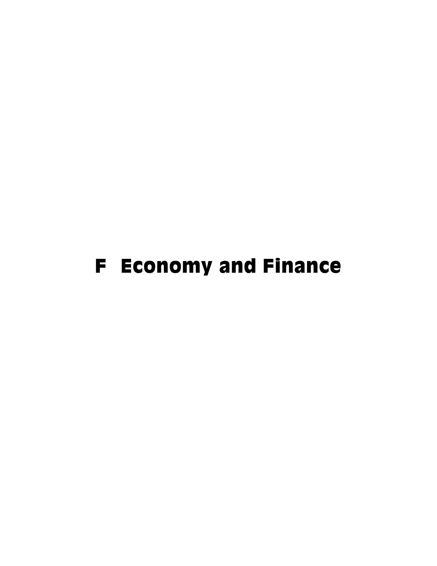# F Economy and Finance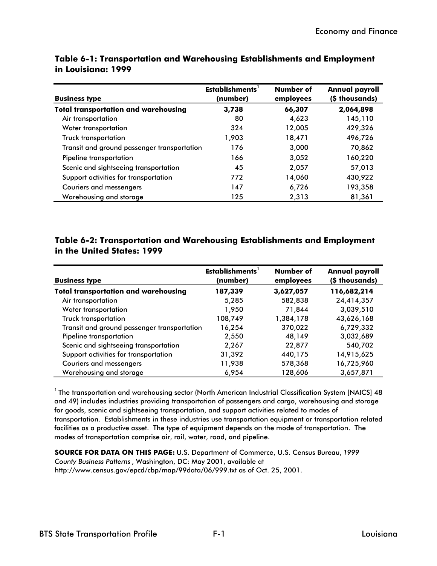| <b>Business type</b>                        | Establishments <sup>1</sup><br>(number) | Number of<br>employees | <b>Annual payroll</b><br>(\$ thousands) |
|---------------------------------------------|-----------------------------------------|------------------------|-----------------------------------------|
| <b>Total transportation and warehousing</b> | 3.738                                   | 66,307                 | 2,064,898                               |
| Air transportation                          | 80                                      | 4,623                  | 145,110                                 |
| Water transportation                        | 324                                     | 12,005                 | 429,326                                 |
| <b>Truck transportation</b>                 | 1.903                                   | 18,471                 | 496,726                                 |
| Transit and ground passenger transportation | 176                                     | 3,000                  | 70,862                                  |
| Pipeline transportation                     | 166                                     | 3,052                  | 160,220                                 |
| Scenic and sightseeing transportation       | 45                                      | 2,057                  | 57,013                                  |
| Support activities for transportation       | 772                                     | 14,060                 | 430,922                                 |
| <b>Couriers and messengers</b>              | 147                                     | 6,726                  | 193,358                                 |
| Warehousing and storage                     | 125                                     | 2,313                  | 81,361                                  |

**Table 6-1: Transportation and Warehousing Establishments and Employment in Louisiana: 1999**

## **Table 6-2: Transportation and Warehousing Establishments and Employment in the United States: 1999**

| <b>Business type</b>                        | <b>Establishments</b><br>(number) | Number of<br>employees | <b>Annual payroll</b><br>(\$ thousands) |
|---------------------------------------------|-----------------------------------|------------------------|-----------------------------------------|
| <b>Total transportation and warehousing</b> | 187,339                           | 3,627,057              | 116,682,214                             |
| Air transportation                          | 5,285                             | 582,838                | 24,414,357                              |
| Water transportation                        | 1,950                             | 71,844                 | 3,039,510                               |
| <b>Truck transportation</b>                 | 108,749                           | 1,384,178              | 43,626,168                              |
| Transit and ground passenger transportation | 16,254                            | 370,022                | 6,729,332                               |
| Pipeline transportation                     | 2,550                             | 48,149                 | 3,032,689                               |
| Scenic and sightseeing transportation       | 2,267                             | 22,877                 | 540,702                                 |
| Support activities for transportation       | 31,392                            | 440,175                | 14,915,625                              |
| <b>Couriers and messengers</b>              | 11,938                            | 578,368                | 16,725,960                              |
| Warehousing and storage                     | 6,954                             | 128,606                | 3,657,871                               |

<sup>1</sup> The transportation and warehousing sector (North American Industrial Classification System [NAICS] 48 and 49) includes industries providing transportation of passengers and cargo, warehousing and storage for goods, scenic and sightseeing transportation, and support activities related to modes of transportation. Establishments in these industries use transportation equipment or transportation related facilities as a productive asset. The type of equipment depends on the mode of transportation. The modes of transportation comprise air, rail, water, road, and pipeline.

**SOURCE FOR DATA ON THIS PAGE:** U.S. Department of Commerce, U.S. Census Bureau, *1999 County Business Patterns* , Washington, DC: May 2001, available at http://www.census.gov/epcd/cbp/map/99data/06/999.txt as of Oct. 25, 2001.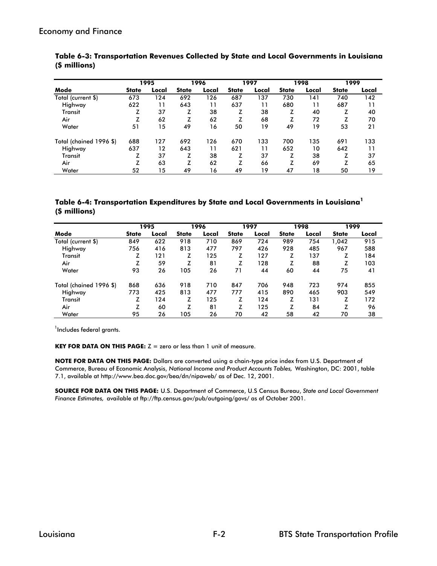|                         |              | 1995  |              | 1996  |              | 1997  |              | 1998  | 1999         |       |
|-------------------------|--------------|-------|--------------|-------|--------------|-------|--------------|-------|--------------|-------|
| Mode                    | <b>State</b> | Local | <b>State</b> | Local | <b>State</b> | Local | <b>State</b> | Local | <b>State</b> | Local |
| Total (current \$)      | 673          | 124   | 692          | 126   | 687          | 137   | 730          | 141   | 740          | 142   |
| Highway                 | 622          | 11    | 643          | 11    | 637          | 11    | 680          | 11    | 687          | 11    |
| Transit                 |              | 37    | z            | 38    | z            | 38    |              | 40    | z            | 40    |
| Air                     |              | 62    |              | 62    | z            | 68    |              | 72    | z            | 70    |
| Water                   | 51           | 15    | 49           | 16    | 50           | 19    | 49           | 19    | 53           | 21    |
| Total (chained 1996 \$) | 688          | 127   | 692          | 126   | 670          | 133   | 700          | 135   | 691          | 133   |
| Highway                 | 637          | 12    | 643          | 11    | 621          | 11    | 652          | 10    | 642          | 11    |
| Transit                 |              | 37    | z            | 38    | z            | 37    | z            | 38    | z            | 37    |
| Air                     |              | 63    | z            | 62    | z            | 66    | z            | 69    | z            | 65    |
| Water                   | 52           | 15    | 49           | 16    | 49           | 19    | 47           | 18    | 50           | 19    |

**Table 6-3: Transportation Revenues Collected by State and Local Governments in Louisiana (\$ millions)**

#### **Table 6-4: Transportation Expenditures by State and Local Governments in Louisiana<sup>1</sup> (\$ millions)**

|                         |              | 1995  |              | 1996  |              | 1997  |              | 1998  | 1999         |       |
|-------------------------|--------------|-------|--------------|-------|--------------|-------|--------------|-------|--------------|-------|
| Mode                    | <b>State</b> | Local | <b>State</b> | Local | <b>State</b> | Local | <b>State</b> | Local | <b>State</b> | Local |
| Total (current \$)      | 849          | 622   | 918          | 710   | 869          | 724   | 989          | 754   | 1,042        | 915   |
| Highway                 | 756          | 416   | 813          | 477   | 797          | 426   | 928          | 485   | 967          | 588   |
| Transit                 | z            | 121   | z            | 125   | z            | 127   | z            | 137   | z            | 184   |
| Air                     | z            | 59    | z            | 81    | z            | 128   | z            | 88    | z            | 103   |
| Water                   | 93           | 26    | 105          | 26    | 71           | 44    | 60           | 44    | 75           | 41    |
| Total (chained 1996 \$) | 868          | 636   | 918          | 710   | 847          | 706   | 948          | 723   | 974          | 855   |
| Highway                 | 773          | 425   | 813          | 477   | 777          | 415   | 890          | 465   | 903          | 549   |
| Transit                 | z            | 124   | z            | 125   | z            | 124   | z            | 131   | z            | 172   |
| Air                     | z            | 60    | z            | 81    | z            | 125   | z            | 84    | z            | 96    |
| Water                   | 95           | 26    | 105          | 26    | 70           | 42    | 58           | 42    | 70           | 38    |

<sup>1</sup>Includes federal grants.

**KEY FOR DATA ON THIS PAGE:** Z = zero or less than 1 unit of measure.

**NOTE FOR DATA ON THIS PAGE:** Dollars are converted using a chain-type price index from U.S. Department of Commerce, Bureau of Economic Analysis, *National Income and Product Accounts Tables,* Washington, DC: 2001, table 7.1, available at http://www.bea.doc.gov/bea/dn/nipaweb/ as of Dec. 12, 2001.

**SOURCE FOR DATA ON THIS PAGE:** U.S. Department of Commerce, U.S Census Bureau, *State and Local Government Finance Estimates,* available at ftp://ftp.census.gov/pub/outgoing/govs/ as of October 2001.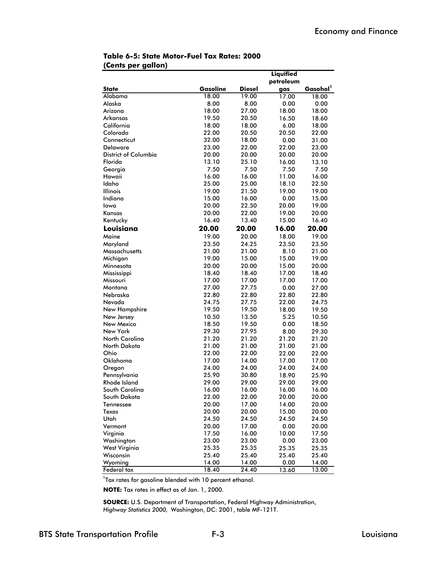|                             |          |               | Liquified |                      |
|-----------------------------|----------|---------------|-----------|----------------------|
|                             |          |               | petroleum |                      |
| <b>State</b>                | Gasoline | <b>Diesel</b> | gas       | Gasohol <sup>1</sup> |
| Alabama                     | 18.00    | 19.00         | 17.00     | 18.00                |
| Alaska                      | 8.00     | 8.00          | 0.00      | 0.00                 |
| Arizona                     | 18.00    | 27.00         | 18.00     | 18.00                |
| Arkansas                    | 19.50    | 20.50         | 16.50     | 18.60                |
| California                  | 18.00    | 18.00         | 6.00      | 18.00                |
| Colorado                    | 22.00    | 20.50         | 20.50     | 22.00                |
| Connecticut                 | 32.00    | 18.00         | 0.00      | 31.00                |
| Delaware                    | 23.00    | 22.00         | 22.00     | 23.00                |
| <b>District of Columbia</b> | 20.00    | 20.00         | 20.00     | 20.00                |
| Florida                     | 13.10    | 25.10         | 16.00     | 13.10                |
| Georgia                     | 7.50     | 7.50          | 7.50      | 7.50                 |
| Hawaii                      | 16.00    | 16.00         | 11.00     | 16.00                |
| Idaho                       | 25.00    | 25.00         | 18.10     | 22.50                |
| Illinois                    | 19.00    | 21.50         | 19.00     | 19.00                |
| Indiana                     | 15.00    | 16.00         | 0.00      | 15.00                |
| lowa                        | 20.00    | 22.50         | 20.00     | 19.00                |
| Kansas                      | 20.00    | 22.00         | 19.00     | 20.00                |
| Kentucky                    | 16.40    | 13.40         | 15.00     | 16.40                |
| Louisiana                   | 20.00    | 20.00         | 16.00     | 20.00                |
| Maine                       | 19.00    | 20.00         | 18.00     | 19.00                |
| Maryland                    | 23.50    | 24.25         | 23.50     | 23.50                |
| Massachusetts               | 21.00    | 21.00         | 8.10      | 21.00                |
| Michigan                    | 19.00    | 15.00         | 15.00     | 19.00                |
| Minnesota                   | 20.00    | 20.00         | 15.00     | 20.00                |
| Mississippi                 | 18.40    | 18.40         | 17.00     | 18.40                |
| Missouri                    | 17.00    | 17.00         | 17.00     | 17.00                |
| Montana                     | 27.00    | 27.75         | 0.00      | 27.00                |
| Nebraska                    | 22.80    | 22.80         | 22.80     | 22.80                |
| Nevada                      | 24.75    | 27.75         | 22.00     | 24.75                |
| New Hampshire               | 19.50    | 19.50         | 18.00     | 19.50                |
| New Jersey                  | 10.50    | 13.50         | 5.25      | 10.50                |
| New Mexico                  | 18.50    | 19.50         | 0.00      | 18.50                |
| New York                    | 29.30    | 27.95         | 8.00      | 29.30                |
| North Carolina              | 21.20    | 21.20         | 21.20     | 21.20                |
| North Dakota                | 21.00    | 21.00         | 21.00     | 21.00                |
| Ohio                        | 22.00    | 22.00         | 22.00     | 22.00                |
| Oklahoma                    | 17.00    | 14.00         | 17.00     | 17.00                |
| Oregon                      | 24.00    | 24.00         | 24.00     | 24.00                |
| Pennsylvania                | 25.90    | 30.80         | 18.90     | 25.90                |
| Rhode Island                | 29.00    | 29.00         | 29.00     | 29.00                |
| South Carolina              | 16.00    | 16.00         | 16.00     | 16.00                |
| South Dakota                | 22.00    | 22.00         | 20.00     | 20.00                |
| Tennessee                   | 20.00    | 17.00         | 14.00     | 20.00                |
| Texas                       | 20.00    | 20.00         | 15.00     | 20.00                |
| Utah                        | 24.50    | 24.50         | 24.50     | 24.50                |
| Vermont                     | 20.00    | 17.00         | 0.00      | 20.00                |
| Virginia                    | 17.50    | 16.00         | 10.00     | 17.50                |
| Washington                  | 23.00    | 23.00         | 0.00      | 23.00                |
| West Virginia               | 25.35    | 25.35         | 25.35     | 25.35                |
| Wisconsin                   | 25.40    | 25.40         | 25.40     | 25.40                |
| Wyoming                     | 14.00    | 14.00         | 0.00      | 14.00                |
| Federal tax                 | 18.40    | 24.40         | 13.60     | 13.00                |

#### **Table 6-5: State Motor-Fuel Tax Rates: 2000 (Cents per gallon)**

<sup>1</sup>Tax rates for gasoline blended with 10 percent ethanol.

**NOTE:** Tax rates in effect as of Jan. 1, 2000.

**SOURCE:** U.S. Department of Transportation, Federal Highway Administration, *Highway Statistics 2000,* Washington, DC: 2001, table MF-121T.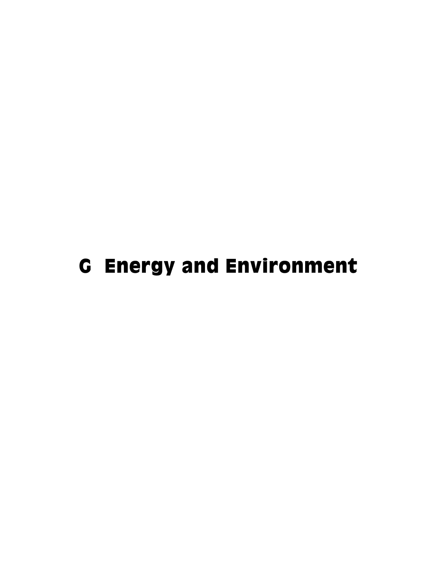# G Energy and Environment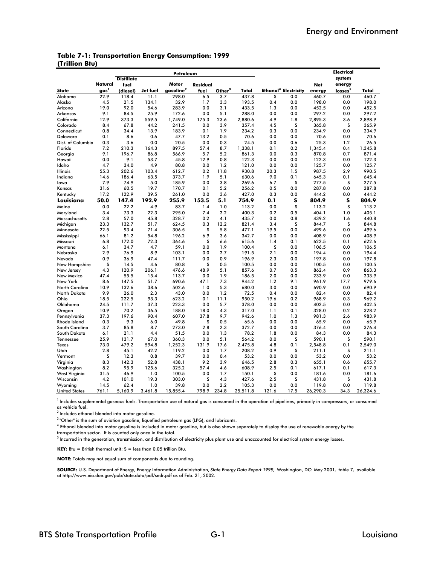|                |  | <b>Table 7-1: Transportation Energy Consumption: 1999</b> |  |
|----------------|--|-----------------------------------------------------------|--|
| (Trillion Btu) |  |                                                           |  |

| Motor<br>Natural<br>energy<br>fuel<br>Residual<br><b>Net</b><br>gasoline <sup>2</sup><br>Ethanol <sup>4</sup> Electricity<br>gas <sup>1</sup><br>Other <sup>3</sup><br>losses <sup>5</sup><br><b>State</b><br>(diesel)<br>Jet fuel<br>fuel<br>Total<br>Total<br>energy<br>22.9<br>118.4<br>298.0<br>Alabama<br>11.1<br>6.5<br>3.7<br>437.8<br>S<br>0.0<br>460.7<br>0.0<br>460.7<br>32.9<br>4.5<br>21.5<br>134.1<br>1.7<br>3.3<br>193.5<br>0.4<br>0.0<br>198.0<br>0.0<br>198.0<br>Alaska<br>19.0<br>92.0<br>54.6<br>283.9<br>0.0<br>3.1<br>433.5<br>1.3<br>0.0<br>452.5<br>0.0<br>452.5<br>Arizona<br>9.1<br>84.5<br>25.9<br>172.6<br>0.0<br>5.1<br>288.0<br>0.0<br>0.0<br>297.2<br>0.0<br>297.2<br>Arkansas<br>559.5<br>California<br>12.9<br>373.3<br>1,749.0<br>175.3<br>23.6<br>2,880.6<br>4.9<br>1.8<br>2,895.3<br>3.6<br>2,898.9<br>67.8<br>3.9<br>S<br>S<br>Colorado<br>8.4<br>44.2<br>241.5<br>0.0<br>357.4<br>4.5<br>365.8<br>365.9<br>0.8<br>34.4<br>13.9<br>183.9<br>0.1<br>1.9<br>234.2<br>0.3<br>0.0<br>234.9<br>0.0<br>234.9<br>Connecticut<br>0.1<br>8.6<br>0.6<br>47.7<br>13.2<br>0.5<br>70.6<br>0.0<br>0.0<br>70.6<br>0.0<br>70.6<br>Delaware<br>3.6<br>0.0<br>20.5<br>0.0<br>25.3<br>26.5<br>Dist. of Columbia<br>0.3<br>0.3<br>24.5<br>0.0<br>0.6<br>1.2<br>Florida<br>7.2<br>210.3<br>897.5<br>1,338.1<br>0.2<br>0.4<br>1,345.8<br>164.3<br>57.4<br>8.7<br>0.1<br>1,345.4<br>9.1<br>196.7<br>86.8<br>871.4<br>566.9<br>5.7<br>5.2<br>861.3<br>0.0<br>0.3<br>870.8<br>0.7<br>Georgia<br>0.0<br>9.1<br>53.7<br>45.8<br>12.9<br>0.8<br>122.3<br>0.0<br>0.0<br>0.0<br>122.3<br>Hawaii<br>122.3<br>4.7<br>34.0<br>4.9<br>80.8<br>0.0<br>1.2<br>121.0<br>0.0<br>0.0<br>125.7<br>0.0<br>125.7<br>Idaho<br>Illinois<br>55.3<br>202.6<br>103.4<br>612.7<br>0.2<br>11.8<br>930.8<br>20.3<br>1.5<br>987.5<br>2.9<br>990.5<br>14.6<br>186.4<br>63.5<br>373.7<br>1.9<br>5.1<br>630.6<br>9.0<br>0.1<br>645.3<br>0.1<br>645.4<br>Indiana<br>7.9<br>74.9<br>5.0<br>269.6<br>s<br>s<br>185.9<br>0.0<br>3.8<br>6.7<br>277.5<br>277.5<br>lowa<br>31.6<br>60.5<br>19.7<br>5.2<br>0.0<br>287.8<br>Kansas<br>170.7<br>0.1<br>256.2<br>0.5<br>0.0<br>287.8<br>Kentucky<br>17.2<br>122.9<br>39.5<br>261.0<br>0.0<br>3.6<br>427.0<br>0.3<br>0.0<br>444.2<br>0.0<br>444.2<br>192.9<br>255.9<br>153.5<br>s<br>804.9<br>s<br>804.9<br>Louisiana<br>50.0<br>147.4<br>5.1<br>754.9<br>0.1<br>S<br>S<br>4.9<br>Maine<br>0.0<br>22.2<br>83.7<br>1.4<br>1.0<br>113.2<br>0.0<br>113.2<br>113.2<br>Maryland<br>3.4<br>73.3<br>22.3<br>295.0<br>7.4<br>2.2<br>400.3<br>0.2<br>0.5<br>404.1<br>1.0<br>405.1<br>57.0<br>328.7<br>435.7<br>0.8<br>439.2<br>Massachusetts<br>2.8<br>45.8<br>0.2<br>4.1<br>0.0<br>1.6<br>440.8<br>S<br>S<br>23.3<br>132.7<br>624.5<br>0.3<br>12.2<br>821.4<br>3.4<br>844.7<br>844.8<br>Michigan<br>51.7<br>S<br>499.6<br>499.6<br>22.5<br>93.4<br>71.4<br>306.5<br>5.8<br>19.5<br>0.0<br>0.0<br>Minnesota<br>477.1<br>66.1<br>81.2<br>54.8<br>196.2<br>6.9<br>3.6<br>342.7<br>0.0<br>0.0<br>408.9<br>0.0<br>408.9<br>Mississippi<br>s<br>6.8<br>172.0<br>72.3<br>364.6<br>615.6<br>0.1<br>622.5<br>0.1<br>622.6<br>Missouri<br>6.6<br>1.4<br>1.9<br>S<br>6.1<br>34.7<br>4.7<br>59.1<br>0.0<br>100.4<br>0.0<br>106.5<br>0.0<br>106.5<br>Montana<br>8.9<br>2.9<br>2.7<br>2.1<br>Nebraska<br>76.9<br>103.1<br>0.0<br>191.5<br>0.0<br>194.4<br>0.0<br>194.4<br>0.9<br>36.9<br>47.4<br>111.7<br>0.0<br>0.9<br>196.9<br>2.3<br>0.0<br>197.8<br>0.0<br>197.8<br>Nevada<br>s<br>4.6<br>S<br>0.0<br>0.0<br>0.0<br>100.5<br>New Hampshire<br>14.5<br>80.8<br>0.5<br>100.5<br>100.5<br>4.3<br>120.9<br>206.1<br>476.6<br>48.9<br>5.1<br>0.7<br>0.5<br>862.4<br>0.9<br>863.3<br>857.6<br>New Jersey<br>47.4<br>55.5<br>15.4<br>113.7<br>0.0<br>1.9<br>186.5<br>2.0<br>0.0<br>233.9<br>0.0<br>233.9<br>New Mexico<br>690.6<br>961.9<br>979.6<br>New York<br>8.6<br>147.5<br>51.7<br>47.1<br>7.3<br>944.2<br>1.2<br>9.1<br>17.7<br>132.6<br>38.6<br>690.9<br>North Carolina<br>10.9<br>502.6<br>1.0<br>5.3<br>680.0<br>3.0<br>0.0<br>690.9<br>0.0<br>9.9<br>North Dakota<br>26.0<br>2.3<br>43.0<br>0.0<br>1.2<br>72.5<br>0.4<br>0.0<br>82.4<br>0.0<br>82.4<br>18.5<br>222.5<br>93.3<br>623.2<br>0.1<br>950.2<br>19.6<br>0.2<br>968.9<br>0.3<br>969.2<br>Ohio<br>11.1<br>Oklahoma<br>24.5<br>111.7<br>37.3<br>223.3<br>0.0<br>5.7<br>378.0<br>0.0<br>0.0<br>402.5<br>0.0<br>402.5<br>10.9<br>70.2<br>Oregon<br>36.5<br>188.0<br>18.0<br>4.3<br>317.0<br>1.1<br>0.1<br>328.0<br>0.2<br>328.2<br>197.6<br>90.4<br>607.0<br>37.8<br>9.7<br>942.6<br>981.3<br>2.6<br>983.9<br>Pennsylvania<br>37.3<br>1.0<br>1.3<br>Rhode Island<br>0.3<br>9.3<br>6.0<br>49.8<br>s<br>0.5<br>65.6<br>0.0<br>0.0<br>65.9<br>0.0<br>65.9<br>3.7<br>85.8<br>8.7<br>273.0<br>2.8<br>2.3<br>372.7<br>0.0<br>376.4<br>0.0<br>376.4<br>South Carolina<br>0.0<br>6.1<br>21.1<br>4.4<br>51.5<br>0.0<br>78.2<br>0.0<br>84.3<br>0.0<br>84.3<br>South Dakota<br>1.3<br>1.8<br>s<br>s<br>25.9<br>131.7<br>67.0<br>360.3<br>0.0<br>5.1<br>564.2<br>0.0<br>590.1<br>590.1<br><b>Tennessee</b><br>73.0<br>479.2<br>594.8<br>1,252.3<br>131.9<br>2,475.8<br>0.1<br>2,549.0<br>Texas<br>17.6<br>4.8<br>2,548.8<br>0.1<br>s<br>S<br>2.8<br>45.1<br>42.2<br>119.2<br>0.0<br>1.7<br>208.2<br>0.9<br>211.1<br>211.1<br>Utah<br>S<br>12.3<br>0.8<br>39.7<br>0.0<br>0.4<br>53.2<br>0.0<br>0.0<br>53.2<br>0.0<br>53.2<br>Vermont<br>8.3<br>142.3<br>52.8<br>9.2<br>3.9<br>Virginia<br>438.1<br>646.5<br>2.8<br>0.3<br>655.1<br>0.6<br>655.7<br>8.2<br>95.9<br>125.6<br>325.2<br>57.4<br>4.6<br>608.9<br>2.5<br>0.1<br>617.1<br>0.1<br>617.3<br>Washington<br>31.5<br>0.0<br>s<br>0.0<br>West Virginia<br>46.9<br>1.0<br>100.5<br>1.7<br>150.1<br>0.0<br>181.6<br>181.6<br>S<br>S<br>S<br>4.2<br>101.0<br>19.3<br>2.5<br>Wisconsin<br>303.0<br>4.3<br>427.6<br>431.8<br>431.8<br>0.0<br>14.5<br>62.4<br>1.0<br>39.8<br>2.2<br>105.3<br>0.0<br>0.0<br>119.8<br>0.0<br>119.8<br>Wyoming |                      |       |                   |         | Petroleum |       |       |          |       |      |          | Electrical |          |
|------------------------------------------------------------------------------------------------------------------------------------------------------------------------------------------------------------------------------------------------------------------------------------------------------------------------------------------------------------------------------------------------------------------------------------------------------------------------------------------------------------------------------------------------------------------------------------------------------------------------------------------------------------------------------------------------------------------------------------------------------------------------------------------------------------------------------------------------------------------------------------------------------------------------------------------------------------------------------------------------------------------------------------------------------------------------------------------------------------------------------------------------------------------------------------------------------------------------------------------------------------------------------------------------------------------------------------------------------------------------------------------------------------------------------------------------------------------------------------------------------------------------------------------------------------------------------------------------------------------------------------------------------------------------------------------------------------------------------------------------------------------------------------------------------------------------------------------------------------------------------------------------------------------------------------------------------------------------------------------------------------------------------------------------------------------------------------------------------------------------------------------------------------------------------------------------------------------------------------------------------------------------------------------------------------------------------------------------------------------------------------------------------------------------------------------------------------------------------------------------------------------------------------------------------------------------------------------------------------------------------------------------------------------------------------------------------------------------------------------------------------------------------------------------------------------------------------------------------------------------------------------------------------------------------------------------------------------------------------------------------------------------------------------------------------------------------------------------------------------------------------------------------------------------------------------------------------------------------------------------------------------------------------------------------------------------------------------------------------------------------------------------------------------------------------------------------------------------------------------------------------------------------------------------------------------------------------------------------------------------------------------------------------------------------------------------------------------------------------------------------------------------------------------------------------------------------------------------------------------------------------------------------------------------------------------------------------------------------------------------------------------------------------------------------------------------------------------------------------------------------------------------------------------------------------------------------------------------------------------------------------------------------------------------------------------------------------------------------------------------------------------------------------------------------------------------------------------------------------------------------------------------------------------------------------------------------------------------------------------------------------------------------------------------------------------------------------------------------------------------------------------------------------------------------------------------------------------------------------------------------------------------------------------------------------------------------------------------------------------------------------------------------------------------------------------------------------------------------------------------------------------------------------------------------------------------------------------------------------------------------------------------------------------------------------------------------------------------------------------------------------------------------------------------------------------------------------------------------------------------------------------------------------------------------------------------------------------------------------------------------------------------------------------------------------------------------------------------------------------------------------------------------------------------------------------------------------------------------------------------------------------------------------------------------------|----------------------|-------|-------------------|---------|-----------|-------|-------|----------|-------|------|----------|------------|----------|
|                                                                                                                                                                                                                                                                                                                                                                                                                                                                                                                                                                                                                                                                                                                                                                                                                                                                                                                                                                                                                                                                                                                                                                                                                                                                                                                                                                                                                                                                                                                                                                                                                                                                                                                                                                                                                                                                                                                                                                                                                                                                                                                                                                                                                                                                                                                                                                                                                                                                                                                                                                                                                                                                                                                                                                                                                                                                                                                                                                                                                                                                                                                                                                                                                                                                                                                                                                                                                                                                                                                                                                                                                                                                                                                                                                                                                                                                                                                                                                                                                                                                                                                                                                                                                                                                                                                                                                                                                                                                                                                                                                                                                                                                                                                                                                                                                                                                                                                                                                                                                                                                                                                                                                                                                                                                                                                                                                                                                                                                                                                                                                                                                                                                                                                                                                                                                                                                                                                                    |                      |       | <b>Distillate</b> |         |           |       |       |          |       |      |          | system     |          |
|                                                                                                                                                                                                                                                                                                                                                                                                                                                                                                                                                                                                                                                                                                                                                                                                                                                                                                                                                                                                                                                                                                                                                                                                                                                                                                                                                                                                                                                                                                                                                                                                                                                                                                                                                                                                                                                                                                                                                                                                                                                                                                                                                                                                                                                                                                                                                                                                                                                                                                                                                                                                                                                                                                                                                                                                                                                                                                                                                                                                                                                                                                                                                                                                                                                                                                                                                                                                                                                                                                                                                                                                                                                                                                                                                                                                                                                                                                                                                                                                                                                                                                                                                                                                                                                                                                                                                                                                                                                                                                                                                                                                                                                                                                                                                                                                                                                                                                                                                                                                                                                                                                                                                                                                                                                                                                                                                                                                                                                                                                                                                                                                                                                                                                                                                                                                                                                                                                                                    |                      |       |                   |         |           |       |       |          |       |      |          |            |          |
|                                                                                                                                                                                                                                                                                                                                                                                                                                                                                                                                                                                                                                                                                                                                                                                                                                                                                                                                                                                                                                                                                                                                                                                                                                                                                                                                                                                                                                                                                                                                                                                                                                                                                                                                                                                                                                                                                                                                                                                                                                                                                                                                                                                                                                                                                                                                                                                                                                                                                                                                                                                                                                                                                                                                                                                                                                                                                                                                                                                                                                                                                                                                                                                                                                                                                                                                                                                                                                                                                                                                                                                                                                                                                                                                                                                                                                                                                                                                                                                                                                                                                                                                                                                                                                                                                                                                                                                                                                                                                                                                                                                                                                                                                                                                                                                                                                                                                                                                                                                                                                                                                                                                                                                                                                                                                                                                                                                                                                                                                                                                                                                                                                                                                                                                                                                                                                                                                                                                    |                      |       |                   |         |           |       |       |          |       |      |          |            |          |
|                                                                                                                                                                                                                                                                                                                                                                                                                                                                                                                                                                                                                                                                                                                                                                                                                                                                                                                                                                                                                                                                                                                                                                                                                                                                                                                                                                                                                                                                                                                                                                                                                                                                                                                                                                                                                                                                                                                                                                                                                                                                                                                                                                                                                                                                                                                                                                                                                                                                                                                                                                                                                                                                                                                                                                                                                                                                                                                                                                                                                                                                                                                                                                                                                                                                                                                                                                                                                                                                                                                                                                                                                                                                                                                                                                                                                                                                                                                                                                                                                                                                                                                                                                                                                                                                                                                                                                                                                                                                                                                                                                                                                                                                                                                                                                                                                                                                                                                                                                                                                                                                                                                                                                                                                                                                                                                                                                                                                                                                                                                                                                                                                                                                                                                                                                                                                                                                                                                                    |                      |       |                   |         |           |       |       |          |       |      |          |            |          |
|                                                                                                                                                                                                                                                                                                                                                                                                                                                                                                                                                                                                                                                                                                                                                                                                                                                                                                                                                                                                                                                                                                                                                                                                                                                                                                                                                                                                                                                                                                                                                                                                                                                                                                                                                                                                                                                                                                                                                                                                                                                                                                                                                                                                                                                                                                                                                                                                                                                                                                                                                                                                                                                                                                                                                                                                                                                                                                                                                                                                                                                                                                                                                                                                                                                                                                                                                                                                                                                                                                                                                                                                                                                                                                                                                                                                                                                                                                                                                                                                                                                                                                                                                                                                                                                                                                                                                                                                                                                                                                                                                                                                                                                                                                                                                                                                                                                                                                                                                                                                                                                                                                                                                                                                                                                                                                                                                                                                                                                                                                                                                                                                                                                                                                                                                                                                                                                                                                                                    |                      |       |                   |         |           |       |       |          |       |      |          |            |          |
|                                                                                                                                                                                                                                                                                                                                                                                                                                                                                                                                                                                                                                                                                                                                                                                                                                                                                                                                                                                                                                                                                                                                                                                                                                                                                                                                                                                                                                                                                                                                                                                                                                                                                                                                                                                                                                                                                                                                                                                                                                                                                                                                                                                                                                                                                                                                                                                                                                                                                                                                                                                                                                                                                                                                                                                                                                                                                                                                                                                                                                                                                                                                                                                                                                                                                                                                                                                                                                                                                                                                                                                                                                                                                                                                                                                                                                                                                                                                                                                                                                                                                                                                                                                                                                                                                                                                                                                                                                                                                                                                                                                                                                                                                                                                                                                                                                                                                                                                                                                                                                                                                                                                                                                                                                                                                                                                                                                                                                                                                                                                                                                                                                                                                                                                                                                                                                                                                                                                    |                      |       |                   |         |           |       |       |          |       |      |          |            |          |
|                                                                                                                                                                                                                                                                                                                                                                                                                                                                                                                                                                                                                                                                                                                                                                                                                                                                                                                                                                                                                                                                                                                                                                                                                                                                                                                                                                                                                                                                                                                                                                                                                                                                                                                                                                                                                                                                                                                                                                                                                                                                                                                                                                                                                                                                                                                                                                                                                                                                                                                                                                                                                                                                                                                                                                                                                                                                                                                                                                                                                                                                                                                                                                                                                                                                                                                                                                                                                                                                                                                                                                                                                                                                                                                                                                                                                                                                                                                                                                                                                                                                                                                                                                                                                                                                                                                                                                                                                                                                                                                                                                                                                                                                                                                                                                                                                                                                                                                                                                                                                                                                                                                                                                                                                                                                                                                                                                                                                                                                                                                                                                                                                                                                                                                                                                                                                                                                                                                                    |                      |       |                   |         |           |       |       |          |       |      |          |            |          |
|                                                                                                                                                                                                                                                                                                                                                                                                                                                                                                                                                                                                                                                                                                                                                                                                                                                                                                                                                                                                                                                                                                                                                                                                                                                                                                                                                                                                                                                                                                                                                                                                                                                                                                                                                                                                                                                                                                                                                                                                                                                                                                                                                                                                                                                                                                                                                                                                                                                                                                                                                                                                                                                                                                                                                                                                                                                                                                                                                                                                                                                                                                                                                                                                                                                                                                                                                                                                                                                                                                                                                                                                                                                                                                                                                                                                                                                                                                                                                                                                                                                                                                                                                                                                                                                                                                                                                                                                                                                                                                                                                                                                                                                                                                                                                                                                                                                                                                                                                                                                                                                                                                                                                                                                                                                                                                                                                                                                                                                                                                                                                                                                                                                                                                                                                                                                                                                                                                                                    |                      |       |                   |         |           |       |       |          |       |      |          |            |          |
|                                                                                                                                                                                                                                                                                                                                                                                                                                                                                                                                                                                                                                                                                                                                                                                                                                                                                                                                                                                                                                                                                                                                                                                                                                                                                                                                                                                                                                                                                                                                                                                                                                                                                                                                                                                                                                                                                                                                                                                                                                                                                                                                                                                                                                                                                                                                                                                                                                                                                                                                                                                                                                                                                                                                                                                                                                                                                                                                                                                                                                                                                                                                                                                                                                                                                                                                                                                                                                                                                                                                                                                                                                                                                                                                                                                                                                                                                                                                                                                                                                                                                                                                                                                                                                                                                                                                                                                                                                                                                                                                                                                                                                                                                                                                                                                                                                                                                                                                                                                                                                                                                                                                                                                                                                                                                                                                                                                                                                                                                                                                                                                                                                                                                                                                                                                                                                                                                                                                    |                      |       |                   |         |           |       |       |          |       |      |          |            |          |
|                                                                                                                                                                                                                                                                                                                                                                                                                                                                                                                                                                                                                                                                                                                                                                                                                                                                                                                                                                                                                                                                                                                                                                                                                                                                                                                                                                                                                                                                                                                                                                                                                                                                                                                                                                                                                                                                                                                                                                                                                                                                                                                                                                                                                                                                                                                                                                                                                                                                                                                                                                                                                                                                                                                                                                                                                                                                                                                                                                                                                                                                                                                                                                                                                                                                                                                                                                                                                                                                                                                                                                                                                                                                                                                                                                                                                                                                                                                                                                                                                                                                                                                                                                                                                                                                                                                                                                                                                                                                                                                                                                                                                                                                                                                                                                                                                                                                                                                                                                                                                                                                                                                                                                                                                                                                                                                                                                                                                                                                                                                                                                                                                                                                                                                                                                                                                                                                                                                                    |                      |       |                   |         |           |       |       |          |       |      |          |            |          |
|                                                                                                                                                                                                                                                                                                                                                                                                                                                                                                                                                                                                                                                                                                                                                                                                                                                                                                                                                                                                                                                                                                                                                                                                                                                                                                                                                                                                                                                                                                                                                                                                                                                                                                                                                                                                                                                                                                                                                                                                                                                                                                                                                                                                                                                                                                                                                                                                                                                                                                                                                                                                                                                                                                                                                                                                                                                                                                                                                                                                                                                                                                                                                                                                                                                                                                                                                                                                                                                                                                                                                                                                                                                                                                                                                                                                                                                                                                                                                                                                                                                                                                                                                                                                                                                                                                                                                                                                                                                                                                                                                                                                                                                                                                                                                                                                                                                                                                                                                                                                                                                                                                                                                                                                                                                                                                                                                                                                                                                                                                                                                                                                                                                                                                                                                                                                                                                                                                                                    |                      |       |                   |         |           |       |       |          |       |      |          |            |          |
|                                                                                                                                                                                                                                                                                                                                                                                                                                                                                                                                                                                                                                                                                                                                                                                                                                                                                                                                                                                                                                                                                                                                                                                                                                                                                                                                                                                                                                                                                                                                                                                                                                                                                                                                                                                                                                                                                                                                                                                                                                                                                                                                                                                                                                                                                                                                                                                                                                                                                                                                                                                                                                                                                                                                                                                                                                                                                                                                                                                                                                                                                                                                                                                                                                                                                                                                                                                                                                                                                                                                                                                                                                                                                                                                                                                                                                                                                                                                                                                                                                                                                                                                                                                                                                                                                                                                                                                                                                                                                                                                                                                                                                                                                                                                                                                                                                                                                                                                                                                                                                                                                                                                                                                                                                                                                                                                                                                                                                                                                                                                                                                                                                                                                                                                                                                                                                                                                                                                    |                      |       |                   |         |           |       |       |          |       |      |          |            |          |
|                                                                                                                                                                                                                                                                                                                                                                                                                                                                                                                                                                                                                                                                                                                                                                                                                                                                                                                                                                                                                                                                                                                                                                                                                                                                                                                                                                                                                                                                                                                                                                                                                                                                                                                                                                                                                                                                                                                                                                                                                                                                                                                                                                                                                                                                                                                                                                                                                                                                                                                                                                                                                                                                                                                                                                                                                                                                                                                                                                                                                                                                                                                                                                                                                                                                                                                                                                                                                                                                                                                                                                                                                                                                                                                                                                                                                                                                                                                                                                                                                                                                                                                                                                                                                                                                                                                                                                                                                                                                                                                                                                                                                                                                                                                                                                                                                                                                                                                                                                                                                                                                                                                                                                                                                                                                                                                                                                                                                                                                                                                                                                                                                                                                                                                                                                                                                                                                                                                                    |                      |       |                   |         |           |       |       |          |       |      |          |            |          |
|                                                                                                                                                                                                                                                                                                                                                                                                                                                                                                                                                                                                                                                                                                                                                                                                                                                                                                                                                                                                                                                                                                                                                                                                                                                                                                                                                                                                                                                                                                                                                                                                                                                                                                                                                                                                                                                                                                                                                                                                                                                                                                                                                                                                                                                                                                                                                                                                                                                                                                                                                                                                                                                                                                                                                                                                                                                                                                                                                                                                                                                                                                                                                                                                                                                                                                                                                                                                                                                                                                                                                                                                                                                                                                                                                                                                                                                                                                                                                                                                                                                                                                                                                                                                                                                                                                                                                                                                                                                                                                                                                                                                                                                                                                                                                                                                                                                                                                                                                                                                                                                                                                                                                                                                                                                                                                                                                                                                                                                                                                                                                                                                                                                                                                                                                                                                                                                                                                                                    |                      |       |                   |         |           |       |       |          |       |      |          |            |          |
|                                                                                                                                                                                                                                                                                                                                                                                                                                                                                                                                                                                                                                                                                                                                                                                                                                                                                                                                                                                                                                                                                                                                                                                                                                                                                                                                                                                                                                                                                                                                                                                                                                                                                                                                                                                                                                                                                                                                                                                                                                                                                                                                                                                                                                                                                                                                                                                                                                                                                                                                                                                                                                                                                                                                                                                                                                                                                                                                                                                                                                                                                                                                                                                                                                                                                                                                                                                                                                                                                                                                                                                                                                                                                                                                                                                                                                                                                                                                                                                                                                                                                                                                                                                                                                                                                                                                                                                                                                                                                                                                                                                                                                                                                                                                                                                                                                                                                                                                                                                                                                                                                                                                                                                                                                                                                                                                                                                                                                                                                                                                                                                                                                                                                                                                                                                                                                                                                                                                    |                      |       |                   |         |           |       |       |          |       |      |          |            |          |
|                                                                                                                                                                                                                                                                                                                                                                                                                                                                                                                                                                                                                                                                                                                                                                                                                                                                                                                                                                                                                                                                                                                                                                                                                                                                                                                                                                                                                                                                                                                                                                                                                                                                                                                                                                                                                                                                                                                                                                                                                                                                                                                                                                                                                                                                                                                                                                                                                                                                                                                                                                                                                                                                                                                                                                                                                                                                                                                                                                                                                                                                                                                                                                                                                                                                                                                                                                                                                                                                                                                                                                                                                                                                                                                                                                                                                                                                                                                                                                                                                                                                                                                                                                                                                                                                                                                                                                                                                                                                                                                                                                                                                                                                                                                                                                                                                                                                                                                                                                                                                                                                                                                                                                                                                                                                                                                                                                                                                                                                                                                                                                                                                                                                                                                                                                                                                                                                                                                                    |                      |       |                   |         |           |       |       |          |       |      |          |            |          |
|                                                                                                                                                                                                                                                                                                                                                                                                                                                                                                                                                                                                                                                                                                                                                                                                                                                                                                                                                                                                                                                                                                                                                                                                                                                                                                                                                                                                                                                                                                                                                                                                                                                                                                                                                                                                                                                                                                                                                                                                                                                                                                                                                                                                                                                                                                                                                                                                                                                                                                                                                                                                                                                                                                                                                                                                                                                                                                                                                                                                                                                                                                                                                                                                                                                                                                                                                                                                                                                                                                                                                                                                                                                                                                                                                                                                                                                                                                                                                                                                                                                                                                                                                                                                                                                                                                                                                                                                                                                                                                                                                                                                                                                                                                                                                                                                                                                                                                                                                                                                                                                                                                                                                                                                                                                                                                                                                                                                                                                                                                                                                                                                                                                                                                                                                                                                                                                                                                                                    |                      |       |                   |         |           |       |       |          |       |      |          |            |          |
|                                                                                                                                                                                                                                                                                                                                                                                                                                                                                                                                                                                                                                                                                                                                                                                                                                                                                                                                                                                                                                                                                                                                                                                                                                                                                                                                                                                                                                                                                                                                                                                                                                                                                                                                                                                                                                                                                                                                                                                                                                                                                                                                                                                                                                                                                                                                                                                                                                                                                                                                                                                                                                                                                                                                                                                                                                                                                                                                                                                                                                                                                                                                                                                                                                                                                                                                                                                                                                                                                                                                                                                                                                                                                                                                                                                                                                                                                                                                                                                                                                                                                                                                                                                                                                                                                                                                                                                                                                                                                                                                                                                                                                                                                                                                                                                                                                                                                                                                                                                                                                                                                                                                                                                                                                                                                                                                                                                                                                                                                                                                                                                                                                                                                                                                                                                                                                                                                                                                    |                      |       |                   |         |           |       |       |          |       |      |          |            |          |
|                                                                                                                                                                                                                                                                                                                                                                                                                                                                                                                                                                                                                                                                                                                                                                                                                                                                                                                                                                                                                                                                                                                                                                                                                                                                                                                                                                                                                                                                                                                                                                                                                                                                                                                                                                                                                                                                                                                                                                                                                                                                                                                                                                                                                                                                                                                                                                                                                                                                                                                                                                                                                                                                                                                                                                                                                                                                                                                                                                                                                                                                                                                                                                                                                                                                                                                                                                                                                                                                                                                                                                                                                                                                                                                                                                                                                                                                                                                                                                                                                                                                                                                                                                                                                                                                                                                                                                                                                                                                                                                                                                                                                                                                                                                                                                                                                                                                                                                                                                                                                                                                                                                                                                                                                                                                                                                                                                                                                                                                                                                                                                                                                                                                                                                                                                                                                                                                                                                                    |                      |       |                   |         |           |       |       |          |       |      |          |            |          |
|                                                                                                                                                                                                                                                                                                                                                                                                                                                                                                                                                                                                                                                                                                                                                                                                                                                                                                                                                                                                                                                                                                                                                                                                                                                                                                                                                                                                                                                                                                                                                                                                                                                                                                                                                                                                                                                                                                                                                                                                                                                                                                                                                                                                                                                                                                                                                                                                                                                                                                                                                                                                                                                                                                                                                                                                                                                                                                                                                                                                                                                                                                                                                                                                                                                                                                                                                                                                                                                                                                                                                                                                                                                                                                                                                                                                                                                                                                                                                                                                                                                                                                                                                                                                                                                                                                                                                                                                                                                                                                                                                                                                                                                                                                                                                                                                                                                                                                                                                                                                                                                                                                                                                                                                                                                                                                                                                                                                                                                                                                                                                                                                                                                                                                                                                                                                                                                                                                                                    |                      |       |                   |         |           |       |       |          |       |      |          |            |          |
|                                                                                                                                                                                                                                                                                                                                                                                                                                                                                                                                                                                                                                                                                                                                                                                                                                                                                                                                                                                                                                                                                                                                                                                                                                                                                                                                                                                                                                                                                                                                                                                                                                                                                                                                                                                                                                                                                                                                                                                                                                                                                                                                                                                                                                                                                                                                                                                                                                                                                                                                                                                                                                                                                                                                                                                                                                                                                                                                                                                                                                                                                                                                                                                                                                                                                                                                                                                                                                                                                                                                                                                                                                                                                                                                                                                                                                                                                                                                                                                                                                                                                                                                                                                                                                                                                                                                                                                                                                                                                                                                                                                                                                                                                                                                                                                                                                                                                                                                                                                                                                                                                                                                                                                                                                                                                                                                                                                                                                                                                                                                                                                                                                                                                                                                                                                                                                                                                                                                    |                      |       |                   |         |           |       |       |          |       |      |          |            |          |
|                                                                                                                                                                                                                                                                                                                                                                                                                                                                                                                                                                                                                                                                                                                                                                                                                                                                                                                                                                                                                                                                                                                                                                                                                                                                                                                                                                                                                                                                                                                                                                                                                                                                                                                                                                                                                                                                                                                                                                                                                                                                                                                                                                                                                                                                                                                                                                                                                                                                                                                                                                                                                                                                                                                                                                                                                                                                                                                                                                                                                                                                                                                                                                                                                                                                                                                                                                                                                                                                                                                                                                                                                                                                                                                                                                                                                                                                                                                                                                                                                                                                                                                                                                                                                                                                                                                                                                                                                                                                                                                                                                                                                                                                                                                                                                                                                                                                                                                                                                                                                                                                                                                                                                                                                                                                                                                                                                                                                                                                                                                                                                                                                                                                                                                                                                                                                                                                                                                                    |                      |       |                   |         |           |       |       |          |       |      |          |            |          |
|                                                                                                                                                                                                                                                                                                                                                                                                                                                                                                                                                                                                                                                                                                                                                                                                                                                                                                                                                                                                                                                                                                                                                                                                                                                                                                                                                                                                                                                                                                                                                                                                                                                                                                                                                                                                                                                                                                                                                                                                                                                                                                                                                                                                                                                                                                                                                                                                                                                                                                                                                                                                                                                                                                                                                                                                                                                                                                                                                                                                                                                                                                                                                                                                                                                                                                                                                                                                                                                                                                                                                                                                                                                                                                                                                                                                                                                                                                                                                                                                                                                                                                                                                                                                                                                                                                                                                                                                                                                                                                                                                                                                                                                                                                                                                                                                                                                                                                                                                                                                                                                                                                                                                                                                                                                                                                                                                                                                                                                                                                                                                                                                                                                                                                                                                                                                                                                                                                                                    |                      |       |                   |         |           |       |       |          |       |      |          |            |          |
|                                                                                                                                                                                                                                                                                                                                                                                                                                                                                                                                                                                                                                                                                                                                                                                                                                                                                                                                                                                                                                                                                                                                                                                                                                                                                                                                                                                                                                                                                                                                                                                                                                                                                                                                                                                                                                                                                                                                                                                                                                                                                                                                                                                                                                                                                                                                                                                                                                                                                                                                                                                                                                                                                                                                                                                                                                                                                                                                                                                                                                                                                                                                                                                                                                                                                                                                                                                                                                                                                                                                                                                                                                                                                                                                                                                                                                                                                                                                                                                                                                                                                                                                                                                                                                                                                                                                                                                                                                                                                                                                                                                                                                                                                                                                                                                                                                                                                                                                                                                                                                                                                                                                                                                                                                                                                                                                                                                                                                                                                                                                                                                                                                                                                                                                                                                                                                                                                                                                    |                      |       |                   |         |           |       |       |          |       |      |          |            |          |
|                                                                                                                                                                                                                                                                                                                                                                                                                                                                                                                                                                                                                                                                                                                                                                                                                                                                                                                                                                                                                                                                                                                                                                                                                                                                                                                                                                                                                                                                                                                                                                                                                                                                                                                                                                                                                                                                                                                                                                                                                                                                                                                                                                                                                                                                                                                                                                                                                                                                                                                                                                                                                                                                                                                                                                                                                                                                                                                                                                                                                                                                                                                                                                                                                                                                                                                                                                                                                                                                                                                                                                                                                                                                                                                                                                                                                                                                                                                                                                                                                                                                                                                                                                                                                                                                                                                                                                                                                                                                                                                                                                                                                                                                                                                                                                                                                                                                                                                                                                                                                                                                                                                                                                                                                                                                                                                                                                                                                                                                                                                                                                                                                                                                                                                                                                                                                                                                                                                                    |                      |       |                   |         |           |       |       |          |       |      |          |            |          |
|                                                                                                                                                                                                                                                                                                                                                                                                                                                                                                                                                                                                                                                                                                                                                                                                                                                                                                                                                                                                                                                                                                                                                                                                                                                                                                                                                                                                                                                                                                                                                                                                                                                                                                                                                                                                                                                                                                                                                                                                                                                                                                                                                                                                                                                                                                                                                                                                                                                                                                                                                                                                                                                                                                                                                                                                                                                                                                                                                                                                                                                                                                                                                                                                                                                                                                                                                                                                                                                                                                                                                                                                                                                                                                                                                                                                                                                                                                                                                                                                                                                                                                                                                                                                                                                                                                                                                                                                                                                                                                                                                                                                                                                                                                                                                                                                                                                                                                                                                                                                                                                                                                                                                                                                                                                                                                                                                                                                                                                                                                                                                                                                                                                                                                                                                                                                                                                                                                                                    |                      |       |                   |         |           |       |       |          |       |      |          |            |          |
|                                                                                                                                                                                                                                                                                                                                                                                                                                                                                                                                                                                                                                                                                                                                                                                                                                                                                                                                                                                                                                                                                                                                                                                                                                                                                                                                                                                                                                                                                                                                                                                                                                                                                                                                                                                                                                                                                                                                                                                                                                                                                                                                                                                                                                                                                                                                                                                                                                                                                                                                                                                                                                                                                                                                                                                                                                                                                                                                                                                                                                                                                                                                                                                                                                                                                                                                                                                                                                                                                                                                                                                                                                                                                                                                                                                                                                                                                                                                                                                                                                                                                                                                                                                                                                                                                                                                                                                                                                                                                                                                                                                                                                                                                                                                                                                                                                                                                                                                                                                                                                                                                                                                                                                                                                                                                                                                                                                                                                                                                                                                                                                                                                                                                                                                                                                                                                                                                                                                    |                      |       |                   |         |           |       |       |          |       |      |          |            |          |
|                                                                                                                                                                                                                                                                                                                                                                                                                                                                                                                                                                                                                                                                                                                                                                                                                                                                                                                                                                                                                                                                                                                                                                                                                                                                                                                                                                                                                                                                                                                                                                                                                                                                                                                                                                                                                                                                                                                                                                                                                                                                                                                                                                                                                                                                                                                                                                                                                                                                                                                                                                                                                                                                                                                                                                                                                                                                                                                                                                                                                                                                                                                                                                                                                                                                                                                                                                                                                                                                                                                                                                                                                                                                                                                                                                                                                                                                                                                                                                                                                                                                                                                                                                                                                                                                                                                                                                                                                                                                                                                                                                                                                                                                                                                                                                                                                                                                                                                                                                                                                                                                                                                                                                                                                                                                                                                                                                                                                                                                                                                                                                                                                                                                                                                                                                                                                                                                                                                                    |                      |       |                   |         |           |       |       |          |       |      |          |            |          |
|                                                                                                                                                                                                                                                                                                                                                                                                                                                                                                                                                                                                                                                                                                                                                                                                                                                                                                                                                                                                                                                                                                                                                                                                                                                                                                                                                                                                                                                                                                                                                                                                                                                                                                                                                                                                                                                                                                                                                                                                                                                                                                                                                                                                                                                                                                                                                                                                                                                                                                                                                                                                                                                                                                                                                                                                                                                                                                                                                                                                                                                                                                                                                                                                                                                                                                                                                                                                                                                                                                                                                                                                                                                                                                                                                                                                                                                                                                                                                                                                                                                                                                                                                                                                                                                                                                                                                                                                                                                                                                                                                                                                                                                                                                                                                                                                                                                                                                                                                                                                                                                                                                                                                                                                                                                                                                                                                                                                                                                                                                                                                                                                                                                                                                                                                                                                                                                                                                                                    |                      |       |                   |         |           |       |       |          |       |      |          |            |          |
|                                                                                                                                                                                                                                                                                                                                                                                                                                                                                                                                                                                                                                                                                                                                                                                                                                                                                                                                                                                                                                                                                                                                                                                                                                                                                                                                                                                                                                                                                                                                                                                                                                                                                                                                                                                                                                                                                                                                                                                                                                                                                                                                                                                                                                                                                                                                                                                                                                                                                                                                                                                                                                                                                                                                                                                                                                                                                                                                                                                                                                                                                                                                                                                                                                                                                                                                                                                                                                                                                                                                                                                                                                                                                                                                                                                                                                                                                                                                                                                                                                                                                                                                                                                                                                                                                                                                                                                                                                                                                                                                                                                                                                                                                                                                                                                                                                                                                                                                                                                                                                                                                                                                                                                                                                                                                                                                                                                                                                                                                                                                                                                                                                                                                                                                                                                                                                                                                                                                    |                      |       |                   |         |           |       |       |          |       |      |          |            |          |
|                                                                                                                                                                                                                                                                                                                                                                                                                                                                                                                                                                                                                                                                                                                                                                                                                                                                                                                                                                                                                                                                                                                                                                                                                                                                                                                                                                                                                                                                                                                                                                                                                                                                                                                                                                                                                                                                                                                                                                                                                                                                                                                                                                                                                                                                                                                                                                                                                                                                                                                                                                                                                                                                                                                                                                                                                                                                                                                                                                                                                                                                                                                                                                                                                                                                                                                                                                                                                                                                                                                                                                                                                                                                                                                                                                                                                                                                                                                                                                                                                                                                                                                                                                                                                                                                                                                                                                                                                                                                                                                                                                                                                                                                                                                                                                                                                                                                                                                                                                                                                                                                                                                                                                                                                                                                                                                                                                                                                                                                                                                                                                                                                                                                                                                                                                                                                                                                                                                                    |                      |       |                   |         |           |       |       |          |       |      |          |            |          |
|                                                                                                                                                                                                                                                                                                                                                                                                                                                                                                                                                                                                                                                                                                                                                                                                                                                                                                                                                                                                                                                                                                                                                                                                                                                                                                                                                                                                                                                                                                                                                                                                                                                                                                                                                                                                                                                                                                                                                                                                                                                                                                                                                                                                                                                                                                                                                                                                                                                                                                                                                                                                                                                                                                                                                                                                                                                                                                                                                                                                                                                                                                                                                                                                                                                                                                                                                                                                                                                                                                                                                                                                                                                                                                                                                                                                                                                                                                                                                                                                                                                                                                                                                                                                                                                                                                                                                                                                                                                                                                                                                                                                                                                                                                                                                                                                                                                                                                                                                                                                                                                                                                                                                                                                                                                                                                                                                                                                                                                                                                                                                                                                                                                                                                                                                                                                                                                                                                                                    |                      |       |                   |         |           |       |       |          |       |      |          |            |          |
|                                                                                                                                                                                                                                                                                                                                                                                                                                                                                                                                                                                                                                                                                                                                                                                                                                                                                                                                                                                                                                                                                                                                                                                                                                                                                                                                                                                                                                                                                                                                                                                                                                                                                                                                                                                                                                                                                                                                                                                                                                                                                                                                                                                                                                                                                                                                                                                                                                                                                                                                                                                                                                                                                                                                                                                                                                                                                                                                                                                                                                                                                                                                                                                                                                                                                                                                                                                                                                                                                                                                                                                                                                                                                                                                                                                                                                                                                                                                                                                                                                                                                                                                                                                                                                                                                                                                                                                                                                                                                                                                                                                                                                                                                                                                                                                                                                                                                                                                                                                                                                                                                                                                                                                                                                                                                                                                                                                                                                                                                                                                                                                                                                                                                                                                                                                                                                                                                                                                    |                      |       |                   |         |           |       |       |          |       |      |          |            |          |
|                                                                                                                                                                                                                                                                                                                                                                                                                                                                                                                                                                                                                                                                                                                                                                                                                                                                                                                                                                                                                                                                                                                                                                                                                                                                                                                                                                                                                                                                                                                                                                                                                                                                                                                                                                                                                                                                                                                                                                                                                                                                                                                                                                                                                                                                                                                                                                                                                                                                                                                                                                                                                                                                                                                                                                                                                                                                                                                                                                                                                                                                                                                                                                                                                                                                                                                                                                                                                                                                                                                                                                                                                                                                                                                                                                                                                                                                                                                                                                                                                                                                                                                                                                                                                                                                                                                                                                                                                                                                                                                                                                                                                                                                                                                                                                                                                                                                                                                                                                                                                                                                                                                                                                                                                                                                                                                                                                                                                                                                                                                                                                                                                                                                                                                                                                                                                                                                                                                                    |                      |       |                   |         |           |       |       |          |       |      |          |            |          |
|                                                                                                                                                                                                                                                                                                                                                                                                                                                                                                                                                                                                                                                                                                                                                                                                                                                                                                                                                                                                                                                                                                                                                                                                                                                                                                                                                                                                                                                                                                                                                                                                                                                                                                                                                                                                                                                                                                                                                                                                                                                                                                                                                                                                                                                                                                                                                                                                                                                                                                                                                                                                                                                                                                                                                                                                                                                                                                                                                                                                                                                                                                                                                                                                                                                                                                                                                                                                                                                                                                                                                                                                                                                                                                                                                                                                                                                                                                                                                                                                                                                                                                                                                                                                                                                                                                                                                                                                                                                                                                                                                                                                                                                                                                                                                                                                                                                                                                                                                                                                                                                                                                                                                                                                                                                                                                                                                                                                                                                                                                                                                                                                                                                                                                                                                                                                                                                                                                                                    |                      |       |                   |         |           |       |       |          |       |      |          |            |          |
|                                                                                                                                                                                                                                                                                                                                                                                                                                                                                                                                                                                                                                                                                                                                                                                                                                                                                                                                                                                                                                                                                                                                                                                                                                                                                                                                                                                                                                                                                                                                                                                                                                                                                                                                                                                                                                                                                                                                                                                                                                                                                                                                                                                                                                                                                                                                                                                                                                                                                                                                                                                                                                                                                                                                                                                                                                                                                                                                                                                                                                                                                                                                                                                                                                                                                                                                                                                                                                                                                                                                                                                                                                                                                                                                                                                                                                                                                                                                                                                                                                                                                                                                                                                                                                                                                                                                                                                                                                                                                                                                                                                                                                                                                                                                                                                                                                                                                                                                                                                                                                                                                                                                                                                                                                                                                                                                                                                                                                                                                                                                                                                                                                                                                                                                                                                                                                                                                                                                    |                      |       |                   |         |           |       |       |          |       |      |          |            |          |
|                                                                                                                                                                                                                                                                                                                                                                                                                                                                                                                                                                                                                                                                                                                                                                                                                                                                                                                                                                                                                                                                                                                                                                                                                                                                                                                                                                                                                                                                                                                                                                                                                                                                                                                                                                                                                                                                                                                                                                                                                                                                                                                                                                                                                                                                                                                                                                                                                                                                                                                                                                                                                                                                                                                                                                                                                                                                                                                                                                                                                                                                                                                                                                                                                                                                                                                                                                                                                                                                                                                                                                                                                                                                                                                                                                                                                                                                                                                                                                                                                                                                                                                                                                                                                                                                                                                                                                                                                                                                                                                                                                                                                                                                                                                                                                                                                                                                                                                                                                                                                                                                                                                                                                                                                                                                                                                                                                                                                                                                                                                                                                                                                                                                                                                                                                                                                                                                                                                                    |                      |       |                   |         |           |       |       |          |       |      |          |            |          |
|                                                                                                                                                                                                                                                                                                                                                                                                                                                                                                                                                                                                                                                                                                                                                                                                                                                                                                                                                                                                                                                                                                                                                                                                                                                                                                                                                                                                                                                                                                                                                                                                                                                                                                                                                                                                                                                                                                                                                                                                                                                                                                                                                                                                                                                                                                                                                                                                                                                                                                                                                                                                                                                                                                                                                                                                                                                                                                                                                                                                                                                                                                                                                                                                                                                                                                                                                                                                                                                                                                                                                                                                                                                                                                                                                                                                                                                                                                                                                                                                                                                                                                                                                                                                                                                                                                                                                                                                                                                                                                                                                                                                                                                                                                                                                                                                                                                                                                                                                                                                                                                                                                                                                                                                                                                                                                                                                                                                                                                                                                                                                                                                                                                                                                                                                                                                                                                                                                                                    |                      |       |                   |         |           |       |       |          |       |      |          |            |          |
|                                                                                                                                                                                                                                                                                                                                                                                                                                                                                                                                                                                                                                                                                                                                                                                                                                                                                                                                                                                                                                                                                                                                                                                                                                                                                                                                                                                                                                                                                                                                                                                                                                                                                                                                                                                                                                                                                                                                                                                                                                                                                                                                                                                                                                                                                                                                                                                                                                                                                                                                                                                                                                                                                                                                                                                                                                                                                                                                                                                                                                                                                                                                                                                                                                                                                                                                                                                                                                                                                                                                                                                                                                                                                                                                                                                                                                                                                                                                                                                                                                                                                                                                                                                                                                                                                                                                                                                                                                                                                                                                                                                                                                                                                                                                                                                                                                                                                                                                                                                                                                                                                                                                                                                                                                                                                                                                                                                                                                                                                                                                                                                                                                                                                                                                                                                                                                                                                                                                    |                      |       |                   |         |           |       |       |          |       |      |          |            |          |
|                                                                                                                                                                                                                                                                                                                                                                                                                                                                                                                                                                                                                                                                                                                                                                                                                                                                                                                                                                                                                                                                                                                                                                                                                                                                                                                                                                                                                                                                                                                                                                                                                                                                                                                                                                                                                                                                                                                                                                                                                                                                                                                                                                                                                                                                                                                                                                                                                                                                                                                                                                                                                                                                                                                                                                                                                                                                                                                                                                                                                                                                                                                                                                                                                                                                                                                                                                                                                                                                                                                                                                                                                                                                                                                                                                                                                                                                                                                                                                                                                                                                                                                                                                                                                                                                                                                                                                                                                                                                                                                                                                                                                                                                                                                                                                                                                                                                                                                                                                                                                                                                                                                                                                                                                                                                                                                                                                                                                                                                                                                                                                                                                                                                                                                                                                                                                                                                                                                                    |                      |       |                   |         |           |       |       |          |       |      |          |            |          |
|                                                                                                                                                                                                                                                                                                                                                                                                                                                                                                                                                                                                                                                                                                                                                                                                                                                                                                                                                                                                                                                                                                                                                                                                                                                                                                                                                                                                                                                                                                                                                                                                                                                                                                                                                                                                                                                                                                                                                                                                                                                                                                                                                                                                                                                                                                                                                                                                                                                                                                                                                                                                                                                                                                                                                                                                                                                                                                                                                                                                                                                                                                                                                                                                                                                                                                                                                                                                                                                                                                                                                                                                                                                                                                                                                                                                                                                                                                                                                                                                                                                                                                                                                                                                                                                                                                                                                                                                                                                                                                                                                                                                                                                                                                                                                                                                                                                                                                                                                                                                                                                                                                                                                                                                                                                                                                                                                                                                                                                                                                                                                                                                                                                                                                                                                                                                                                                                                                                                    |                      |       |                   |         |           |       |       |          |       |      |          |            |          |
|                                                                                                                                                                                                                                                                                                                                                                                                                                                                                                                                                                                                                                                                                                                                                                                                                                                                                                                                                                                                                                                                                                                                                                                                                                                                                                                                                                                                                                                                                                                                                                                                                                                                                                                                                                                                                                                                                                                                                                                                                                                                                                                                                                                                                                                                                                                                                                                                                                                                                                                                                                                                                                                                                                                                                                                                                                                                                                                                                                                                                                                                                                                                                                                                                                                                                                                                                                                                                                                                                                                                                                                                                                                                                                                                                                                                                                                                                                                                                                                                                                                                                                                                                                                                                                                                                                                                                                                                                                                                                                                                                                                                                                                                                                                                                                                                                                                                                                                                                                                                                                                                                                                                                                                                                                                                                                                                                                                                                                                                                                                                                                                                                                                                                                                                                                                                                                                                                                                                    |                      |       |                   |         |           |       |       |          |       |      |          |            |          |
|                                                                                                                                                                                                                                                                                                                                                                                                                                                                                                                                                                                                                                                                                                                                                                                                                                                                                                                                                                                                                                                                                                                                                                                                                                                                                                                                                                                                                                                                                                                                                                                                                                                                                                                                                                                                                                                                                                                                                                                                                                                                                                                                                                                                                                                                                                                                                                                                                                                                                                                                                                                                                                                                                                                                                                                                                                                                                                                                                                                                                                                                                                                                                                                                                                                                                                                                                                                                                                                                                                                                                                                                                                                                                                                                                                                                                                                                                                                                                                                                                                                                                                                                                                                                                                                                                                                                                                                                                                                                                                                                                                                                                                                                                                                                                                                                                                                                                                                                                                                                                                                                                                                                                                                                                                                                                                                                                                                                                                                                                                                                                                                                                                                                                                                                                                                                                                                                                                                                    |                      |       |                   |         |           |       |       |          |       |      |          |            |          |
|                                                                                                                                                                                                                                                                                                                                                                                                                                                                                                                                                                                                                                                                                                                                                                                                                                                                                                                                                                                                                                                                                                                                                                                                                                                                                                                                                                                                                                                                                                                                                                                                                                                                                                                                                                                                                                                                                                                                                                                                                                                                                                                                                                                                                                                                                                                                                                                                                                                                                                                                                                                                                                                                                                                                                                                                                                                                                                                                                                                                                                                                                                                                                                                                                                                                                                                                                                                                                                                                                                                                                                                                                                                                                                                                                                                                                                                                                                                                                                                                                                                                                                                                                                                                                                                                                                                                                                                                                                                                                                                                                                                                                                                                                                                                                                                                                                                                                                                                                                                                                                                                                                                                                                                                                                                                                                                                                                                                                                                                                                                                                                                                                                                                                                                                                                                                                                                                                                                                    |                      |       |                   |         |           |       |       |          |       |      |          |            |          |
|                                                                                                                                                                                                                                                                                                                                                                                                                                                                                                                                                                                                                                                                                                                                                                                                                                                                                                                                                                                                                                                                                                                                                                                                                                                                                                                                                                                                                                                                                                                                                                                                                                                                                                                                                                                                                                                                                                                                                                                                                                                                                                                                                                                                                                                                                                                                                                                                                                                                                                                                                                                                                                                                                                                                                                                                                                                                                                                                                                                                                                                                                                                                                                                                                                                                                                                                                                                                                                                                                                                                                                                                                                                                                                                                                                                                                                                                                                                                                                                                                                                                                                                                                                                                                                                                                                                                                                                                                                                                                                                                                                                                                                                                                                                                                                                                                                                                                                                                                                                                                                                                                                                                                                                                                                                                                                                                                                                                                                                                                                                                                                                                                                                                                                                                                                                                                                                                                                                                    |                      |       |                   |         |           |       |       |          |       |      |          |            |          |
|                                                                                                                                                                                                                                                                                                                                                                                                                                                                                                                                                                                                                                                                                                                                                                                                                                                                                                                                                                                                                                                                                                                                                                                                                                                                                                                                                                                                                                                                                                                                                                                                                                                                                                                                                                                                                                                                                                                                                                                                                                                                                                                                                                                                                                                                                                                                                                                                                                                                                                                                                                                                                                                                                                                                                                                                                                                                                                                                                                                                                                                                                                                                                                                                                                                                                                                                                                                                                                                                                                                                                                                                                                                                                                                                                                                                                                                                                                                                                                                                                                                                                                                                                                                                                                                                                                                                                                                                                                                                                                                                                                                                                                                                                                                                                                                                                                                                                                                                                                                                                                                                                                                                                                                                                                                                                                                                                                                                                                                                                                                                                                                                                                                                                                                                                                                                                                                                                                                                    |                      |       |                   |         |           |       |       |          |       |      |          |            |          |
|                                                                                                                                                                                                                                                                                                                                                                                                                                                                                                                                                                                                                                                                                                                                                                                                                                                                                                                                                                                                                                                                                                                                                                                                                                                                                                                                                                                                                                                                                                                                                                                                                                                                                                                                                                                                                                                                                                                                                                                                                                                                                                                                                                                                                                                                                                                                                                                                                                                                                                                                                                                                                                                                                                                                                                                                                                                                                                                                                                                                                                                                                                                                                                                                                                                                                                                                                                                                                                                                                                                                                                                                                                                                                                                                                                                                                                                                                                                                                                                                                                                                                                                                                                                                                                                                                                                                                                                                                                                                                                                                                                                                                                                                                                                                                                                                                                                                                                                                                                                                                                                                                                                                                                                                                                                                                                                                                                                                                                                                                                                                                                                                                                                                                                                                                                                                                                                                                                                                    |                      |       |                   |         |           |       |       |          |       |      |          |            |          |
|                                                                                                                                                                                                                                                                                                                                                                                                                                                                                                                                                                                                                                                                                                                                                                                                                                                                                                                                                                                                                                                                                                                                                                                                                                                                                                                                                                                                                                                                                                                                                                                                                                                                                                                                                                                                                                                                                                                                                                                                                                                                                                                                                                                                                                                                                                                                                                                                                                                                                                                                                                                                                                                                                                                                                                                                                                                                                                                                                                                                                                                                                                                                                                                                                                                                                                                                                                                                                                                                                                                                                                                                                                                                                                                                                                                                                                                                                                                                                                                                                                                                                                                                                                                                                                                                                                                                                                                                                                                                                                                                                                                                                                                                                                                                                                                                                                                                                                                                                                                                                                                                                                                                                                                                                                                                                                                                                                                                                                                                                                                                                                                                                                                                                                                                                                                                                                                                                                                                    |                      |       |                   |         |           |       |       |          |       |      |          |            |          |
|                                                                                                                                                                                                                                                                                                                                                                                                                                                                                                                                                                                                                                                                                                                                                                                                                                                                                                                                                                                                                                                                                                                                                                                                                                                                                                                                                                                                                                                                                                                                                                                                                                                                                                                                                                                                                                                                                                                                                                                                                                                                                                                                                                                                                                                                                                                                                                                                                                                                                                                                                                                                                                                                                                                                                                                                                                                                                                                                                                                                                                                                                                                                                                                                                                                                                                                                                                                                                                                                                                                                                                                                                                                                                                                                                                                                                                                                                                                                                                                                                                                                                                                                                                                                                                                                                                                                                                                                                                                                                                                                                                                                                                                                                                                                                                                                                                                                                                                                                                                                                                                                                                                                                                                                                                                                                                                                                                                                                                                                                                                                                                                                                                                                                                                                                                                                                                                                                                                                    |                      |       |                   |         |           |       |       |          |       |      |          |            |          |
|                                                                                                                                                                                                                                                                                                                                                                                                                                                                                                                                                                                                                                                                                                                                                                                                                                                                                                                                                                                                                                                                                                                                                                                                                                                                                                                                                                                                                                                                                                                                                                                                                                                                                                                                                                                                                                                                                                                                                                                                                                                                                                                                                                                                                                                                                                                                                                                                                                                                                                                                                                                                                                                                                                                                                                                                                                                                                                                                                                                                                                                                                                                                                                                                                                                                                                                                                                                                                                                                                                                                                                                                                                                                                                                                                                                                                                                                                                                                                                                                                                                                                                                                                                                                                                                                                                                                                                                                                                                                                                                                                                                                                                                                                                                                                                                                                                                                                                                                                                                                                                                                                                                                                                                                                                                                                                                                                                                                                                                                                                                                                                                                                                                                                                                                                                                                                                                                                                                                    |                      |       |                   |         |           |       |       |          |       |      |          |            |          |
|                                                                                                                                                                                                                                                                                                                                                                                                                                                                                                                                                                                                                                                                                                                                                                                                                                                                                                                                                                                                                                                                                                                                                                                                                                                                                                                                                                                                                                                                                                                                                                                                                                                                                                                                                                                                                                                                                                                                                                                                                                                                                                                                                                                                                                                                                                                                                                                                                                                                                                                                                                                                                                                                                                                                                                                                                                                                                                                                                                                                                                                                                                                                                                                                                                                                                                                                                                                                                                                                                                                                                                                                                                                                                                                                                                                                                                                                                                                                                                                                                                                                                                                                                                                                                                                                                                                                                                                                                                                                                                                                                                                                                                                                                                                                                                                                                                                                                                                                                                                                                                                                                                                                                                                                                                                                                                                                                                                                                                                                                                                                                                                                                                                                                                                                                                                                                                                                                                                                    |                      |       |                   |         |           |       |       |          |       |      |          |            |          |
|                                                                                                                                                                                                                                                                                                                                                                                                                                                                                                                                                                                                                                                                                                                                                                                                                                                                                                                                                                                                                                                                                                                                                                                                                                                                                                                                                                                                                                                                                                                                                                                                                                                                                                                                                                                                                                                                                                                                                                                                                                                                                                                                                                                                                                                                                                                                                                                                                                                                                                                                                                                                                                                                                                                                                                                                                                                                                                                                                                                                                                                                                                                                                                                                                                                                                                                                                                                                                                                                                                                                                                                                                                                                                                                                                                                                                                                                                                                                                                                                                                                                                                                                                                                                                                                                                                                                                                                                                                                                                                                                                                                                                                                                                                                                                                                                                                                                                                                                                                                                                                                                                                                                                                                                                                                                                                                                                                                                                                                                                                                                                                                                                                                                                                                                                                                                                                                                                                                                    |                      |       |                   |         |           |       |       |          |       |      |          |            |          |
|                                                                                                                                                                                                                                                                                                                                                                                                                                                                                                                                                                                                                                                                                                                                                                                                                                                                                                                                                                                                                                                                                                                                                                                                                                                                                                                                                                                                                                                                                                                                                                                                                                                                                                                                                                                                                                                                                                                                                                                                                                                                                                                                                                                                                                                                                                                                                                                                                                                                                                                                                                                                                                                                                                                                                                                                                                                                                                                                                                                                                                                                                                                                                                                                                                                                                                                                                                                                                                                                                                                                                                                                                                                                                                                                                                                                                                                                                                                                                                                                                                                                                                                                                                                                                                                                                                                                                                                                                                                                                                                                                                                                                                                                                                                                                                                                                                                                                                                                                                                                                                                                                                                                                                                                                                                                                                                                                                                                                                                                                                                                                                                                                                                                                                                                                                                                                                                                                                                                    |                      |       |                   |         |           |       |       |          |       |      |          |            |          |
|                                                                                                                                                                                                                                                                                                                                                                                                                                                                                                                                                                                                                                                                                                                                                                                                                                                                                                                                                                                                                                                                                                                                                                                                                                                                                                                                                                                                                                                                                                                                                                                                                                                                                                                                                                                                                                                                                                                                                                                                                                                                                                                                                                                                                                                                                                                                                                                                                                                                                                                                                                                                                                                                                                                                                                                                                                                                                                                                                                                                                                                                                                                                                                                                                                                                                                                                                                                                                                                                                                                                                                                                                                                                                                                                                                                                                                                                                                                                                                                                                                                                                                                                                                                                                                                                                                                                                                                                                                                                                                                                                                                                                                                                                                                                                                                                                                                                                                                                                                                                                                                                                                                                                                                                                                                                                                                                                                                                                                                                                                                                                                                                                                                                                                                                                                                                                                                                                                                                    |                      |       |                   |         |           |       |       |          |       |      |          |            |          |
|                                                                                                                                                                                                                                                                                                                                                                                                                                                                                                                                                                                                                                                                                                                                                                                                                                                                                                                                                                                                                                                                                                                                                                                                                                                                                                                                                                                                                                                                                                                                                                                                                                                                                                                                                                                                                                                                                                                                                                                                                                                                                                                                                                                                                                                                                                                                                                                                                                                                                                                                                                                                                                                                                                                                                                                                                                                                                                                                                                                                                                                                                                                                                                                                                                                                                                                                                                                                                                                                                                                                                                                                                                                                                                                                                                                                                                                                                                                                                                                                                                                                                                                                                                                                                                                                                                                                                                                                                                                                                                                                                                                                                                                                                                                                                                                                                                                                                                                                                                                                                                                                                                                                                                                                                                                                                                                                                                                                                                                                                                                                                                                                                                                                                                                                                                                                                                                                                                                                    |                      |       |                   |         |           |       |       |          |       |      |          |            |          |
|                                                                                                                                                                                                                                                                                                                                                                                                                                                                                                                                                                                                                                                                                                                                                                                                                                                                                                                                                                                                                                                                                                                                                                                                                                                                                                                                                                                                                                                                                                                                                                                                                                                                                                                                                                                                                                                                                                                                                                                                                                                                                                                                                                                                                                                                                                                                                                                                                                                                                                                                                                                                                                                                                                                                                                                                                                                                                                                                                                                                                                                                                                                                                                                                                                                                                                                                                                                                                                                                                                                                                                                                                                                                                                                                                                                                                                                                                                                                                                                                                                                                                                                                                                                                                                                                                                                                                                                                                                                                                                                                                                                                                                                                                                                                                                                                                                                                                                                                                                                                                                                                                                                                                                                                                                                                                                                                                                                                                                                                                                                                                                                                                                                                                                                                                                                                                                                                                                                                    | <b>United States</b> | 761.1 | 5.160.9           | 3.461.8 | 15,855.4  | 798.9 | 234.8 | 25,511.8 | 121.6 | 17.5 | 26,290.3 | 34.3       | 26,324.6 |

 $^{\rm 1}$  Includes supplemental gaseous fuels. Transportation use of natural gas is consumed in the operation of pipelines, primarily in compressors, or consumed as vehicle fuel.

 $2$  Includes ethanol blended into motor gasoline.

 $^3$  "Other" is the sum of aviation gasoline, liquefied petroleum gas (LPG), and lubricants.

 $^4$  Ethanol blended into motor gasoline is included in motor gasoline, but is also shown separately to display the use of renewable energy by the transportation sector. It is counted only once in the total.

5 Incurred in the generation, transmission, and distribution of electricity plus plant use and unaccounted for electrical system energy losses.

**KEY:** Btu = British thermal unit;  $S =$  less than 0.05 trillion Btu.

**NOTE:** Totals may not equal sum of components due to rounding.

**SOURCE:** U.S. Department of Energy, Energy Information Administration, *State Energy Data Report 1999,* Washington, DC: May 2001*,* table 7*,* available at http://www.eia.doe.gov/pub/state.data/pdf/sedr.pdf as of Feb. 21, 2002.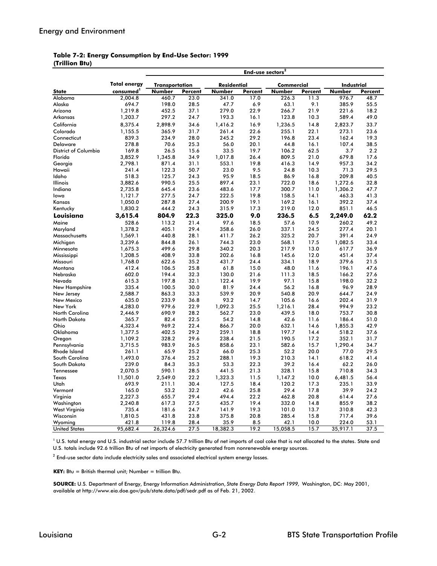#### **(Trillion Btu) Table 7-2: Energy Consumption by End-Use Sector: 1999**

|                             |                       |                       |         |             | End-use sectors <sup>2</sup> |            |         |                   |         |
|-----------------------------|-----------------------|-----------------------|---------|-------------|------------------------------|------------|---------|-------------------|---------|
|                             | <b>Total energy</b>   | <b>Transportation</b> |         | Residential |                              | Commercial |         | <b>Industrial</b> |         |
| <b>State</b>                | consumed <sup>1</sup> | Number                | Percent | Number      | Percent                      | Number     | Percent | Number            | Percent |
| Alabama                     | 2,004.8               | 460.7                 | 23.0    | 341.0       | 17.0                         | 226.3      | 11.3    | 976.7             | 48.7    |
| Alaska                      | 694.7                 | 198.0                 | 28.5    | 47.7        | 6.9                          | 63.1       | 9.1     | 385.9             | 55.5    |
| Arizona                     | 1,219.8               | 452.5                 | 37.1    | 279.0       | 22.9                         | 266.7      | 21.9    | 221.6             | 18.2    |
| Arkansas                    | 1,203.7               | 297.2                 | 24.7    | 193.3       | 16.1                         | 123.8      | 10.3    | 589.4             | 49.0    |
| California                  | 8,375.4               | 2,898.9               | 34.6    | 1,416.2     | 16.9                         | 1,236.5    | 14.8    | 2,823.7           | 33.7    |
| Colorado                    | 1,155.5               | 365.9                 | 31.7    | 261.4       | 22.6                         | 255.1      | 22.1    | 273.1             | 23.6    |
| Connecticut                 | 839.3                 | 234.9                 | 28.0    | 245.2       | 29.2                         | 196.8      | 23.4    | 162.4             | 19.3    |
| <b>Delaware</b>             | 278.8                 | 70.6                  | 25.3    | 56.0        | 20.1                         | 44.8       | 16.1    | 107.4             | 38.5    |
| <b>District of Columbia</b> | 169.8                 | 26.5                  | 15.6    | 33.5        | 19.7                         | 106.2      | 62.5    | 3.7               | 2.2     |
| Florida                     | 3,852.9               | 1,345.8               | 34.9    | 1,017.8     | 26.4                         | 809.5      | 21.0    | 679.8             | 17.6    |
| Georgia                     | 2,798.1               | 871.4                 | 31.1    | 553.1       | 19.8                         | 416.3      | 14.9    | 957.3             | 34.2    |
| Hawaii                      | 241.4                 | 122.3                 | 50.7    | 23.0        | 9.5                          | 24.8       | 10.3    | 71.3              | 29.5    |
| Idaho                       | 518.3                 | 125.7                 | 24.3    | 95.9        | 18.5                         | 86.9       | 16.8    | 209.8             | 40.5    |
| Illinois                    | 3,882.6               | 990.5                 | 25.5    | 897.4       | 23.1                         | 722.0      | 18.6    | 1,272.6           | 32.8    |
| Indiana                     | 2,735.8               | 645.4                 | 23.6    | 483.6       | 17.7                         | 300.7      | 11.0    | 1,306.2           | 47.7    |
| lowa                        | 1,121.7               | 277.5                 | 24.7    | 222.5       | 19.8                         | 158.5      | 14.1    | 463.3             | 41.3    |
| Kansas                      | 1,050.0               | 287.8                 | 27.4    | 200.9       | 19.1                         | 169.2      | 16.1    | 392.2             | 37.4    |
| Kentucky                    | 1,830.2               | 444.2                 | 24.3    | 315.9       | 17.3                         | 219.0      | 12.0    | 851.1             | 46.5    |
| Louisiana                   | 3,615.4               | 804.9                 | 22.3    | 325.0       | 9.0                          | 236.5      | 6.5     | 2,249.0           | 62.2    |
| Maine                       | 528.6                 | 113.2                 | 21.4    | 97.6        | 18.5                         | 57.6       | 10.9    | 260.2             | 49.2    |
| Maryland                    | 1,378.2               | 405.1                 | 29.4    | 358.6       | 26.0                         | 337.1      | 24.5    | 277.4             | 20.1    |
| Massachusetts               | 1,569.1               | 440.8                 | 28.1    | 411.7       | 26.2                         | 325.2      | 20.7    | 391.4             | 24.9    |
| Michigan                    | 3,239.6               | 844.8                 | 26.1    | 744.3       | 23.0                         | 568.1      | 17.5    | 1,082.5           | 33.4    |
| Minnesota                   | 1,675.3               | 499.6                 | 29.8    | 340.2       | 20.3                         | 217.9      | 13.0    | 617.7             | 36.9    |
| Mississippi                 | 1,208.5               | 408.9                 | 33.8    | 202.6       | 16.8                         | 145.6      | 12.0    | 451.4             | 37.4    |
| Missouri                    | 1,768.0               | 622.6                 | 35.2    | 431.7       | 24.4                         | 334.1      | 18.9    | 379.6             | 21.5    |
| Montana                     | 412.4                 | 106.5                 | 25.8    | 61.8        | 15.0                         | 48.0       | 11.6    | 196.1             | 47.6    |
| Nebraska                    | 602.0                 | 194.4                 | 32.3    | 130.0       | 21.6                         | 111.3      | 18.5    | 166.2             | 27.6    |
| Nevada                      | 615.3                 | 197.8                 | 32.1    | 122.4       | 19.9                         | 97.1       | 15.8    | 198.0             | 32.2    |
| New Hampshire               | 335.4                 | 100.5                 | 30.0    | 81.9        | 24.4                         | 56.2       | 16.8    | 96.9              | 28.9    |
| New Jersey                  | 2,588.7               | 863.3                 | 33.3    | 539.9       | 20.9                         | 540.8      | 20.9    | 644.7             | 24.9    |
| New Mexico                  | 635.0                 | 233.9                 | 36.8    | 93.2        | 14.7                         | 105.6      | 16.6    | 202.4             | 31.9    |
| New York                    | 4,283.0               | 979.6                 | 22.9    | 1,092.3     | 25.5                         | 1,216.1    | 28.4    | 994.9             | 23.2    |
| North Carolina              | 2.446.9               | 690.9                 | 28.2    | 562.7       | 23.0                         | 439.5      | 18.0    | 753.7             | 30.8    |
| North Dakota                | 365.7                 | 82.4                  | 22.5    | 54.2        | 14.8                         | 42.6       | 11.6    | 186.4             | 51.0    |
| Ohio                        | 4,323.4               | 969.2                 | 22.4    | 866.7       | 20.0                         | 632.1      | 14.6    | 1,855.3           | 42.9    |
| Oklahoma                    | 1,377.5               | 402.5                 | 29.2    | 259.1       | 18.8                         | 197.7      | 14.4    | 518.2             | 37.6    |
| Oregon                      | 1,109.2               | 328.2                 | 29.6    | 238.4       | 21.5                         | 190.5      | 17.2    | 352.1             | 31.7    |
| Pennsylvania                | 3,715.5               | 983.9                 | 26.5    | 858.6       | 23.1                         | 582.6      | 15.7    | 1,290.4           | 34.7    |
| Rhode Island                | 261.1                 | 65.9                  | 25.2    | 66.0        | 25.3                         | 52.2       | 20.0    | 77.0              | 29.5    |
| South Carolina              | 1,493.0               | 376.4                 | 25.2    | 288.1       | 19.3                         | 210.3      | 14.1    | 618.2             | 41.4    |
| South Dakota                | 239.0                 | 84.3                  | 35.3    | 53.3        | 22.3                         | 39.2       | 16.4    | 62.2              | 26.0    |
| Tennessee                   | 2,070.5               | 590.1                 | 28.5    | 441.5       | 21.3                         | 328.1      | 15.8    | 710.8             | 34.3    |
| Texas                       | 11,501.0              | 2,549.0               | 22.2    | 1,323.3     | 11.5                         | 1,147.2    | 10.0    | 6,481.5           | 56.4    |
| Utah                        | 693.9                 | 211.1                 | 30.4    | 127.5       | 18.4                         | 120.2      | 17.3    | 235.1             | 33.9    |
| Vermont                     | 165.0                 | 53.2                  | 32.2    | 42.6        | 25.8                         | 29.4       | 17.8    | 39.9              | 24.2    |
| Virginia                    | 2,227.3               | 655.7                 | 29.4    | 494.4       | 22.2                         | 462.8      | 20.8    | 614.4             | 27.6    |
| Washington                  | 2,240.8               | 617.3                 | 27.5    | 435.7       | 19.4                         | 332.0      | 14.8    | 855.9             | 38.2    |
| West Virginia               | 735.4                 | 181.6                 | 24.7    | 141.9       | 19.3                         | 101.0      | 13.7    | 310.8             | 42.3    |
| Wisconsin                   | 1,810.5               | 431.8                 | 23.8    | 375.8       | 20.8                         | 285.4      | 15.8    | 717.4             | 39.6    |
| Wyoming                     | 421.8                 | 119.8                 | 28.4    | 35.9        | 8.5                          | 42.1       | 10.0    | 224.0             | 53.1    |
| <b>United States</b>        | 95,682.4              | 26,324.6              | 27.5    | 18,382.3    | 19.2                         | 15,058.5   | 15.7    | 35,917.1          | 37.5    |

 $10.5$  total energy and U.S. industrial sector include 57.7 trillion Btu of net imports of coal coke that is not allocated to the states. State and U.S. totals include 92.6 trillion Btu of net imports of electricity generated from nonrenewable energy sources.

 $^{\rm 2}$  End-use sector data include electricity sales and associated electrical system energy losses.

**KEY:** Btu = British thermal unit; Number = trillion Btu.

**SOURCE:** U.S. Department of Energy, Energy Information Administration, *State Energy Data Report 1999,* Washington, DC: May 2001, available at http://www.eia.doe.gov/pub/state.data/pdf/sedr.pdf as of Feb. 21, 2002.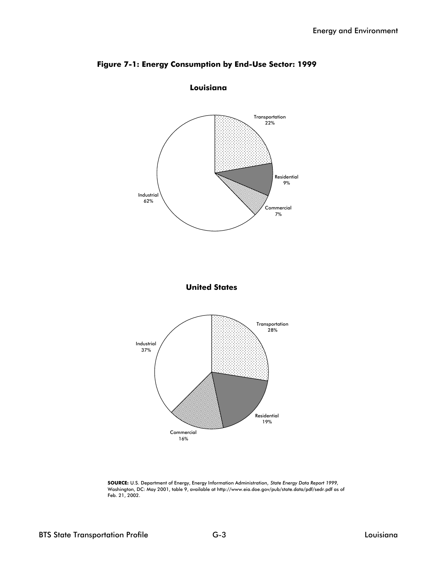

### **Figure 7-1: Energy Consumption by End-Use Sector: 1999**

**SOURCE:** U.S. Department of Energy, Energy Information Administration, *State Energy Data Report 1999,*  Washington, DC: May 2001, table 9, available at http://www.eia.doe.gov/pub/state.data/pdf/sedr.pdf as of Feb. 21, 2002.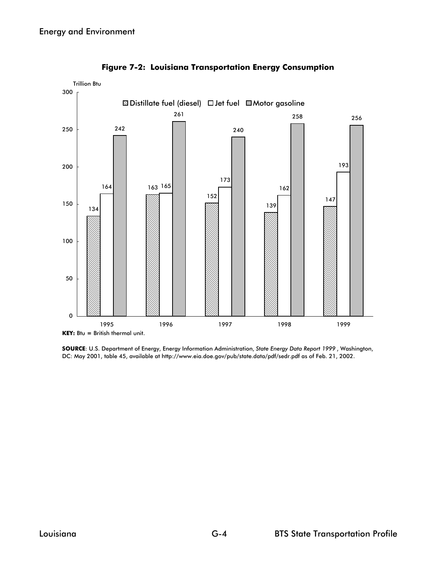

**Figure 7-2: Louisiana Transportation Energy Consumption**

**SOURCE**: U.S. Department of Energy, Energy Information Administration, *State Energy Data Report 1999* , Washington, DC: May 2001, table 45, available at http://www.eia.doe.gov/pub/state.data/pdf/sedr.pdf as of Feb. 21, 2002.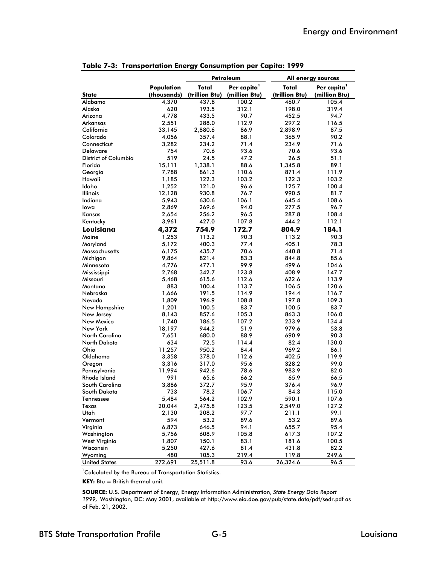| Per capita <sup>1</sup><br>Per capita <sup>1</sup><br>Total<br>Population<br>Total<br>(thousands)<br>(trillion Btu)<br>(million Btu)<br>(trillion Btu)<br>(million Btu)<br><b>State</b><br>Alabama<br>100.2<br>460.7<br>4,370<br>437.8<br>105.4<br>Alaska<br>620<br>193.5<br>312.1<br>198.0<br>319.4<br>Arizona<br>4,778<br>433.5<br>90.7<br>452.5<br>94.7<br>Arkansas<br>2,551<br>288.0<br>112.9<br>297.2<br>116.5<br>California<br>33,145<br>86.9<br>2,898.9<br>87.5<br>2,880.6<br>Colorado<br>4,056<br>357.4<br>88.1<br>365.9<br>90.2<br>Connecticut<br>3,282<br>234.2<br>71.4<br>234.9<br>71.6<br><b>Delaware</b><br>754<br>70.6<br>93.6<br>70.6<br>93.6<br>District of Columbia<br>519<br>24.5<br>47.2<br>26.5<br>51.1<br>89.1<br>Florida<br>15,111<br>1,338.1<br>88.6<br>1,345.8<br>7,788<br>861.3<br>110.6<br>871.4<br>111.9<br>Georgia<br>Hawaii<br>1,185<br>122.3<br>103.2<br>122.3<br>103.2<br>Idaho<br>1,252<br>121.0<br>96.6<br>125.7<br>100.4<br>76.7<br><b>Illinois</b><br>12,128<br>930.8<br>990.5<br>81.7<br>Indiana<br>5,943<br>630.6<br>106.1<br>645.4<br>108.6<br>269.6<br>94.0<br>277.5<br>96.7<br>lowa<br>2,869<br>96.5<br>2,654<br>256.2<br>287.8<br>108.4<br>Kansas<br>3,961<br>427.0<br>107.8<br>444.2<br>112.1<br>Kentucky<br>Louisiana<br>172.7<br>4,372<br>754.9<br>804.9<br>184.1<br>Maine<br>1,253<br>113.2<br>90.3<br>113.2<br>90.3<br>78.3<br>5,172<br>400.3<br>77.4<br>405.1<br>Maryland<br>70.6<br><b>Massachusetts</b><br>6,175<br>435.7<br>440.8<br>71.4<br>83.3<br>85.6<br>Michigan<br>9,864<br>821.4<br>844.8<br>4,776<br>99.9<br>499.6<br>104.6<br>Minnesota<br>477.1 |
|-------------------------------------------------------------------------------------------------------------------------------------------------------------------------------------------------------------------------------------------------------------------------------------------------------------------------------------------------------------------------------------------------------------------------------------------------------------------------------------------------------------------------------------------------------------------------------------------------------------------------------------------------------------------------------------------------------------------------------------------------------------------------------------------------------------------------------------------------------------------------------------------------------------------------------------------------------------------------------------------------------------------------------------------------------------------------------------------------------------------------------------------------------------------------------------------------------------------------------------------------------------------------------------------------------------------------------------------------------------------------------------------------------------------------------------------------------------------------------------------------------------------------------------------------------------------------------------------------------------|
|                                                                                                                                                                                                                                                                                                                                                                                                                                                                                                                                                                                                                                                                                                                                                                                                                                                                                                                                                                                                                                                                                                                                                                                                                                                                                                                                                                                                                                                                                                                                                                                                             |
|                                                                                                                                                                                                                                                                                                                                                                                                                                                                                                                                                                                                                                                                                                                                                                                                                                                                                                                                                                                                                                                                                                                                                                                                                                                                                                                                                                                                                                                                                                                                                                                                             |
|                                                                                                                                                                                                                                                                                                                                                                                                                                                                                                                                                                                                                                                                                                                                                                                                                                                                                                                                                                                                                                                                                                                                                                                                                                                                                                                                                                                                                                                                                                                                                                                                             |
|                                                                                                                                                                                                                                                                                                                                                                                                                                                                                                                                                                                                                                                                                                                                                                                                                                                                                                                                                                                                                                                                                                                                                                                                                                                                                                                                                                                                                                                                                                                                                                                                             |
|                                                                                                                                                                                                                                                                                                                                                                                                                                                                                                                                                                                                                                                                                                                                                                                                                                                                                                                                                                                                                                                                                                                                                                                                                                                                                                                                                                                                                                                                                                                                                                                                             |
|                                                                                                                                                                                                                                                                                                                                                                                                                                                                                                                                                                                                                                                                                                                                                                                                                                                                                                                                                                                                                                                                                                                                                                                                                                                                                                                                                                                                                                                                                                                                                                                                             |
|                                                                                                                                                                                                                                                                                                                                                                                                                                                                                                                                                                                                                                                                                                                                                                                                                                                                                                                                                                                                                                                                                                                                                                                                                                                                                                                                                                                                                                                                                                                                                                                                             |
|                                                                                                                                                                                                                                                                                                                                                                                                                                                                                                                                                                                                                                                                                                                                                                                                                                                                                                                                                                                                                                                                                                                                                                                                                                                                                                                                                                                                                                                                                                                                                                                                             |
|                                                                                                                                                                                                                                                                                                                                                                                                                                                                                                                                                                                                                                                                                                                                                                                                                                                                                                                                                                                                                                                                                                                                                                                                                                                                                                                                                                                                                                                                                                                                                                                                             |
|                                                                                                                                                                                                                                                                                                                                                                                                                                                                                                                                                                                                                                                                                                                                                                                                                                                                                                                                                                                                                                                                                                                                                                                                                                                                                                                                                                                                                                                                                                                                                                                                             |
|                                                                                                                                                                                                                                                                                                                                                                                                                                                                                                                                                                                                                                                                                                                                                                                                                                                                                                                                                                                                                                                                                                                                                                                                                                                                                                                                                                                                                                                                                                                                                                                                             |
|                                                                                                                                                                                                                                                                                                                                                                                                                                                                                                                                                                                                                                                                                                                                                                                                                                                                                                                                                                                                                                                                                                                                                                                                                                                                                                                                                                                                                                                                                                                                                                                                             |
|                                                                                                                                                                                                                                                                                                                                                                                                                                                                                                                                                                                                                                                                                                                                                                                                                                                                                                                                                                                                                                                                                                                                                                                                                                                                                                                                                                                                                                                                                                                                                                                                             |
|                                                                                                                                                                                                                                                                                                                                                                                                                                                                                                                                                                                                                                                                                                                                                                                                                                                                                                                                                                                                                                                                                                                                                                                                                                                                                                                                                                                                                                                                                                                                                                                                             |
|                                                                                                                                                                                                                                                                                                                                                                                                                                                                                                                                                                                                                                                                                                                                                                                                                                                                                                                                                                                                                                                                                                                                                                                                                                                                                                                                                                                                                                                                                                                                                                                                             |
|                                                                                                                                                                                                                                                                                                                                                                                                                                                                                                                                                                                                                                                                                                                                                                                                                                                                                                                                                                                                                                                                                                                                                                                                                                                                                                                                                                                                                                                                                                                                                                                                             |
|                                                                                                                                                                                                                                                                                                                                                                                                                                                                                                                                                                                                                                                                                                                                                                                                                                                                                                                                                                                                                                                                                                                                                                                                                                                                                                                                                                                                                                                                                                                                                                                                             |
|                                                                                                                                                                                                                                                                                                                                                                                                                                                                                                                                                                                                                                                                                                                                                                                                                                                                                                                                                                                                                                                                                                                                                                                                                                                                                                                                                                                                                                                                                                                                                                                                             |
|                                                                                                                                                                                                                                                                                                                                                                                                                                                                                                                                                                                                                                                                                                                                                                                                                                                                                                                                                                                                                                                                                                                                                                                                                                                                                                                                                                                                                                                                                                                                                                                                             |
|                                                                                                                                                                                                                                                                                                                                                                                                                                                                                                                                                                                                                                                                                                                                                                                                                                                                                                                                                                                                                                                                                                                                                                                                                                                                                                                                                                                                                                                                                                                                                                                                             |
|                                                                                                                                                                                                                                                                                                                                                                                                                                                                                                                                                                                                                                                                                                                                                                                                                                                                                                                                                                                                                                                                                                                                                                                                                                                                                                                                                                                                                                                                                                                                                                                                             |
|                                                                                                                                                                                                                                                                                                                                                                                                                                                                                                                                                                                                                                                                                                                                                                                                                                                                                                                                                                                                                                                                                                                                                                                                                                                                                                                                                                                                                                                                                                                                                                                                             |
|                                                                                                                                                                                                                                                                                                                                                                                                                                                                                                                                                                                                                                                                                                                                                                                                                                                                                                                                                                                                                                                                                                                                                                                                                                                                                                                                                                                                                                                                                                                                                                                                             |
|                                                                                                                                                                                                                                                                                                                                                                                                                                                                                                                                                                                                                                                                                                                                                                                                                                                                                                                                                                                                                                                                                                                                                                                                                                                                                                                                                                                                                                                                                                                                                                                                             |
|                                                                                                                                                                                                                                                                                                                                                                                                                                                                                                                                                                                                                                                                                                                                                                                                                                                                                                                                                                                                                                                                                                                                                                                                                                                                                                                                                                                                                                                                                                                                                                                                             |
|                                                                                                                                                                                                                                                                                                                                                                                                                                                                                                                                                                                                                                                                                                                                                                                                                                                                                                                                                                                                                                                                                                                                                                                                                                                                                                                                                                                                                                                                                                                                                                                                             |
| 2,768<br>342.7<br>123.8<br>408.9<br>147.7                                                                                                                                                                                                                                                                                                                                                                                                                                                                                                                                                                                                                                                                                                                                                                                                                                                                                                                                                                                                                                                                                                                                                                                                                                                                                                                                                                                                                                                                                                                                                                   |
| Mississippi<br>Missouri<br>5,468<br>615.6<br>112.6<br>622.6<br>113.9                                                                                                                                                                                                                                                                                                                                                                                                                                                                                                                                                                                                                                                                                                                                                                                                                                                                                                                                                                                                                                                                                                                                                                                                                                                                                                                                                                                                                                                                                                                                        |
| 883<br>Montana<br>100.4<br>113.7<br>106.5<br>120.6                                                                                                                                                                                                                                                                                                                                                                                                                                                                                                                                                                                                                                                                                                                                                                                                                                                                                                                                                                                                                                                                                                                                                                                                                                                                                                                                                                                                                                                                                                                                                          |
| 1,666<br>191.5<br>114.9<br>194.4<br>Nebraska<br>116.7                                                                                                                                                                                                                                                                                                                                                                                                                                                                                                                                                                                                                                                                                                                                                                                                                                                                                                                                                                                                                                                                                                                                                                                                                                                                                                                                                                                                                                                                                                                                                       |
| Nevada<br>1,809<br>196.9<br>108.8<br>197.8<br>109.3                                                                                                                                                                                                                                                                                                                                                                                                                                                                                                                                                                                                                                                                                                                                                                                                                                                                                                                                                                                                                                                                                                                                                                                                                                                                                                                                                                                                                                                                                                                                                         |
| 1,201<br>100.5<br>83.7<br>83.7<br>100.5                                                                                                                                                                                                                                                                                                                                                                                                                                                                                                                                                                                                                                                                                                                                                                                                                                                                                                                                                                                                                                                                                                                                                                                                                                                                                                                                                                                                                                                                                                                                                                     |
| New Hampshire<br>857.6<br>105.3<br>New Jersey<br>8,143<br>863.3<br>106.0                                                                                                                                                                                                                                                                                                                                                                                                                                                                                                                                                                                                                                                                                                                                                                                                                                                                                                                                                                                                                                                                                                                                                                                                                                                                                                                                                                                                                                                                                                                                    |
| New Mexico<br>186.5<br>134.4<br>1,740<br>107.2<br>233.9                                                                                                                                                                                                                                                                                                                                                                                                                                                                                                                                                                                                                                                                                                                                                                                                                                                                                                                                                                                                                                                                                                                                                                                                                                                                                                                                                                                                                                                                                                                                                     |
| New York<br>18,197<br>944.2<br>51.9<br>979.6<br>53.8                                                                                                                                                                                                                                                                                                                                                                                                                                                                                                                                                                                                                                                                                                                                                                                                                                                                                                                                                                                                                                                                                                                                                                                                                                                                                                                                                                                                                                                                                                                                                        |
| North Carolina<br>680.0<br>88.9<br>690.9<br>90.3                                                                                                                                                                                                                                                                                                                                                                                                                                                                                                                                                                                                                                                                                                                                                                                                                                                                                                                                                                                                                                                                                                                                                                                                                                                                                                                                                                                                                                                                                                                                                            |
| 7,651<br>North Dakota<br>634<br>72.5<br>114.4<br>82.4<br>130.0                                                                                                                                                                                                                                                                                                                                                                                                                                                                                                                                                                                                                                                                                                                                                                                                                                                                                                                                                                                                                                                                                                                                                                                                                                                                                                                                                                                                                                                                                                                                              |
| Ohio<br>950.2<br>84.4<br>969.2<br>86.1<br>11,257                                                                                                                                                                                                                                                                                                                                                                                                                                                                                                                                                                                                                                                                                                                                                                                                                                                                                                                                                                                                                                                                                                                                                                                                                                                                                                                                                                                                                                                                                                                                                            |
| Oklahoma<br>3,358<br>378.0<br>112.6<br>119.9                                                                                                                                                                                                                                                                                                                                                                                                                                                                                                                                                                                                                                                                                                                                                                                                                                                                                                                                                                                                                                                                                                                                                                                                                                                                                                                                                                                                                                                                                                                                                                |
| 402.5<br>95.6<br>99.0<br>317.0<br>328.2                                                                                                                                                                                                                                                                                                                                                                                                                                                                                                                                                                                                                                                                                                                                                                                                                                                                                                                                                                                                                                                                                                                                                                                                                                                                                                                                                                                                                                                                                                                                                                     |
| 3,316<br>Oregon<br>11,994<br>942.6<br>78.6<br>983.9<br>Pennsylvania<br>82.0                                                                                                                                                                                                                                                                                                                                                                                                                                                                                                                                                                                                                                                                                                                                                                                                                                                                                                                                                                                                                                                                                                                                                                                                                                                                                                                                                                                                                                                                                                                                 |
| Rhode Island<br>991<br>65.6<br>66.2<br>65.9<br>66.5                                                                                                                                                                                                                                                                                                                                                                                                                                                                                                                                                                                                                                                                                                                                                                                                                                                                                                                                                                                                                                                                                                                                                                                                                                                                                                                                                                                                                                                                                                                                                         |
| 95.9<br>96.9<br>South Carolina<br>3,886<br>372.7<br>376.4                                                                                                                                                                                                                                                                                                                                                                                                                                                                                                                                                                                                                                                                                                                                                                                                                                                                                                                                                                                                                                                                                                                                                                                                                                                                                                                                                                                                                                                                                                                                                   |
| 733<br>78.2<br>84.3                                                                                                                                                                                                                                                                                                                                                                                                                                                                                                                                                                                                                                                                                                                                                                                                                                                                                                                                                                                                                                                                                                                                                                                                                                                                                                                                                                                                                                                                                                                                                                                         |
| 106.7<br>115.0<br>South Dakota<br>5,484<br>564.2<br>590.1<br>107.6                                                                                                                                                                                                                                                                                                                                                                                                                                                                                                                                                                                                                                                                                                                                                                                                                                                                                                                                                                                                                                                                                                                                                                                                                                                                                                                                                                                                                                                                                                                                          |
| Tennessee<br>102.9<br>123.5<br>127.2<br>Texas                                                                                                                                                                                                                                                                                                                                                                                                                                                                                                                                                                                                                                                                                                                                                                                                                                                                                                                                                                                                                                                                                                                                                                                                                                                                                                                                                                                                                                                                                                                                                               |
| 20,044<br>2,475.8<br>2,549.0<br>Utah                                                                                                                                                                                                                                                                                                                                                                                                                                                                                                                                                                                                                                                                                                                                                                                                                                                                                                                                                                                                                                                                                                                                                                                                                                                                                                                                                                                                                                                                                                                                                                        |
| 99.1<br>2,130<br>208.2<br>97.7<br>211.1                                                                                                                                                                                                                                                                                                                                                                                                                                                                                                                                                                                                                                                                                                                                                                                                                                                                                                                                                                                                                                                                                                                                                                                                                                                                                                                                                                                                                                                                                                                                                                     |
| Vermont<br>594<br>53.2<br>89.6<br>53.2<br>89.6<br>Virginia<br>95.4                                                                                                                                                                                                                                                                                                                                                                                                                                                                                                                                                                                                                                                                                                                                                                                                                                                                                                                                                                                                                                                                                                                                                                                                                                                                                                                                                                                                                                                                                                                                          |
| 6,873<br>646.5<br>94.1<br>655.7<br>105.8                                                                                                                                                                                                                                                                                                                                                                                                                                                                                                                                                                                                                                                                                                                                                                                                                                                                                                                                                                                                                                                                                                                                                                                                                                                                                                                                                                                                                                                                                                                                                                    |
| Washington<br>5,756<br>608.9<br>617.3<br>107.2<br>150.1<br>83.1<br>100.5                                                                                                                                                                                                                                                                                                                                                                                                                                                                                                                                                                                                                                                                                                                                                                                                                                                                                                                                                                                                                                                                                                                                                                                                                                                                                                                                                                                                                                                                                                                                    |
| West Virginia<br>1,807<br>181.6<br>Wisconsin                                                                                                                                                                                                                                                                                                                                                                                                                                                                                                                                                                                                                                                                                                                                                                                                                                                                                                                                                                                                                                                                                                                                                                                                                                                                                                                                                                                                                                                                                                                                                                |
| 5,250<br>427.6<br>81.4<br>431.8<br>82.2<br>480<br>105.3<br>219.4<br>249.6                                                                                                                                                                                                                                                                                                                                                                                                                                                                                                                                                                                                                                                                                                                                                                                                                                                                                                                                                                                                                                                                                                                                                                                                                                                                                                                                                                                                                                                                                                                                   |
| Wyoming<br>119.8<br><b>United States</b><br>272,691<br>25,511.8<br>93.6<br>26,324.6<br>96.5                                                                                                                                                                                                                                                                                                                                                                                                                                                                                                                                                                                                                                                                                                                                                                                                                                                                                                                                                                                                                                                                                                                                                                                                                                                                                                                                                                                                                                                                                                                 |

|  | Table 7-3: Transportation Energy Consumption per Capita: 1999 |  |  |  |  |
|--|---------------------------------------------------------------|--|--|--|--|
|--|---------------------------------------------------------------|--|--|--|--|

 ${}^{1}$ Calculated by the Bureau of Transportation Statistics.

**KEY:** Btu = British thermal unit.

**SOURCE:** U.S. Department of Energy, Energy Information Administration, *State Energy Data Report 1999,* Washington, DC: May 2001, available at http://www.eia.doe.gov/pub/state.data/pdf/sedr.pdf as of Feb. 21, 2002.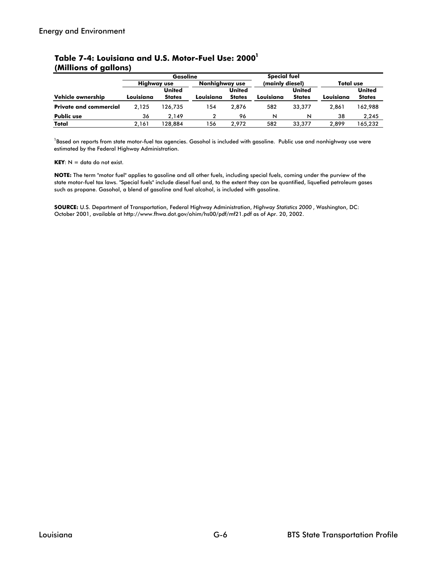|                               | <b>Gasoline</b>    |               |                | Special fuel  |                 |               |                  |               |
|-------------------------------|--------------------|---------------|----------------|---------------|-----------------|---------------|------------------|---------------|
|                               | <b>Highway use</b> |               | Nonhiahway use |               | (mainly diesel) |               | <b>Total use</b> |               |
|                               |                    | <b>United</b> |                | <b>United</b> |                 | <b>United</b> |                  | <b>United</b> |
| Vehicle ownership             | Louisiana          | <b>States</b> | Louisiana      | <b>States</b> | Louisiana       | <b>States</b> | Louisiana        | <b>States</b> |
| <b>Private and commercial</b> | 2.125              | 126.735       | 154            | 2.876         | 582             | 33,377        | 2.861            | 162,988       |
| <b>Public use</b>             | 36                 | 2.149         | 2              | 96            | N               | N             | 38               | 2.245         |
| Total                         | 2.161              | 128.884       | 56             | 2.972         | 582             | 33,377        | 2.899            | 165.232       |

#### **(Millions of gallons)** Table 7-4: Louisiana and U.S. Motor-Fuel Use: 2000<sup>1</sup>

<sup>1</sup>Based on reports from state motor-fuel tax agencies. Gasohol is included with gasoline. Public use and nonhighway use were estimated by the Federal Highway Administration.

**KEY**:  $N =$  data do not exist.

**NOTE:** The term "motor fuel" applies to gasoline and all other fuels, including special fuels, coming under the purview of the state motor-fuel tax laws. "Special fuels" include diesel fuel and, to the extent they can be quantified, liquefied petroleum gases such as propane. Gasohol, a blend of gasoline and fuel alcohol, is included with gasoline.

**SOURCE:** U.S. Department of Transportation, Federal Highway Administration, *Highway Statistics 2000* , Washington, DC: October 2001, available at http://www.fhwa.dot.gov/ohim/hs00/pdf/mf21.pdf as of Apr. 20, 2002.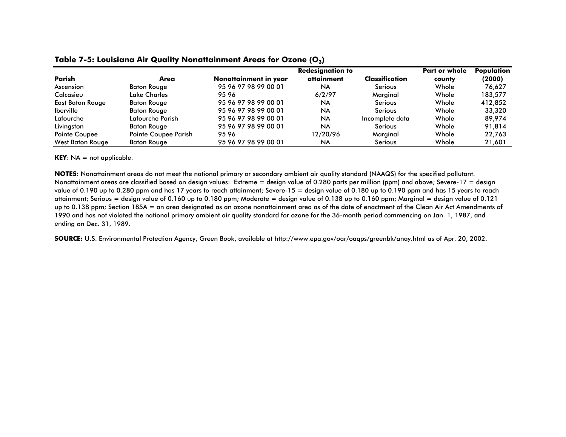|                         |                      |                       | Part or whole | Population      |        |         |
|-------------------------|----------------------|-----------------------|---------------|-----------------|--------|---------|
| Parish                  | Area                 | Nonattainment in year | attainment    | Classification  | county | (2000)  |
| Ascension               | <b>Baton Rouge</b>   | 95 96 97 98 99 00 01  | <b>NA</b>     | Serious         | Whole  | 76.627  |
| Calcasieu               | Lake Charles         | 9596                  | 6/2/97        | Marginal        | Whole  | 183,577 |
| East Baton Rouge        | <b>Baton Rouge</b>   | 95 96 97 98 99 00 01  | <b>NA</b>     | Serious         | Whole  | 412.852 |
| <b>Iberville</b>        | <b>Baton Rouge</b>   | 95 96 97 98 99 00 01  | <b>NA</b>     | <b>Serious</b>  | Whole  | 33,320  |
| Lafourche               | Lafourche Parish     | 95 96 97 98 99 00 01  | <b>NA</b>     | Incomplete data | Whole  | 89.974  |
| Livingston              | <b>Baton Rouge</b>   | 95 96 97 98 99 00 01  | <b>NA</b>     | Serious         | Whole  | 91,814  |
| <b>Pointe Coupee</b>    | Pointe Coupee Parish | 9596                  | 12/20/96      | Marginal        | Whole  | 22,763  |
| <b>West Baton Rouge</b> | <b>Baton Rouge</b>   | 95 96 97 98 99 00 01  | <b>NA</b>     | Serious         | Whole  | 21,601  |

**Table 7-5: Louisiana Air Quality Nonattainment Areas for Ozone (O3)** 

#### **KEY**:  $NA = not applicable.$

**NOTES:** Nonattainment areas do not meet the national primary or secondary ambient air quality standard (NAAQS) for the specified pollutant. Nonattainment areas are classified based on design values: Extreme = design value of 0.280 parts per million (ppm) and above; Severe-17 = design value of 0.190 up to 0.280 ppm and has 17 years to reach attainment; Severe-15 = design value of 0.180 up to 0.190 ppm and has 15 years to reach attainment; Serious = design value of 0.160 up to 0.180 ppm; Moderate = design value of 0.138 up to 0.160 ppm; Marginal = design value of 0.121 up to 0.138 ppm; Section 185A = an area designated as an ozone nonattainment area as of the date of enactment of the Clean Air Act Amendments of 1990 and has not violated the national primary ambient air quality standard for ozone for the 36-month period commencing on Jan. 1, 1987, and ending on Dec. 31, 1989.

**SOURCE:** U.S. Environmental Protection Agency, Green Book, available at http://www.epa.gov/oar/oaqps/greenbk/anay.html as of Apr. 20, 2002.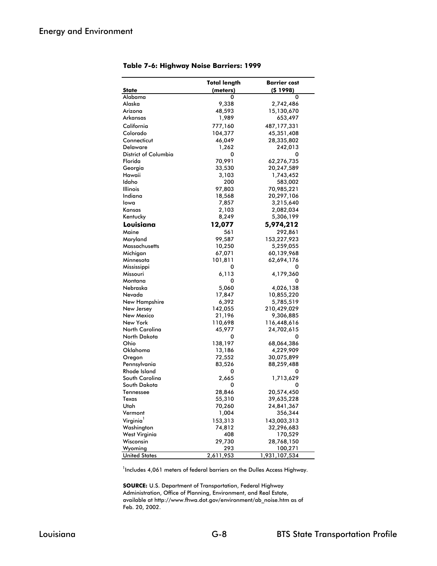|                                | <b>Total length</b> | <b>Barrier</b> cost     |
|--------------------------------|---------------------|-------------------------|
| <b>State</b>                   | (meters)            | (51998)                 |
| Alabama                        | 0                   | 0                       |
| Alaska                         | 9,338               | 2,742,486               |
| Arizona                        | 48,593              | 15,130,670              |
| Arkansas                       | 1,989               | 653,497                 |
| California                     | 777,160             | 487, 177, 331           |
| Colorado                       | 104,377             | 45,351,408              |
| Connecticut                    | 46,049              | 28,335,802              |
| Delaware                       | 1,262               | 242,013                 |
| <b>District of Columbia</b>    | 0                   | 0                       |
| Florida                        | 70,991              | 62,276,735              |
| Georgia                        | 33,530              | 20,247,589              |
| Hawaii                         | 3,103               | 1,743,452               |
| Idaho                          | 200                 | 583,002                 |
| Illinois                       | 97,803              | 70,985,221              |
| Indiana                        | 18,568              | 20,297,106              |
| lowa                           | 7,857               | 3,215,640               |
| Kansas                         | 2,103               | 2,082,034               |
| Kentucky                       | 8,249               | 5,306,199               |
| Louisiana                      | 12,077              | 5,974,212               |
| Maine                          | 561                 | 292,861                 |
| Maryland                       | 99,587              | 153,227,923             |
| Massachusetts                  | 10,250              | 5,259,055               |
|                                |                     |                         |
| Michigan                       | 67,071              | 60,139,968              |
| Minnesota                      | 101,811<br>0        | 62,694,176<br>0         |
| Mississippi                    |                     |                         |
| Missouri<br>Montana            | 6,113               | 4,179,360               |
|                                | 0                   | 0                       |
| Nebraska<br>Nevada             | 5,060               | 4,026,138               |
| New Hampshire                  | 17,847<br>6,392     | 10,855,220<br>5,785,519 |
| New Jersey                     | 142,055             | 210,429,029             |
| New Mexico                     |                     | 9,306,885               |
| New York                       | 21,196<br>110,698   | 116,448,616             |
| North Carolina                 | 45,977              | 24,702,615              |
| North Dakota                   |                     | 0                       |
| Ohio                           | 0                   |                         |
|                                | 138,197             | 68,064,386              |
| Oklahoma                       | 13,186              | 4,229,909               |
| Oregon                         | 72,552              | 30,075,899              |
| Pennsylvania                   | 83,526              | 88,259,488              |
| Rhode Island<br>South Carolina | 0                   | 0                       |
| South Dakota                   | 2,665               | 1,713,629               |
|                                | 0                   | 0                       |
| Tennessee                      | 28,846              | 20,574,450              |
| Texas                          | 55,310              | 39,635,228              |
| Utah                           | 70,260              | 24,841,367              |
| Vermont                        | 1,004               | 356,344                 |
| Virginia <sup>1</sup>          | 153,313             | 143,003,313             |
| Washington                     | 74,812              | 32,296,683              |
| West Virginia                  | 408                 | 170,529                 |
| Wisconsin                      | 29,730              | 28,768,150              |
| Wyoming                        | 293                 | 100,271                 |
| <b>United States</b>           | 2,611,953           | 1,931,107,534           |

**Table 7-6: Highway Noise Barriers: 1999**

<sup>1</sup>Includes 4,061 meters of federal barriers on the Dulles Access Highway.

**SOURCE:** U.S. Department of Transportation, Federal Highway Administration, Office of Planning, Environment, and Real Estate, available at http://www.fhwa.dot.gov/environment/ab\_noise.htm as of Feb. 20, 2002.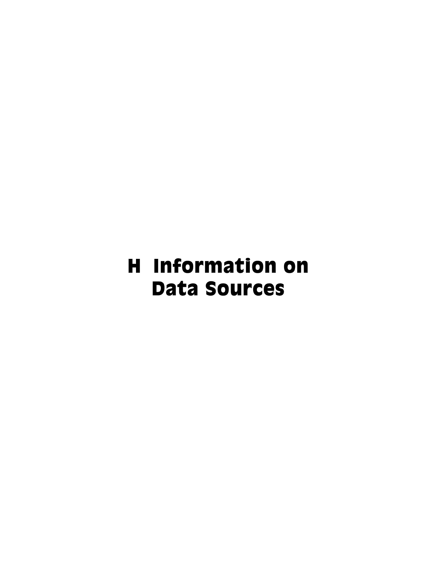## H Information on Data Sources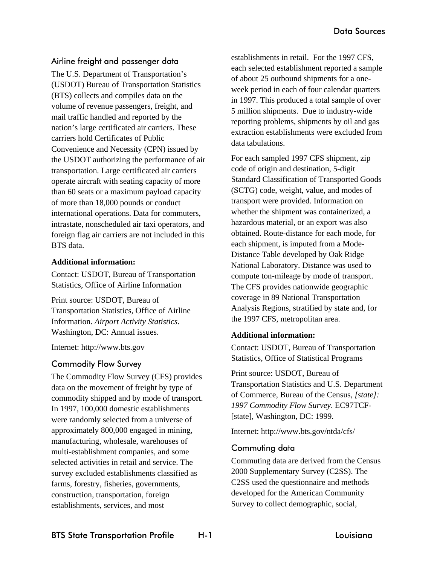## Airline freight and passenger data

The U.S. Department of Transportation's (USDOT) Bureau of Transportation Statistics (BTS) collects and compiles data on the volume of revenue passengers, freight, and mail traffic handled and reported by the nation's large certificated air carriers. These carriers hold Certificates of Public Convenience and Necessity (CPN) issued by the USDOT authorizing the performance of air transportation. Large certificated air carriers operate aircraft with seating capacity of more than 60 seats or a maximum payload capacity of more than 18,000 pounds or conduct international operations. Data for commuters, intrastate, nonscheduled air taxi operators, and foreign flag air carriers are not included in this BTS data.

#### **Additional information:**

Contact: USDOT, Bureau of Transportation Statistics, Office of Airline Information

Print source: USDOT, Bureau of Transportation Statistics, Office of Airline Information. *Airport Activity Statistics*. Washington, DC: Annual issues.

Internet: http://www.bts.gov

## Commodity Flow Survey

The Commodity Flow Survey (CFS) provides data on the movement of freight by type of commodity shipped and by mode of transport. In 1997, 100,000 domestic establishments were randomly selected from a universe of approximately 800,000 engaged in mining, manufacturing, wholesale, warehouses of multi-establishment companies, and some selected activities in retail and service. The survey excluded establishments classified as farms, forestry, fisheries, governments, construction, transportation, foreign establishments, services, and most

establishments in retail. For the 1997 CFS, each selected establishment reported a sample of about 25 outbound shipments for a oneweek period in each of four calendar quarters in 1997. This produced a total sample of over 5 million shipments. Due to industry-wide reporting problems, shipments by oil and gas extraction establishments were excluded from data tabulations.

For each sampled 1997 CFS shipment, zip code of origin and destination, 5-digit Standard Classification of Transported Goods (SCTG) code, weight, value, and modes of transport were provided. Information on whether the shipment was containerized, a hazardous material, or an export was also obtained. Route-distance for each mode, for each shipment, is imputed from a Mode-Distance Table developed by Oak Ridge National Laboratory. Distance was used to compute ton-mileage by mode of transport. The CFS provides nationwide geographic coverage in 89 National Transportation Analysis Regions, stratified by state and, for the 1997 CFS, metropolitan area.

#### **Additional information:**

Contact: USDOT, Bureau of Transportation Statistics, Office of Statistical Programs

Print source: USDOT, Bureau of Transportation Statistics and U.S. Department of Commerce, Bureau of the Census, *[state]: 1997 Commodity Flow Survey*. EC97TCF- [state], Washington, DC: 1999.

Internet: http://www.bts.gov/ntda/cfs/

## Commuting data

Commuting data are derived from the Census 2000 Supplementary Survey (C2SS). The C2SS used the questionnaire and methods developed for the American Community Survey to collect demographic, social,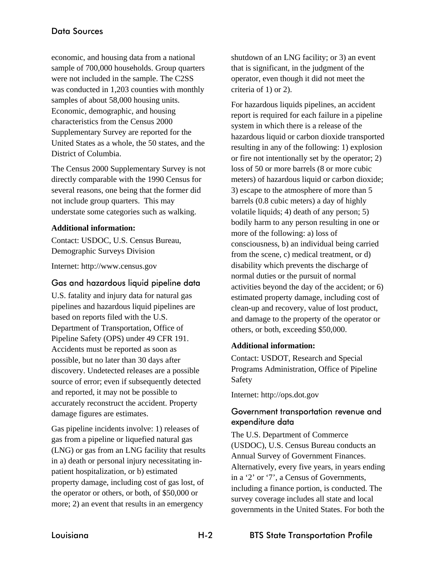economic, and housing data from a national sample of 700,000 households. Group quarters were not included in the sample. The C2SS was conducted in 1,203 counties with monthly samples of about 58,000 housing units. Economic, demographic, and housing characteristics from the Census 2000 Supplementary Survey are reported for the United States as a whole, the 50 states, and the District of Columbia.

The Census 2000 Supplementary Survey is not directly comparable with the 1990 Census for several reasons, one being that the former did not include group quarters. This may understate some categories such as walking.

### **Additional information:**

Contact: USDOC, U.S. Census Bureau, Demographic Surveys Division

Internet: http://www.census.gov

## Gas and hazardous liquid pipeline data

U.S. fatality and injury data for natural gas pipelines and hazardous liquid pipelines are based on reports filed with the U.S. Department of Transportation, Office of Pipeline Safety (OPS) under 49 CFR 191. Accidents must be reported as soon as possible, but no later than 30 days after discovery. Undetected releases are a possible source of error; even if subsequently detected and reported, it may not be possible to accurately reconstruct the accident. Property damage figures are estimates.

Gas pipeline incidents involve: 1) releases of gas from a pipeline or liquefied natural gas (LNG) or gas from an LNG facility that results in a) death or personal injury necessitating inpatient hospitalization, or b) estimated property damage, including cost of gas lost, of the operator or others, or both, of \$50,000 or more; 2) an event that results in an emergency

shutdown of an LNG facility; or 3) an event that is significant, in the judgment of the operator, even though it did not meet the criteria of 1) or 2).

For hazardous liquids pipelines, an accident report is required for each failure in a pipeline system in which there is a release of the hazardous liquid or carbon dioxide transported resulting in any of the following: 1) explosion or fire not intentionally set by the operator; 2) loss of 50 or more barrels (8 or more cubic meters) of hazardous liquid or carbon dioxide; 3) escape to the atmosphere of more than 5 barrels (0.8 cubic meters) a day of highly volatile liquids; 4) death of any person; 5) bodily harm to any person resulting in one or more of the following: a) loss of consciousness, b) an individual being carried from the scene, c) medical treatment, or d) disability which prevents the discharge of normal duties or the pursuit of normal activities beyond the day of the accident; or 6) estimated property damage, including cost of clean-up and recovery, value of lost product, and damage to the property of the operator or others, or both, exceeding \$50,000.

## **Additional information:**

Contact: USDOT, Research and Special Programs Administration, Office of Pipeline Safety

Internet: http://ops.dot.gov

## Government transportation revenue and expenditure data

The U.S. Department of Commerce (USDOC), U.S. Census Bureau conducts an Annual Survey of Government Finances. Alternatively, every five years, in years ending in a '2' or '7', a Census of Governments, including a finance portion, is conducted. The survey coverage includes all state and local governments in the United States. For both the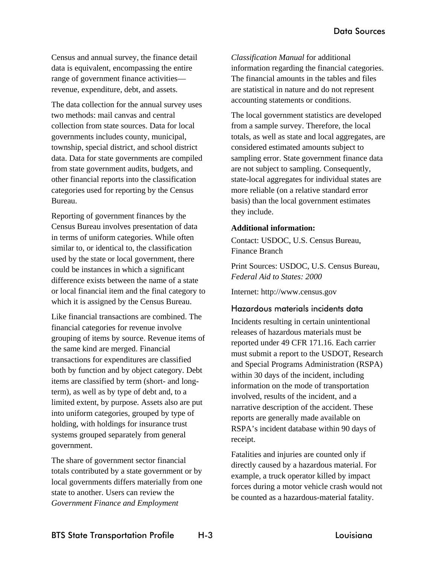Census and annual survey, the finance detail data is equivalent, encompassing the entire range of government finance activities revenue, expenditure, debt, and assets.

The data collection for the annual survey uses two methods: mail canvas and central collection from state sources. Data for local governments includes county, municipal, township, special district, and school district data. Data for state governments are compiled from state government audits, budgets, and other financial reports into the classification categories used for reporting by the Census Bureau.

Reporting of government finances by the Census Bureau involves presentation of data in terms of uniform categories. While often similar to, or identical to, the classification used by the state or local government, there could be instances in which a significant difference exists between the name of a state or local financial item and the final category to which it is assigned by the Census Bureau.

Like financial transactions are combined. The financial categories for revenue involve grouping of items by source. Revenue items of the same kind are merged. Financial transactions for expenditures are classified both by function and by object category. Debt items are classified by term (short- and longterm), as well as by type of debt and, to a limited extent, by purpose. Assets also are put into uniform categories, grouped by type of holding, with holdings for insurance trust systems grouped separately from general government.

The share of government sector financial totals contributed by a state government or by local governments differs materially from one state to another. Users can review the *Government Finance and Employment* 

*Classification Manual* for additional information regarding the financial categories. The financial amounts in the tables and files are statistical in nature and do not represent accounting statements or conditions.

The local government statistics are developed from a sample survey. Therefore, the local totals, as well as state and local aggregates, are considered estimated amounts subject to sampling error. State government finance data are not subject to sampling. Consequently, state-local aggregates for individual states are more reliable (on a relative standard error basis) than the local government estimates they include.

#### **Additional information:**

Contact: USDOC, U.S. Census Bureau, Finance Branch

Print Sources: USDOC, U.S. Census Bureau*, Federal Aid to States: 2000*

Internet: http://www.census.gov

# Hazardous materials incidents data

Incidents resulting in certain unintentional releases of hazardous materials must be reported under 49 CFR 171.16. Each carrier must submit a report to the USDOT, Research and Special Programs Administration (RSPA) within 30 days of the incident, including information on the mode of transportation involved, results of the incident, and a narrative description of the accident. These reports are generally made available on RSPA's incident database within 90 days of receipt.

Fatalities and injuries are counted only if directly caused by a hazardous material. For example, a truck operator killed by impact forces during a motor vehicle crash would not be counted as a hazardous-material fatality.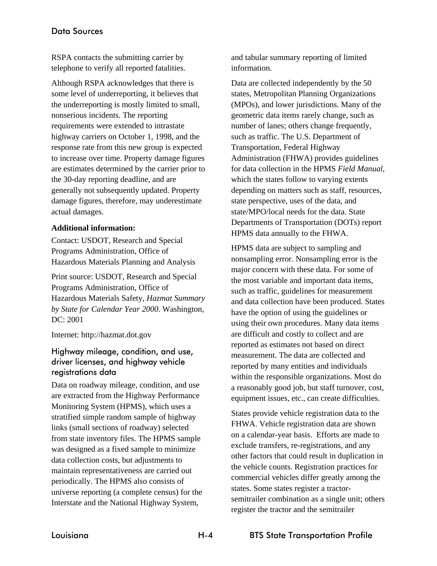# Data Sources

RSPA contacts the submitting carrier by telephone to verify all reported fatalities.

Although RSPA acknowledges that there is some level of underreporting, it believes that the underreporting is mostly limited to small, nonserious incidents. The reporting requirements were extended to intrastate highway carriers on October 1, 1998, and the response rate from this new group is expected to increase over time. Property damage figures are estimates determined by the carrier prior to the 30-day reporting deadline, and are generally not subsequently updated. Property damage figures, therefore, may underestimate actual damages.

## **Additional information:**

Contact: USDOT, Research and Special Programs Administration, Office of Hazardous Materials Planning and Analysis

Print source: USDOT, Research and Special Programs Administration, Office of Hazardous Materials Safety, *Hazmat Summary by State for Calendar Year 2000*. Washington, DC: 2001

Internet: http://hazmat.dot.gov

# Highway mileage, condition, and use, driver licenses, and highway vehicle registrations data

Data on roadway mileage, condition, and use are extracted from the Highway Performance Monitoring System (HPMS), which uses a stratified simple random sample of highway links (small sections of roadway) selected from state inventory files. The HPMS sample was designed as a fixed sample to minimize data collection costs, but adjustments to maintain representativeness are carried out periodically. The HPMS also consists of universe reporting (a complete census) for the Interstate and the National Highway System,

and tabular summary reporting of limited information.

Data are collected independently by the 50 states, Metropolitan Planning Organizations (MPOs), and lower jurisdictions. Many of the geometric data items rarely change, such as number of lanes; others change frequently, such as traffic. The U.S. Department of Transportation, Federal Highway Administration (FHWA) provides guidelines for data collection in the HPMS *Field Manual*, which the states follow to varying extents depending on matters such as staff, resources, state perspective, uses of the data, and state/MPO/local needs for the data. State Departments of Transportation (DOTs) report HPMS data annually to the FHWA.

HPMS data are subject to sampling and nonsampling error. Nonsampling error is the major concern with these data. For some of the most variable and important data items, such as traffic, guidelines for measurement and data collection have been produced. States have the option of using the guidelines or using their own procedures. Many data items are difficult and costly to collect and are reported as estimates not based on direct measurement. The data are collected and reported by many entities and individuals within the responsible organizations. Most do a reasonably good job, but staff turnover, cost, equipment issues, etc., can create difficulties.

States provide vehicle registration data to the FHWA. Vehicle registration data are shown on a calendar-year basis. Efforts are made to exclude transfers, re-registrations, and any other factors that could result in duplication in the vehicle counts. Registration practices for commercial vehicles differ greatly among the states. Some states register a tractorsemitrailer combination as a single unit; others register the tractor and the semitrailer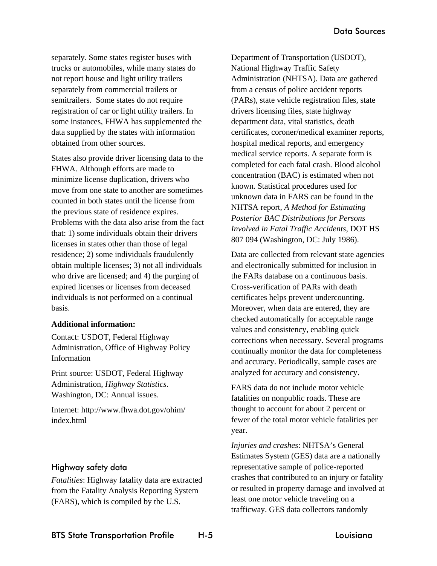separately. Some states register buses with trucks or automobiles, while many states do not report house and light utility trailers separately from commercial trailers or semitrailers. Some states do not require registration of car or light utility trailers. In some instances, FHWA has supplemented the data supplied by the states with information obtained from other sources.

States also provide driver licensing data to the FHWA. Although efforts are made to minimize license duplication, drivers who move from one state to another are sometimes counted in both states until the license from the previous state of residence expires. Problems with the data also arise from the fact that: 1) some individuals obtain their drivers licenses in states other than those of legal residence; 2) some individuals fraudulently obtain multiple licenses; 3) not all individuals who drive are licensed; and 4) the purging of expired licenses or licenses from deceased individuals is not performed on a continual basis.

## **Additional information:**

Contact: USDOT, Federal Highway Administration, Office of Highway Policy Information

Print source: USDOT, Federal Highway Administration, *Highway Statistics*. Washington, DC: Annual issues.

Internet: http://www.fhwa.dot.gov/ohim/ index.html

# Highway safety data

*Fatalities*: Highway fatality data are extracted from the Fatality Analysis Reporting System (FARS), which is compiled by the U.S.

Department of Transportation (USDOT), National Highway Traffic Safety Administration (NHTSA). Data are gathered from a census of police accident reports (PARs), state vehicle registration files, state drivers licensing files, state highway department data, vital statistics, death certificates, coroner/medical examiner reports, hospital medical reports, and emergency medical service reports. A separate form is completed for each fatal crash. Blood alcohol concentration (BAC) is estimated when not known. Statistical procedures used for unknown data in FARS can be found in the NHTSA report, *A Method for Estimating Posterior BAC Distributions for Persons Involved in Fatal Traffic Accidents*, DOT HS 807 094 (Washington, DC: July 1986).

Data are collected from relevant state agencies and electronically submitted for inclusion in the FARs database on a continuous basis. Cross-verification of PARs with death certificates helps prevent undercounting. Moreover, when data are entered, they are checked automatically for acceptable range values and consistency, enabling quick corrections when necessary. Several programs continually monitor the data for completeness and accuracy. Periodically, sample cases are analyzed for accuracy and consistency.

FARS data do not include motor vehicle fatalities on nonpublic roads. These are thought to account for about 2 percent or fewer of the total motor vehicle fatalities per year.

*Injuries and crashes*: NHTSA's General Estimates System (GES) data are a nationally representative sample of police-reported crashes that contributed to an injury or fatality or resulted in property damage and involved at least one motor vehicle traveling on a trafficway. GES data collectors randomly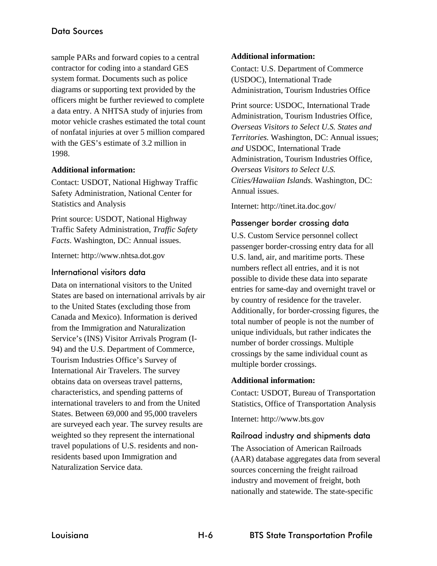sample PARs and forward copies to a central contractor for coding into a standard GES system format. Documents such as police diagrams or supporting text provided by the officers might be further reviewed to complete a data entry. A NHTSA study of injuries from motor vehicle crashes estimated the total count of nonfatal injuries at over 5 million compared with the GES's estimate of 3.2 million in 1998.

## **Additional information:**

Contact: USDOT, National Highway Traffic Safety Administration, National Center for Statistics and Analysis

Print source: USDOT, National Highway Traffic Safety Administration, *Traffic Safety Facts*. Washington, DC: Annual issues.

Internet: http://www.nhtsa.dot.gov

# International visitors data

Data on international visitors to the United States are based on international arrivals by air to the United States (excluding those from Canada and Mexico). Information is derived from the Immigration and Naturalization Service's (INS) Visitor Arrivals Program (I-94) and the U.S. Department of Commerce, Tourism Industries Office's Survey of International Air Travelers. The survey obtains data on overseas travel patterns, characteristics, and spending patterns of international travelers to and from the United States. Between 69,000 and 95,000 travelers are surveyed each year. The survey results are weighted so they represent the international travel populations of U.S. residents and nonresidents based upon Immigration and Naturalization Service data.

## **Additional information:**

Contact: U.S. Department of Commerce (USDOC), International Trade Administration, Tourism Industries Office

Print source: USDOC, International Trade Administration, Tourism Industries Office*, Overseas Visitors to Select U.S. States and Territories.* Washington, DC: Annual issues; *and* USDOC, International Trade Administration, Tourism Industries Office*, Overseas Visitors to Select U.S. Cities/Hawaiian Islands*. Washington, DC: Annual issues.

Internet: http://tinet.ita.doc.gov/

# Passenger border crossing data

U.S. Custom Service personnel collect passenger border-crossing entry data for all U.S. land, air, and maritime ports. These numbers reflect all entries, and it is not possible to divide these data into separate entries for same-day and overnight travel or by country of residence for the traveler. Additionally, for border-crossing figures, the total number of people is not the number of unique individuals, but rather indicates the number of border crossings. Multiple crossings by the same individual count as multiple border crossings.

# **Additional information:**

Contact: USDOT, Bureau of Transportation Statistics, Office of Transportation Analysis

Internet: http://www.bts.gov

# Railroad industry and shipments data

The Association of American Railroads (AAR) database aggregates data from several sources concerning the freight railroad industry and movement of freight, both nationally and statewide. The state-specific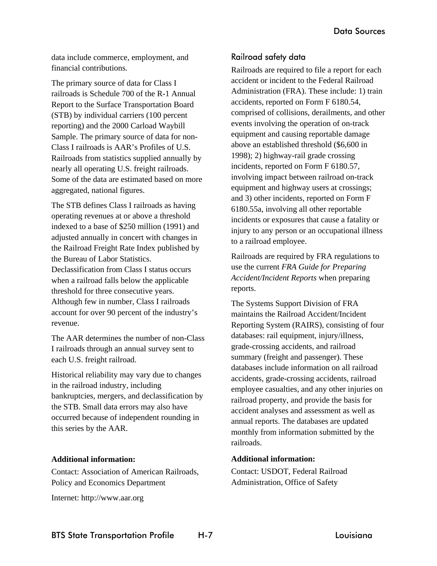data include commerce, employment, and financial contributions.

The primary source of data for Class I railroads is Schedule 700 of the R-1 Annual Report to the Surface Transportation Board (STB) by individual carriers (100 percent reporting) and the 2000 Carload Waybill Sample. The primary source of data for non-Class I railroads is AAR's Profiles of U.S. Railroads from statistics supplied annually by nearly all operating U.S. freight railroads. Some of the data are estimated based on more aggregated, national figures.

The STB defines Class I railroads as having operating revenues at or above a threshold indexed to a base of \$250 million (1991) and adjusted annually in concert with changes in the Railroad Freight Rate Index published by the Bureau of Labor Statistics. Declassification from Class I status occurs when a railroad falls below the applicable threshold for three consecutive years. Although few in number, Class I railroads account for over 90 percent of the industry's revenue.

The AAR determines the number of non-Class I railroads through an annual survey sent to each U.S. freight railroad.

Historical reliability may vary due to changes in the railroad industry, including bankruptcies, mergers, and declassification by the STB. Small data errors may also have occurred because of independent rounding in this series by the AAR.

#### **Additional information:**

Contact: Association of American Railroads, Policy and Economics Department

Internet: http://www.aar.org

# Railroad safety data

Railroads are required to file a report for each accident or incident to the Federal Railroad Administration (FRA). These include: 1) train accidents, reported on Form F 6180.54, comprised of collisions, derailments, and other events involving the operation of on-track equipment and causing reportable damage above an established threshold (\$6,600 in 1998); 2) highway-rail grade crossing incidents, reported on Form F 6180.57, involving impact between railroad on-track equipment and highway users at crossings; and 3) other incidents, reported on Form F 6180.55a, involving all other reportable incidents or exposures that cause a fatality or injury to any person or an occupational illness to a railroad employee.

Railroads are required by FRA regulations to use the current *FRA Guide for Preparing Accident/Incident Reports* when preparing reports.

The Systems Support Division of FRA maintains the Railroad Accident/Incident Reporting System (RAIRS), consisting of four databases: rail equipment, injury/illness, grade-crossing accidents, and railroad summary (freight and passenger). These databases include information on all railroad accidents, grade-crossing accidents, railroad employee casualties, and any other injuries on railroad property, and provide the basis for accident analyses and assessment as well as annual reports. The databases are updated monthly from information submitted by the railroads.

#### **Additional information:**

Contact: USDOT, Federal Railroad Administration, Office of Safety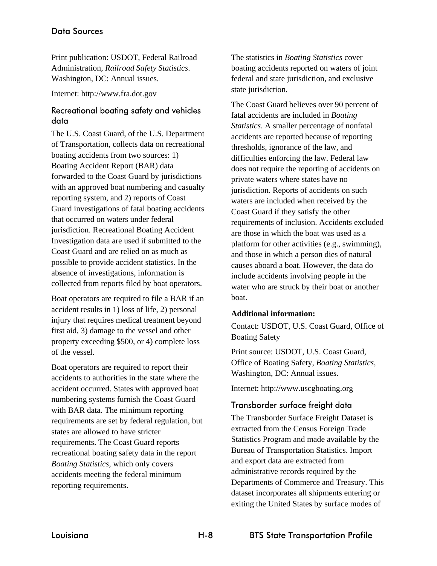# Data Sources

Print publication: USDOT, Federal Railroad Administration, *Railroad Safety Statistics*. Washington, DC: Annual issues.

Internet: http://www.fra.dot.gov

# Recreational boating safety and vehicles data

The U.S. Coast Guard, of the U.S. Department of Transportation, collects data on recreational boating accidents from two sources: 1) Boating Accident Report (BAR) data forwarded to the Coast Guard by jurisdictions with an approved boat numbering and casualty reporting system, and 2) reports of Coast Guard investigations of fatal boating accidents that occurred on waters under federal jurisdiction. Recreational Boating Accident Investigation data are used if submitted to the Coast Guard and are relied on as much as possible to provide accident statistics. In the absence of investigations, information is collected from reports filed by boat operators.

Boat operators are required to file a BAR if an accident results in 1) loss of life, 2) personal injury that requires medical treatment beyond first aid, 3) damage to the vessel and other property exceeding \$500, or 4) complete loss of the vessel.

Boat operators are required to report their accidents to authorities in the state where the accident occurred. States with approved boat numbering systems furnish the Coast Guard with BAR data. The minimum reporting requirements are set by federal regulation, but states are allowed to have stricter requirements. The Coast Guard reports recreational boating safety data in the report *Boating Statistics,* which only covers accidents meeting the federal minimum reporting requirements.

The statistics in *Boating Statistics* cover boating accidents reported on waters of joint federal and state jurisdiction, and exclusive state jurisdiction.

The Coast Guard believes over 90 percent of fatal accidents are included in *Boating Statistics*. A smaller percentage of nonfatal accidents are reported because of reporting thresholds, ignorance of the law, and difficulties enforcing the law. Federal law does not require the reporting of accidents on private waters where states have no jurisdiction. Reports of accidents on such waters are included when received by the Coast Guard if they satisfy the other requirements of inclusion. Accidents excluded are those in which the boat was used as a platform for other activities (e.g., swimming), and those in which a person dies of natural causes aboard a boat. However, the data do include accidents involving people in the water who are struck by their boat or another boat.

#### **Additional information:**

Contact: USDOT, U.S. Coast Guard, Office of Boating Safety

Print source: USDOT, U.S. Coast Guard, Office of Boating Safety, *Boating Statistics,* Washington, DC: Annual issues.

Internet: http://www.uscgboating.org

# Transborder surface freight data

The Transborder Surface Freight Dataset is extracted from the Census Foreign Trade Statistics Program and made available by the Bureau of Transportation Statistics. Import and export data are extracted from administrative records required by the Departments of Commerce and Treasury. This dataset incorporates all shipments entering or exiting the United States by surface modes of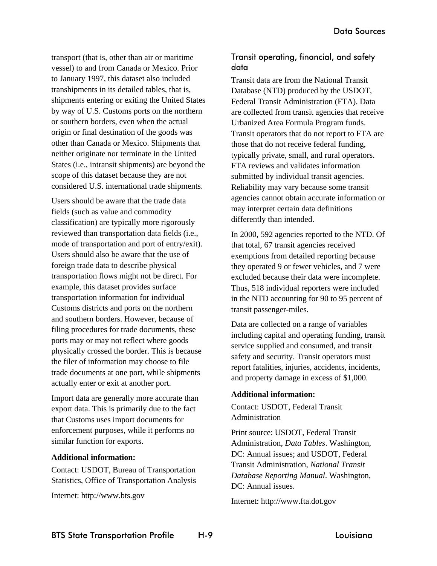transport (that is, other than air or maritime vessel) to and from Canada or Mexico. Prior to January 1997, this dataset also included transhipments in its detailed tables, that is, shipments entering or exiting the United States by way of U.S. Customs ports on the northern or southern borders, even when the actual origin or final destination of the goods was other than Canada or Mexico. Shipments that neither originate nor terminate in the United States (i.e., intransit shipments) are beyond the scope of this dataset because they are not considered U.S. international trade shipments.

Users should be aware that the trade data fields (such as value and commodity classification) are typically more rigorously reviewed than transportation data fields (i.e., mode of transportation and port of entry/exit). Users should also be aware that the use of foreign trade data to describe physical transportation flows might not be direct. For example, this dataset provides surface transportation information for individual Customs districts and ports on the northern and southern borders. However, because of filing procedures for trade documents, these ports may or may not reflect where goods physically crossed the border. This is because the filer of information may choose to file trade documents at one port, while shipments actually enter or exit at another port.

Import data are generally more accurate than export data. This is primarily due to the fact that Customs uses import documents for enforcement purposes, while it performs no similar function for exports.

#### **Additional information:**

Contact: USDOT, Bureau of Transportation Statistics, Office of Transportation Analysis

Internet: http://www.bts.gov

# Transit operating, financial, and safety data

Transit data are from the National Transit Database (NTD) produced by the USDOT, Federal Transit Administration (FTA). Data are collected from transit agencies that receive Urbanized Area Formula Program funds. Transit operators that do not report to FTA are those that do not receive federal funding, typically private, small, and rural operators. FTA reviews and validates information submitted by individual transit agencies. Reliability may vary because some transit agencies cannot obtain accurate information or may interpret certain data definitions differently than intended.

In 2000, 592 agencies reported to the NTD. Of that total, 67 transit agencies received exemptions from detailed reporting because they operated 9 or fewer vehicles, and 7 were excluded because their data were incomplete. Thus, 518 individual reporters were included in the NTD accounting for 90 to 95 percent of transit passenger-miles.

Data are collected on a range of variables including capital and operating funding, transit service supplied and consumed, and transit safety and security. Transit operators must report fatalities, injuries, accidents, incidents, and property damage in excess of \$1,000.

#### **Additional information:**

Contact: USDOT, Federal Transit Administration

Print source: USDOT, Federal Transit Administration, *Data Tables*. Washington, DC: Annual issues; and USDOT, Federal Transit Administration, *National Transit Database Reporting Manual*. Washington, DC: Annual issues.

Internet: http://www.fta.dot.gov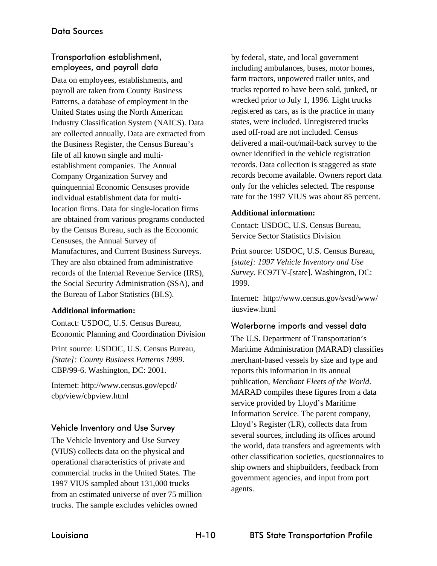# Transportation establishment, employees, and payroll data

Data on employees, establishments, and payroll are taken from County Business Patterns, a database of employment in the United States using the North American Industry Classification System (NAICS). Data are collected annually. Data are extracted from the Business Register, the Census Bureau's file of all known single and multiestablishment companies. The Annual Company Organization Survey and quinquennial Economic Censuses provide individual establishment data for multilocation firms. Data for single-location firms are obtained from various programs conducted by the Census Bureau, such as the Economic Censuses, the Annual Survey of Manufactures, and Current Business Surveys. They are also obtained from administrative records of the Internal Revenue Service (IRS), the Social Security Administration (SSA), and the Bureau of Labor Statistics (BLS).

#### **Additional information:**

Contact: USDOC, U.S. Census Bureau, Economic Planning and Coordination Division

Print source: USDOC, U.S. Census Bureau, *[State]: County Business Patterns 1999*. CBP/99-6. Washington, DC: 2001.

Internet: http://www.census.gov/epcd/ cbp/view/cbpview.html

# Vehicle Inventory and Use Survey

The Vehicle Inventory and Use Survey (VIUS) collects data on the physical and operational characteristics of private and commercial trucks in the United States. The 1997 VIUS sampled about 131,000 trucks from an estimated universe of over 75 million trucks. The sample excludes vehicles owned

by federal, state, and local government including ambulances, buses, motor homes, farm tractors, unpowered trailer units, and trucks reported to have been sold, junked, or wrecked prior to July 1, 1996. Light trucks registered as cars, as is the practice in many states, were included. Unregistered trucks used off-road are not included. Census delivered a mail-out/mail-back survey to the owner identified in the vehicle registration records. Data collection is staggered as state records become available. Owners report data only for the vehicles selected. The response rate for the 1997 VIUS was about 85 percent.

## **Additional information:**

Contact: USDOC, U.S. Census Bureau, Service Sector Statistics Division

Print source: USDOC, U.S. Census Bureau, *[state]: 1997 Vehicle Inventory and Use Survey.* EC97TV-[state]. Washington, DC: 1999.

Internet: http://www.census.gov/svsd/www/ tiusview.html

# Waterborne imports and vessel data

The U.S. Department of Transportation's Maritime Administration (MARAD) classifies merchant-based vessels by size and type and reports this information in its annual publication, *Merchant Fleets of the World*. MARAD compiles these figures from a data service provided by Lloyd's Maritime Information Service. The parent company, Lloyd's Register (LR), collects data from several sources, including its offices around the world, data transfers and agreements with other classification societies, questionnaires to ship owners and shipbuilders, feedback from government agencies, and input from port agents.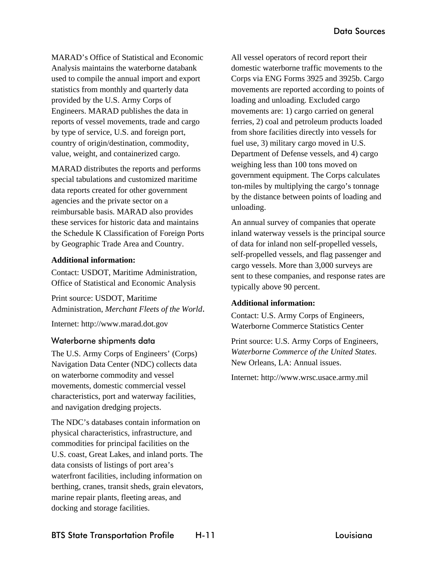MARAD's Office of Statistical and Economic Analysis maintains the waterborne databank used to compile the annual import and export statistics from monthly and quarterly data provided by the U.S. Army Corps of Engineers. MARAD publishes the data in reports of vessel movements, trade and cargo by type of service, U.S. and foreign port, country of origin/destination, commodity, value, weight, and containerized cargo.

MARAD distributes the reports and performs special tabulations and customized maritime data reports created for other government agencies and the private sector on a reimbursable basis. MARAD also provides these services for historic data and maintains the Schedule K Classification of Foreign Ports by Geographic Trade Area and Country.

## **Additional information:**

Contact: USDOT, Maritime Administration, Office of Statistical and Economic Analysis

Print source: USDOT, Maritime Administration, *Merchant Fleets of the World*.

Internet: http://www.marad.dot.gov

# Waterborne shipments data

The U.S. Army Corps of Engineers' (Corps) Navigation Data Center (NDC) collects data on waterborne commodity and vessel movements, domestic commercial vessel characteristics, port and waterway facilities, and navigation dredging projects.

The NDC's databases contain information on physical characteristics, infrastructure, and commodities for principal facilities on the U.S. coast, Great Lakes, and inland ports. The data consists of listings of port area's waterfront facilities, including information on berthing, cranes, transit sheds, grain elevators, marine repair plants, fleeting areas, and docking and storage facilities.

All vessel operators of record report their domestic waterborne traffic movements to the Corps via ENG Forms 3925 and 3925b. Cargo movements are reported according to points of loading and unloading. Excluded cargo movements are: 1) cargo carried on general ferries, 2) coal and petroleum products loaded from shore facilities directly into vessels for fuel use, 3) military cargo moved in U.S. Department of Defense vessels, and 4) cargo weighing less than 100 tons moved on government equipment. The Corps calculates ton-miles by multiplying the cargo's tonnage by the distance between points of loading and unloading.

An annual survey of companies that operate inland waterway vessels is the principal source of data for inland non self-propelled vessels, self-propelled vessels, and flag passenger and cargo vessels. More than 3,000 surveys are sent to these companies, and response rates are typically above 90 percent.

# **Additional information:**

Contact: U.S. Army Corps of Engineers, Waterborne Commerce Statistics Center

Print source: U.S. Army Corps of Engineers, *Waterborne Commerce of the United States*. New Orleans, LA: Annual issues.

Internet: http://www.wrsc.usace.army.mil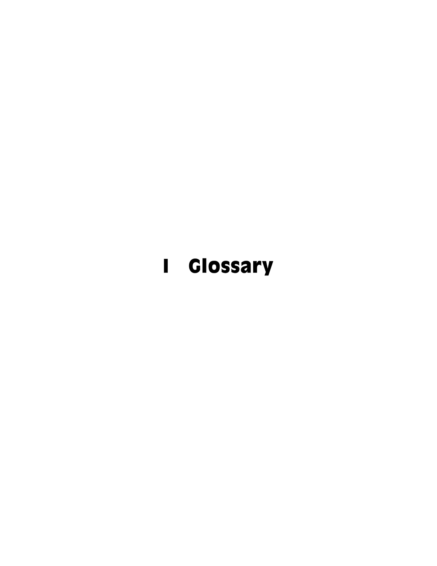# **I** Glossary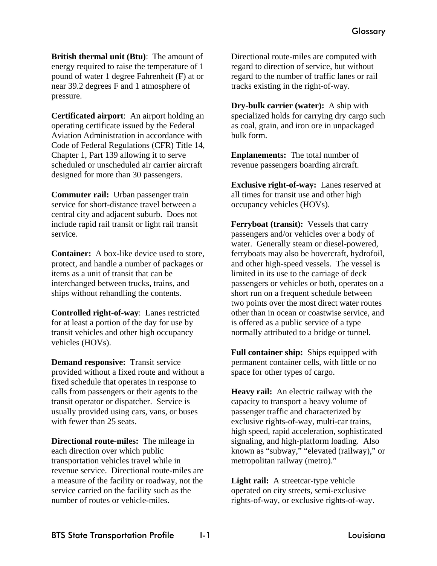**British thermal unit (Btu)**: The amount of energy required to raise the temperature of 1 pound of water 1 degree Fahrenheit (F) at or near 39.2 degrees F and 1 atmosphere of pressure.

**Certificated airport**: An airport holding an operating certificate issued by the Federal Aviation Administration in accordance with Code of Federal Regulations (CFR) Title 14, Chapter 1, Part 139 allowing it to serve scheduled or unscheduled air carrier aircraft designed for more than 30 passengers.

**Commuter rail:** Urban passenger train service for short-distance travel between a central city and adjacent suburb. Does not include rapid rail transit or light rail transit service.

**Container:** A box-like device used to store, protect, and handle a number of packages or items as a unit of transit that can be interchanged between trucks, trains, and ships without rehandling the contents.

**Controlled right-of-way**: Lanes restricted for at least a portion of the day for use by transit vehicles and other high occupancy vehicles (HOVs).

**Demand responsive:** Transit service provided without a fixed route and without a fixed schedule that operates in response to calls from passengers or their agents to the transit operator or dispatcher. Service is usually provided using cars, vans, or buses with fewer than 25 seats.

**Directional route-miles:** The mileage in each direction over which public transportation vehicles travel while in revenue service. Directional route-miles are a measure of the facility or roadway, not the service carried on the facility such as the number of routes or vehicle-miles.

Directional route-miles are computed with regard to direction of service, but without regard to the number of traffic lanes or rail tracks existing in the right-of-way.

**Dry-bulk carrier (water):** A ship with specialized holds for carrying dry cargo such as coal, grain, and iron ore in unpackaged bulk form.

**Enplanements:** The total number of revenue passengers boarding aircraft.

**Exclusive right-of-way:** Lanes reserved at all times for transit use and other high occupancy vehicles (HOVs).

**Ferryboat (transit):** Vessels that carry passengers and/or vehicles over a body of water. Generally steam or diesel-powered, ferryboats may also be hovercraft, hydrofoil, and other high-speed vessels. The vessel is limited in its use to the carriage of deck passengers or vehicles or both, operates on a short run on a frequent schedule between two points over the most direct water routes other than in ocean or coastwise service, and is offered as a public service of a type normally attributed to a bridge or tunnel.

**Full container ship:** Ships equipped with permanent container cells, with little or no space for other types of cargo.

**Heavy rail:** An electric railway with the capacity to transport a heavy volume of passenger traffic and characterized by exclusive rights-of-way, multi-car trains, high speed, rapid acceleration, sophisticated signaling, and high-platform loading. Also known as "subway," "elevated (railway)," or metropolitan railway (metro)."

**Light rail:** A streetcar-type vehicle operated on city streets, semi-exclusive rights-of-way, or exclusive rights-of-way.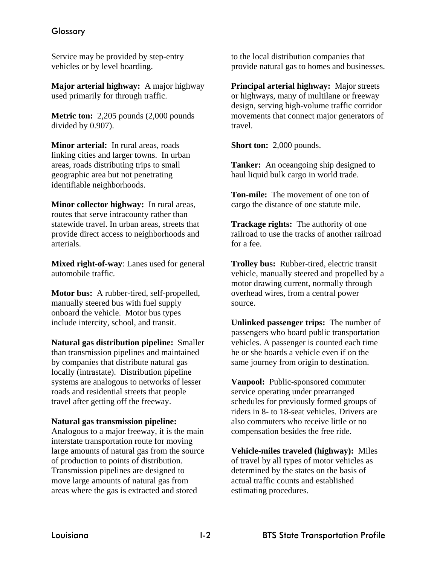# **Glossary**

Service may be provided by step-entry vehicles or by level boarding.

**Major arterial highway:** A major highway used primarily for through traffic.

**Metric ton:** 2,205 pounds (2,000 pounds divided by 0.907).

**Minor arterial:** In rural areas, roads linking cities and larger towns. In urban areas, roads distributing trips to small geographic area but not penetrating identifiable neighborhoods.

**Minor collector highway:** In rural areas, routes that serve intracounty rather than statewide travel. In urban areas, streets that provide direct access to neighborhoods and arterials.

**Mixed right-of-way**: Lanes used for general automobile traffic.

**Motor bus:** A rubber-tired, self-propelled, manually steered bus with fuel supply onboard the vehicle. Motor bus types include intercity, school, and transit.

**Natural gas distribution pipeline:** Smaller than transmission pipelines and maintained by companies that distribute natural gas locally (intrastate). Distribution pipeline systems are analogous to networks of lesser roads and residential streets that people travel after getting off the freeway.

#### **Natural gas transmission pipeline:**

Analogous to a major freeway, it is the main interstate transportation route for moving large amounts of natural gas from the source of production to points of distribution. Transmission pipelines are designed to move large amounts of natural gas from areas where the gas is extracted and stored

to the local distribution companies that provide natural gas to homes and businesses.

**Principal arterial highway:** Major streets or highways, many of multilane or freeway design, serving high-volume traffic corridor movements that connect major generators of travel.

**Short ton:** 2,000 pounds.

**Tanker:** An oceangoing ship designed to haul liquid bulk cargo in world trade.

**Ton-mile:** The movement of one ton of cargo the distance of one statute mile.

**Trackage rights:** The authority of one railroad to use the tracks of another railroad for a fee.

**Trolley bus:** Rubber-tired, electric transit vehicle, manually steered and propelled by a motor drawing current, normally through overhead wires, from a central power source.

**Unlinked passenger trips:** The number of passengers who board public transportation vehicles. A passenger is counted each time he or she boards a vehicle even if on the same journey from origin to destination.

**Vanpool:** Public-sponsored commuter service operating under prearranged schedules for previously formed groups of riders in 8- to 18-seat vehicles. Drivers are also commuters who receive little or no compensation besides the free ride.

**Vehicle-miles traveled (highway):** Miles of travel by all types of motor vehicles as determined by the states on the basis of actual traffic counts and established estimating procedures.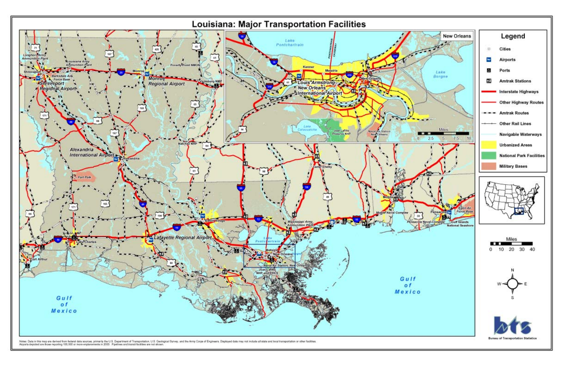

Note: Data in this map are derived from federal data sources, primarily the U.S. Department of Transportation, U.S. Geological Survey, and the Army Corps of Engineers. Displayed data may not include all state and boal tran